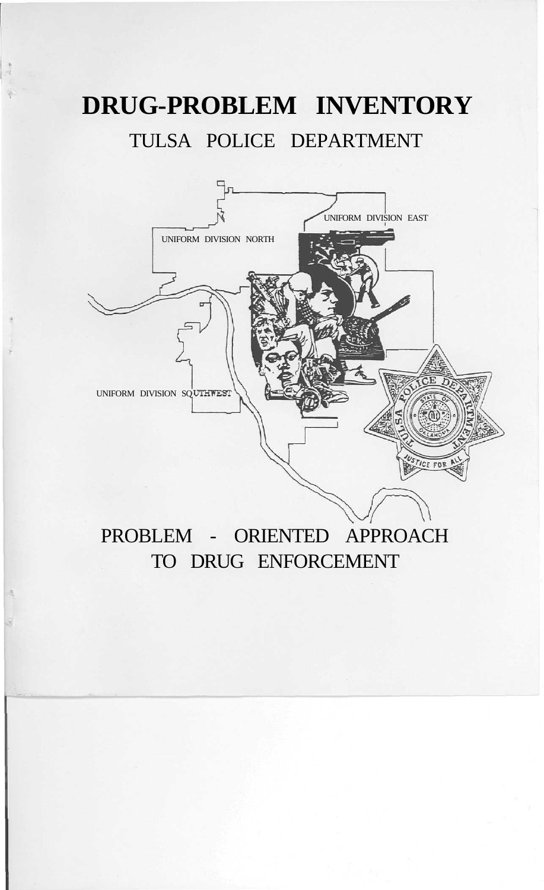# **DRUG-PROBLEM INVENTORY** TULSA POLICE DEPARTMENT



## PROBLEM - ORIENTED APPROACH TO DRUG ENFORCEMENT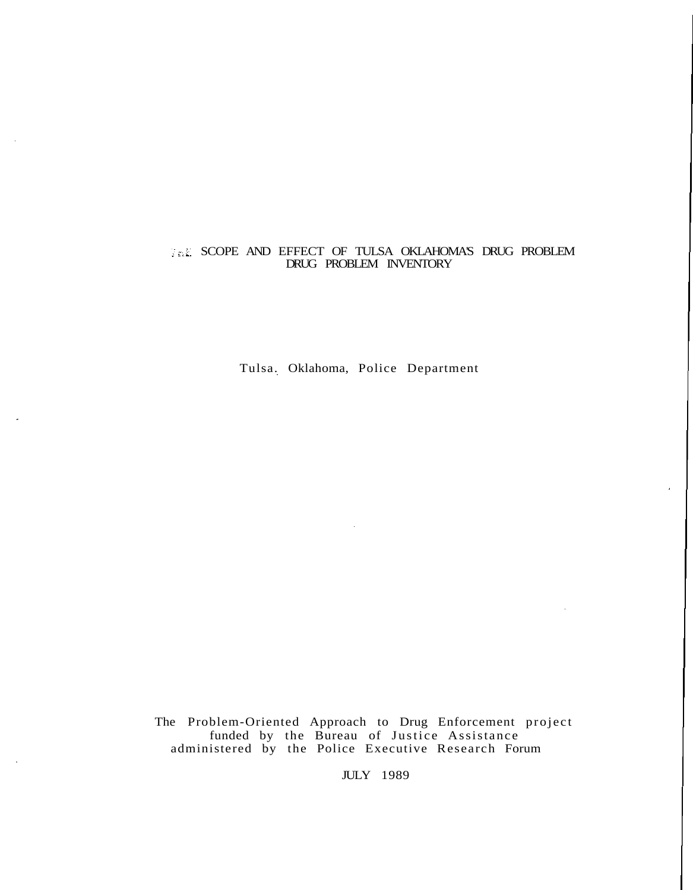#### THE SCOPE AND EFFECT OF TULSA OKLAHOMAS DRUG PROBLEM DRUG PROBLEM INVENTORY

Tulsa. Oklahoma, Police Department

The Problem-Oriented Approach to Drug Enforcement project funded by the Bureau of Justice Assistance administered by the Police Executive Research Forum

JULY 1989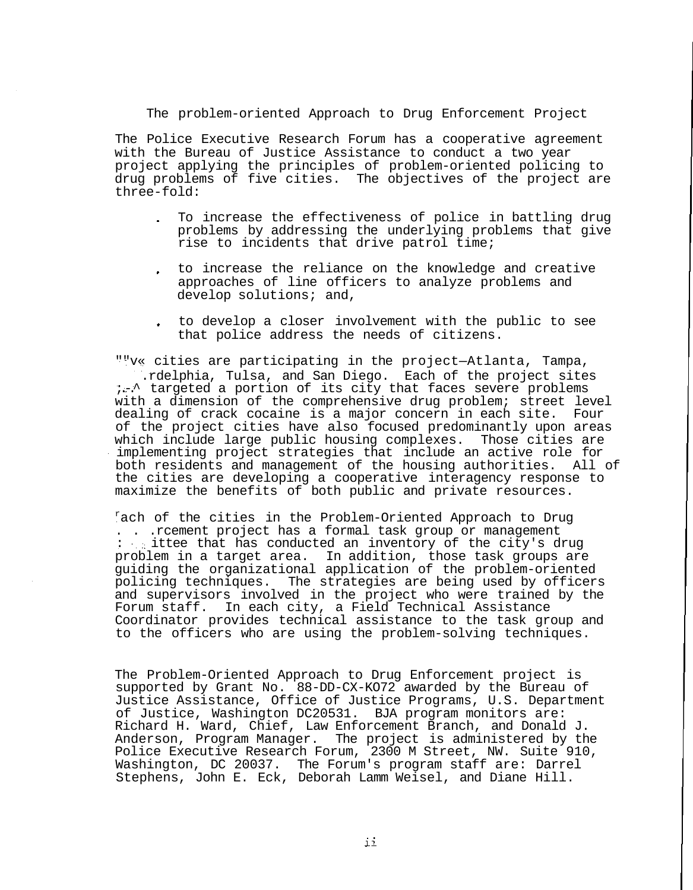The problem-oriented Approach to Drug Enforcement Project

The Police Executive Research Forum has a cooperative agreement with the Bureau of Justice Assistance to conduct a two year project applying the principles of problem-oriented policing to drug problems of five cities. The objectives of the project are three-fold:

- To increase the effectiveness of police in battling drug problems by addressing the underlying problems that give rise to incidents that drive patrol time;
- to increase the reliance on the knowledge and creative approaches of line officers to analyze problems and develop solutions; and,
- to develop a closer involvement with the public to see that police address the needs of citizens.

""v« cities are participating in the project—Atlanta, Tampa,

.rdelphia, Tulsa, and San Diego. Each of the project sites  $i$ .  $\therefore$  targeted a portion of its city that faces severe problems with a dimension of the comprehensive drug problem; street level dealing of crack cocaine is a major concern in each site. Four of the project cities have also focused predominantly upon areas which include large public housing complexes. Those cities are implementing project strategies that include an active role for both residents and management of the housing authorities. All of the cities are developing a cooperative interagency response to maximize the benefits of both public and private resources.

 $r$ ach of the cities in the Problem-Oriented Approach to Drug . . .rcement project has a formal task group or management : ittee that has conducted an inventory of the city's drug problem in a target area. In addition, those task groups are guiding the organizational application of the problem-oriented policing techniques. The strategies are being used by officers and supervisors involved in the project who were trained by the Forum staff. In each city, a Field Technical Assistance Coordinator provides technical assistance to the task group and to the officers who are using the problem-solving techniques.

The Problem-Oriented Approach to Drug Enforcement project is supported by Grant No. 88-DD-CX-KO72 awarded by the Bureau of Justice Assistance, Office of Justice Programs, U.S. Department of Justice, Washington DC20531. BJA program monitors are: Richard H. Ward, Chief, Law Enforcement Branch, and Donald J. Anderson, Program Manager. The project is administered by the Police Executive Research Forum, 2300 M Street, NW. Suite 910, Washington, DC 20037. The Forum's program staff are: Darrel Stephens, John E. Eck, Deborah Lamm Weisel, and Diane Hill.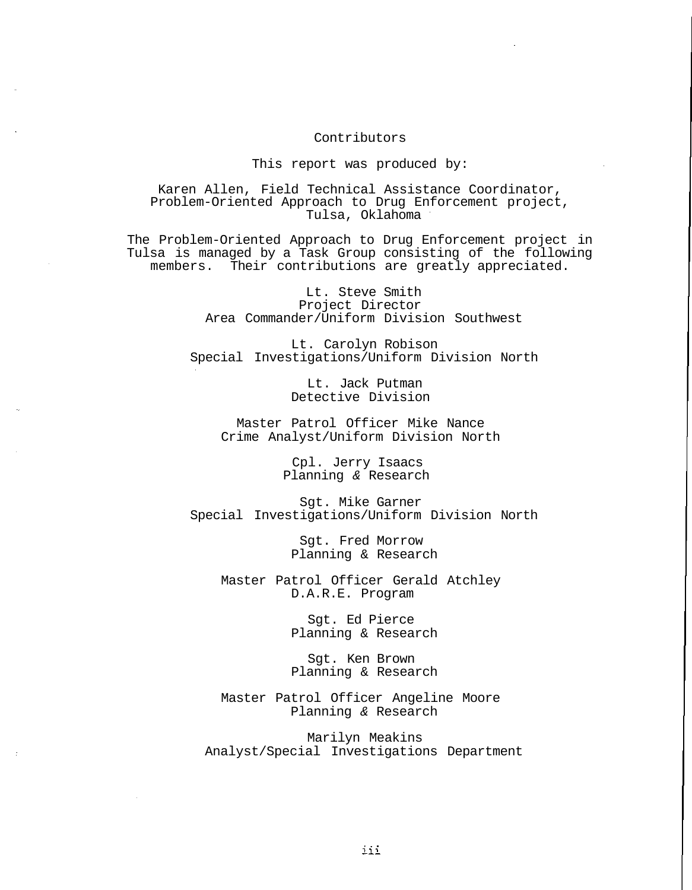#### Contributors

#### This report was produced by:

#### Karen Allen, Field Technical Assistance Coordinator, Problem-Oriented Approach to Drug Enforcement project, Tulsa, Oklahoma

The Problem-Oriented Approach to Drug Enforcement project in Tulsa is managed by a Task Group consisting of the following members. Their contributions are greatly appreciated.

> Lt. Steve Smith Project Director Area Commander/Uniform Division Southwest

Lt. Carolyn Robison Special Investigations/Uniform Division North

> Lt. Jack Putman Detective Division

Master Patrol Officer Mike Nance Crime Analyst/Uniform Division North

> Cpl. Jerry Isaacs Planning & Research

Sgt. Mike Garner Special Investigations/Uniform Division North

> Sgt. Fred Morrow Planning & Research

Master Patrol Officer Gerald Atchley D.A.R.E. Program

> Sgt. Ed Pierce Planning & Research

> Sgt. Ken Brown Planning & Research

Master Patrol Officer Angeline Moore Planning & Research

Marilyn Meakins Analyst/Special Investigations Department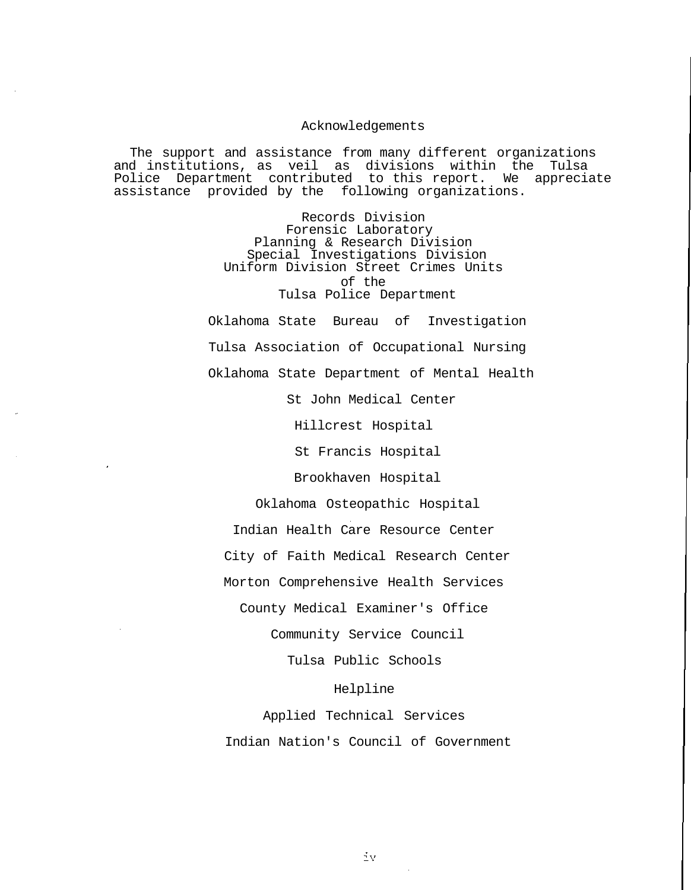#### Acknowledgements

The support and assistance from many different organizations and institutions, as veil as divisions within the Tulsa Police Department contributed to this report. We appreciate assistance provided by the following organizations.

> Records Division Forensic Laboratory Planning & Research Division Special Investigations Division Uniform Division Street Crimes Units of the Tulsa Police Department

Oklahoma State Bureau of Investigation Tulsa Association of Occupational Nursing Oklahoma State Department of Mental Health

St John Medical Center

Hillcrest Hospital

St Francis Hospital

Brookhaven Hospital

Oklahoma Osteopathic Hospital

Indian Health Care Resource Center City of Faith Medical Research Center Morton Comprehensive Health Services County Medical Examiner's Office

Community Service Council

Tulsa Public Schools

Helpline

Applied Technical Services Indian Nation's Council of Government

 $\exists\, v$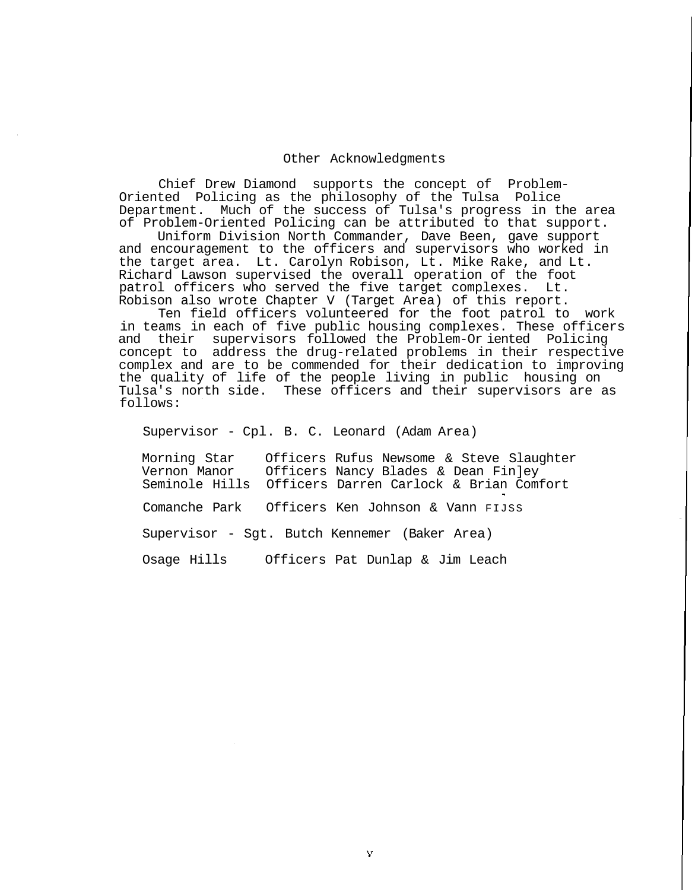#### Other Acknowledgments

Chief Drew Diamond supports the concept of Problem-Oriented Policing as the philosophy of the Tulsa Police Department. Much of the success of Tulsa's progress in the area of Problem-Oriented Policing can be attributed to that support.

Uniform Division North Commander, Dave Been, gave support and encouragement to the officers and supervisors who worked in the target area. Lt. Carolyn Robison, Lt. Mike Rake, and Lt. Richard Lawson supervised the overall operation of the foot patrol officers who served the five target complexes. Lt. Robison also wrote Chapter V (Target Area) of this report.

Ten field officers volunteered for the foot patrol to work in teams in each of five public housing complexes. These officers and their supervisors followed the Problem-Or iented Policing concept to address the drug-related problems in their respective complex and are to be commended for their dedication to improving the quality of life of the people living in public housing on Tulsa's north side. These officers and their supervisors are as follows:

Supervisor - Cpl. B. C. Leonard (Adam Area)

Morning Star Officers Rufus Newsome & Steve Slaughter Vernon Manor Officers Nancy Blades & Dean Fin]ey Seminole Hills Officers Darren Carlock & Brian Comfort Comanche Park Officers Ken Johnson & Vann FIJSS Supervisor - Sgt. Butch Kennemer (Baker Area) Osage Hills Officers Pat Dunlap & Jim Leach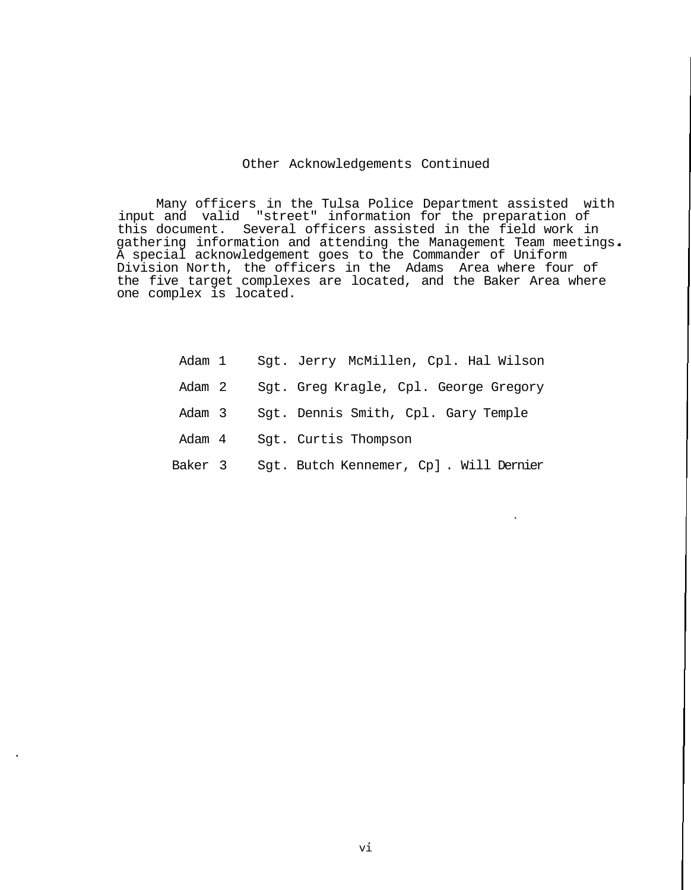#### Other Acknowledgements Continued

Many officers in the Tulsa Police Department assisted with input and valid "street" information for the preparation of this document. Several officers assisted in the field work in gathering information and attending the Management Team meetings A special acknowledgement goes to the Commander of Uniform Division North, the officers in the Adams Area where four of the five target complexes are located, and the Baker Area where one complex is located.

| Adam 1  |  | Sgt. Jerry McMillen, Cpl. Hal Wilson   |
|---------|--|----------------------------------------|
| Adam 2  |  | Sgt. Greg Kragle, Cpl. George Gregory  |
| Adam 3  |  | Sgt. Dennis Smith, Cpl. Gary Temple    |
| Adam 4  |  | Sqt. Curtis Thompson                   |
| Baker 3 |  | Sgt. Butch Kennemer, Cp]. Will Dernier |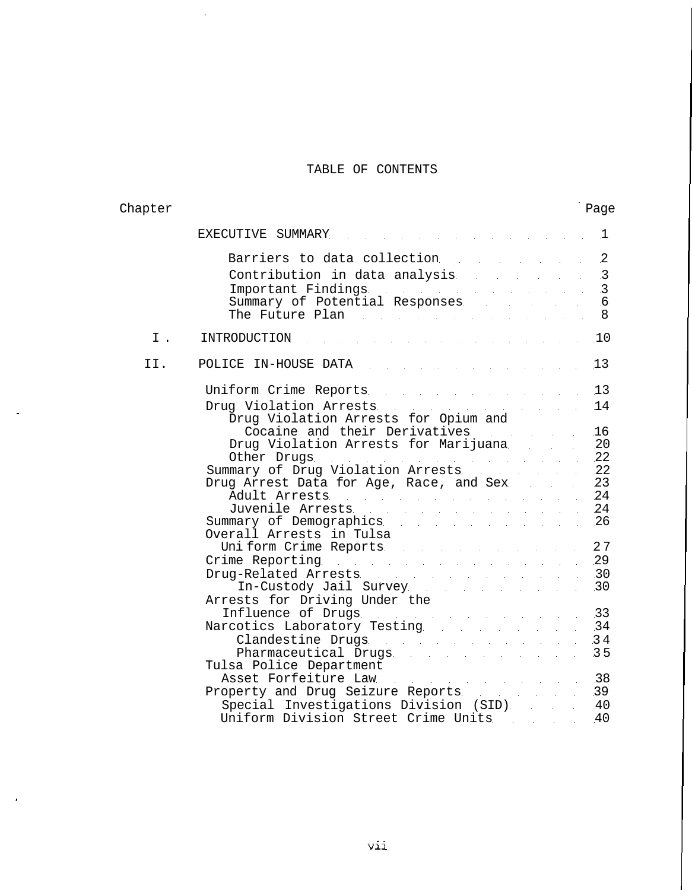#### TABLE OF CONTENTS

 $\bar{\mathcal{A}}$ 

 $\overline{\phantom{a}}$ 

J,

| Chapter |                                                                                                                                                                                                                                                                                                                                                                                                                                     | Page                                |
|---------|-------------------------------------------------------------------------------------------------------------------------------------------------------------------------------------------------------------------------------------------------------------------------------------------------------------------------------------------------------------------------------------------------------------------------------------|-------------------------------------|
|         | EXECUTIVE SUMMARY EXECUTIVE<br>$\mathcal{L}^{\mathcal{L}}$ and $\mathcal{L}^{\mathcal{L}}$ are the set of the set of the set of the $\mathcal{L}^{\mathcal{L}}$                                                                                                                                                                                                                                                                     | $\perp$                             |
|         | Barriers to data collection and the state of the state of the state of the state of the state of the state of<br>Contribution in data analysis and contribution<br>Important Findings 3<br>Summary of Potential Responses 6<br>The Future Plan the contract of the Russian State of the State of the State of the State of the State of the S                                                                                       | -2<br>$\overline{3}$                |
| Ι.      | INTRODUCTION<br>$\sim$ 10                                                                                                                                                                                                                                                                                                                                                                                                           |                                     |
| II.     | POLICE IN-HOUSE DATA 13                                                                                                                                                                                                                                                                                                                                                                                                             |                                     |
|         | Uniform Crime Reports 13<br>Drug Violation Arrests and the contract of the 14                                                                                                                                                                                                                                                                                                                                                       |                                     |
|         | Drug Violation Arrests for Opium and<br>Cocaine and their Derivatives<br>Drug Violation Arrests for Marijuana<br>Other Drugs and the contract of the contract of the contract of the contract of the contract of the contract of<br>Summary of Drug Violation Arrests 1997 1998<br>Drug Arrest Data for Age, Race, and Sex. 23<br>Adult Arrests 24<br>Juvenile Arrests 24<br>Summary of Demographics 36<br>Overall Arrests in Tulsa | 16<br>-20<br>$\sim 10^{-10}$<br>-22 |
|         | Uni form Crime Reports 27<br>Crime Reporting 29<br>Drug-Related Arrests 30                                                                                                                                                                                                                                                                                                                                                          |                                     |
|         | Arrests for Driving Under the<br>Influence of Drugs. The contract of the state of Drugs.<br>Narcotics Laboratory Testing Narcotics 34<br>Clandestine Drugs (2008) 2014<br>Pharmaceutical Drugs (2008) 25                                                                                                                                                                                                                            |                                     |
|         | Tulsa Police Department<br>Asset Forfeiture Law Management Reset Forfeiture Law<br>Property and Drug Seizure Reports 39<br>Special Investigations Division (SID) 40<br>Uniform Division Street Crime Units                                                                                                                                                                                                                          | .40                                 |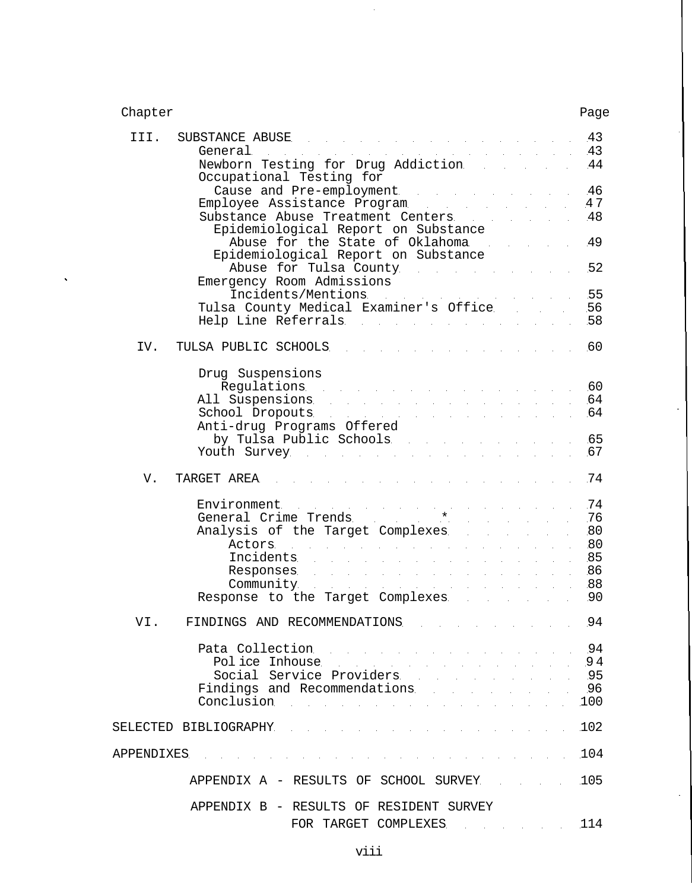Chapter Page 2014

 $\hat{\mathbf{v}}$ 

 $\mathbb{Z}$ 

| III.       | SUBSTANCE ABUSE 43<br>General 43                                                                                                                                                                                                                                                                                                                                                                                                                                                                                                                                  |     |
|------------|-------------------------------------------------------------------------------------------------------------------------------------------------------------------------------------------------------------------------------------------------------------------------------------------------------------------------------------------------------------------------------------------------------------------------------------------------------------------------------------------------------------------------------------------------------------------|-----|
|            | Newborn Testing for Drug Addiction 144                                                                                                                                                                                                                                                                                                                                                                                                                                                                                                                            |     |
|            | Occupational Testing for<br>Cause and Pre-employment. The cause and Pre-employment<br>Employee Assistance Program Management 47<br>Substance Abuse Treatment Centers [18] March 28<br>Epidemiological Report on Substance                                                                                                                                                                                                                                                                                                                                         |     |
|            | Abuse for the State of Oklahoma. 49<br>Epidemiological Report on Substance                                                                                                                                                                                                                                                                                                                                                                                                                                                                                        |     |
|            | Abuse for Tulsa County 32<br>Emergency Room Admissions                                                                                                                                                                                                                                                                                                                                                                                                                                                                                                            |     |
|            | Tulsa County Medical Examiner's Office 356<br>Help Line Referrals 58                                                                                                                                                                                                                                                                                                                                                                                                                                                                                              |     |
| IV.        | TULSA PUBLIC SCHOOLS. 60                                                                                                                                                                                                                                                                                                                                                                                                                                                                                                                                          |     |
|            | Drug Suspensions<br>Requlations 60<br>All Suspensions 64<br>School Dropouts 64<br>Anti-drug Programs Offered                                                                                                                                                                                                                                                                                                                                                                                                                                                      |     |
|            | by Tulsa Public Schools (55)<br>Youth Survey 67                                                                                                                                                                                                                                                                                                                                                                                                                                                                                                                   |     |
| V.         | 74<br>TARGET AREA                                                                                                                                                                                                                                                                                                                                                                                                                                                                                                                                                 |     |
|            | Environment. 74<br>General Crime Trends * * 76<br>Analysis of the Target Complexes 60<br>Actors 80<br>Incidents 85<br>Responses 86<br>Community 88<br>Response to the Target Complexes                                                                                                                                                                                                                                                                                                                                                                            | -90 |
| VI.        | FINDINGS AND RECOMMENDATIONS AND RECOMMENDATIONS                                                                                                                                                                                                                                                                                                                                                                                                                                                                                                                  | 94  |
|            | Pata Collection and the set of the set of the set of the set of the set of the set of the set of the set of th<br>Police Inhouse 94<br>Social Service Providers and the service of the service of the service of the service of the service of the service of the service of the service of the service of the service of the service of the service of the service o<br>Findings and Recommendations and the state of the state of the state of the state of the state of the state of<br>Conclusion entertainment of the conclusion<br><b>Contract Contract</b> | 100 |
|            | SELECTED BIBLIOGRAPHY<br>the control of the control of the                                                                                                                                                                                                                                                                                                                                                                                                                                                                                                        | 102 |
| APPENDIXES | state of the state of the state of the state of the state of the state of the state of the state of the state of                                                                                                                                                                                                                                                                                                                                                                                                                                                  | 104 |
|            | APPENDIX A - RESULTS OF SCHOOL SURVEY                                                                                                                                                                                                                                                                                                                                                                                                                                                                                                                             | 105 |
|            | APPENDIX B - RESULTS OF RESIDENT SURVEY<br>FOR TARGET COMPLEXES 114                                                                                                                                                                                                                                                                                                                                                                                                                                                                                               |     |

 $\bar{\psi}$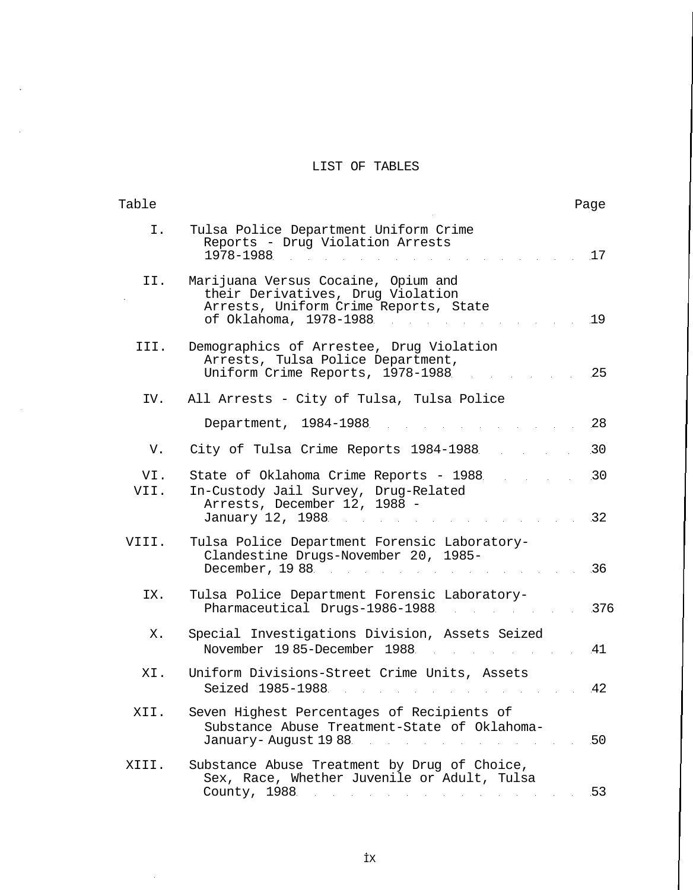### LIST OF TABLES

 $\overline{a}$ 

| Table       |                                                                                                                                                                                                                     | Page      |
|-------------|---------------------------------------------------------------------------------------------------------------------------------------------------------------------------------------------------------------------|-----------|
| Ι.          | Tulsa Police Department Uniform Crime<br>Reports - Drug Violation Arrests<br>1978-1988                                                                                                                              | 17        |
| II.         | Marijuana Versus Cocaine, Opium and<br>their Derivatives, Drug Violation<br>Arrests, Uniform Crime Reports, State<br>of Oklahoma, 1978-1988                                                                         | <b>19</b> |
| III.        | Demographics of Arrestee, Drug Violation<br>Arrests, Tulsa Police Department,<br>Uniform Crime Reports, 1978-1988                                                                                                   | -25       |
| IV.         | All Arrests - City of Tulsa, Tulsa Police                                                                                                                                                                           |           |
|             | Department, 1984-1988                                                                                                                                                                                               | .28       |
| V.          | City of Tulsa Crime Reports 1984-1988                                                                                                                                                                               | 30        |
| VI.<br>VII. | State of Oklahoma Crime Reports - 1988<br>In-Custody Jail Survey, Drug-Related<br>Arrests, December 12, 1988 -<br>January 12, 1988                                                                                  | 30<br>32  |
| VIII.       | Tulsa Police Department Forensic Laboratory-<br>Clandestine Drugs-November 20, 1985-<br>December, 1988                                                                                                              | 36        |
| IX.         | Tulsa Police Department Forensic Laboratory-<br>Pharmaceutical Drugs-1986-1988                                                                                                                                      | -376      |
| Х.          | Special Investigations Division, Assets Seized<br>November 1985-December 1988                                                                                                                                       | 41        |
| XI.         | Uniform Divisions-Street Crime Units, Assets<br>Seized 1985-1988                                                                                                                                                    | -42       |
| XII.        | Seven Highest Percentages of Recipients of<br>Substance Abuse Treatment-State of Oklahoma-<br>January- August 19 88<br>$\sim$ 50 $\sim$ 50 $\sim$ 50 $\sim$ 50 $\sim$                                               |           |
| XIII.       | Substance Abuse Treatment by Drug of Choice,<br>Sex, Race, Whether Juvenile or Adult, Tulsa<br>County, 1988<br>$\mathcal{O}(\mathcal{A})$ . The simulation of the simulation of the simulation of the simulation of | 53        |

 $\bar{\mathcal{A}}$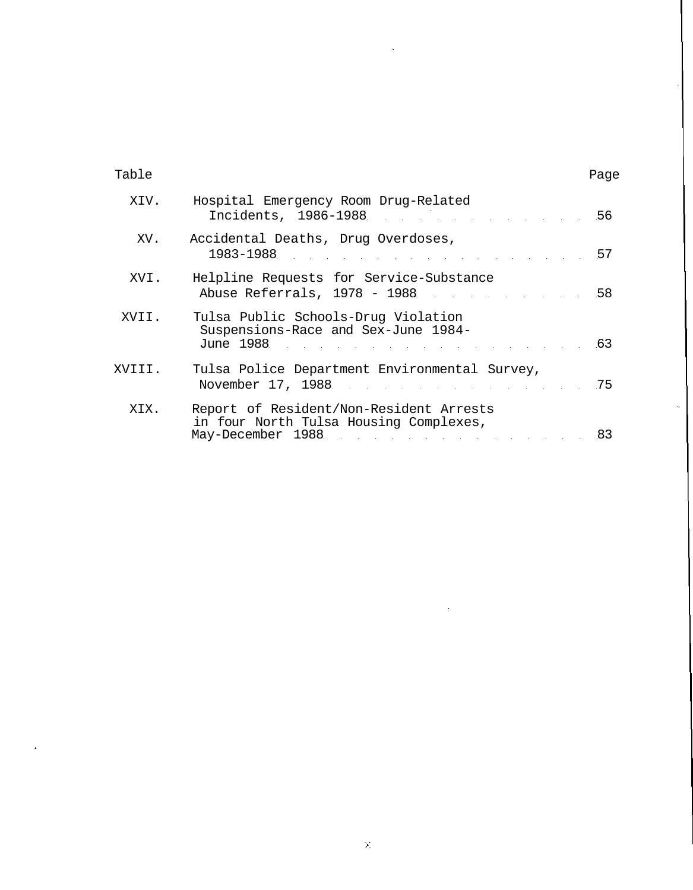#### Table Page Page 2014 and the Page 2014 and the Page 2014 and the Page 2014 and the Page 2014 and the Page 2014

 $\mathcal{A}$ 

| XIV.   | Hospital Emergency Room Drug-Related<br>Incidents, 1986-1988 56                                                                                                                                                                                                                                                                                                 |     |
|--------|-----------------------------------------------------------------------------------------------------------------------------------------------------------------------------------------------------------------------------------------------------------------------------------------------------------------------------------------------------------------|-----|
| XV.    | Accidental Deaths, Drug Overdoses,<br>$1983 - 1988$ 57                                                                                                                                                                                                                                                                                                          |     |
| XVI.   | Helpline Requests for Service-Substance                                                                                                                                                                                                                                                                                                                         |     |
| XVII.  | Tulsa Public Schools-Drug Violation<br>Suspensions-Race and Sex-June 1984-<br>June 1988<br>$\sim$ 63                                                                                                                                                                                                                                                            |     |
| XVTTT. | Tulsa Police Department Environmental Survey,<br>November 17, 1988                                                                                                                                                                                                                                                                                              | 75  |
| XIX.   | Report of Resident/Non-Resident Arrests<br>in four North Tulsa Housing Complexes,<br>May-December 1988<br>$\mathcal{L}^{\mathcal{L}}(\mathcal{L}^{\mathcal{L}})$ and the set of the set of the set of the set of the set of the set of the set of the set of the set of the set of the set of the set of the set of the set of the set of the set of the set of | -83 |

 $\mathcal{L}_{\mathrm{eff}}$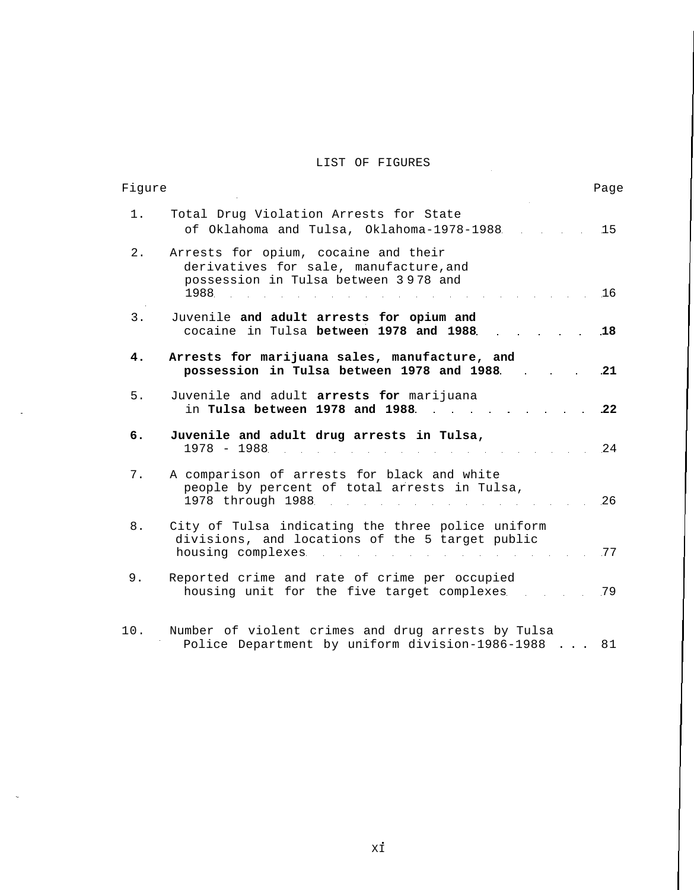#### LIST OF FIGURES

| Figure |                                                                                                                                                                                                                                                             | Page      |
|--------|-------------------------------------------------------------------------------------------------------------------------------------------------------------------------------------------------------------------------------------------------------------|-----------|
| $1$ .  | Total Drug Violation Arrests for State<br>of Oklahoma and Tulsa, Oklahoma-1978-1988                                                                                                                                                                         | 15        |
| 2.     | Arrests for opium, cocaine and their<br>derivatives for sale, manufacture, and<br>possession in Tulsa between 3978 and<br>1988                                                                                                                              | .16       |
| 3.     | Juvenile and adult arrests for opium and<br>cocaine in Tulsa between 1978 and 1988.                                                                                                                                                                         | <b>18</b> |
| 4.     | Arrests for marijuana sales, manufacture, and<br>possession in Tulsa between 1978 and 1988.                                                                                                                                                                 | -21       |
| 5.     | Juvenile and adult arrests for marijuana<br>in Tulsa between 1978 and 1988.                                                                                                                                                                                 | .22       |
| б.     | Juvenile and adult drug arrests in Tulsa,<br>1978 - 1988                                                                                                                                                                                                    | 24        |
| 7.     | A comparison of arrests for black and white<br>people by percent of total arrests in Tulsa,<br>1978 through 1988<br>$\mathcal{L}^{\mathcal{L}}$ and $\mathcal{L}^{\mathcal{L}}$ are the set of the set of the set of the set of $\mathcal{L}^{\mathcal{L}}$ | -26       |
| 8.     | City of Tulsa indicating the three police uniform<br>divisions, and locations of the 5 target public<br>housing complexes                                                                                                                                   | .77       |
| 9.     | Reported crime and rate of crime per occupied<br>housing unit for the five target complexes                                                                                                                                                                 | .79       |
|        |                                                                                                                                                                                                                                                             |           |

10. Number of violent crimes and drug arrests by Tulsa Police Department by uniform division-1986-1988 .. . 81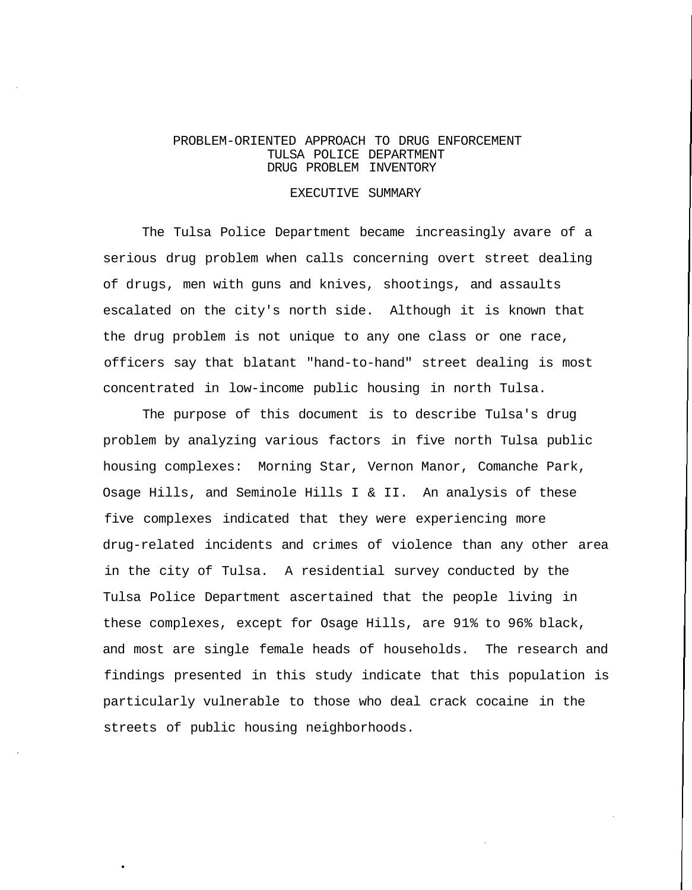#### PROBLEM-ORIENTED APPROACH TO DRUG ENFORCEMENT TULSA POLICE DEPARTMENT DRUG PROBLEM INVENTORY

#### EXECUTIVE SUMMARY

The Tulsa Police Department became increasingly avare of a serious drug problem when calls concerning overt street dealing of drugs, men with guns and knives, shootings, and assaults escalated on the city's north side. Although it is known that the drug problem is not unique to any one class or one race, officers say that blatant "hand-to-hand" street dealing is most concentrated in low-income public housing in north Tulsa.

The purpose of this document is to describe Tulsa's drug problem by analyzing various factors in five north Tulsa public housing complexes: Morning Star, Vernon Manor, Comanche Park, Osage Hills, and Seminole Hills I & II. An analysis of these five complexes indicated that they were experiencing more drug-related incidents and crimes of violence than any other area in the city of Tulsa. A residential survey conducted by the Tulsa Police Department ascertained that the people living in these complexes, except for Osage Hills, are 91% to 96% black, and most are single female heads of households. The research and findings presented in this study indicate that this population is particularly vulnerable to those who deal crack cocaine in the streets of public housing neighborhoods.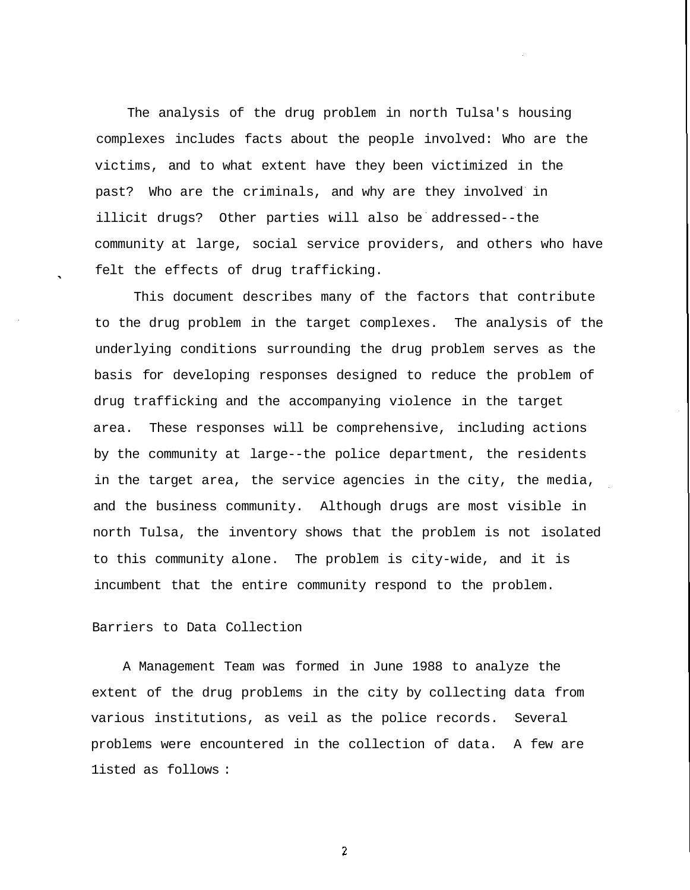The analysis of the drug problem in north Tulsa's housing complexes includes facts about the people involved: Who are the victims, and to what extent have they been victimized in the past? Who are the criminals, and why are they involved in illicit drugs? Other parties will also be addressed--the community at large, social service providers, and others who have felt the effects of drug trafficking.

This document describes many of the factors that contribute to the drug problem in the target complexes. The analysis of the underlying conditions surrounding the drug problem serves as the basis for developing responses designed to reduce the problem of drug trafficking and the accompanying violence in the target area. These responses will be comprehensive, including actions by the community at large--the police department, the residents in the target area, the service agencies in the city, the media, and the business community. Although drugs are most visible in north Tulsa, the inventory shows that the problem is not isolated to this community alone. The problem is city-wide, and it is incumbent that the entire community respond to the problem.

#### Barriers to Data Collection

A Management Team was formed in June 1988 to analyze the extent of the drug problems in the city by collecting data from various institutions, as veil as the police records. Several problems were encountered in the collection of data. A few are 1isted as follows :

 $\overline{2}$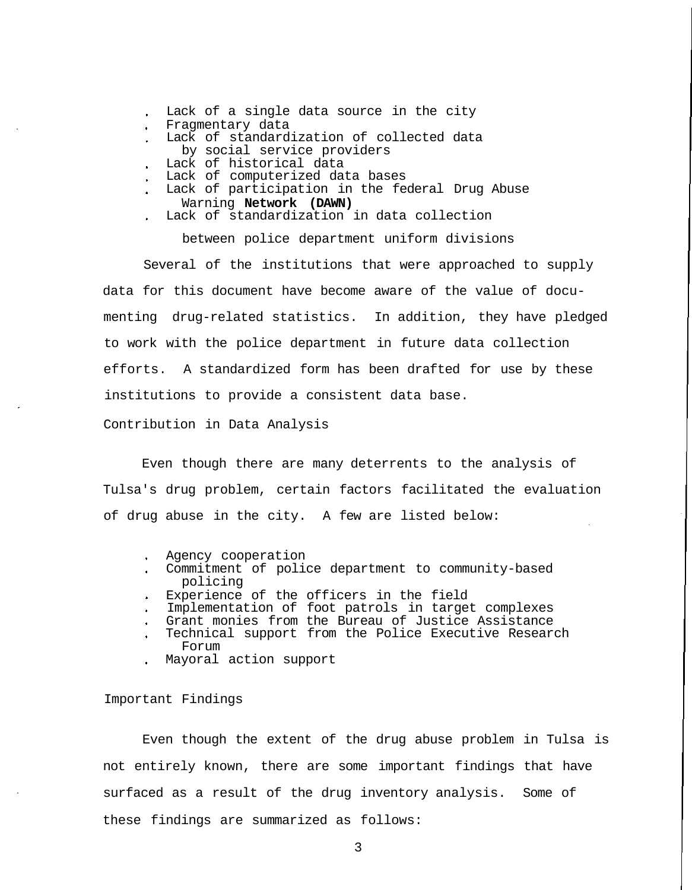- Lack of a single data source in the city
- Fragmentary data
- Lack of standardization of collected data by social service providers
- Lack of historical data
- Lack of computerized data bases
- Lack of participation in the federal Drug Abuse Warning **Network (DAWN)**
- Lack of standardization in data collection

between police department uniform divisions

Several of the institutions that were approached to supply data for this document have become aware of the value of documenting drug-related statistics. In addition, they have pledged to work with the police department in future data collection efforts. A standardized form has been drafted for use by these institutions to provide a consistent data base.

Contribution in Data Analysis

Even though there are many deterrents to the analysis of Tulsa's drug problem, certain factors facilitated the evaluation of drug abuse in the city. A few are listed below:

- Agency cooperation
- Commitment of police department to community-based policing
- Experience of the officers in the field
- Implementation of foot patrols in target complexes
- Grant monies from the Bureau of Justice Assistance
- Technical support from the Police Executive Research Forum
- Mayoral action support

#### Important Findings

Even though the extent of the drug abuse problem in Tulsa is not entirely known, there are some important findings that have surfaced as a result of the drug inventory analysis. Some of these findings are summarized as follows: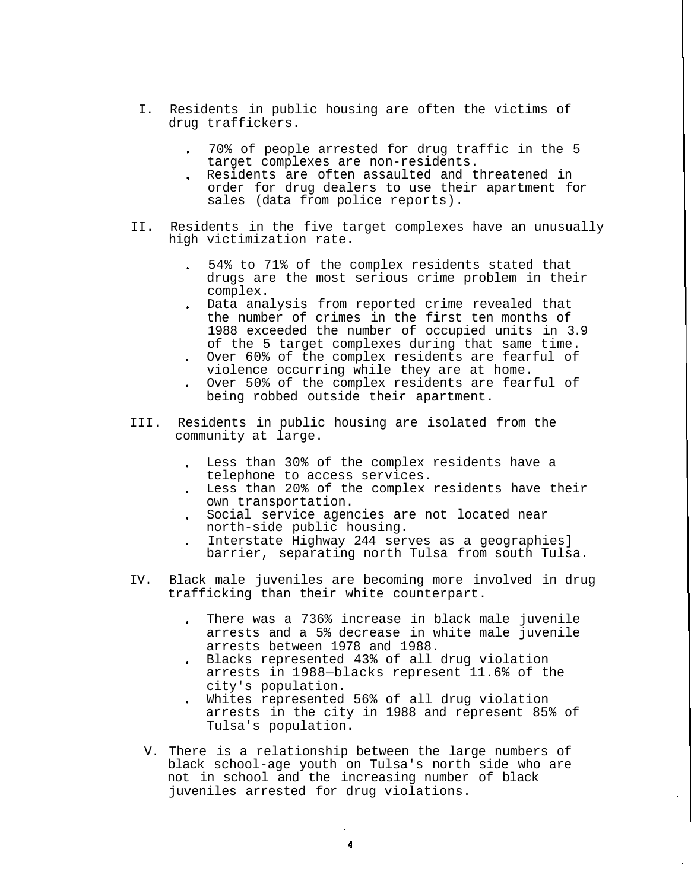- I. Residents in public housing are often the victims of drug traffickers.
	- 70% of people arrested for drug traffic in the 5 target complexes are non-residents.
	- Residents are often assaulted and threatened in order for drug dealers to use their apartment for sales (data from police reports).
- II. Residents in the five target complexes have an unusually high victimization rate.
	- 54% to 71% of the complex residents stated that drugs are the most serious crime problem in their complex.
	- Data analysis from reported crime revealed that the number of crimes in the first ten months of 1988 exceeded the number of occupied units in 3.9 of the 5 target complexes during that same time.
	- Over 60% of the complex residents are fearful of violence occurring while they are at home.
	- Over 50% of the complex residents are fearful of being robbed outside their apartment.
- III. Residents in public housing are isolated from the community at large.
	- Less than 30% of the complex residents have a telephone to access services.
	- Less than 20% of the complex residents have their own transportation.
	- Social service agencies are not located near north-side public housing.
	- Interstate Highway 244 serves as a geographies] barrier, separating north Tulsa from south Tulsa.
- IV. Black male juveniles are becoming more involved in drug trafficking than their white counterpart.
	- There was a 736% increase in black male juvenile arrests and a 5% decrease in white male juvenile arrests between 1978 and 1988.
	- Blacks represented 43% of all drug violation arrests in 1988—blacks represent 11.6% of the city's population.
	- Whites represented 56% of all drug violation arrests in the city in 1988 and represent 85% of Tulsa's population.
	- V. There is a relationship between the large numbers of black school-age youth on Tulsa's north side who are not in school and the increasing number of black juveniles arrested for drug violations.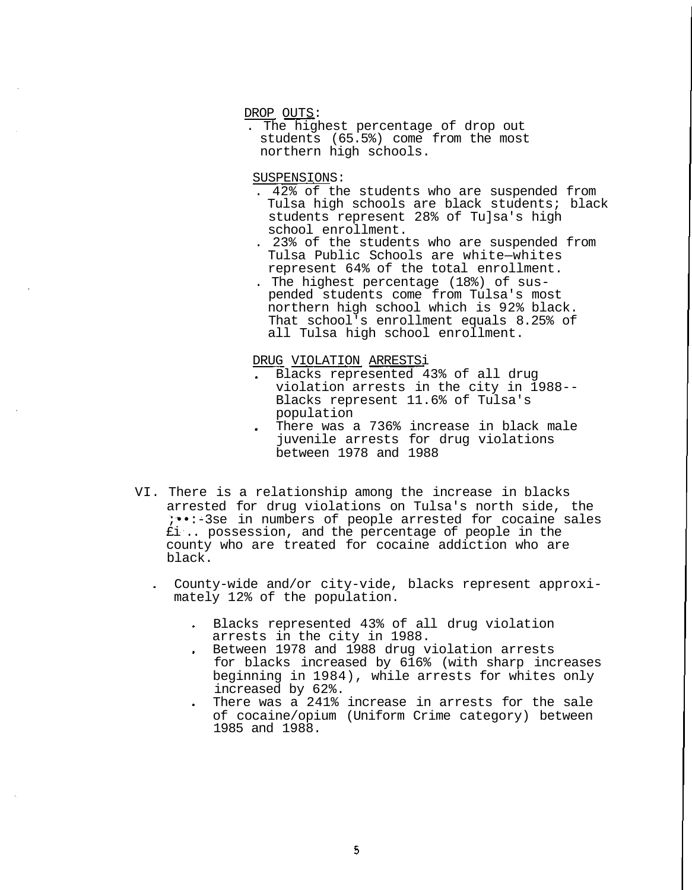DROP OUTS:

. The highest percentage of drop out students (65.5%) come from the most northern high schools.

SUSPENSIONS:

- . 42% of the students who are suspended from Tulsa high schools are black students; black students represent 28% of Tu]sa's high school enrollment.
- . 23% of the students who are suspended from Tulsa Public Schools are white—whites represent 64% of the total enrollment.
- . The highest percentage (18%) of suspended students come from Tulsa's most northern high school which is 92% black. That school's enrollment equals 8.25% of all Tulsa high school enrollment.

DRUG VIOLATION ARRESTSi

- Blacks represented 43% of all drug violation arrests in the city in 1988-- Blacks represent 11.6% of Tulsa's population
- There was a 736% increase in black male juvenile arrests for drug violations between 1978 and 1988
- VI. There is a relationship among the increase in blacks arrested for drug violations on Tulsa's north side, the ;••:-3se in numbers of people arrested for cocaine sales £i .. possession, and the percentage of people in the county who are treated for cocaine addiction who are black.
	- County-wide and/or city-vide, blacks represent approximately 12% of the population.
		- Blacks represented 43% of all drug violation arrests in the city in 1988.
		- Between 1978 and 1988 drug violation arrests for blacks increased by 616% (with sharp increases beginning in 1984), while arrests for whites only increased by 62%.
		- There was a 241% increase in arrests for the sale of cocaine/opium (Uniform Crime category) between 1985 and 1988.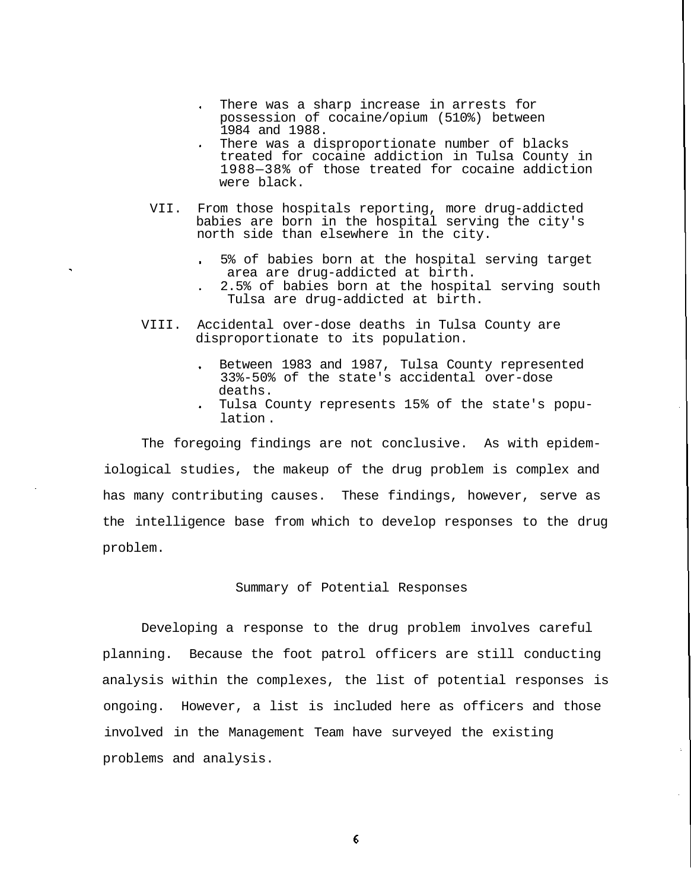- There was a sharp increase in arrests for possession of cocaine/opium (510%) between 1984 and 1988.
- There was a disproportionate number of blacks treated for cocaine addiction in Tulsa County in 1988—38% of those treated for cocaine addiction were black.
- VII. From those hospitals reporting, more drug-addicted babies are born in the hospital serving the city's north side than elsewhere in the city.
	- 5% of babies born at the hospital serving target area are drug-addicted at birth.
	- 2.5% of babies born at the hospital serving south Tulsa are drug-addicted at birth.
- VIII. Accidental over-dose deaths in Tulsa County are disproportionate to its population.
	- Between 1983 and 1987, Tulsa County represented 33%-50% of the state's accidental over-dose deaths.
	- Tulsa County represents 15% of the state's population .

The foregoing findings are not conclusive. As with epidemiological studies, the makeup of the drug problem is complex and has many contributing causes. These findings, however, serve as the intelligence base from which to develop responses to the drug problem.

#### Summary of Potential Responses

Developing a response to the drug problem involves careful planning. Because the foot patrol officers are still conducting analysis within the complexes, the list of potential responses is ongoing. However, a list is included here as officers and those involved in the Management Team have surveyed the existing problems and analysis.

 $\epsilon$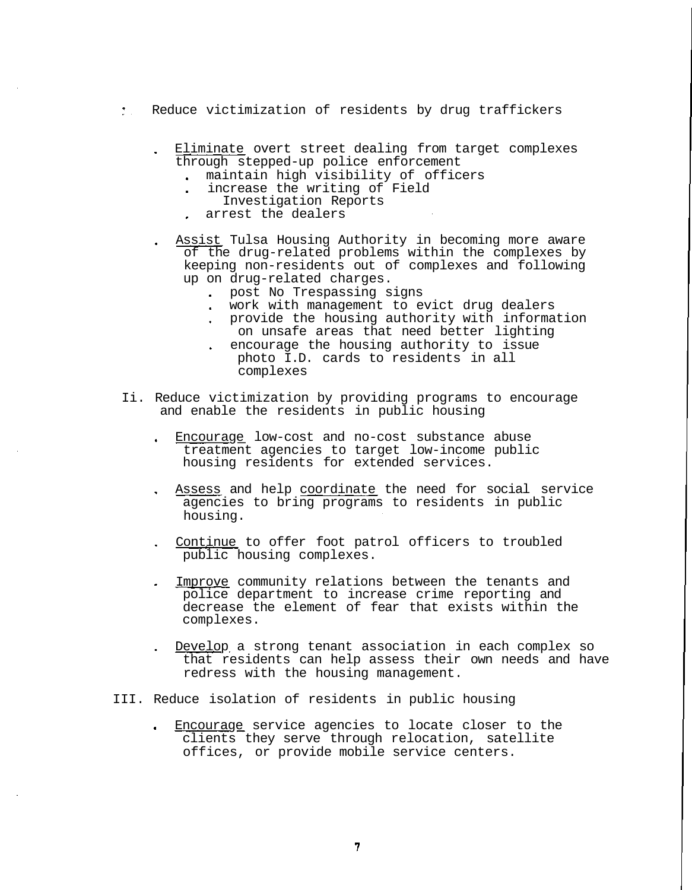- Reduce victimization of residents by drug traffickers
	- Eliminate overt street dealing from target complexes through stepped-up police enforcement
		- maintain high visibility of officers
			- increase the writing of Field
		- Investigation Reports
		- arrest the dealers
	- Assist Tulsa Housing Authority in becoming more aware of the drug-related problems within the complexes by keeping non-residents out of complexes and following up on drug-related charges.
		- post No Trespassing signs
		- work with management to evict drug dealers
		- provide the housing authority with information on unsafe areas that need better lighting
		- encourage the housing authority to issue photo I.D. cards to residents in all complexes
- Ii. Reduce victimization by providing programs to encourage and enable the residents in public housing
	- Encourage low-cost and no-cost substance abuse treatment agencies to target low-income public housing residents for extended services.
	- Assess and help coordinate the need for social service agencies to bring programs to residents in public housing.
	- Continue to offer foot patrol officers to troubled public housing complexes.
	- Improve community relations between the tenants and police department to increase crime reporting and decrease the element of fear that exists within the complexes.
	- . Develop a strong tenant association in each complex so that residents can help assess their own needs and have redress with the housing management.
- III. Reduce isolation of residents in public housing
	- Encourage service agencies to locate closer to the clients they serve through relocation, satellite offices, or provide mobile service centers.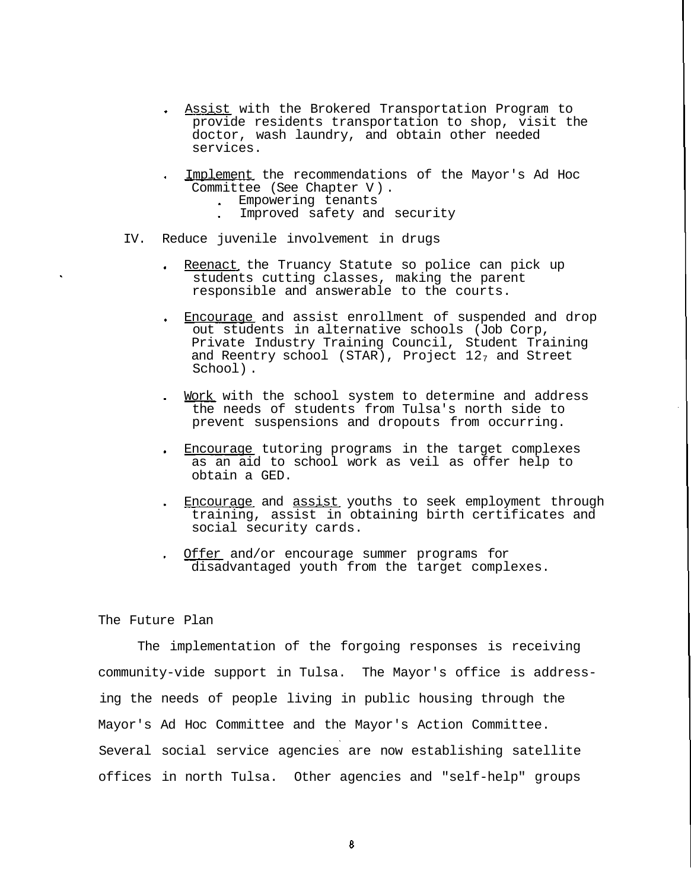- Assist with the Brokered Transportation Program to provide residents transportation to shop, visit the doctor, wash laundry, and obtain other needed services.
- Implement the recommendations of the Mayor's Ad Hoc Committee (See Chapter V) .
	- . Empowering tenants
	- Improved safety and security
- IV. Reduce juvenile involvement in drugs
	- . Reenact the Truancy Statute so police can pick up students cutting classes, making the parent responsible and answerable to the courts.
	- Encourage and assist enrollment of suspended and drop out students in alternative schools (Job Corp, Private Industry Training Council, Student Training and Reentry school (STAR), Project  $12<sub>7</sub>$  and Street School) .
	- Work with the school system to determine and address the needs of students from Tulsa's north side to prevent suspensions and dropouts from occurring.
	- Encourage tutoring programs in the target complexes as an aid to school work as veil as offer help to obtain a GED.
	- Encourage and assist youths to seek employment through training, assist in obtaining birth certificates and social security cards.
	- Offer and/or encourage summer programs for disadvantaged youth from the target complexes.

#### The Future Plan

The implementation of the forgoing responses is receiving community-vide support in Tulsa. The Mayor's office is addressing the needs of people living in public housing through the Mayor's Ad Hoc Committee and the Mayor's Action Committee. Several social service agencies are now establishing satellite offices in north Tulsa. Other agencies and "self-help" groups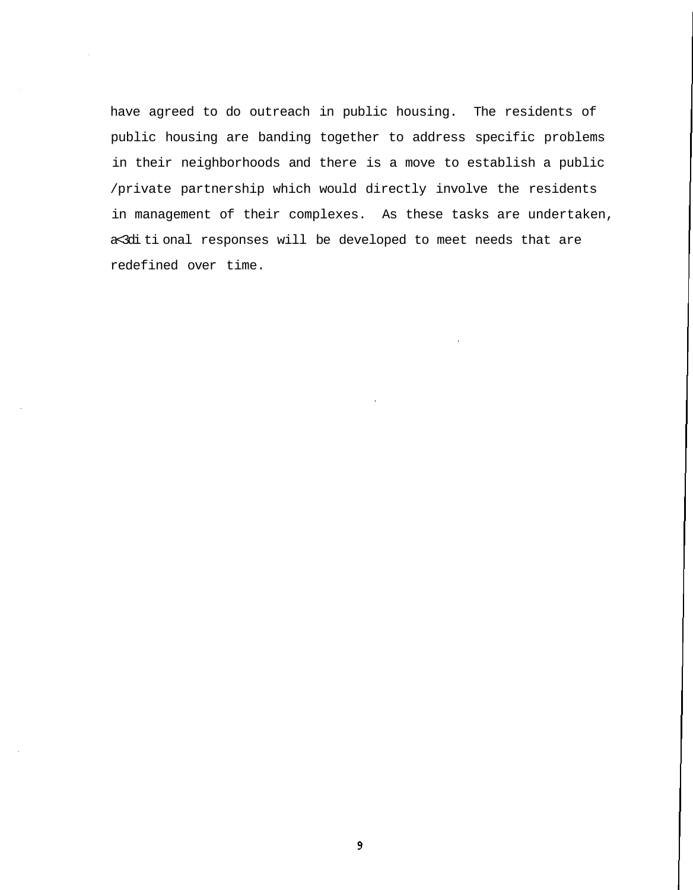have agreed to do outreach in public housing. The residents of public housing are banding together to address specific problems in their neighborhoods and there is a move to establish a public /private partnership which would directly involve the residents in management of their complexes. As these tasks are undertaken, a<3di ti onal responses will be developed to meet needs that are redefined over time.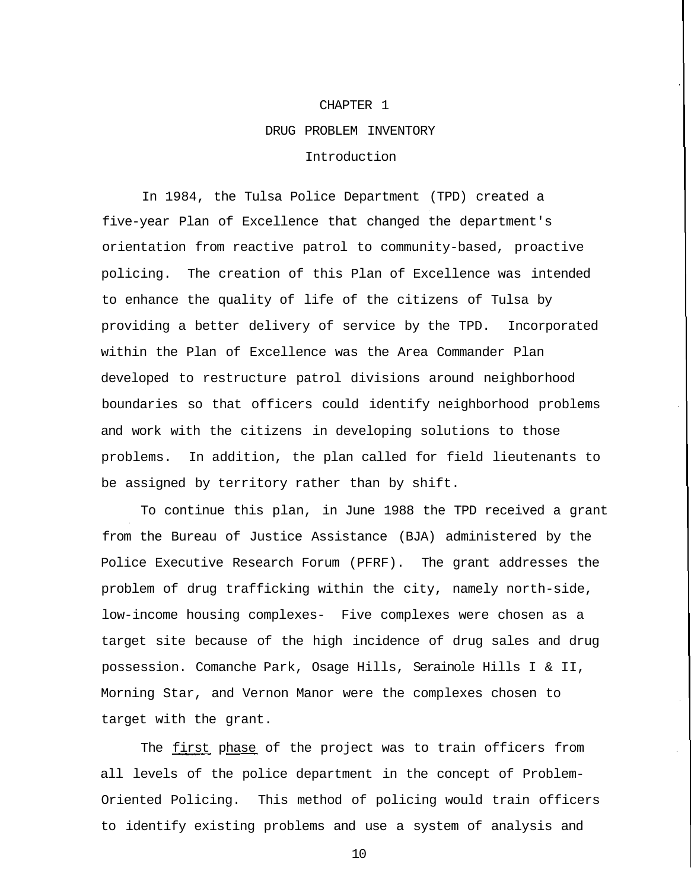#### CHAPTER 1

#### DRUG PROBLEM INVENTORY

#### Introduction

In 1984, the Tulsa Police Department (TPD) created a five-year Plan of Excellence that changed the department's orientation from reactive patrol to community-based, proactive policing. The creation of this Plan of Excellence was intended to enhance the quality of life of the citizens of Tulsa by providing a better delivery of service by the TPD. Incorporated within the Plan of Excellence was the Area Commander Plan developed to restructure patrol divisions around neighborhood boundaries so that officers could identify neighborhood problems and work with the citizens in developing solutions to those problems. In addition, the plan called for field lieutenants to be assigned by territory rather than by shift.

To continue this plan, in June 1988 the TPD received a grant from the Bureau of Justice Assistance (BJA) administered by the Police Executive Research Forum (PFRF). The grant addresses the problem of drug trafficking within the city, namely north-side, low-income housing complexes- Five complexes were chosen as a target site because of the high incidence of drug sales and drug possession. Comanche Park, Osage Hills, Serainole Hills I & II, Morning Star, and Vernon Manor were the complexes chosen to target with the grant.

The first phase of the project was to train officers from all levels of the police department in the concept of Problem-Oriented Policing. This method of policing would train officers to identify existing problems and use a system of analysis and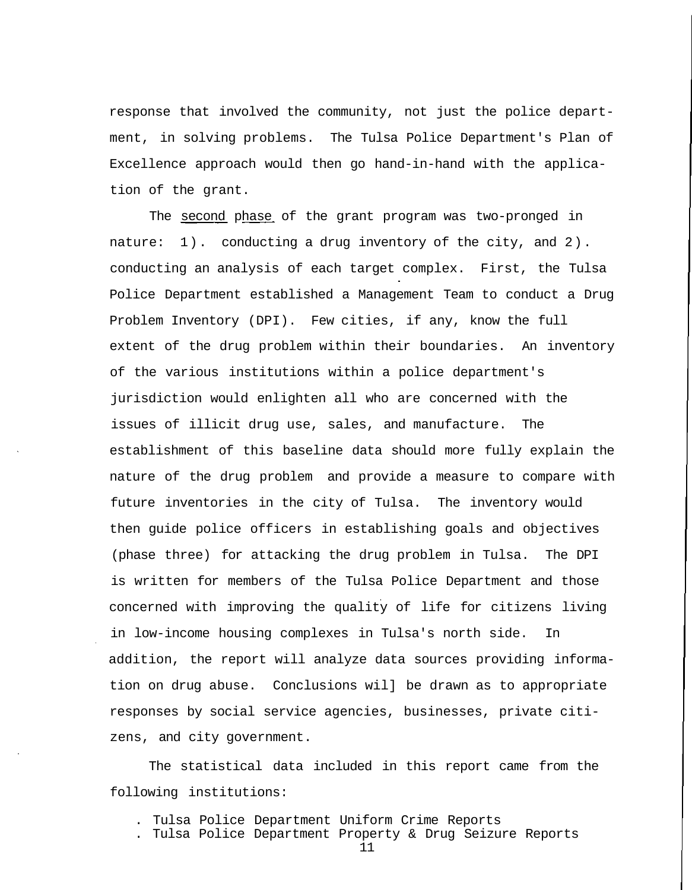response that involved the community, not just the police department, in solving problems. The Tulsa Police Department's Plan of Excellence approach would then go hand-in-hand with the application of the grant.

The second phase of the grant program was two-pronged in nature: 1). conducting a drug inventory of the city, and 2). conducting an analysis of each target complex. First, the Tulsa Police Department established a Management Team to conduct a Drug Problem Inventory (DPI). Few cities, if any, know the full extent of the drug problem within their boundaries. An inventory of the various institutions within a police department's jurisdiction would enlighten all who are concerned with the issues of illicit drug use, sales, and manufacture. The establishment of this baseline data should more fully explain the nature of the drug problem and provide a measure to compare with future inventories in the city of Tulsa. The inventory would then guide police officers in establishing goals and objectives (phase three) for attacking the drug problem in Tulsa. The DPI is written for members of the Tulsa Police Department and those concerned with improving the quality of life for citizens living in low-income housing complexes in Tulsa's north side. In addition, the report will analyze data sources providing information on drug abuse. Conclusions wil] be drawn as to appropriate responses by social service agencies, businesses, private citizens, and city government.

The statistical data included in this report came from the following institutions:

- . Tulsa Police Department Uniform Crime Reports
- . Tulsa Police Department Property & Drug Seizure Reports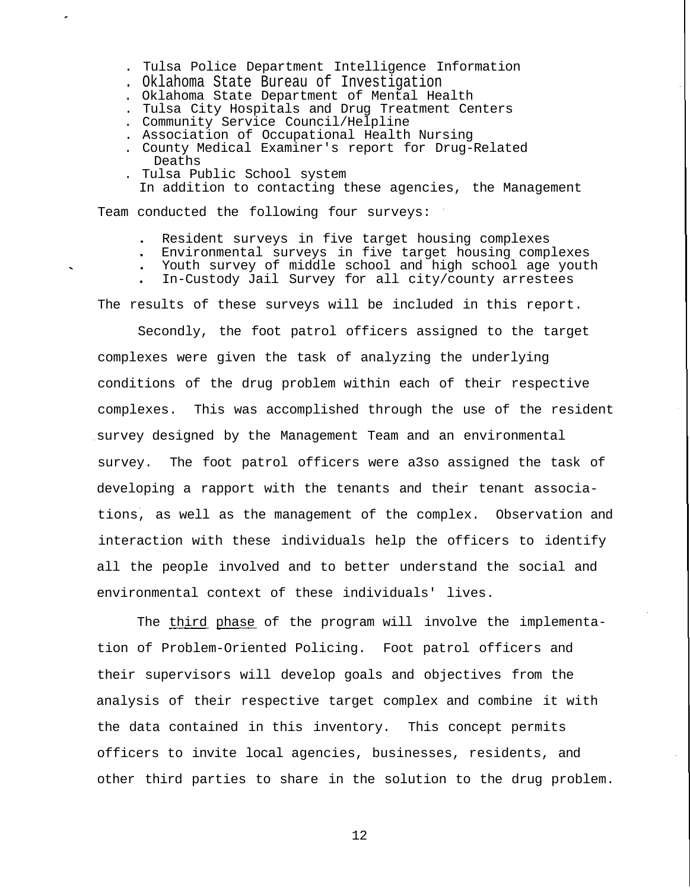- . Tulsa Police Department Intelligence Information
- . Oklahoma State Bureau of Investigation
- . Oklahoma State Department of Mental Health
- . Tulsa City Hospitals and Drug Treatment Centers
- . Community Service Council/Helpline
- . Association of Occupational Health Nursing
- . County Medical Examiner's report for Drug-Related Deaths
- . Tulsa Public School system

In addition to contacting these agencies, the Management

Team conducted the following four surveys:

- Resident surveys in five target housing complexes
- Environmental surveys in five target housing complexes
- Youth survey of middle school and high school age youth
- In-Custody Jail Survey for all city/county arrestees

The results of these surveys will be included in this report.

Secondly, the foot patrol officers assigned to the target complexes were given the task of analyzing the underlying conditions of the drug problem within each of their respective complexes. This was accomplished through the use of the resident survey designed by the Management Team and an environmental survey. The foot patrol officers were a3so assigned the task of developing a rapport with the tenants and their tenant associations, as well as the management of the complex. Observation and interaction with these individuals help the officers to identify all the people involved and to better understand the social and environmental context of these individuals' lives.

The third phase of the program will involve the implementation of Problem-Oriented Policing. Foot patrol officers and their supervisors will develop goals and objectives from the analysis of their respective target complex and combine it with the data contained in this inventory. This concept permits officers to invite local agencies, businesses, residents, and other third parties to share in the solution to the drug problem.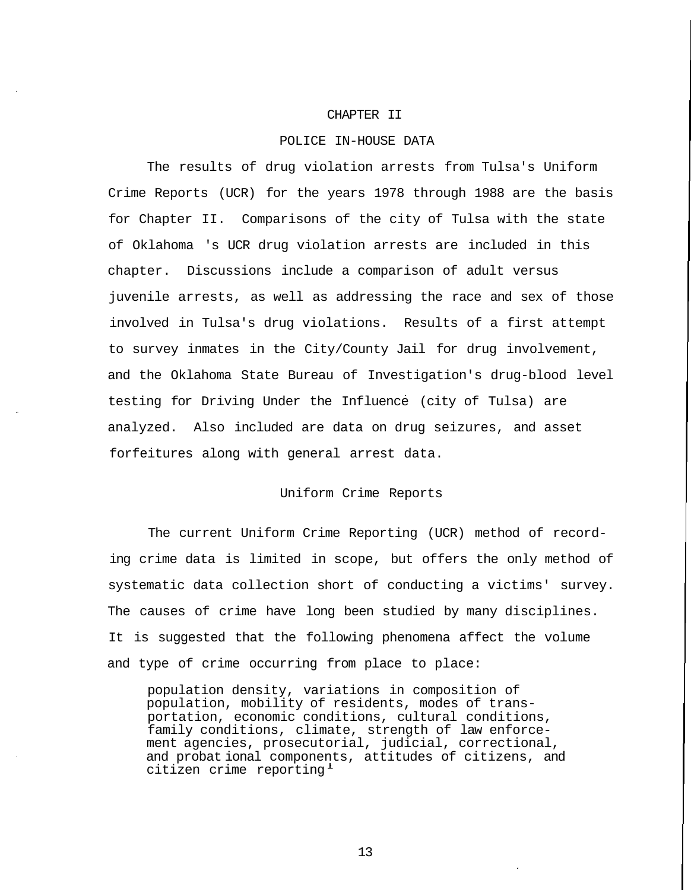#### CHAPTER II

#### POLICE IN-HOUSE DATA

The results of drug violation arrests from Tulsa's Uniform Crime Reports (UCR) for the years 1978 through 1988 are the basis for Chapter II. Comparisons of the city of Tulsa with the state of Oklahoma 's UCR drug violation arrests are included in this chapter. Discussions include a comparison of adult versus juvenile arrests, as well as addressing the race and sex of those involved in Tulsa's drug violations. Results of a first attempt to survey inmates in the City/County Jail for drug involvement, and the Oklahoma State Bureau of Investigation's drug-blood level testing for Driving Under the Influence (city of Tulsa) are analyzed. Also included are data on drug seizures, and asset forfeitures along with general arrest data.

#### Uniform Crime Reports

The current Uniform Crime Reporting (UCR) method of recording crime data is limited in scope, but offers the only method of systematic data collection short of conducting a victims' survey. The causes of crime have long been studied by many disciplines. It is suggested that the following phenomena affect the volume and type of crime occurring from place to place:

population density, variations in composition of population, mobility of residents, modes of transportation, economic conditions, cultural conditions, family conditions, climate, strength of law enforcement agencies, prosecutorial, judicial, correctional, and probat ional components, attitudes of citizens, and citizen crime reporting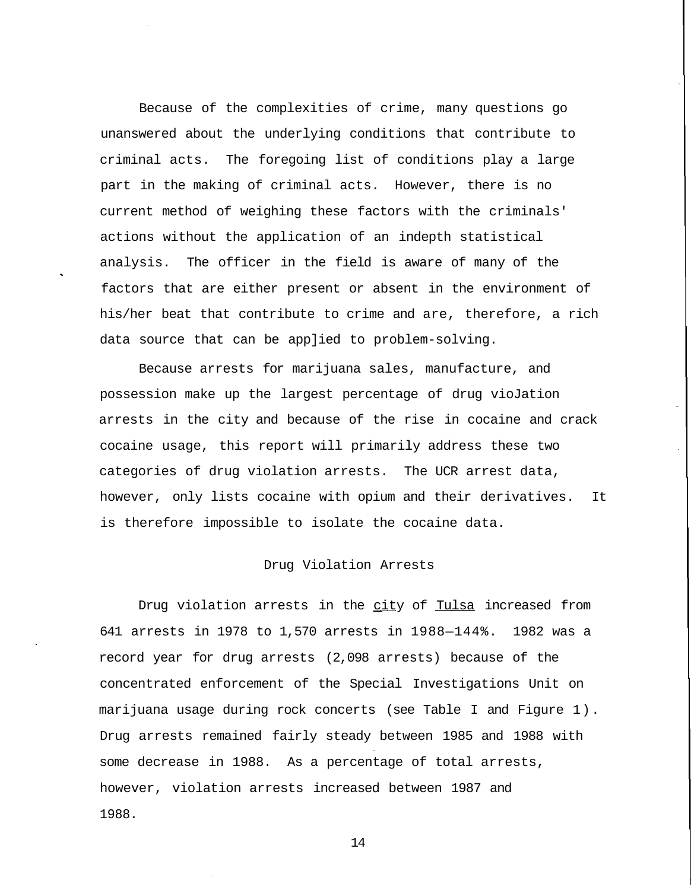Because of the complexities of crime, many questions go unanswered about the underlying conditions that contribute to criminal acts. The foregoing list of conditions play a large part in the making of criminal acts. However, there is no current method of weighing these factors with the criminals' actions without the application of an indepth statistical analysis. The officer in the field is aware of many of the factors that are either present or absent in the environment of his/her beat that contribute to crime and are, therefore, a rich data source that can be app]ied to problem-solving.

Because arrests for marijuana sales, manufacture, and possession make up the largest percentage of drug vioJation arrests in the city and because of the rise in cocaine and crack cocaine usage, this report will primarily address these two categories of drug violation arrests. The UCR arrest data, however, only lists cocaine with opium and their derivatives. It is therefore impossible to isolate the cocaine data.

#### Drug Violation Arrests

Drug violation arrests in the city of Tulsa increased from 641 arrests in 1978 to 1,570 arrests in 1988—144%. 1982 was a record year for drug arrests (2,098 arrests) because of the concentrated enforcement of the Special Investigations Unit on marijuana usage during rock concerts (see Table I and Figure 1). Drug arrests remained fairly steady between 1985 and 1988 with some decrease in 1988. As a percentage of total arrests, however, violation arrests increased between 1987 and 1988.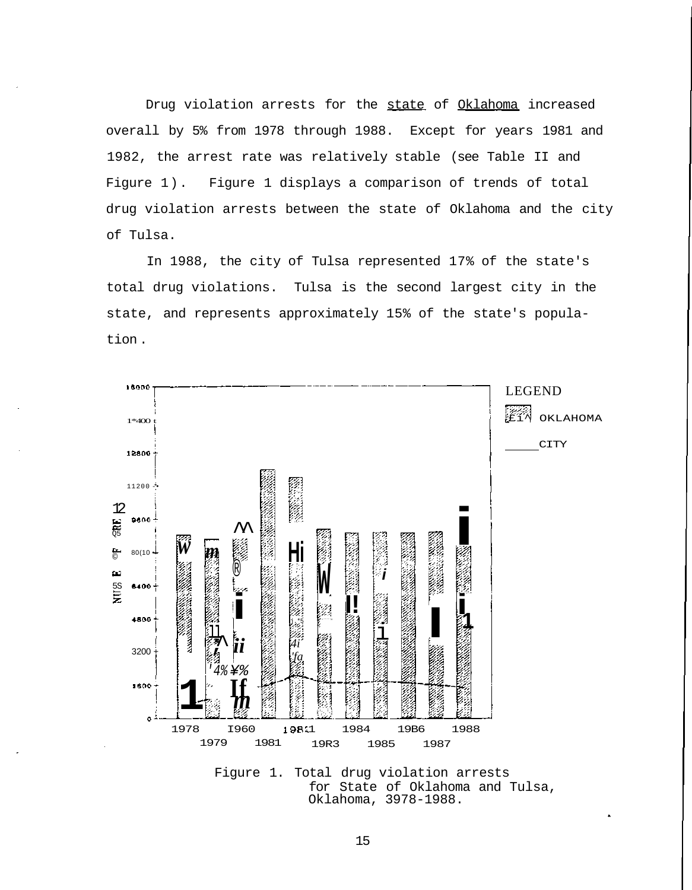Drug violation arrests for the state of Oklahoma increased overall by 5% from 1978 through 1988. Except for years 1981 and 1982, the arrest rate was relatively stable (see Table II and Figure 1). Figure 1 displays a comparison of trends of total drug violation arrests between the state of Oklahoma and the city of Tulsa.

In 1988, the city of Tulsa represented 17% of the state's total drug violations. Tulsa is the second largest city in the state, and represents approximately 15% of the state's population .



Figure 1. Total drug violation arrests for State of Oklahoma and Tulsa, Oklahoma, 3978-1988.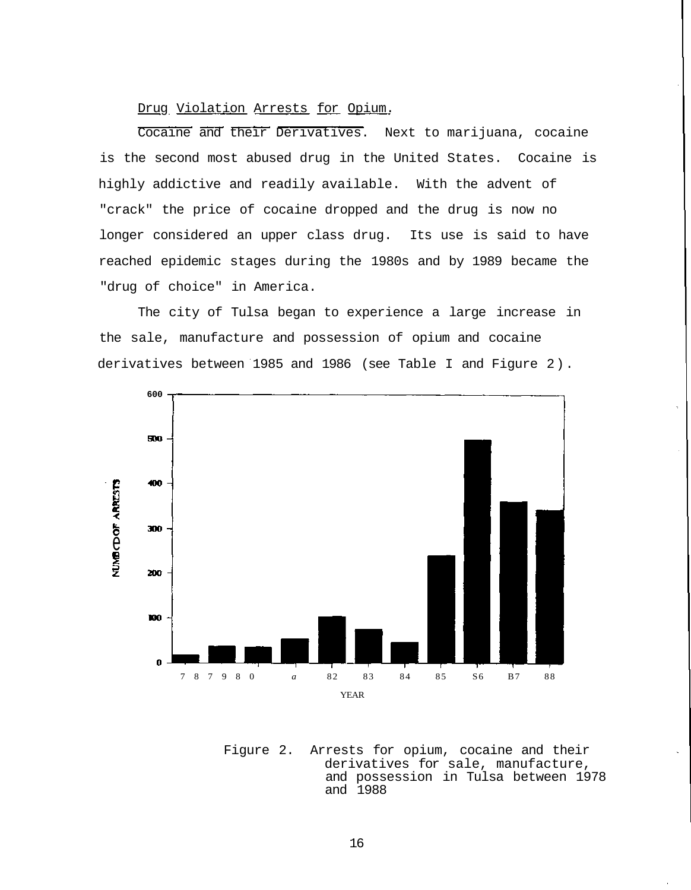Drug Violation Arrests for Opium.

Cocaine and their Derivatives. Next to marijuana, cocaine is the second most abused drug in the United States. Cocaine is highly addictive and readily available. With the advent of "crack" the price of cocaine dropped and the drug is now no longer considered an upper class drug. Its use is said to have reached epidemic stages during the 1980s and by 1989 became the "drug of choice" in America.

The city of Tulsa began to experience a large increase in the sale, manufacture and possession of opium and cocaine derivatives between 1985 and 1986 (see Table I and Figure 2).



Figure 2. Arrests for opium, cocaine and their derivatives for sale, manufacture, and possession in Tulsa between 1978 and 1988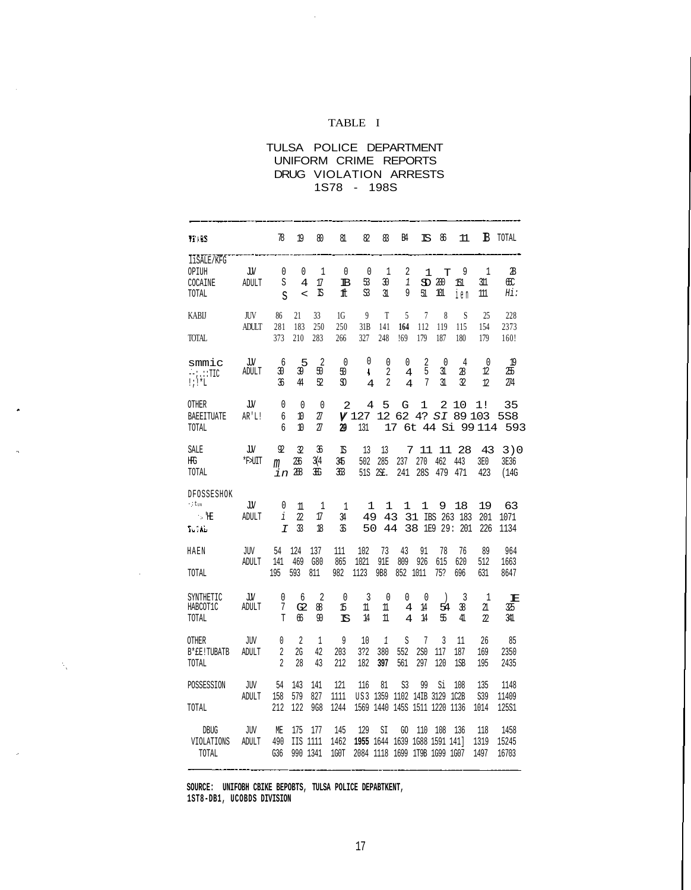#### TABLE I

 $\bar{z}$ 

#### TULSA POLICE DEPARTMENT UNIFORM CRIME REPORTS DRUG VIOLATION ARRESTS 1S78 - 198S

| TEARS                                           |                     | 78                                              | 19                         | 80                                   | 81                                 | 82                   | 83                            | BA                                                         | IS                                    | 86                           | 11               | в                               | TOTAL                     |
|-------------------------------------------------|---------------------|-------------------------------------------------|----------------------------|--------------------------------------|------------------------------------|----------------------|-------------------------------|------------------------------------------------------------|---------------------------------------|------------------------------|------------------|---------------------------------|---------------------------|
| liSALE/KFG<br>OPIUH<br>COCAINE<br>TOTAL         | JV<br>ADULT         | 0<br>S<br>S                                     | 0<br>4<br>$\,<\,$          | 1<br>17<br>B                         | 0<br>$\mathbb B$<br>lf.            | $\theta$<br>53<br>යි | 1<br>30<br>31                 | 2<br>1<br>9                                                | 1<br>Œ<br>51                          | T<br>200<br>101              | 9<br>151<br>ien  | 1<br>311<br>111                 | $\mathcal{B}$<br>Œ<br>Hi: |
| <b>KABIJ</b><br>TOTAL                           | JUV<br><b>ADULT</b> | 86<br>281<br>373                                | 21<br>183<br>210           | 33<br>250<br>283                     | 1G<br>250<br>266                   | 9<br>31B<br>327      | T<br>141<br>248               | 5<br>164<br>!69                                            | 7<br>112<br>179                       | 8<br>119<br>187              | S<br>115<br>180  | 25<br>154<br>179                | 228<br>2373<br>160!       |
| smmic<br>$--: : TIC$<br>!i                      | JV<br>ADULT         | 6<br>30<br>36                                   | $\frac{5}{39}$<br>44       | $\overline{\mathcal{L}}$<br>50<br>52 | $\Omega$<br>50<br>D                | 0<br>4<br>4          | $\theta$<br>2<br>2            | 0<br>4<br>4                                                | $\overline{c}$<br>$\overline{5}$<br>7 | $\theta$<br>31<br>31         | 4<br>28<br>32    | $\Omega$<br>12<br>12            | 19<br>255<br>274          |
| OTHER<br>BAEEITUATE<br>TOTAL                    | JV<br>AR'L!         | 0<br>б<br>6                                     | 0<br>10<br>10              | 0<br>27<br>$\mathfrak A$             | $\overline{2}$<br>V<br>29          | 4<br>127<br>131      | 5<br>12                       | G<br>62<br>17                                              | 1                                     | 2<br>4? <i>SI</i>            | 10               | 1!<br>89 103<br>6t 44 Si 99 114 | 35<br>5S8<br>593          |
| SALE<br>НG<br>TOTAL                             | <b>JV</b><br>*F>UIT | 92<br>m<br>in                                   | 32<br>236<br>268           | $\mathfrak{F}$<br>3(4)<br>E          | R<br>345<br>363                    | 13<br>502            | 13<br>285<br>51S 2S£.         | 7<br>237<br>241                                            | 11<br>270<br>28S                      | 11<br>462<br>479             | 28<br>443<br>471 | 43<br>3EO<br>423                | 3)0<br>3E36<br>(14G)      |
| DFOSSESHOK<br>-∶t <sub>um</sub><br>一旺<br>Sul Ab | JV<br>ADULT         | 0<br>i<br>$\tau$                                | 11<br>22<br>33             | 1<br>17<br>18                        | 1<br>34<br>R                       | 1<br>49<br>50        | 1<br>43<br>44                 | 1                                                          | 1<br>31<br>38                         | 9<br>IBS 263<br>1E9<br>29:   | 18<br>183<br>201 | 19<br>201<br>226                | 63<br>1071<br>1134        |
| HAEN<br>TOTAL                                   | JUV<br>ADULT        | 54<br>141<br>195                                | 124<br>469<br>593          | 137<br>G80<br>811                    | 111<br>865<br>982                  | 102<br>1021<br>1123  | 73<br>91E<br>9B8              | 43<br>809<br>852 1011                                      | 91<br>926                             | 78<br>615<br>75?             | 76<br>620<br>696 | 89<br>512<br>631                | 964<br>1663<br>8647       |
| SYNTHETIC<br>HABCOT1C<br>TOTAL                  | <b>JV</b><br>ADULT  | 0<br>7<br>T                                     | 6<br>ය<br>66               | $\overline{2}$<br>88<br>90           | $\mathbf{0}$<br>15<br>$\mathbb{Z}$ | 3<br>11<br>14        | $\theta$<br>11<br>$\mathbf 1$ | 0<br>4<br>4                                                | $\theta$<br>14<br>14                  | $\left( \right)$<br>54<br>55 | 3<br>38<br>41    | 1<br>21<br>$\mathcal{D}$        | $\mathbb F$<br>325<br>341 |
| <b>OTHER</b><br>B*fE!TUBATB<br>TOTAL            | JUV<br>ADULT        | 0<br>$\overline{2}$<br>$\overline{\mathcal{L}}$ | $\overline{2}$<br>2G<br>28 | 1<br>42<br>43                        | 9<br>203<br>212                    | 10<br>3?2<br>182     | 1<br>380<br>397               | S<br>552<br>561                                            | 7<br>2S <sub>0</sub><br>297           | 3<br>117<br>120              | 11<br>187<br>1SB | 26<br>169<br>195                | 85<br>2350<br>2435        |
| POSSESSION<br>TOTAL                             | JUV<br>ADULT        | 54<br>158<br>212                                | 143<br>579<br>122          | 141<br>827<br>9G8                    | 121<br>1111<br>1244                | 116<br>US3           | 81<br>1359                    | S3<br>1102 14IB 3129<br>1569 1440 145S 1511 1220 1136      | 99                                    | Si                           | 108<br>1C2B      | 135<br>S39<br>1014              | 1148<br>11409<br>125S1    |
| <b>DBUG</b><br>VIOLATIONS<br>TOTAL              | JUV<br>ADULT        | ME<br>490<br>G36                                | 175<br>IIS<br>990 1341     | 177<br>1111                          | 145<br>1462<br>1GOT                | 129<br>1955 1644     | SI                            | GO<br>1639 1G88 1591 1411<br>2084 1118 1699 1T9B 1G99 1G07 | 110                                   | 108                          | 136              | 118<br>1319<br>1497             | 1458<br>15245<br>16703    |

**SOURCE: UNIFOBH CBIKE BEPOBTS, TULSA POLICE DEPABTKENT, 1ST8-DB1, UCOBDS DIVISION**

 $\mathbb{S}_q$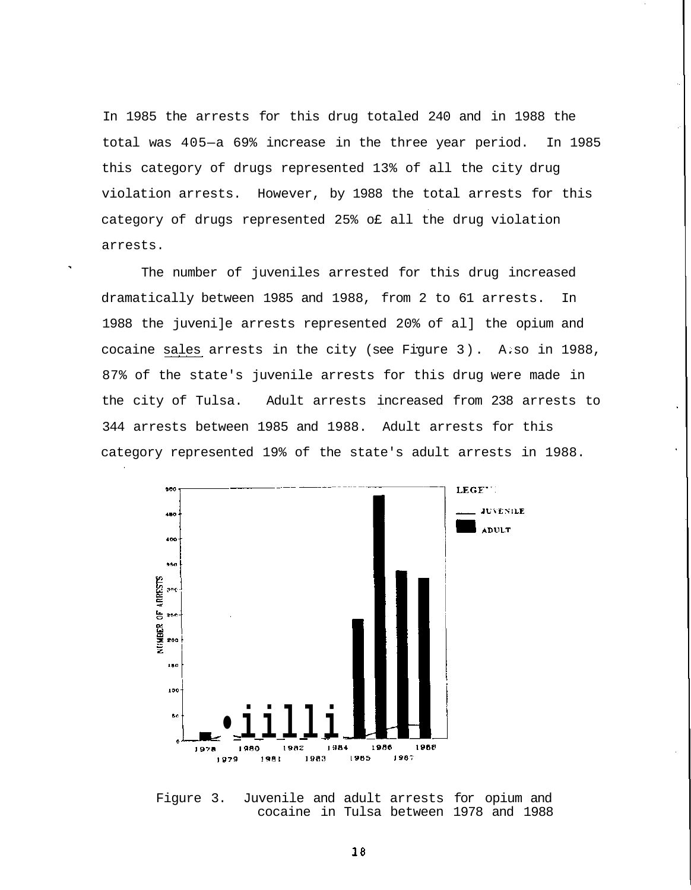In 1985 the arrests for this drug totaled 240 and in 1988 the total was 405—a 69% increase in the three year period. In 1985 this category of drugs represented 13% of all the city drug violation arrests. However, by 1988 the total arrests for this category of drugs represented 25% o£ all the drug violation arrests.

The number of juveniles arrested for this drug increased dramatically between 1985 and 1988, from 2 to 61 arrests. In 1988 the juveni]e arrests represented 20% of al] the opium and cocaine sales arrests in the city (see Figure 3). A.so in 1988, 87% of the state's juvenile arrests for this drug were made in the city of Tulsa. Adult arrests increased from 238 arrests to 344 arrests between 1985 and 1988. Adult arrests for this category represented 19% of the state's adult arrests in 1988.



Figure 3. Juvenile and adult arrests for opium and cocaine in Tulsa between 1978 and 1988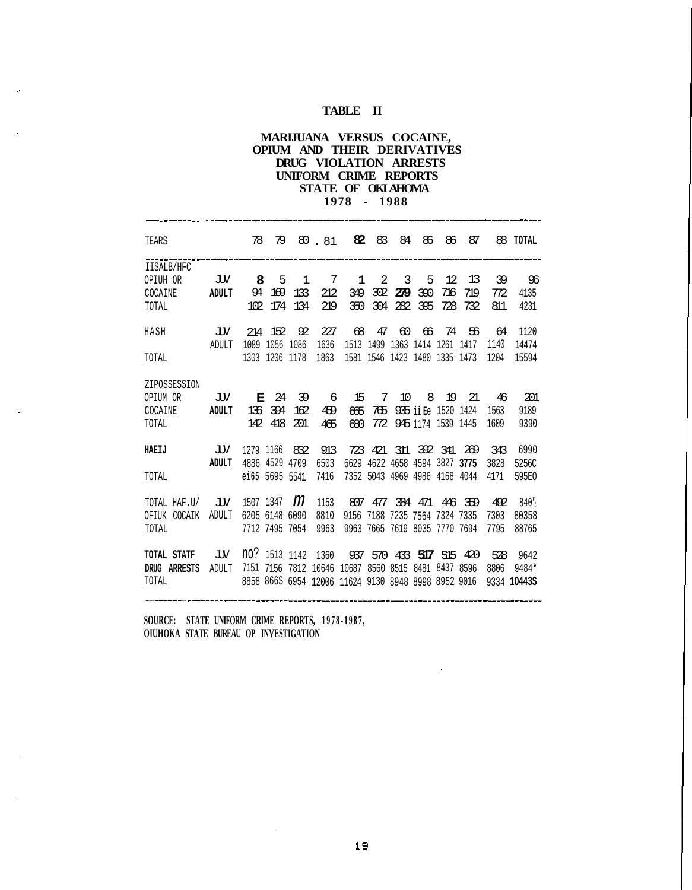#### **TABLE II**

#### **MARIJUANA VERSUS COCAINE, OPIUM AND THEIR DERIVATIVES DRUG VIOLATION ARRESTS UNIFORM CRIME REPORTS STATE OF OKLAHOMA 1978 - 1988**

| TEARS                                        |                    | 78                                  | 79                  |                            | 80.81                | 82                                                                     | 83              | 84                                                               | 86                 | 86                                    | 87               |                     | 88 TOTAL                     |
|----------------------------------------------|--------------------|-------------------------------------|---------------------|----------------------------|----------------------|------------------------------------------------------------------------|-----------------|------------------------------------------------------------------|--------------------|---------------------------------------|------------------|---------------------|------------------------------|
| IISALB/HFC<br>OPIUH OR<br>COCAINE<br>TOTAL   | JW<br><b>ADULT</b> | 8<br>94<br>102                      | 5<br>169<br>174     | $\mathbf{1}$<br>133<br>134 | 7<br>212<br>219      | 1<br>349<br>350                                                        | 2<br>302<br>304 | 3<br>279<br>282                                                  | 5<br>390<br>395    | 12.<br>716<br>728                     | 13<br>719<br>732 | 39<br>772<br>811    | 96<br>4135<br>4231           |
| HASH<br>TOTAL                                | JW<br>ADULT        | 214<br>1089<br>1303                 | 152<br>1056<br>1206 | 92<br>1086<br>1178         | 227<br>1636<br>1863  | 68<br>1513<br>1581 1546                                                | 47<br>1499      | 60<br>1363<br>1423                                               | 66<br>1414<br>1480 | 74<br>1261<br>1335 1473               | 56<br>1417       | 64<br>1140<br>1204  | 1120<br>14474<br>15594       |
| ZIPOSSESSION<br>OPIUM OR<br>COCAINE<br>TOTAL | JW<br><b>ADULT</b> | F.<br>136<br>142                    | 24<br>394<br>418    | 39<br>162<br>201           | 6<br>459<br>465      | 15<br>665<br>680                                                       | 7<br>765<br>772 | 10                                                               | 8<br>935 ii Ee     | 19<br>1520 1424<br>945 1174 1539 1445 | 21               | 46<br>1563<br>1609  | 201<br>9189<br>9390          |
| <b>HAEIJ</b><br>TOTAL                        | JW<br><b>ADULT</b> | 1279 1166<br>4886<br>ei65 5695 5541 | 4529                | 832<br>4709                | 913<br>6503<br>7416  | 723<br>6629                                                            | 42.1            | 311<br>4622 4658 4594 3827 3775<br>7352 5043 4969 4986 4168 4044 |                    | 392 341                               | 269              | 343<br>3828<br>4171 | 6990<br>5256C<br>595EO       |
| TOTAL HAF.U/<br>OFIUK COCAIK<br>TOTAL        | JW<br>ADULT        | 1507 1347<br>6205<br>7712 7495 7054 | 6148                | m<br>6090                  | 1153<br>8810<br>9963 | 807<br>9156<br>9963                                                    | 477<br>7188     | 7235 7564 7324 7335<br>7665 7619 8035 7770 7694                  | 384471             | 446                                   | 359              | 492<br>7303<br>7795 | 840 %<br>80358<br>88765      |
| TOTAL STATF<br>DRUG ARRESTS<br>TOTAL         | JW<br>ADULT        | no? 1513 1142<br>7151               | 7156                | 7812                       | 1360<br>10646        | 10687 8560 8515<br>8858 866S 6954 12006 11624 9130 8948 8998 8952 9016 |                 | 937 570 433 517                                                  | 8481               | 8437 8596                             | 515 420          | 528<br>8806         | 9642<br>94847<br>9334 10443S |

**SOURCE: STATE UNIFORM CRIME REPORTS, 1978-1987 , OIUHOKA STATE BUREAU OP INVESTIGATION**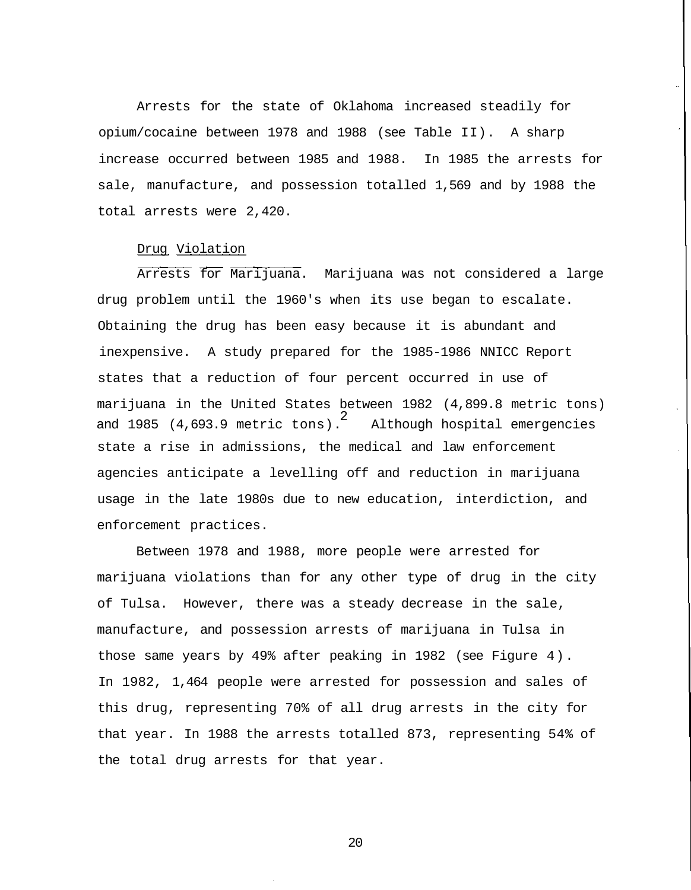Arrests for the state of Oklahoma increased steadily for opium/cocaine between 1978 and 1988 (see Table II). A sharp increase occurred between 1985 and 1988. In 1985 the arrests for sale, manufacture, and possession totalled 1,569 and by 1988 the total arrests were 2,420.

#### Drug Violation

Arrests for Marijuana. Marijuana was not considered a large drug problem until the 1960's when its use began to escalate. Obtaining the drug has been easy because it is abundant and inexpensive. A study prepared for the 1985-1986 NNICC Report states that a reduction of four percent occurred in use of marijuana in the United States between 1982 (4,899.8 metric tons) 2 and 1985 (4,693.9 metric tons). Although hospital emergencies state a rise in admissions, the medical and law enforcement agencies anticipate a levelling off and reduction in marijuana usage in the late 1980s due to new education, interdiction, and enforcement practices.

Between 1978 and 1988, more people were arrested for marijuana violations than for any other type of drug in the city of Tulsa. However, there was a steady decrease in the sale, manufacture, and possession arrests of marijuana in Tulsa in those same years by 49% after peaking in 1982 (see Figure 4). In 1982, 1,464 people were arrested for possession and sales of this drug, representing 70% of all drug arrests in the city for that year. In 1988 the arrests totalled 873, representing 54% of the total drug arrests for that year.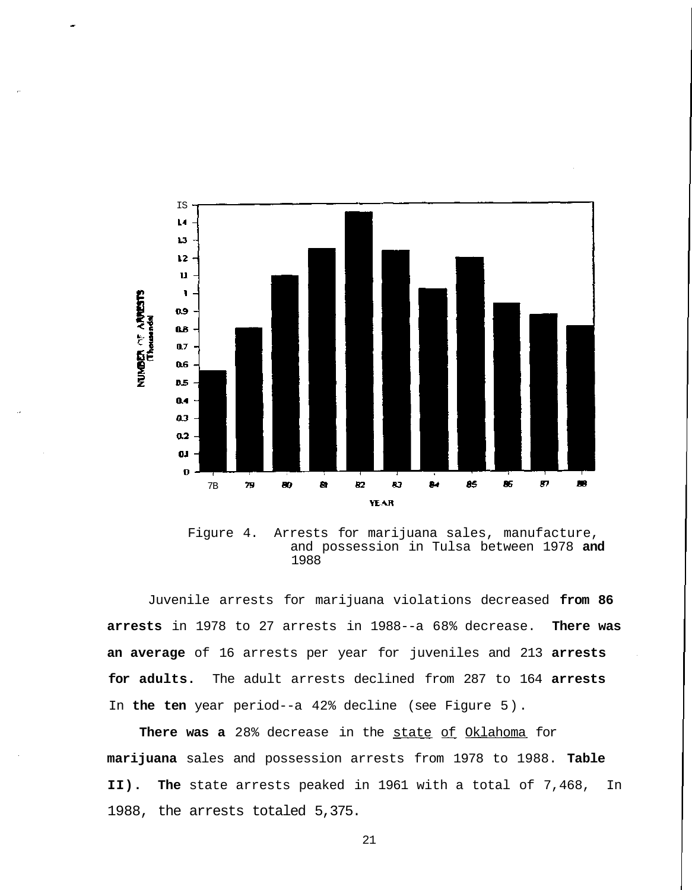

Figure 4. Arrests for marijuana sales, manufacture, and possession in Tulsa between 1978 **and** 1988

Juvenile arrests for marijuana violations decreased **from 86 arrests** in 1978 to 27 arrests in 1988--a 68% decrease. **There was an average** of 16 arrests per year for juveniles and 213 **arrests for adults.** The adult arrests declined from 287 to 164 **arrests** In **the ten** year period--a 42% decline (see Figure 5).

**There was a** 28% decrease in the state of Oklahoma for **marijuana** sales and possession arrests from 1978 to 1988. **Table II). The** state arrests peaked in 1961 with a total of 7,468, In 1988, the arrests totaled 5,375.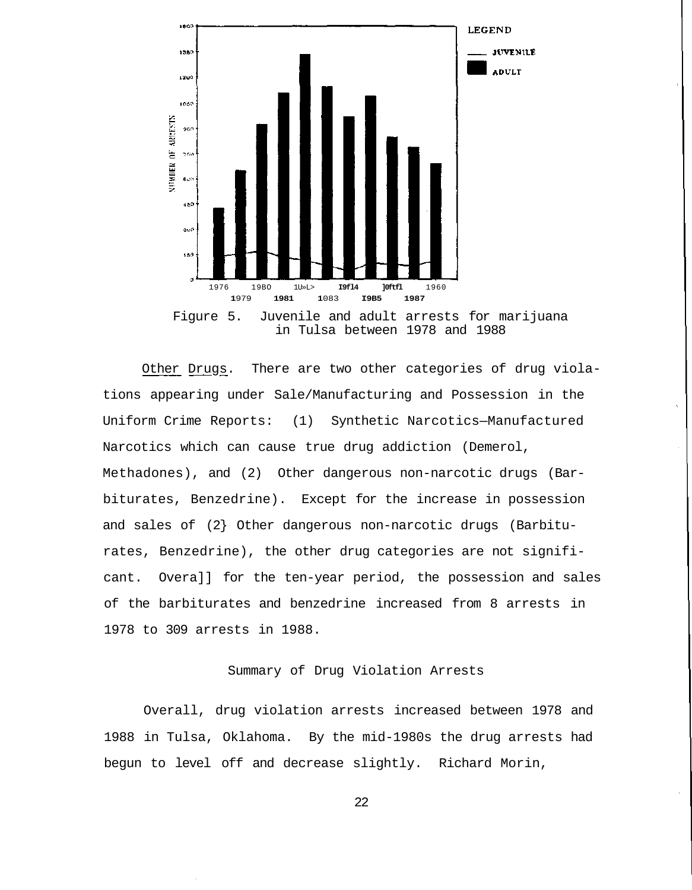

Other Drugs. There are two other categories of drug violations appearing under Sale/Manufacturing and Possession in the Uniform Crime Reports: (1) Synthetic Narcotics—Manufactured Narcotics which can cause true drug addiction (Demerol, Methadones), and (2) Other dangerous non-narcotic drugs (Barbiturates, Benzedrine). Except for the increase in possession and sales of (2} Other dangerous non-narcotic drugs (Barbiturates, Benzedrine), the other drug categories are not significant. Overa]] for the ten-year period, the possession and sales of the barbiturates and benzedrine increased from 8 arrests in 1978 to 309 arrests in 1988.

#### Summary of Drug Violation Arrests

Overall, drug violation arrests increased between 1978 and 1988 in Tulsa, Oklahoma. By the mid-1980s the drug arrests had begun to level off and decrease slightly. Richard Morin,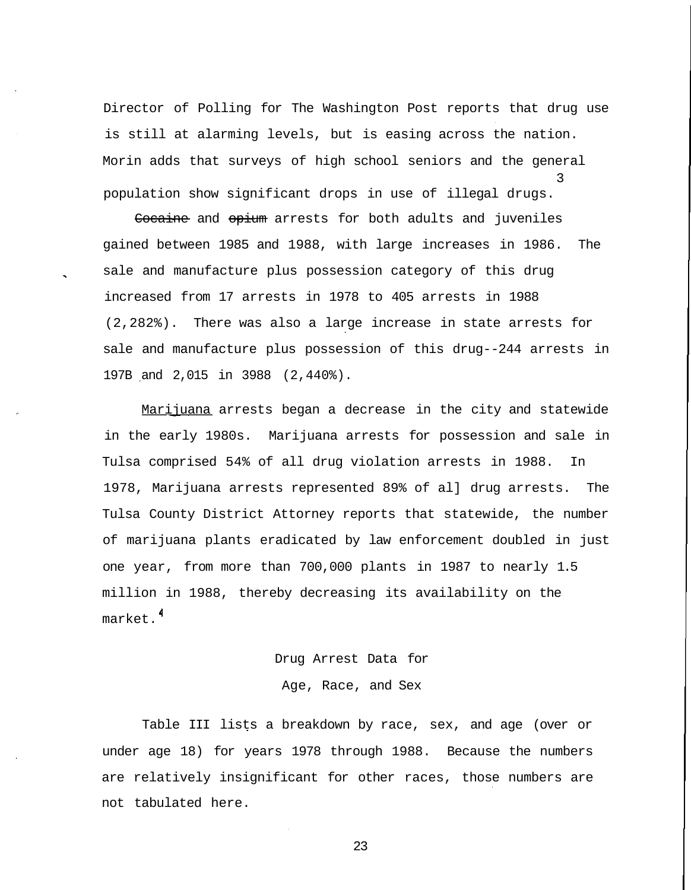Director of Polling for The Washington Post reports that drug use is still at alarming levels, but is easing across the nation. Morin adds that surveys of high school seniors and the general 3 population show significant drops in use of illegal drugs.

Cocaine and opium arrests for both adults and juveniles gained between 1985 and 1988, with large increases in 1986. The sale and manufacture plus possession category of this drug increased from 17 arrests in 1978 to 405 arrests in 1988 (2,282%). There was also a large increase in state arrests for sale and manufacture plus possession of this drug--244 arrests in 197B and 2,015 in 3988 (2,440%).

Marijuana arrests began a decrease in the city and statewide in the early 1980s. Marijuana arrests for possession and sale in Tulsa comprised 54% of all drug violation arrests in 1988. In 1978, Marijuana arrests represented 89% of al] drug arrests. The Tulsa County District Attorney reports that statewide, the number of marijuana plants eradicated by law enforcement doubled in just one year, from more than 700,000 plants in 1987 to nearly 1.5 million in 1988, thereby decreasing its availability on the market.

### Drug Arrest Data for Age, Race, and Sex

Table III lists a breakdown by race, sex, and age (over or under age 18) for years 1978 through 1988. Because the numbers are relatively insignificant for other races, those numbers are not tabulated here.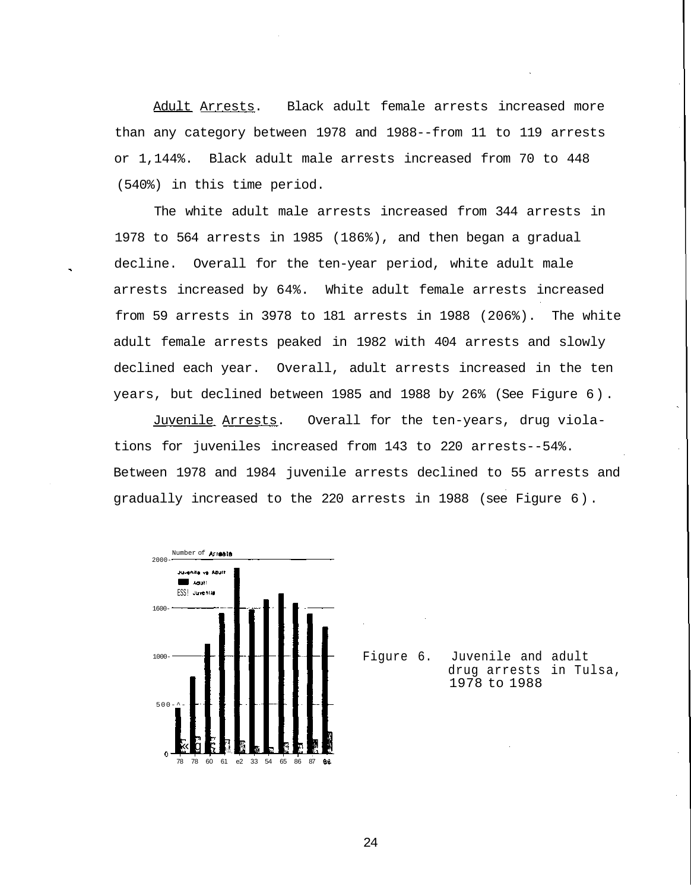Adult Arrests. Black adult female arrests increased more than any category between 1978 and 1988--from 11 to 119 arrests or 1,144%. Black adult male arrests increased from 70 to 448 (540%) in this time period.

The white adult male arrests increased from 344 arrests in 1978 to 564 arrests in 1985 (186%), and then began a gradual decline. Overall for the ten-year period, white adult male arrests increased by 64%. White adult female arrests increased from 59 arrests in 3978 to 181 arrests in 1988 (206%). The white adult female arrests peaked in 1982 with 404 arrests and slowly declined each year. Overall, adult arrests increased in the ten years, but declined between 1985 and 1988 by 26% (See Figure 6).

Juvenile Arrests. Overall for the ten-years, drug violations for juveniles increased from 143 to 220 arrests--54%. Between 1978 and 1984 juvenile arrests declined to 55 arrests and gradually increased to the 220 arrests in 1988 (see Figure 6).



Figure 6. Juvenile and adult drug arrests in Tulsa, 1978 to 1988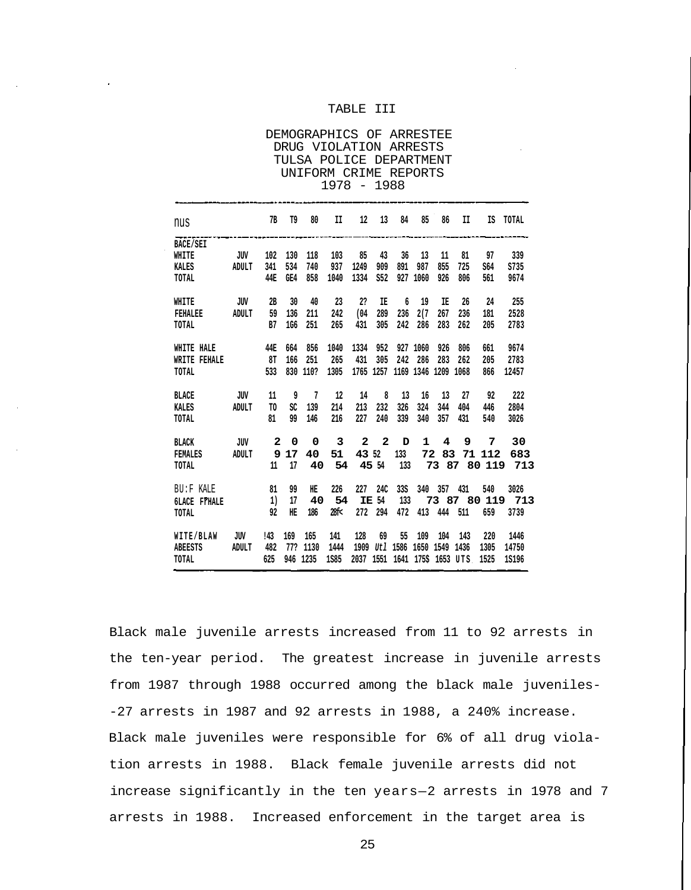#### TABLE III

DEMOGRAPHICS OF ARRESTEE DRUG VIOLATION ARRESTS TULSA POLICE DEPARTMENT UNIFORM CRIME REPORTS 1978 - 1988

| nus                 |       | 7в             | T9   | 80       | ΙI   | 12    | 13             | 84       |                      | 85 86       | H                                   | IS           | TOTAL            |
|---------------------|-------|----------------|------|----------|------|-------|----------------|----------|----------------------|-------------|-------------------------------------|--------------|------------------|
| <b>BACE/SEI</b>     |       |                |      |          |      |       |                |          |                      |             |                                     |              |                  |
| WHITE               | JUV   | 102            | 130  | 118      | 103  | - 85  | 43             | 36       | 13                   | 11          | 81                                  | 97           | 339              |
| <b>KALES</b>        | ADULT | 341            | 534  | 740      | 937  | 1249  | 909            | 891      | 987                  | 855         | 725                                 | S64          | S735             |
| TOTAL               |       | 44E            | GE4  | 858      | 1040 | 1334  | S52            |          | 927 1060             | 926         | 806                                 | 561          | 9674             |
| WHITE               | JUV   | 2B             | 30   | 40       | 23   | 2?    | IE             |          | 6 <sup>1</sup><br>19 | IE          | 26                                  | 24           | 255              |
| FEHALEE             | ADULT | 59             | 136  | 211      | 242  | (04)  | 289            | 236      | 2(7)                 | 267         | 236                                 | 181          | 2528             |
| TOTAL               |       | <b>B7</b>      | 1G6  | 251      | 265  | 431   | 305            | 242      | 286                  | 283         | 262                                 | 205          | 2783             |
| WHITE HALE          |       | 44E            | 664  | 856      | 1040 | 1334  | 952            |          | 927 1060             | 926         | 806                                 | 661          | 9674             |
| WRITE FEHALE        |       | 8T             | 166  | 251      | 265  | 431   | 305            | 242      | 286                  | 283         | 262                                 | 205          | 2783             |
| TOTAL               |       | 533            |      | 830 110? | 1305 |       |                |          |                      |             | 1765 1257 1169 1346 1209 1068       | 866          | 12457            |
| <b>BLACE</b>        | JUV   | 11             |      | 9 7      | 12   | 14    | 8 <sup>8</sup> | 13       | 16                   | 13          | 27                                  | 92           | 222              |
| KALES               | ADULT | TO             | SC   | 139      | 214  | 213   | 232            | 326      | 324                  | 344         | 404                                 | 446          | 2804             |
| TOTAL               |       | 81             | 99   | 146      | 216  | 227   | 240            | 339      | 340                  | 357         | 431                                 | 540          | 3026             |
| <b>BLACK</b>        | JUV   | $\mathbf{2}$   | 0    | 0        | 3    |       | 2 2            | D        | 1                    | 4           | 9                                   | 7            | 30               |
| <b>FEMALES</b>      | ADULT |                | 9 17 | 40       | 51   | 43 52 |                | 133      | 72                   | 83          |                                     | 71 112       | 683              |
| TOTAL               |       | $11\,$         | 17   | 40       | 54   |       | 45 54          | 133      |                      |             |                                     | 73 87 80 119 | 713              |
| BU:F KALE           |       | 81             | 99   | HЕ       | 226  | 227   | 24C            | 33S      |                      | 340 357 431 |                                     | 540          | 3026             |
| <b>6LACE FTHALE</b> |       | $\overline{1}$ | 17   | 40       | 54   |       | <b>IE 54</b>   | 133      |                      |             |                                     |              | 73 87 80 119 713 |
| TOTAL               |       | 92             | HЕ   | 186      | 28f< |       | 272 294        | 472      |                      |             | 413 444 511                         | 659          | 3739             |
| WITE/BLAW           | JUV   | !43            | 169  | 165      | 141  | 128   | 69             | 55       | 109                  | 104         | 143                                 | 220          | 1446             |
| <b>ABEESTS</b>      | ADULT | 482            | 77?  | 1130     | 1444 | 1909  |                | Utl 1586 |                      |             | 1650 1549 1436                      | 1305         | 14750            |
| <b>TOTAL</b>        |       | 625            |      | 946 1235 | 1585 |       |                |          |                      |             | 2037 1551 1641 175\$ 1653 UTS. 1525 |              | 15196            |

Black male juvenile arrests increased from 11 to 92 arrests in the ten-year period. The greatest increase in juvenile arrests from 1987 through 1988 occurred among the black male juveniles- -27 arrests in 1987 and 92 arrests in 1988, a 240% increase. Black male juveniles were responsible for 6% of all drug violation arrests in 1988. Black female juvenile arrests did not increase significantly in the ten years—2 arrests in 1978 and 7 arrests in 1988. Increased enforcement in the target area is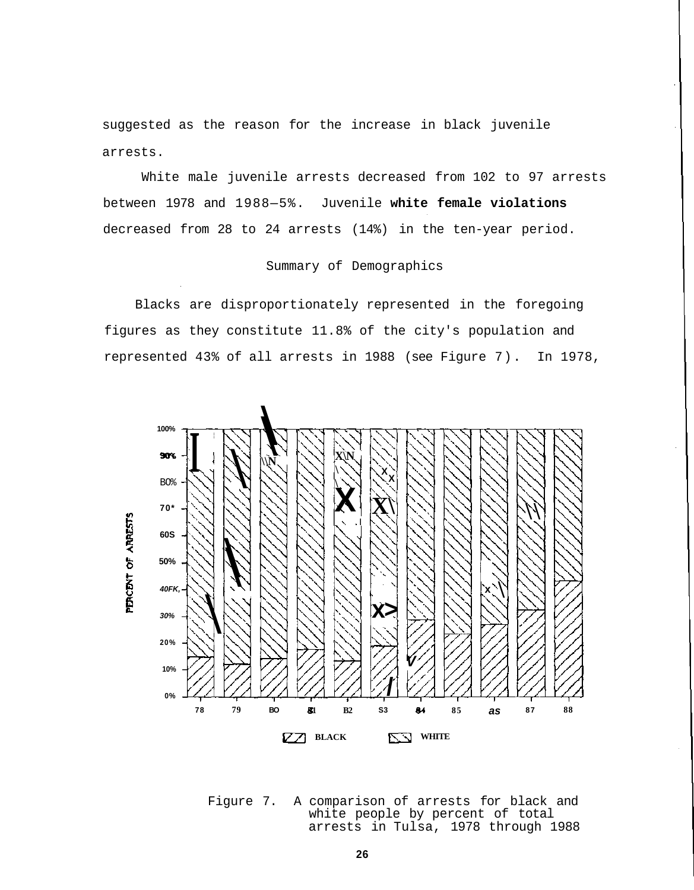suggested as the reason for the increase in black juvenile arrests.

White male juvenile arrests decreased from 102 to 97 arrests between 1978 and 1988—5%. Juvenile **white female violations** decreased from 28 to 24 arrests (14%) in the ten-year period.

# Summary of Demographics

Blacks are disproportionately represented in the foregoing figures as they constitute 11.8% of the city's population and represented 43% of all arrests in 1988 (see Figure 7). In 1978,



Figure 7. A comparison of arrests for black and white people by percent of total arrests in Tulsa, 1978 through 1988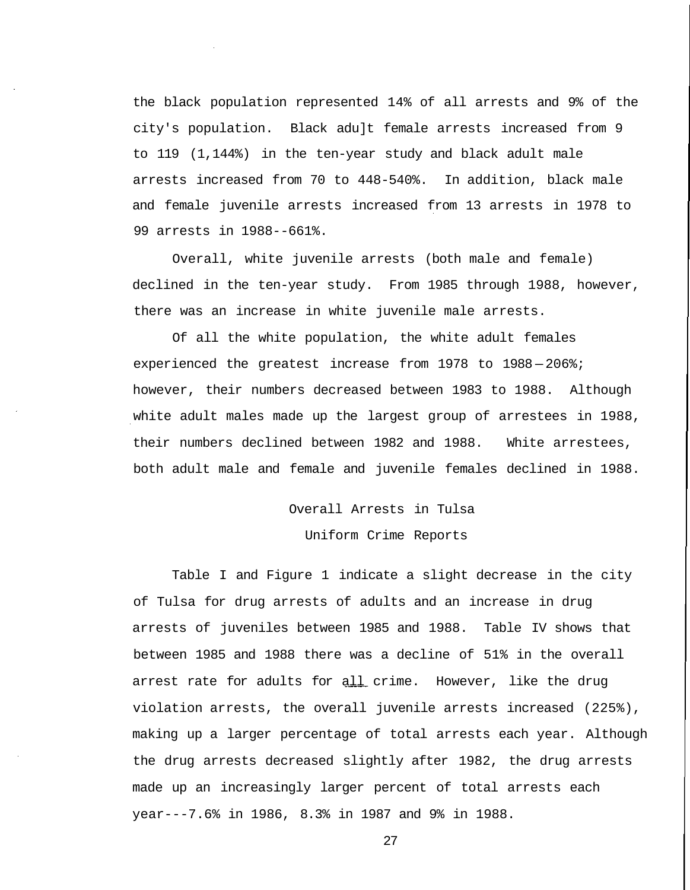the black population represented 14% of all arrests and 9% of the city's population. Black adu]t female arrests increased from 9 to 119 (1,144%) in the ten-year study and black adult male arrests increased from 70 to 448-540%. In addition, black male and female juvenile arrests increased from 13 arrests in 1978 to 99 arrests in 1988--661%.

Overall, white juvenile arrests (both male and female) declined in the ten-year study. From 1985 through 1988, however, there was an increase in white juvenile male arrests.

Of all the white population, the white adult females experienced the greatest increase from  $1978$  to  $1988-206%$ ; however, their numbers decreased between 1983 to 1988. Although white adult males made up the largest group of arrestees in 1988, their numbers declined between 1982 and 1988. White arrestees, both adult male and female and juvenile females declined in 1988.

> Overall Arrests in Tulsa Uniform Crime Reports

Table I and Figure 1 indicate a slight decrease in the city of Tulsa for drug arrests of adults and an increase in drug arrests of juveniles between 1985 and 1988. Table IV shows that between 1985 and 1988 there was a decline of 51% in the overall arrest rate for adults for all crime. However, like the drug violation arrests, the overall juvenile arrests increased (225%), making up a larger percentage of total arrests each year. Although the drug arrests decreased slightly after 1982, the drug arrests made up an increasingly larger percent of total arrests each year---7.6% in 1986, 8.3% in 1987 and 9% in 1988.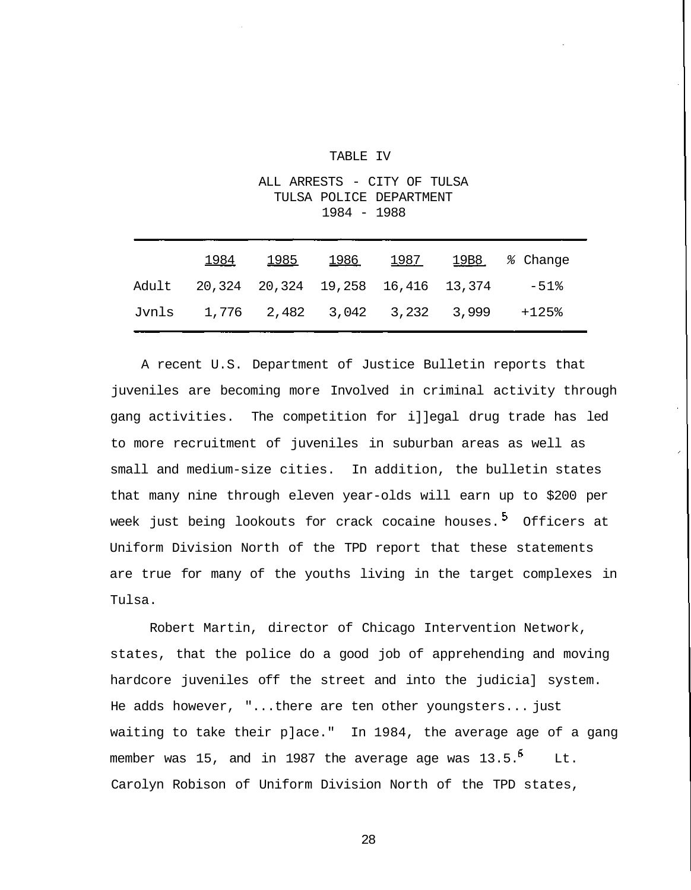|--|--|

|                         |  |             | ALL ARRESTS - CITY OF TULSA |
|-------------------------|--|-------------|-----------------------------|
| TULSA POLICE DEPARTMENT |  |             |                             |
|                         |  | 1984 - 1988 |                             |

| 1984 |  |  | <u>1985 1986 1987 19B8</u> %Change            |
|------|--|--|-----------------------------------------------|
|      |  |  | Adult 20,324 20,324 19,258 16,416 13,374 -51% |
|      |  |  | Jvnls 1,776 2,482 3,042 3,232 3,999 +125%     |

A recent U.S. Department of Justice Bulletin reports that juveniles are becoming more Involved in criminal activity through gang activities. The competition for i]]egal drug trade has led to more recruitment of juveniles in suburban areas as well as small and medium-size cities. In addition, the bulletin states that many nine through eleven year-olds will earn up to \$200 per week just being lookouts for crack cocaine houses.<sup>5</sup> Officers at Uniform Division North of the TPD report that these statements are true for many of the youths living in the target complexes in Tulsa.

Robert Martin, director of Chicago Intervention Network, states, that the police do a good job of apprehending and moving hardcore juveniles off the street and into the judicia] system. He adds however, "...there are ten other youngsters... just waiting to take their p]ace." In 1984, the average age of a gang member was 15, and in 1987 the average age was  $13.5.^{\rm b}$  Lt. Carolyn Robison of Uniform Division North of the TPD states,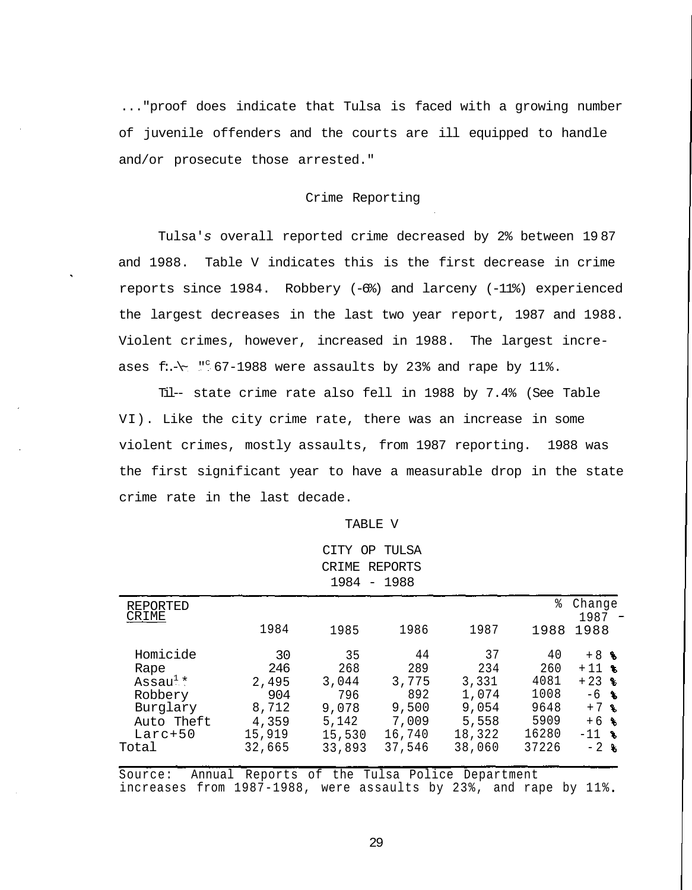..."proof does indicate that Tulsa is faced with a growing number of juvenile offenders and the courts are ill equipped to handle and/or prosecute those arrested."

# Crime Reporting

Tulsa's overall reported crime decreased by 2% between 19 87 and 1988. Table V indicates this is the first decrease in crime reports since 1984. Robbery (-6%) and larceny (-11%) experienced the largest decreases in the last two year report, 1987 and 1988. Violent crimes, however, increased in 1988. The largest increases f: $\sim$  "<sup>c</sup> 67-1988 were assaults by 23% and rape by 11%.

Til-- state crime rate also fell in 1988 by 7.4% (See Table VI). Like the city crime rate, there was an increase in some violent crimes, mostly assaults, from 1987 reporting. 1988 was the first significant year to have a measurable drop in the state crime rate in the last decade.

#### TABLE V

CITY OP TULSA CRIME REPORTS 1984 - 1988

|                                                                                           |                                                                 | ∸ )∪ →                                                          | ᅩノ∪◡                                                            |                                                                   |                                                             |                                                                                    |
|-------------------------------------------------------------------------------------------|-----------------------------------------------------------------|-----------------------------------------------------------------|-----------------------------------------------------------------|-------------------------------------------------------------------|-------------------------------------------------------------|------------------------------------------------------------------------------------|
| <b>REPORTED</b><br><u>CRIME</u>                                                           | 1984                                                            | 1985                                                            | 1986                                                            | 1987                                                              | ⊱<br>1988                                                   | Change<br>$1987 -$<br>1988                                                         |
| Homicide<br>Rape<br>Assau $1*$<br>Robbery<br>Burglary<br>Auto Theft<br>$Larc+50$<br>Total | 30<br>246<br>2,495<br>904<br>8,712<br>4,359<br>15,919<br>32,665 | 35<br>268<br>3,044<br>796<br>9,078<br>5,142<br>15,530<br>33,893 | 44<br>289<br>3,775<br>892<br>9,500<br>7,009<br>16,740<br>37,546 | 37<br>234<br>3,331<br>1,074<br>9,054<br>5,558<br>18,322<br>38,060 | 40<br>260<br>4081<br>1008<br>9648<br>5909<br>16280<br>37226 | $+8$ \$<br>$+11$ %<br>$+23$ %<br>$-6$ \$<br>$+7$ %<br>$+6$ %<br>$-11$ %<br>$-2$ \$ |

Source: Annual Reports of the Tulsa Police Department increases from  $1987-1988$ , were assaults by 23%, and rape by  $11\$ .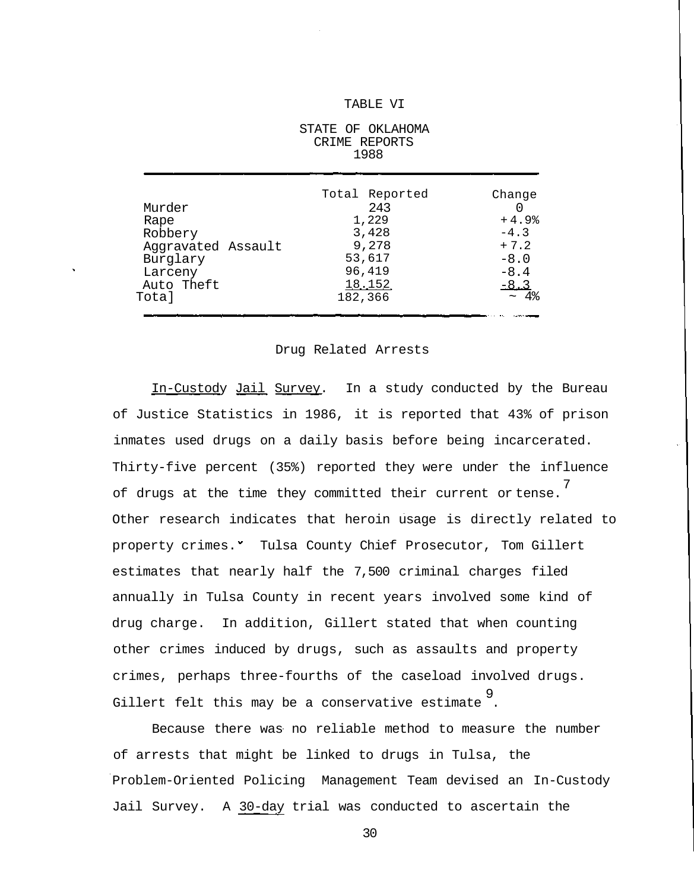TABLE VI

|                                                                                               | CRIME REPORTS<br>1988                                                                            |                                                                              |
|-----------------------------------------------------------------------------------------------|--------------------------------------------------------------------------------------------------|------------------------------------------------------------------------------|
| Murder<br>Rape<br>Robbery<br>Aggravated Assault<br>Burglary<br>Larceny<br>Auto Theft<br>Tota] | Total Reported<br>243<br>1,229<br>3,428<br>9,278<br>53,617<br>96,419<br><u>18.152</u><br>182,366 | Change<br>$+4.9%$<br>$-4.3$<br>$+7.2$<br>$-8.0$<br>$-8.4$<br>$\frac{-83}{2}$ |

# STATE OF OKLAHOMA

# Drug Related Arrests

In-Custody Jail Survey. In a study conducted by the Bureau of Justice Statistics in 1986, it is reported that 43% of prison inmates used drugs on a daily basis before being incarcerated. Thirty-five percent (35%) reported they were under the influence 7 of drugs at the time they committed their current or tense. Other research indicates that heroin usage is directly related to property crimes. Tulsa County Chief Prosecutor, Tom Gillert estimates that nearly half the 7,500 criminal charges filed annually in Tulsa County in recent years involved some kind of drug charge. In addition, Gillert stated that when counting other crimes induced by drugs, such as assaults and property crimes, perhaps three-fourths of the caseload involved drugs. 9 Gillert felt this may be a conservative estimate .

Because there was no reliable method to measure the number of arrests that might be linked to drugs in Tulsa, the Problem-Oriented Policing Management Team devised an In-Custody Jail Survey. A 30-day trial was conducted to ascertain the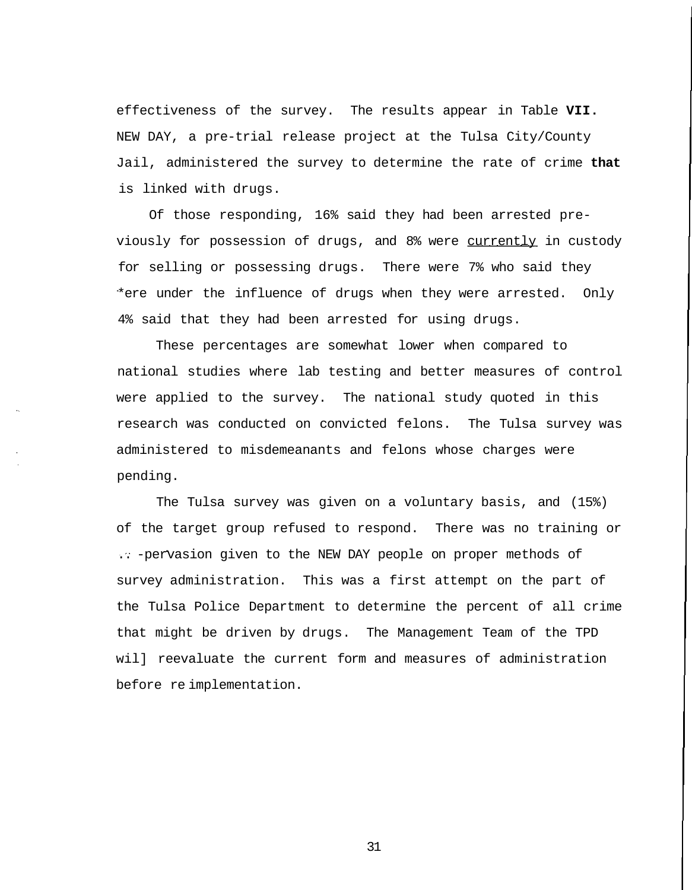effectiveness of the survey. The results appear in Table **VII.** NEW DAY, a pre-trial release project at the Tulsa City/County Jail, administered the survey to determine the rate of crime **that** is linked with drugs.

Of those responding, 16% said they had been arrested previously for possession of drugs, and 8% were currently in custody for selling or possessing drugs. There were 7% who said they \*ere under the influence of drugs when they were arrested. Only 4% said that they had been arrested for using drugs.

These percentages are somewhat lower when compared to national studies where lab testing and better measures of control were applied to the survey. The national study quoted in this research was conducted on convicted felons. The Tulsa survey was administered to misdemeanants and felons whose charges were pending.

The Tulsa survey was given on a voluntary basis, and (15%) of the target group refused to respond. There was no training or .. -pervasion given to the NEW DAY people on proper methods of survey administration. This was a first attempt on the part of the Tulsa Police Department to determine the percent of all crime that might be driven by drugs. The Management Team of the TPD wil] reevaluate the current form and measures of administration before re implementation.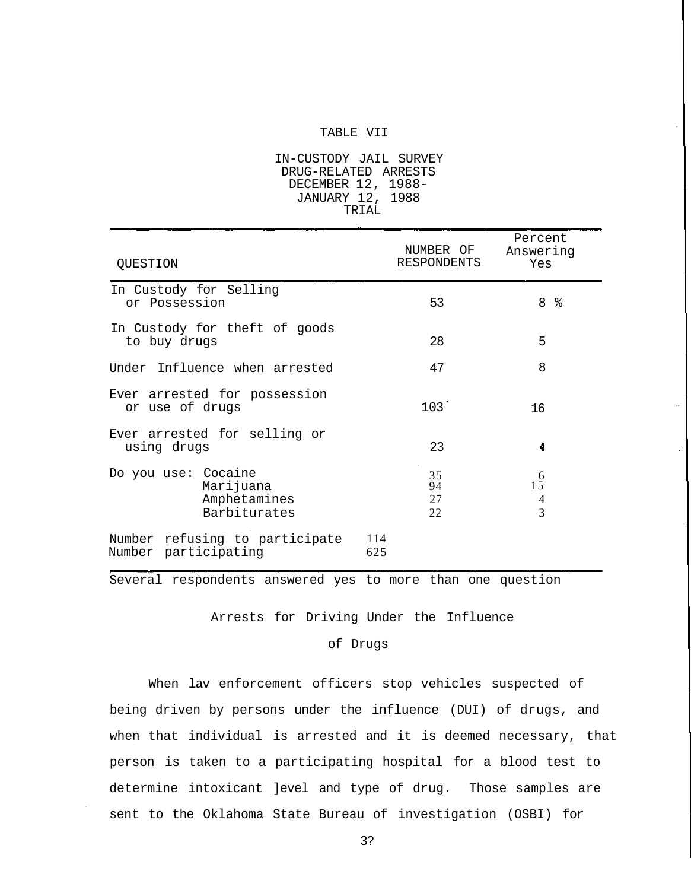#### TABLE VII

IN-CUSTODY JAIL SURVEY DRUG-RELATED ARRESTS DECEMBER 12, 1988- JANUARY 12, 1988 TRIAL

| QUESTION                                                         | NUMBER OF<br><b>RESPONDENTS</b> | Percent<br>Answering<br>Yes    |
|------------------------------------------------------------------|---------------------------------|--------------------------------|
| In Custody for Selling<br>or Possession                          | 53                              | ႜ<br>8                         |
| In Custody for theft of goods<br>to buy drugs                    | 28                              | 5                              |
| Under Influence when arrested                                    | 47                              | 8                              |
| Ever arrested for possession<br>or use of drugs                  | 103                             | 16                             |
| Ever arrested for selling or<br>using drugs                      | 23                              | 4                              |
| Do you use: Cocaine<br>Marijuana<br>Amphetamines<br>Barbiturates | 35<br>94<br>27<br>22            | 6<br>15<br>$\overline{4}$<br>3 |
| Number refusing to participate<br>Number participating           | 114<br>625                      |                                |

Several respondents answered yes to more than one question

Arrests for Driving Under the Influence

#### of Drugs

When lav enforcement officers stop vehicles suspected of being driven by persons under the influence (DUI) of drugs, and when that individual is arrested and it is deemed necessary, that person is taken to a participating hospital for a blood test to determine intoxicant ]evel and type of drug. Those samples are sent to the Oklahoma State Bureau of investigation (OSBI) for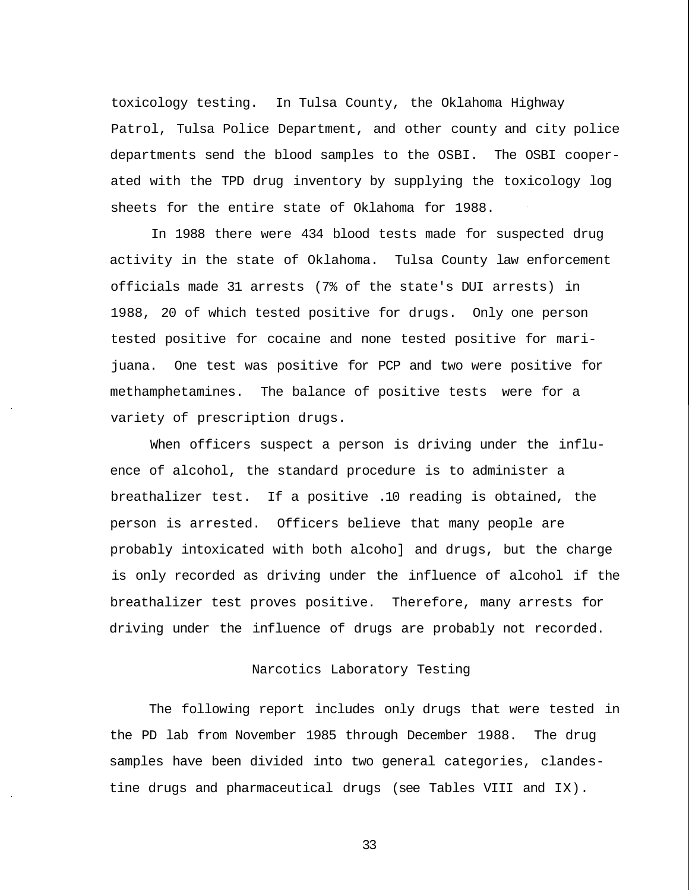toxicology testing. In Tulsa County, the Oklahoma Highway Patrol, Tulsa Police Department, and other county and city police departments send the blood samples to the OSBI. The OSBI cooperated with the TPD drug inventory by supplying the toxicology log sheets for the entire state of Oklahoma for 1988.

In 1988 there were 434 blood tests made for suspected drug activity in the state of Oklahoma. Tulsa County law enforcement officials made 31 arrests (7% of the state's DUI arrests) in 1988, 20 of which tested positive for drugs. Only one person tested positive for cocaine and none tested positive for marijuana. One test was positive for PCP and two were positive for methamphetamines. The balance of positive tests were for a variety of prescription drugs.

When officers suspect a person is driving under the influence of alcohol, the standard procedure is to administer a breathalizer test. If a positive .10 reading is obtained, the person is arrested. Officers believe that many people are probably intoxicated with both alcoho] and drugs, but the charge is only recorded as driving under the influence of alcohol if the breathalizer test proves positive. Therefore, many arrests for driving under the influence of drugs are probably not recorded.

# Narcotics Laboratory Testing

The following report includes only drugs that were tested in the PD lab from November 1985 through December 1988. The drug samples have been divided into two general categories, clandestine drugs and pharmaceutical drugs (see Tables VIII and IX).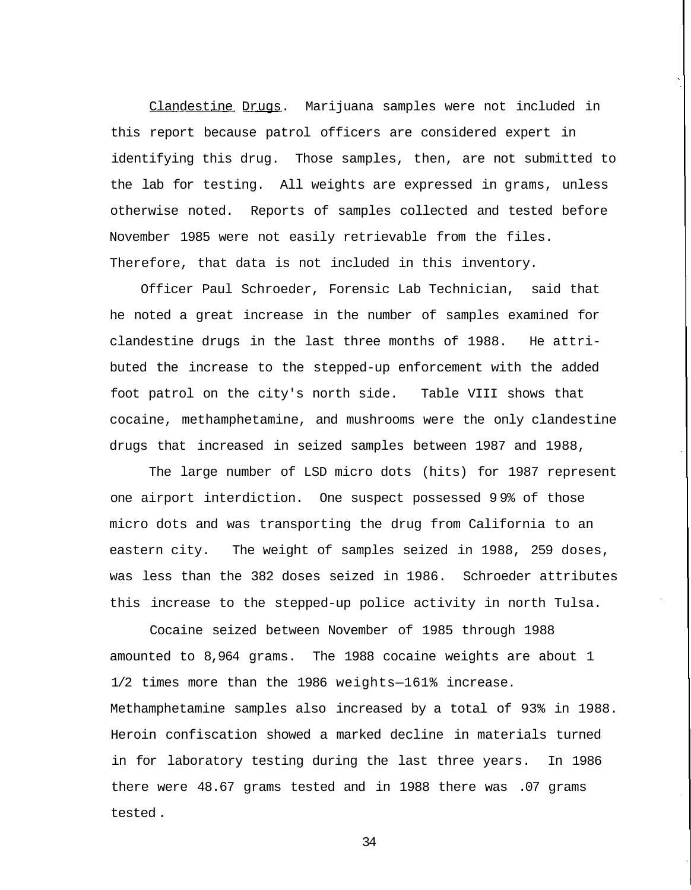Clandestine Drugs. Marijuana samples were not included in this report because patrol officers are considered expert in identifying this drug. Those samples, then, are not submitted to the lab for testing. All weights are expressed in grams, unless otherwise noted. Reports of samples collected and tested before November 1985 were not easily retrievable from the files. Therefore, that data is not included in this inventory.

Officer Paul Schroeder, Forensic Lab Technician, said that he noted a great increase in the number of samples examined for clandestine drugs in the last three months of 1988. He attributed the increase to the stepped-up enforcement with the added foot patrol on the city's north side. Table VIII shows that cocaine, methamphetamine, and mushrooms were the only clandestine drugs that increased in seized samples between 1987 and 1988,

The large number of LSD micro dots (hits) for 1987 represent one airport interdiction. One suspect possessed 9 9% of those micro dots and was transporting the drug from California to an eastern city. The weight of samples seized in 1988, 259 doses, was less than the 382 doses seized in 1986. Schroeder attributes this increase to the stepped-up police activity in north Tulsa.

Cocaine seized between November of 1985 through 1988 amounted to 8,964 grams. The 1988 cocaine weights are about 1 1/2 times more than the 1986 weights—161% increase. Methamphetamine samples also increased by a total of 93% in 1988. Heroin confiscation showed a marked decline in materials turned in for laboratory testing during the last three years. In 1986 there were 48.67 grams tested and in 1988 there was .07 grams tested .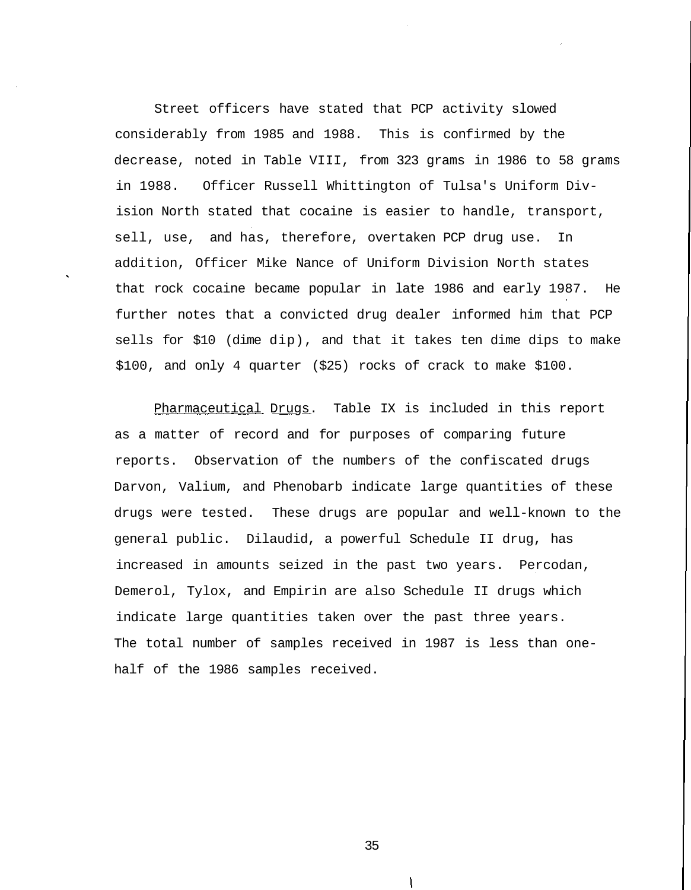Street officers have stated that PCP activity slowed considerably from 1985 and 1988. This is confirmed by the decrease, noted in Table VIII, from 323 grams in 1986 to 58 grams in 1988. Officer Russell Whittington of Tulsa's Uniform Division North stated that cocaine is easier to handle, transport, sell, use, and has, therefore, overtaken PCP drug use. In addition, Officer Mike Nance of Uniform Division North states that rock cocaine became popular in late 1986 and early 1987. He further notes that a convicted drug dealer informed him that PCP sells for \$10 (dime dip), and that it takes ten dime dips to make \$100, and only 4 quarter (\$25) rocks of crack to make \$100.

Pharmaceutical Drugs. Table IX is included in this report as a matter of record and for purposes of comparing future reports. Observation of the numbers of the confiscated drugs Darvon, Valium, and Phenobarb indicate large quantities of these drugs were tested. These drugs are popular and well-known to the general public. Dilaudid, a powerful Schedule II drug, has increased in amounts seized in the past two years. Percodan, Demerol, Tylox, and Empirin are also Schedule II drugs which indicate large quantities taken over the past three years. The total number of samples received in 1987 is less than onehalf of the 1986 samples received.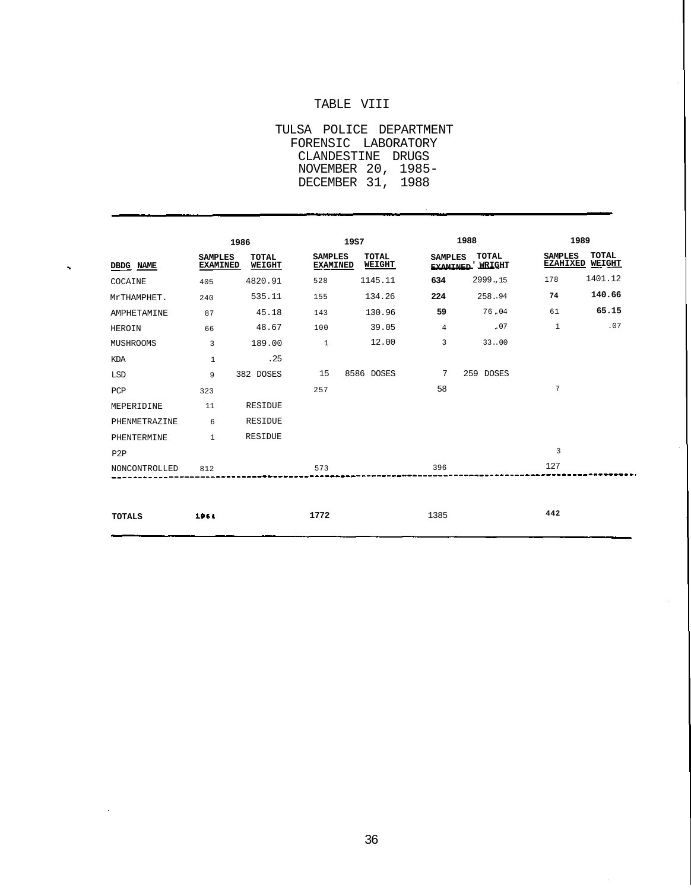# TABLE VIII

 $\hat{\mathbf{v}}$ 

TULSA POLICE DEPARTMENT FORENSIC LABORATORY CLANDESTINE DRUGS NOVEMBER 20, 1985- DECEMBER 31, 1988

|                  |                                   | 1986                   |                                   | <b>19S7</b>     |                | 1988                            |                | 1989                            |
|------------------|-----------------------------------|------------------------|-----------------------------------|-----------------|----------------|---------------------------------|----------------|---------------------------------|
| DBDG NAME        | <b>SAMPLES</b><br><b>EXAMINED</b> | <b>TOTAL</b><br>WEIGHT | <b>SAMPLES</b><br><b>EXAMINED</b> | TOTAL<br>WEIGHT | <b>SAMPLES</b> | TOTAL<br><b>EXAMINED</b> WRIGHT | <b>SAMPLES</b> | TOTAL<br><b>EZAHIXED WEIGHT</b> |
| COCAINE          | 405                               | 4820.91                | 528                               | 1145.11         | 634            | 299915                          | 178            | 1401.12                         |
| MrTHAMPHET.      | 240                               | 535.11                 | 155                               | 134.26          | 224            | 258.94                          | 74             | 140.66                          |
| AMPHETAMINE      | 87                                | 45.18                  | 143                               | 130.96          | 59             | 76.04                           | 61             | 65.15                           |
| HEROIN           | 66                                | 48.67                  | 100                               | 39.05           | $\overline{4}$ | .07                             | $\mathbf{1}$   | .07                             |
| MUSHROOMS        | 3                                 | 189.00                 | $\mathbf{1}$                      | 12.00           | 3              | 3300                            |                |                                 |
| KDA              | $\mathbf{1}$                      | .25                    |                                   |                 |                |                                 |                |                                 |
| LSD              | 9                                 | 382 DOSES              | 15                                | 8586 DOSES      | 7              | 259 DOSES                       |                |                                 |
| PCP              | 323                               |                        | 257                               |                 | 58             |                                 | 7              |                                 |
| MEPERIDINE       | 11                                | RESIDUE                |                                   |                 |                |                                 |                |                                 |
| PHENMETRAZINE    | 6                                 | RESIDUE                |                                   |                 |                |                                 |                |                                 |
| PHENTERMINE      | $\mathbf{1}$                      | RESIDUE                |                                   |                 |                |                                 |                |                                 |
| P <sub>2</sub> P |                                   |                        |                                   |                 |                |                                 | $\overline{3}$ |                                 |
| NONCONTROLLED    | 812                               |                        | 573                               |                 | 396            |                                 | 127            |                                 |
|                  |                                   |                        |                                   |                 |                |                                 |                |                                 |
| <b>TOTALS</b>    | 1964                              |                        | 1772                              |                 | 1385           |                                 | 442            |                                 |

 $\ddot{\phantom{a}}$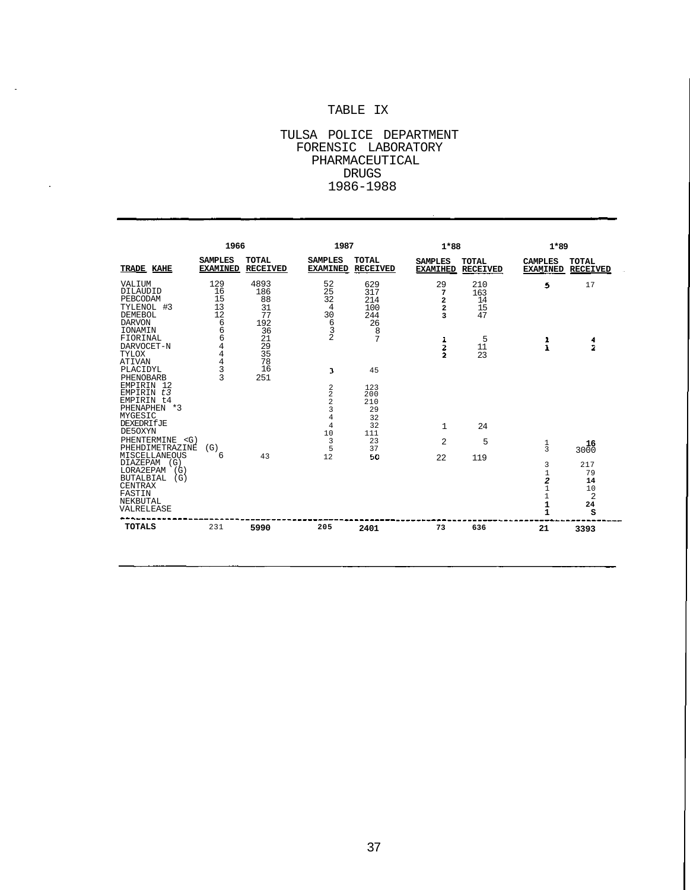# TABLE IX

 $\ddot{\phantom{a}}$ 

# TULSA POLICE DEPARTMENT FORENSIC LABORATORY PHARMACEUTICAL DRUGS 1986-1988

|                                                                                                                                                                                              | 1966                                  |                                            | 1987                                                            |                                                  | $1*88$                                                             |                                 | $1*89$                                                                            |                                                                              |
|----------------------------------------------------------------------------------------------------------------------------------------------------------------------------------------------|---------------------------------------|--------------------------------------------|-----------------------------------------------------------------|--------------------------------------------------|--------------------------------------------------------------------|---------------------------------|-----------------------------------------------------------------------------------|------------------------------------------------------------------------------|
| TRADE KAHE                                                                                                                                                                                   | <b>SAMPLES</b><br><b>EXAMINED</b>     | <b>TOTAL</b><br><b>RECEIVED</b>            | <b>SAMPLES</b><br><b>EXAMINED</b>                               | TOTAL<br><b>RECEIVED</b>                         | <b>SAMPLES</b><br><b>EXAMIHED</b>                                  | <b>TOTAL</b><br><b>RECEIVED</b> | <b>CAMPLES</b><br><b>EXAMINED</b>                                                 | <b>TOTAL</b><br><b>RECEIVED</b>                                              |
| VALIUM<br><b>DILAUDID</b><br>PEBCODAM<br>TYLENOL #3<br>DEMEBOL<br><b>DARVON</b><br>IONAMIN                                                                                                   | 129<br>16<br>15<br>13<br>12<br>6<br>6 | 4893<br>186<br>88<br>31<br>77<br>192<br>36 | 52<br>25<br>32<br>4<br>30<br>6<br>$\frac{3}{2}$                 | 629<br>317<br>214<br>100<br>244<br>26<br>8       | 29<br>7<br>$\overline{\mathbf{2}}$<br>$\overline{\mathbf{2}}$<br>3 | 210<br>163<br>14<br>15<br>47    | 5                                                                                 | 17                                                                           |
| FIORINAL<br>DARVOCET-N<br>TYLOX<br><b>ATIVAN</b><br>PLACIDYL                                                                                                                                 | 6<br>$\frac{4}{4}$<br>3               | 21<br>29<br>35<br>78<br>16                 |                                                                 | 7                                                | 1<br>2<br>$\overline{2}$                                           | 5<br>11<br>23                   | 1<br>1                                                                            | 4<br>2                                                                       |
| PHENOBARB<br>EMPIRIN<br>12<br>EMPIRIN t3<br>EMPIRIN t4<br>PHENAPHEN *3<br><b>MYGESIC</b><br>DEXEDRIfJE<br>DE50XYN                                                                            | 3                                     | 251                                        | з<br>$\overline{2}$<br>2<br>$\overline{a}$<br>3<br>4<br>4<br>10 | 45<br>123<br>200<br>210<br>29<br>32<br>32<br>111 | $\mathbf 1$                                                        | 24                              |                                                                                   |                                                                              |
| PHENTERMINE<br>$\prec$ G)<br>PHEHDIMETRAZINE<br>MISCELLANEOUS<br>DIAZEPAM<br>(G)<br>LORA2EPAM<br>(G)<br><b>BUTALBIAL</b><br>(G)<br>CENTRAX<br>FASTIN<br><b>NEKBUTAL</b><br><b>VALRELEASE</b> | (G)<br>6                              | 43                                         | 3<br>5<br>12.                                                   | 23<br>37<br>50                                   | $\overline{a}$<br>22                                               | 5<br>119                        | $\frac{1}{3}$<br>3<br>$\mathbf{1}$<br>2<br>$\mathbf{1}$<br>$\mathbf{1}$<br>1<br>1 | 16<br>$30\overline{0}$ <sup>0</sup><br>217<br>79<br>14<br>10<br>2<br>24<br>s |
| <b>TOTALS</b>                                                                                                                                                                                | 231                                   | 5990                                       | 205                                                             | 2401                                             | 73                                                                 | 636                             | 21                                                                                | 3393                                                                         |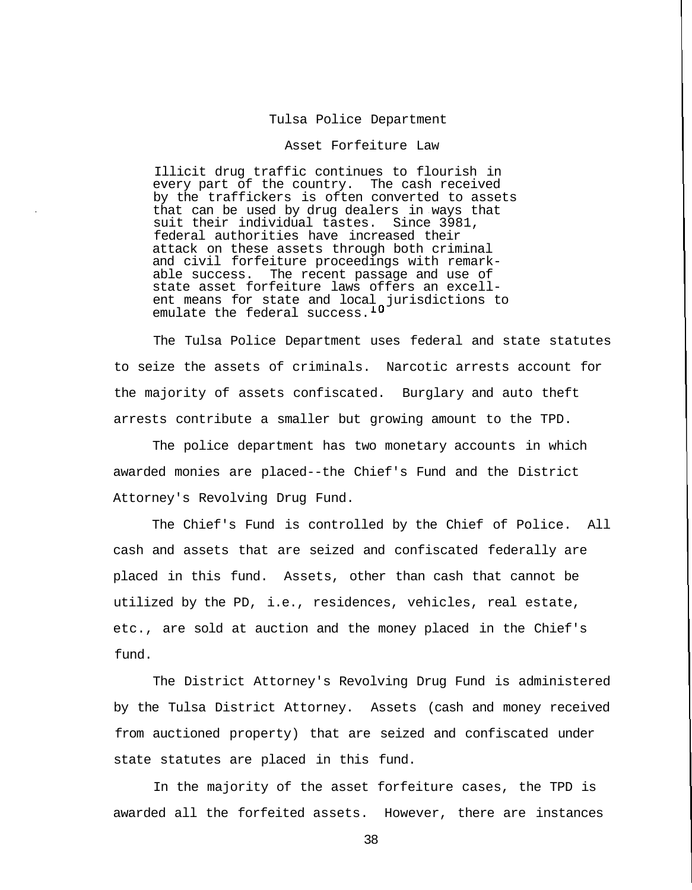#### Tulsa Police Department

#### Asset Forfeiture Law

Illicit drug traffic continues to flourish in every part of the country. The cash received by the traffickers is often converted to assets that can be used by drug dealers in ways that suit their individual tastes. Since 3981, federal authorities have increased their attack on these assets through both criminal and civil forfeiture proceedings with remarkable success. The recent passage and use of state asset forfeiture laws offers an excellent means for state and local jurisdictions to emulate the federal success.

The Tulsa Police Department uses federal and state statutes to seize the assets of criminals. Narcotic arrests account for the majority of assets confiscated. Burglary and auto theft arrests contribute a smaller but growing amount to the TPD.

The police department has two monetary accounts in which awarded monies are placed--the Chief's Fund and the District Attorney's Revolving Drug Fund.

The Chief's Fund is controlled by the Chief of Police. All cash and assets that are seized and confiscated federally are placed in this fund. Assets, other than cash that cannot be utilized by the PD, i.e., residences, vehicles, real estate, etc., are sold at auction and the money placed in the Chief's fund.

The District Attorney's Revolving Drug Fund is administered by the Tulsa District Attorney. Assets (cash and money received from auctioned property) that are seized and confiscated under state statutes are placed in this fund.

In the majority of the asset forfeiture cases, the TPD is awarded all the forfeited assets. However, there are instances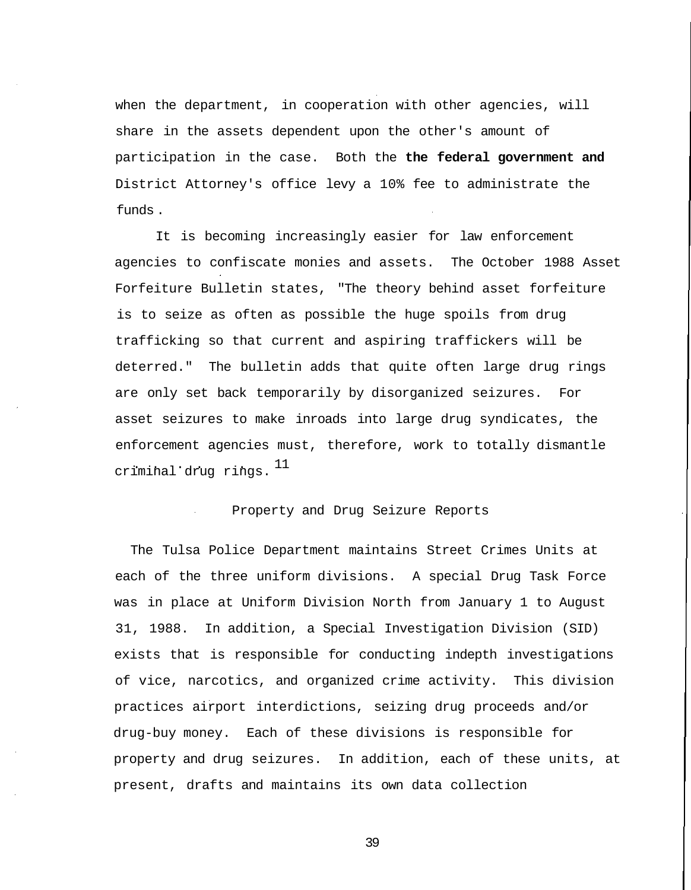when the department, in cooperation with other agencies, will share in the assets dependent upon the other's amount of participation in the case. Both the **the federal government and** District Attorney's office levy a 10% fee to administrate the funds .

It is becoming increasingly easier for law enforcement agencies to confiscate monies and assets. The October 1988 Asset Forfeiture Bulletin states, "The theory behind asset forfeiture is to seize as often as possible the huge spoils from drug trafficking so that current and aspiring traffickers will be deterred." The bulletin adds that quite often large drug rings are only set back temporarily by disorganized seizures. For asset seizures to make inroads into large drug syndicates, the enforcement agencies must, therefore, work to totally dismantle criminal drug rings.  $^{11}$ 

# Property and Drug Seizure Reports

The Tulsa Police Department maintains Street Crimes Units at each of the three uniform divisions. A special Drug Task Force was in place at Uniform Division North from January 1 to August 31, 1988. In addition, a Special Investigation Division (SID) exists that is responsible for conducting indepth investigations of vice, narcotics, and organized crime activity. This division practices airport interdictions, seizing drug proceeds and/or drug-buy money. Each of these divisions is responsible for property and drug seizures. In addition, each of these units, at present, drafts and maintains its own data collection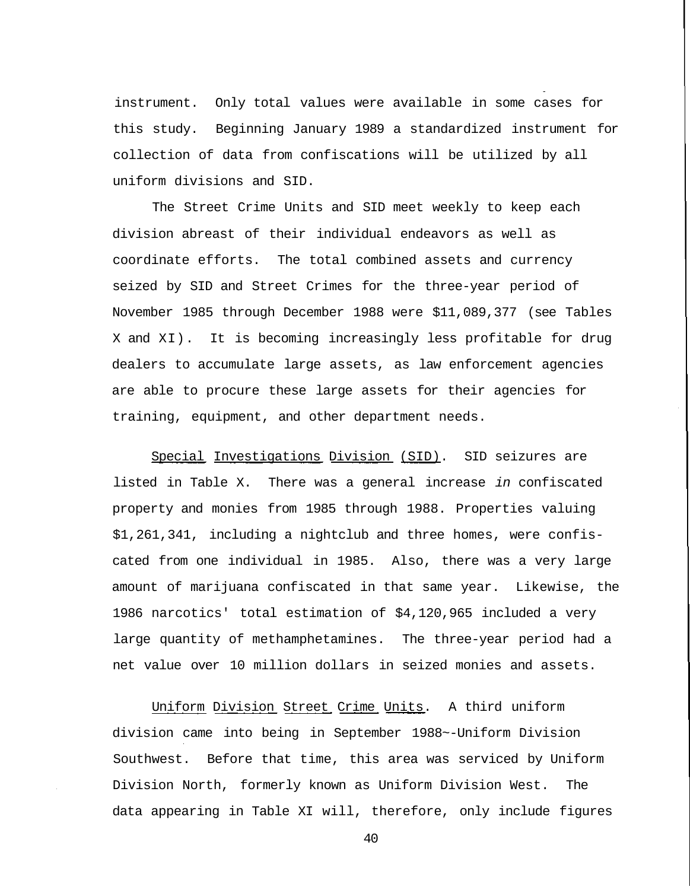instrument. Only total values were available in some cases for this study. Beginning January 1989 a standardized instrument for collection of data from confiscations will be utilized by all uniform divisions and SID.

The Street Crime Units and SID meet weekly to keep each division abreast of their individual endeavors as well as coordinate efforts. The total combined assets and currency seized by SID and Street Crimes for the three-year period of November 1985 through December 1988 were \$11,089,377 (see Tables X and XI). It is becoming increasingly less profitable for drug dealers to accumulate large assets, as law enforcement agencies are able to procure these large assets for their agencies for training, equipment, and other department needs.

Special Investigations Division (SID). SID seizures are listed in Table X. There was a general increase in confiscated property and monies from 1985 through 1988. Properties valuing \$1,261,341, including a nightclub and three homes, were confiscated from one individual in 1985. Also, there was a very large amount of marijuana confiscated in that same year. Likewise, the 1986 narcotics' total estimation of \$4,120,965 included a very large quantity of methamphetamines. The three-year period had a net value over 10 million dollars in seized monies and assets.

Uniform Division Street Crime Units. A third uniform division came into being in September 1988~-Uniform Division Southwest. Before that time, this area was serviced by Uniform Division North, formerly known as Uniform Division West. The data appearing in Table XI will, therefore, only include figures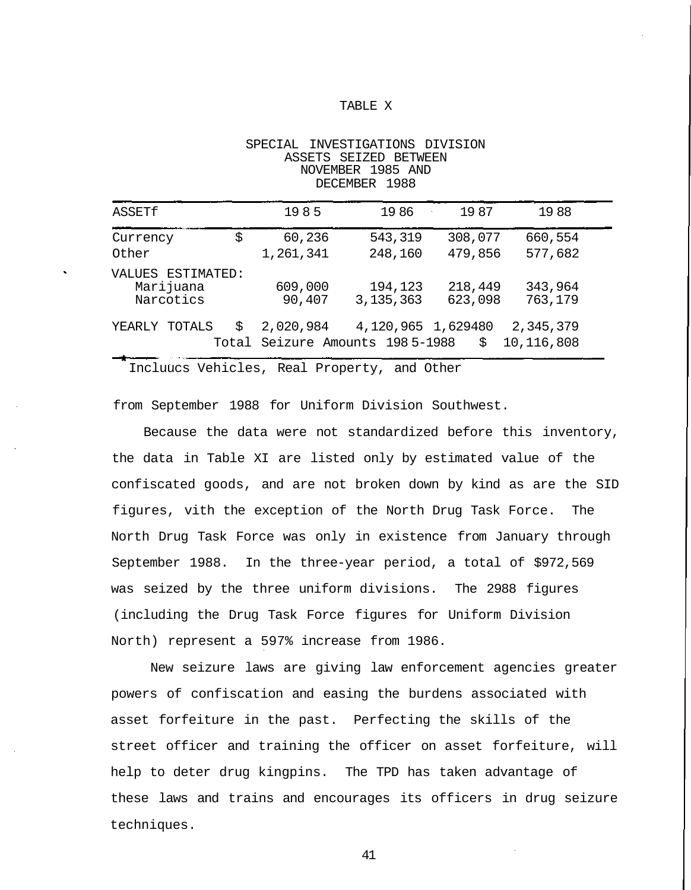#### TABLE X

SPECIAL INVESTIGATIONS DIVISION

|                   |                                             |                           | ASSETS SEIZED BETWEEN<br>NOVEMBER 1985 AND<br>DECEMBER 1988 |                    |                         |  |
|-------------------|---------------------------------------------|---------------------------|-------------------------------------------------------------|--------------------|-------------------------|--|
| ASSETf            |                                             | 1985                      | 1986                                                        | 1987               | 1988                    |  |
| Currency<br>Other |                                             | \$<br>60,236<br>1,261,341 | 543,319<br>248,160                                          | 308,077<br>479,856 | 660,554<br>577,682      |  |
|                   | VALUES ESTIMATED:<br>Marijuana<br>Narcotics | 609,000<br>90,407         | 194,123<br>3, 135, 363                                      | 218,449<br>623,098 | 343,964<br>763,179      |  |
| YEARLY TOTALS     |                                             | \$<br>2,020,984           | 4,120,965 1,629480<br>Total Seizure Amounts 1985-1988       | Ŝ.                 | 2,345,379<br>10,116,808 |  |

ASSETS SEIZED BETWEEN

Incluucs Vehicles, Real Property, and Other

from September 1988 for Uniform Division Southwest.

Because the data were not standardized before this inventory, the data in Table XI are listed only by estimated value of the confiscated goods, and are not broken down by kind as are the SID figures, vith the exception of the North Drug Task Force. The North Drug Task Force was only in existence from January through September 1988. In the three-year period, a total of \$972,569 was seized by the three uniform divisions. The 2988 figures (including the Drug Task Force figures for Uniform Division North) represent a 597% increase from 1986.

New seizure laws are giving law enforcement agencies greater powers of confiscation and easing the burdens associated with asset forfeiture in the past. Perfecting the skills of the street officer and training the officer on asset forfeiture, will help to deter drug kingpins. The TPD has taken advantage of these laws and trains and encourages its officers in drug seizure techniques.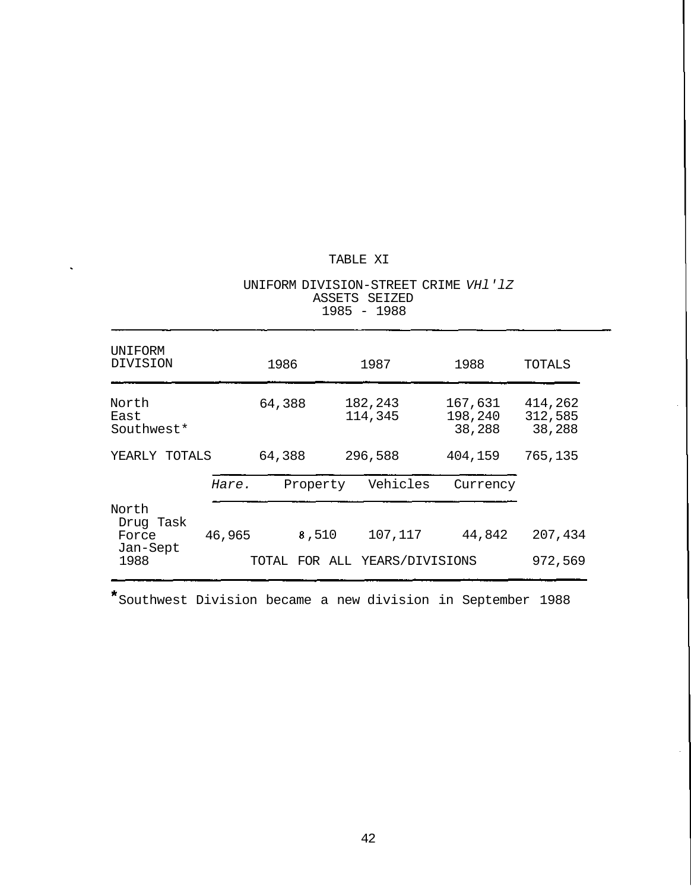# TABLE XI

|                                                 |        |                                        | 500010<br>1985 - 1988 | ◡∸∸∸     |                              |                              |
|-------------------------------------------------|--------|----------------------------------------|-----------------------|----------|------------------------------|------------------------------|
| UNIFORM<br><b>DIVISION</b>                      |        | 1986                                   | 1987                  |          | 1988                         | TOTALS                       |
| North<br>East<br>Southwest*                     |        | 64,388                                 | 182,243<br>114,345    |          | 167,631<br>198,240<br>38,288 | 414,262<br>312,585<br>38,288 |
| YEARLY TOTALS                                   |        | 64,388                                 | 296,588               |          | 404,159                      | 765,135                      |
|                                                 | Hare.  | Property                               |                       | Vehicles | Currency                     |                              |
| North<br>Drug Task<br>Force<br>Jan-Sept<br>1988 | 46,965 | 8,510<br>TOTAL FOR ALL YEARS/DIVISIONS |                       | 107,117  | 44,842                       | 207,434<br>972,569           |

UNIFORM DIVISION-STREET CRIME VH1'1Z ASSETS SEIZED

Southwest Division became a new division in September 1988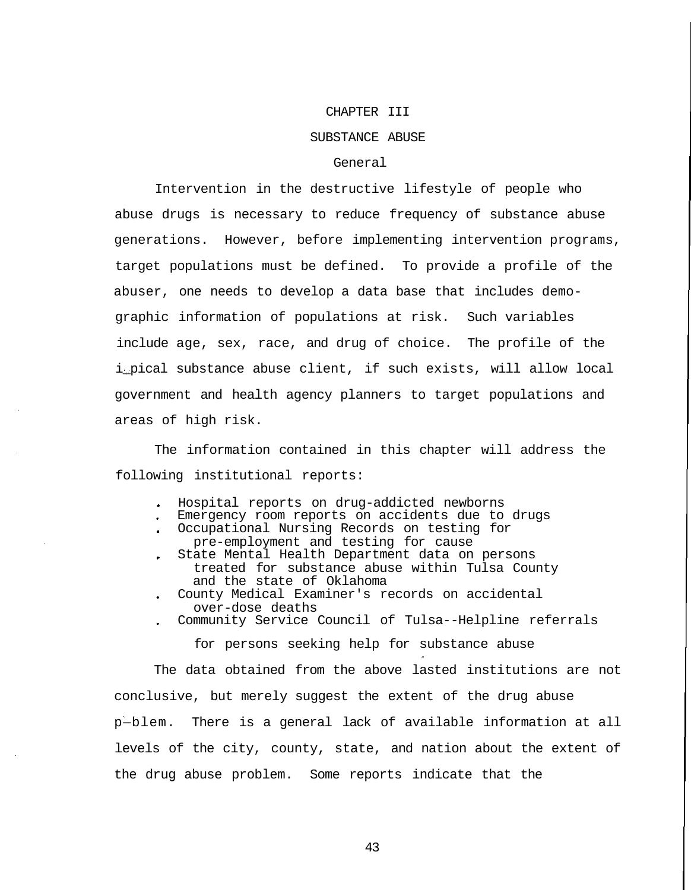#### CHAPTER III

#### SUBSTANCE ABUSE

# General

Intervention in the destructive lifestyle of people who abuse drugs is necessary to reduce frequency of substance abuse generations. However, before implementing intervention programs, target populations must be defined. To provide a profile of the abuser, one needs to develop a data base that includes demographic information of populations at risk. Such variables include age, sex, race, and drug of choice. The profile of the i\_pical substance abuse client, if such exists, will allow local government and health agency planners to target populations and areas of high risk.

The information contained in this chapter will address the following institutional reports:

- Hospital reports on drug-addicted newborns
- Emergency room reports on accidents due to drugs
- Occupational Nursing Records on testing for pre-employment and testing for cause
- State Mental Health Department data on persons treated for substance abuse within Tulsa County and the state of Oklahoma
- County Medical Examiner's records on accidental over-dose deaths
- Community Service Council of Tulsa--Helpline referrals

for persons seeking help for substance abuse

The data obtained from the above lasted institutions are not conclusive, but merely suggest the extent of the drug abuse p—blem. There is a general lack of available information at all levels of the city, county, state, and nation about the extent of the drug abuse problem. Some reports indicate that the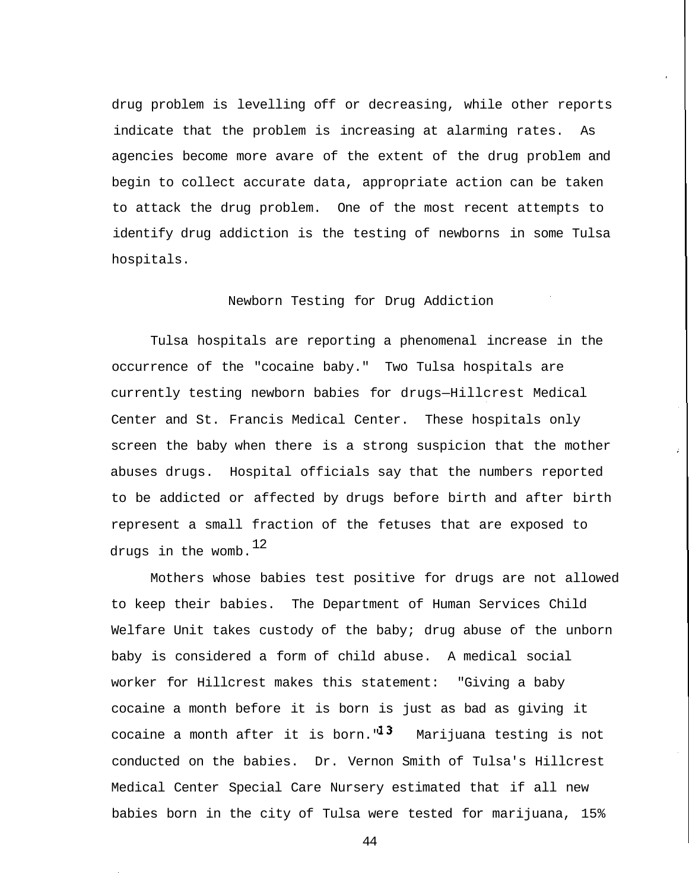drug problem is levelling off or decreasing, while other reports indicate that the problem is increasing at alarming rates. As agencies become more avare of the extent of the drug problem and begin to collect accurate data, appropriate action can be taken to attack the drug problem. One of the most recent attempts to identify drug addiction is the testing of newborns in some Tulsa hospitals.

# Newborn Testing for Drug Addiction

Tulsa hospitals are reporting a phenomenal increase in the occurrence of the "cocaine baby." Two Tulsa hospitals are currently testing newborn babies for drugs—Hillcrest Medical Center and St. Francis Medical Center. These hospitals only screen the baby when there is a strong suspicion that the mother abuses drugs. Hospital officials say that the numbers reported to be addicted or affected by drugs before birth and after birth represent a small fraction of the fetuses that are exposed to drugs in the womb.<sup>12</sup>

Mothers whose babies test positive for drugs are not allowed to keep their babies. The Department of Human Services Child Welfare Unit takes custody of the baby; drug abuse of the unborn baby is considered a form of child abuse. A medical social worker for Hillcrest makes this statement: "Giving a baby cocaine a month before it is born is just as bad as giving it cocaine a month after it is born. $13$  Marijuana testing is not conducted on the babies. Dr. Vernon Smith of Tulsa's Hillcrest Medical Center Special Care Nursery estimated that if all new babies born in the city of Tulsa were tested for marijuana, 15%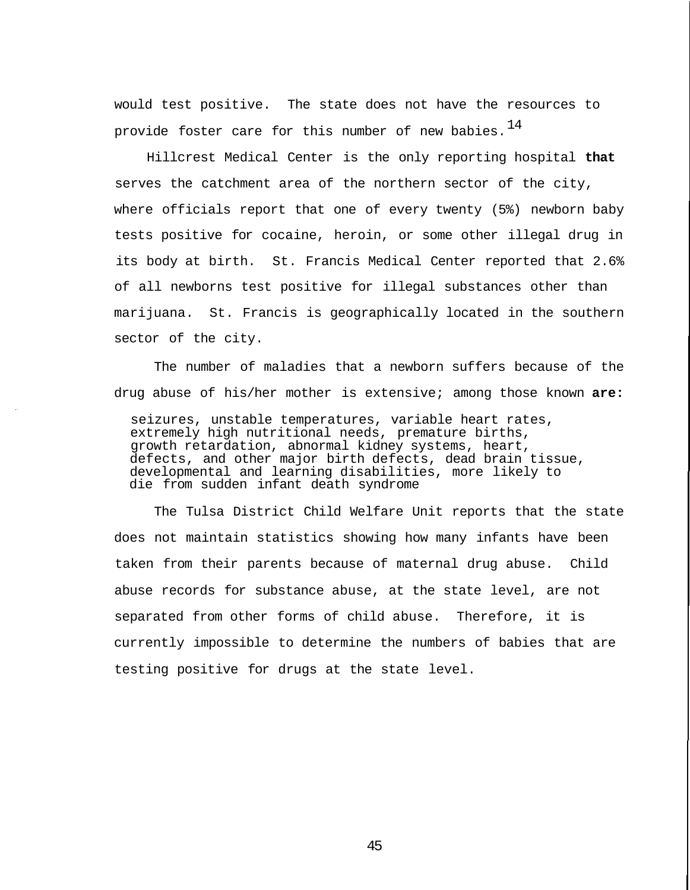would test positive. The state does not have the resources to provide foster care for this number of new babies. $^{14}$ 

Hillcrest Medical Center is the only reporting hospital **that** serves the catchment area of the northern sector of the city, where officials report that one of every twenty (5%) newborn baby tests positive for cocaine, heroin, or some other illegal drug in its body at birth. St. Francis Medical Center reported that 2.6% of all newborns test positive for illegal substances other than marijuana. St. Francis is geographically located in the southern sector of the city.

The number of maladies that a newborn suffers because of the drug abuse of his/her mother is extensive; among those known **are:**

seizures, unstable temperatures, variable heart rates, extremely high nutritional needs, premature births, growth retardation, abnormal kidney systems, heart, defects, and other major birth defects, dead brain tissue, developmental and learning disabilities, more likely to die from sudden infant death syndrome

The Tulsa District Child Welfare Unit reports that the state does not maintain statistics showing how many infants have been taken from their parents because of maternal drug abuse. Child abuse records for substance abuse, at the state level, are not separated from other forms of child abuse. Therefore, it is currently impossible to determine the numbers of babies that are testing positive for drugs at the state level.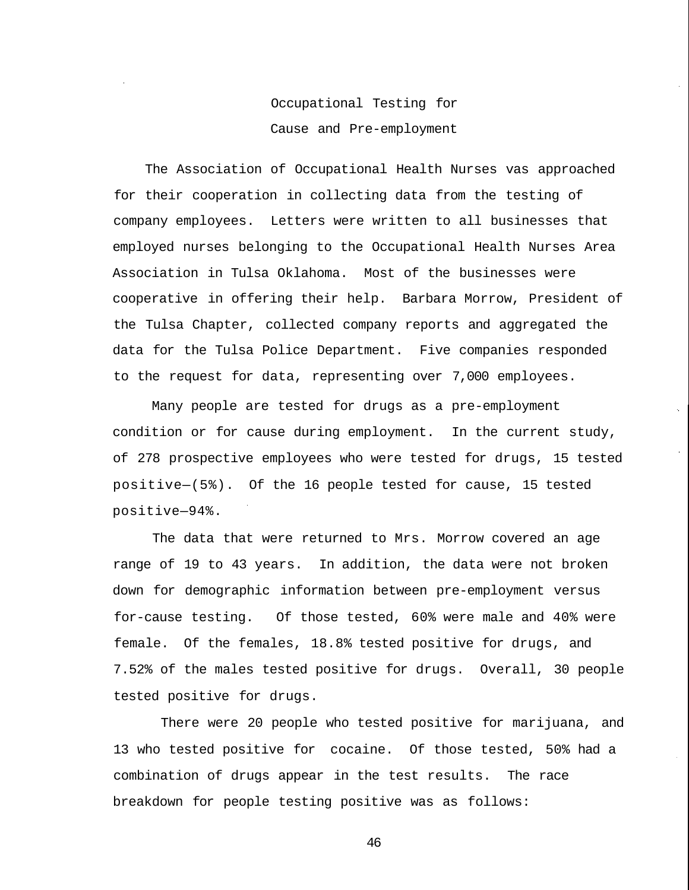# Occupational Testing for Cause and Pre-employment

The Association of Occupational Health Nurses vas approached for their cooperation in collecting data from the testing of company employees. Letters were written to all businesses that employed nurses belonging to the Occupational Health Nurses Area Association in Tulsa Oklahoma. Most of the businesses were cooperative in offering their help. Barbara Morrow, President of the Tulsa Chapter, collected company reports and aggregated the data for the Tulsa Police Department. Five companies responded to the request for data, representing over 7,000 employees.

Many people are tested for drugs as a pre-employment condition or for cause during employment. In the current study, of 278 prospective employees who were tested for drugs, 15 tested positive—(5%). Of the 16 people tested for cause, 15 tested positive—94%.

The data that were returned to Mrs. Morrow covered an age range of 19 to 43 years. In addition, the data were not broken down for demographic information between pre-employment versus for-cause testing. Of those tested, 60% were male and 40% were female. Of the females, 18.8% tested positive for drugs, and 7.52% of the males tested positive for drugs. Overall, 30 people tested positive for drugs.

There were 20 people who tested positive for marijuana, and 13 who tested positive for cocaine. Of those tested, 50% had a combination of drugs appear in the test results. The race breakdown for people testing positive was as follows: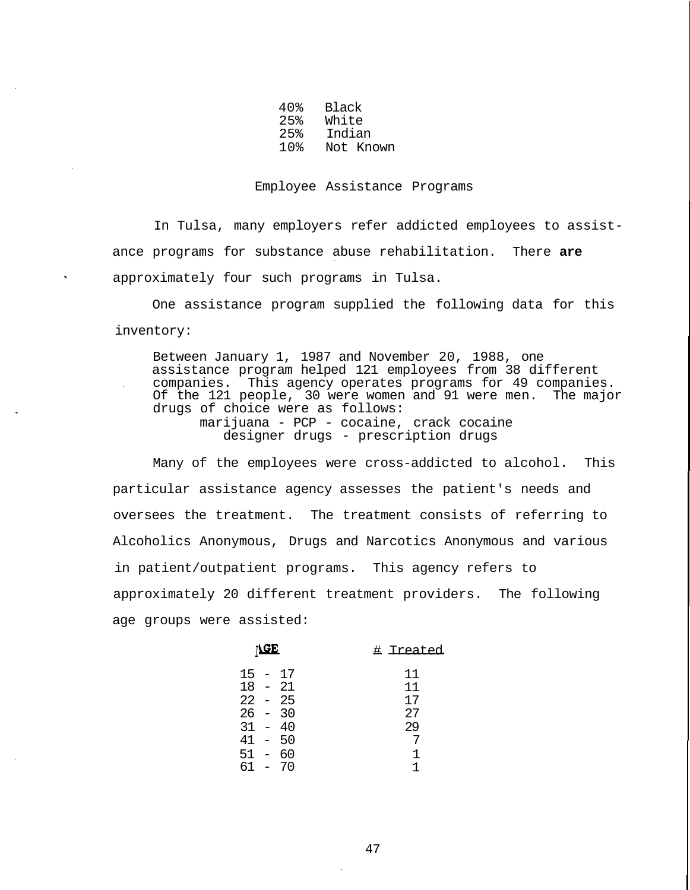| 40% | Black  |
|-----|--------|
| 25% | White  |
| 25% | Indian |

10% Not Known

#### Employee Assistance Programs

In Tulsa, many employers refer addicted employees to assistance programs for substance abuse rehabilitation. There **are** approximately four such programs in Tulsa.

One assistance program supplied the following data for this inventory:

Between January 1, 1987 and November 20, 1988, one assistance program helped 121 employees from 38 different companies. This agency operates programs for 49 companies. Of the 121 people, 30 were women and 91 were men. The major drugs of choice were as follows: marijuana - PCP - cocaine, crack cocaine designer drugs - prescription drugs

Many of the employees were cross-addicted to alcohol. This particular assistance agency assesses the patient's needs and oversees the treatment. The treatment consists of referring to Alcoholics Anonymous, Drugs and Narcotics Anonymous and various in patient/outpatient programs. This agency refers to approximately 20 different treatment providers. The following age groups were assisted:

| ACE       | # Treated |
|-----------|-----------|
| 15 - 17   | 11        |
| $18 - 21$ | 11        |
| $22 - 25$ | 17        |
| $26 - 30$ | 27        |
| $31 - 40$ | 29        |
| 41 - 50   |           |
| 51 - 60   | 1         |
| 61 - 70   | 1         |
|           |           |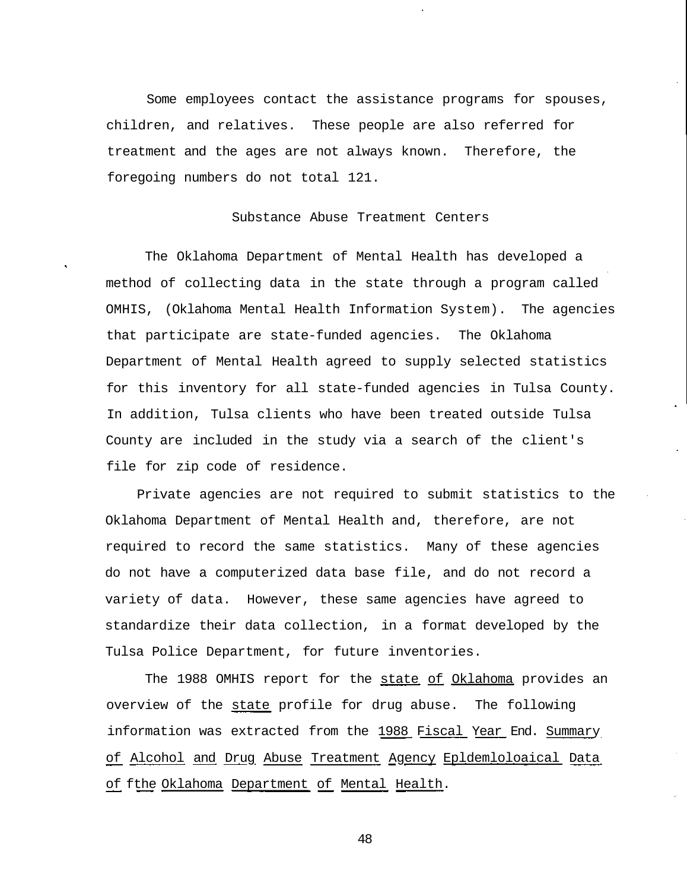Some employees contact the assistance programs for spouses, children, and relatives. These people are also referred for treatment and the ages are not always known. Therefore, the foregoing numbers do not total 121.

#### Substance Abuse Treatment Centers

The Oklahoma Department of Mental Health has developed a method of collecting data in the state through a program called OMHIS, (Oklahoma Mental Health Information System). The agencies that participate are state-funded agencies. The Oklahoma Department of Mental Health agreed to supply selected statistics for this inventory for all state-funded agencies in Tulsa County. In addition, Tulsa clients who have been treated outside Tulsa County are included in the study via a search of the client's file for zip code of residence.

Private agencies are not required to submit statistics to the Oklahoma Department of Mental Health and, therefore, are not required to record the same statistics. Many of these agencies do not have a computerized data base file, and do not record a variety of data. However, these same agencies have agreed to standardize their data collection, in a format developed by the Tulsa Police Department, for future inventories.

The 1988 OMHIS report for the state of Oklahoma provides an overview of the state profile for drug abuse. The following information was extracted from the 1988 Fiscal Year End. Summary of Alcohol and Drug Abuse Treatment Agency Epldemloloaical Data of fthe Oklahoma Department of Mental Health.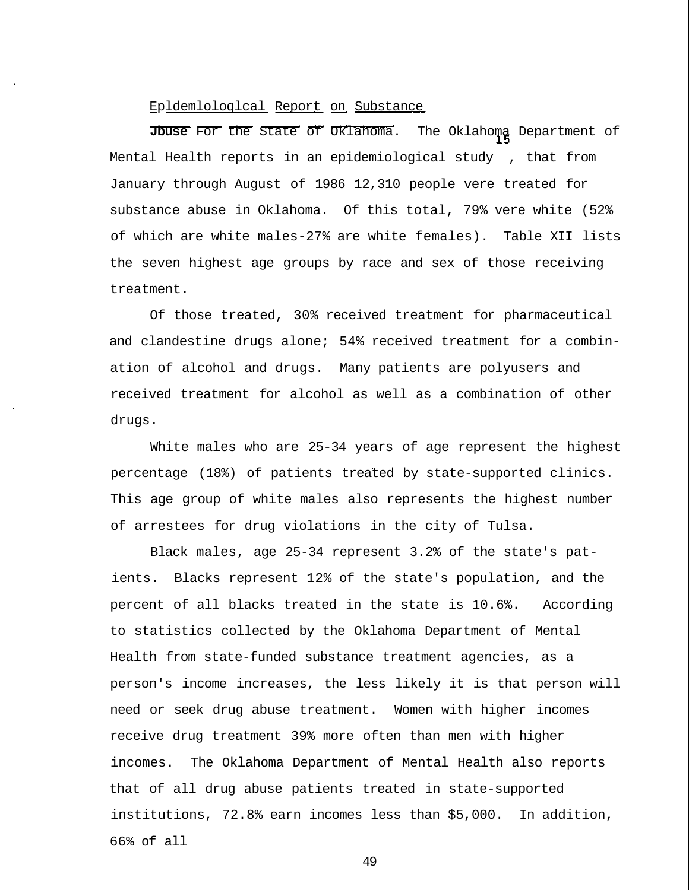# Epldemloloqlcal Report on Substance

**Jbuse** For the State of Oklahoma. The Oklahoma Department of Mental Health reports in an epidemiological study , that from January through August of 1986 12,310 people vere treated for substance abuse in Oklahoma. Of this total, 79% vere white (52% of which are white males-27% are white females). Table XII lists the seven highest age groups by race and sex of those receiving treatment.

Of those treated, 30% received treatment for pharmaceutical and clandestine drugs alone; 54% received treatment for a combination of alcohol and drugs. Many patients are polyusers and received treatment for alcohol as well as a combination of other drugs.

White males who are 25-34 years of age represent the highest percentage (18%) of patients treated by state-supported clinics. This age group of white males also represents the highest number of arrestees for drug violations in the city of Tulsa.

Black males, age 25-34 represent 3.2% of the state's patients. Blacks represent 12% of the state's population, and the percent of all blacks treated in the state is 10.6%. According to statistics collected by the Oklahoma Department of Mental Health from state-funded substance treatment agencies, as a person's income increases, the less likely it is that person will need or seek drug abuse treatment. Women with higher incomes receive drug treatment 39% more often than men with higher incomes. The Oklahoma Department of Mental Health also reports that of all drug abuse patients treated in state-supported institutions, 72.8% earn incomes less than \$5,000. In addition, 66% of all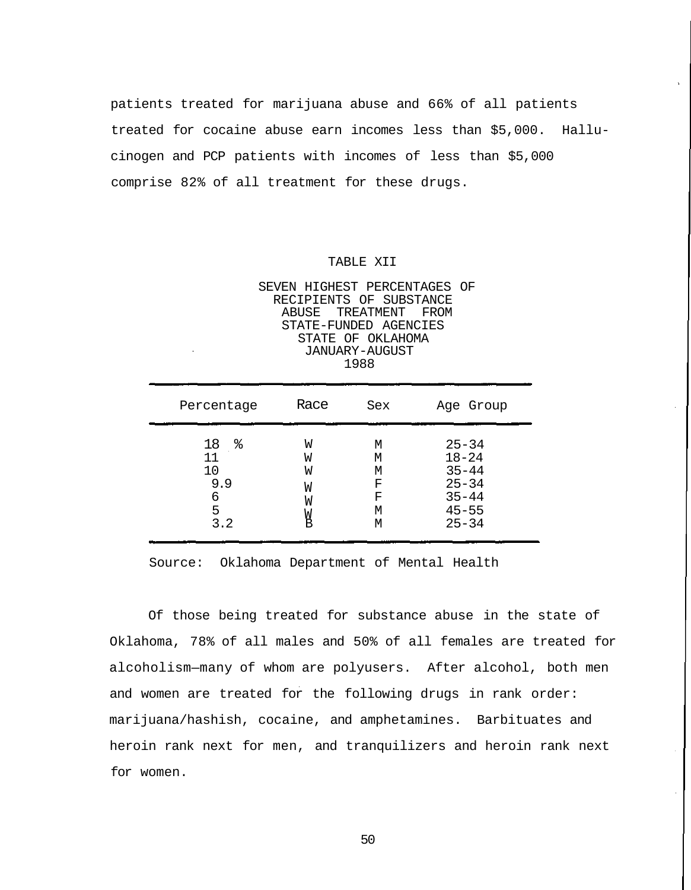patients treated for marijuana abuse and 66% of all patients treated for cocaine abuse earn incomes less than \$5,000. Hallucinogen and PCP patients with incomes of less than \$5,000 comprise 82% of all treatment for these drugs.

#### TABLE XII

SEVEN HIGHEST PERCENTAGES OF RECIPIENTS OF SUBSTANCE<br>ABUSE TREATMENT FROM TREATMENT FROM STATE-FUNDED AGENCIES STATE OF OKLAHOMA JANUARY-AUGUST 1988

| Percentage                                  | Race                       | Sex                             | Age Group                                                                               |
|---------------------------------------------|----------------------------|---------------------------------|-----------------------------------------------------------------------------------------|
| ៖<br>18<br>11<br>10<br>9.9<br>6<br>5<br>3.2 | W<br>W<br>W<br>W<br>W<br>Ж | М<br>М<br>М<br>F<br>F<br>М<br>М | $25 - 34$<br>$18 - 24$<br>$35 - 44$<br>$25 - 34$<br>$35 - 44$<br>$45 - 55$<br>$25 - 34$ |

Source: Oklahoma Department of Mental Health

Of those being treated for substance abuse in the state of Oklahoma, 78% of all males and 50% of all females are treated for alcoholism—many of whom are polyusers. After alcohol, both men and women are treated for the following drugs in rank order: marijuana/hashish, cocaine, and amphetamines. Barbituates and heroin rank next for men, and tranquilizers and heroin rank next for women.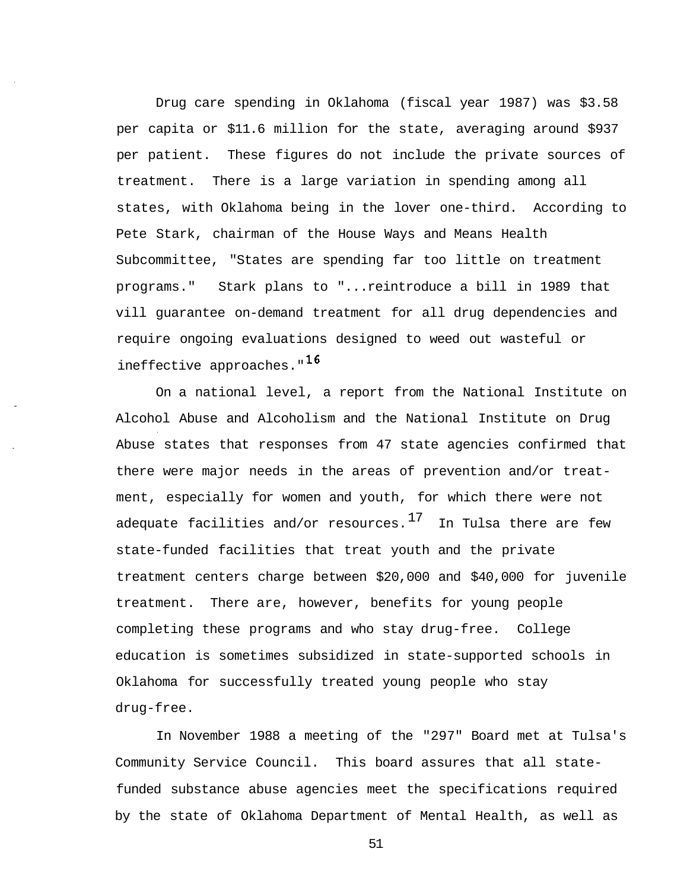Drug care spending in Oklahoma (fiscal year 1987) was \$3.58 per capita or \$11.6 million for the state, averaging around \$937 per patient. These figures do not include the private sources of treatment. There is a large variation in spending among all states, with Oklahoma being in the lover one-third. According to Pete Stark, chairman of the House Ways and Means Health Subcommittee, "States are spending far too little on treatment programs." Stark plans to "...reintroduce a bill in 1989 that vill guarantee on-demand treatment for all drug dependencies and require ongoing evaluations designed to weed out wasteful or ineffective approaches."<sup>16</sup>

On a national level, a report from the National Institute on Alcohol Abuse and Alcoholism and the National Institute on Drug Abuse states that responses from 47 state agencies confirmed that there were major needs in the areas of prevention and/or treatment, especially for women and youth, for which there were not adequate facilities and/or resources.  $17$  In Tulsa there are few state-funded facilities that treat youth and the private treatment centers charge between \$20,000 and \$40,000 for juvenile treatment. There are, however, benefits for young people completing these programs and who stay drug-free. College education is sometimes subsidized in state-supported schools in Oklahoma for successfully treated young people who stay drug-free.

In November 1988 a meeting of the "297" Board met at Tulsa's Community Service Council. This board assures that all statefunded substance abuse agencies meet the specifications required by the state of Oklahoma Department of Mental Health, as well as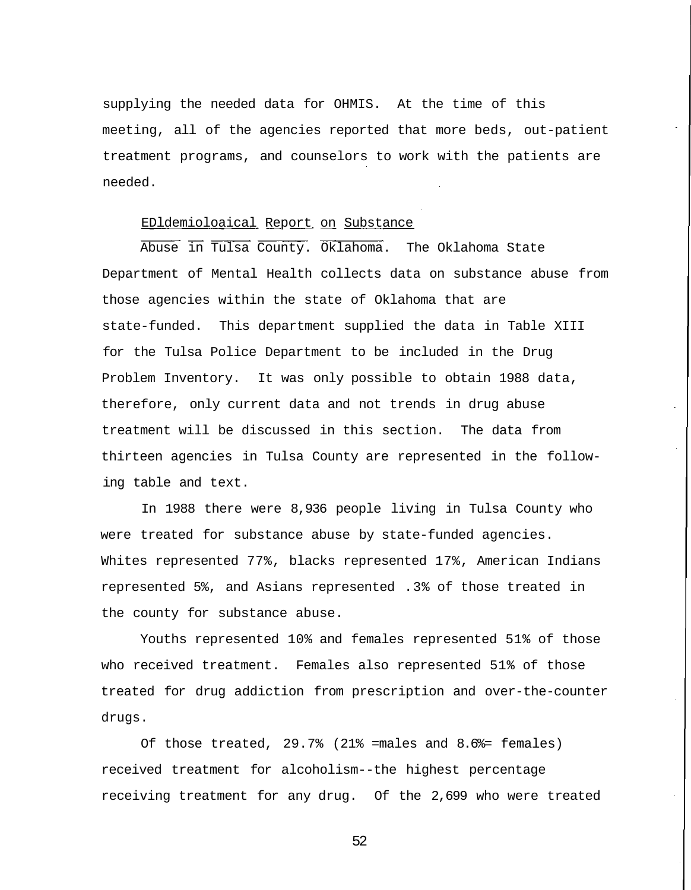supplying the needed data for OHMIS. At the time of this meeting, all of the agencies reported that more beds, out-patient treatment programs, and counselors to work with the patients are needed.

# EDldemioloaical Report on Substance

Abuse in Tulsa County. Oklahoma. The Oklahoma State Department of Mental Health collects data on substance abuse from those agencies within the state of Oklahoma that are state-funded. This department supplied the data in Table XIII for the Tulsa Police Department to be included in the Drug Problem Inventory. It was only possible to obtain 1988 data, therefore, only current data and not trends in drug abuse treatment will be discussed in this section. The data from thirteen agencies in Tulsa County are represented in the following table and text.

In 1988 there were 8,936 people living in Tulsa County who were treated for substance abuse by state-funded agencies. Whites represented 77%, blacks represented 17%, American Indians represented 5%, and Asians represented .3% of those treated in the county for substance abuse.

Youths represented 10% and females represented 51% of those who received treatment. Females also represented 51% of those treated for drug addiction from prescription and over-the-counter drugs.

Of those treated, 29.7% (21% =males and 8.6%= females) received treatment for alcoholism--the highest percentage receiving treatment for any drug. Of the 2,699 who were treated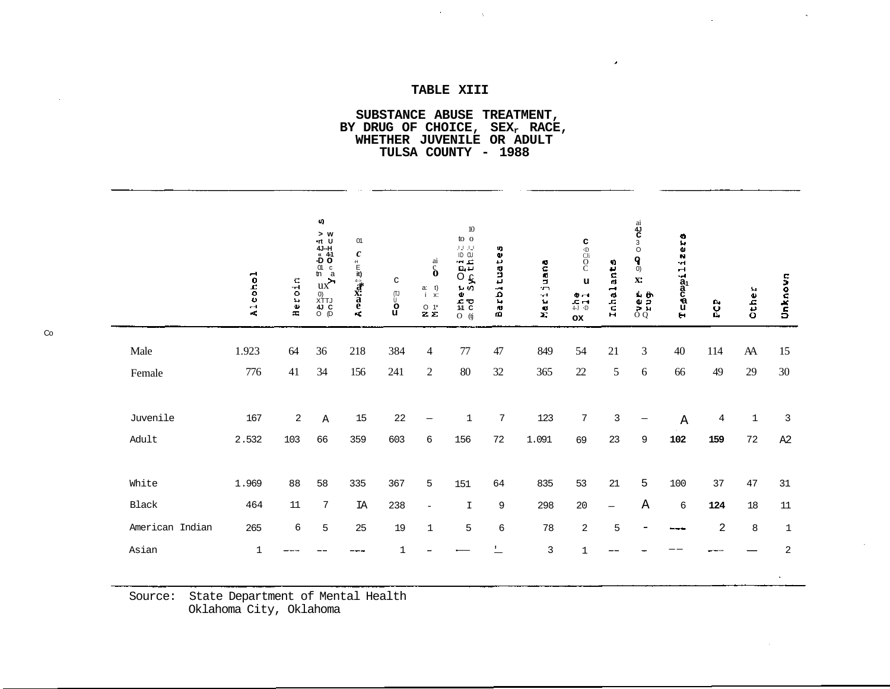#### **TABLE XIII**

 $\mathcal{O}(\mathcal{A})$  and  $\mathcal{O}(\mathcal{A})$  . The  $\mathcal{O}(\mathcal{A})$ 

 $\epsilon$ 

 $\sim$ 

 $\sim 10^7$ 

**SUBSTANCE ABUSE TREATMENT, BY DRUG OF CHOICE, SEXr RACE, WHETHER JUVENILE OR ADULT TULSA COUNTY - 1988**

|                 | Alcohol      | Heroin | a)<br>> w<br>ux<br>$\begin{array}{c} \mathsf{0)} \\ \mathsf{XTTJ} \\ \mathsf{4J} \ \mathsf{C} \\ \mathsf{O} \ \ (\mathsf{D} \end{array}$ | 01<br>$\pmb{c}$<br>$\overline{\begin{matrix} H \\ E \\ \overline{I} \end{matrix}}$<br><b>Aeaxa</b> | c<br>$\mathbf{S}_{\mathrm{C}}$ | $\overset{ai}{\textbf{6}}$<br>a: t<br>$i \times$<br>$^{\rm O}_{\bf Z}$ $^{\rm t^{\star}}_{\bf \Sigma}$ | $10\,$<br>to o<br>$\mathbf{J} \cup \mathbf{J} \cup \mathbf{J}$<br>pia<br>the<br>$\frac{1}{2}$<br>$\mathbf{U}$<br>ΩØ<br>$1-1$ $\ddot{C}$<br>$O$ (tj | tea<br><b>rbitua</b><br>ã | 40<br>Marijuan | $\begin{array}{c} \textbf{C} \\ \oplus \\ \textbf{C} \\ \textbf{C} \end{array}$<br>$\mathbf u$<br>$\Phi \rightarrow$<br>$\frac{1}{4}$ $\frac{1}{4}$<br>OX | Inhalants         | $\overset{\text{ai}}{\mathbf{c}}\overset{\text{ai}}{\mathbf{c}}$<br>$\mathbf{Q}$ ()<br>$\mathbf{X}$ :<br>$\frac{5}{5}$ | $1$ zers<br>$T = \text{g} \cos \frac{1}{2}$ | <b>CCP</b>     | Other        | Unknown      |
|-----------------|--------------|--------|------------------------------------------------------------------------------------------------------------------------------------------|----------------------------------------------------------------------------------------------------|--------------------------------|--------------------------------------------------------------------------------------------------------|----------------------------------------------------------------------------------------------------------------------------------------------------|---------------------------|----------------|-----------------------------------------------------------------------------------------------------------------------------------------------------------|-------------------|------------------------------------------------------------------------------------------------------------------------|---------------------------------------------|----------------|--------------|--------------|
| Male            | 1.923        | 64     | 36                                                                                                                                       | 218                                                                                                | 384                            | 4                                                                                                      | 77                                                                                                                                                 | 47                        | 849            | 54                                                                                                                                                        | 21                | 3                                                                                                                      | 40                                          | 114            | AA           | 15           |
| Female          | 776          | 41     | 34                                                                                                                                       | 156                                                                                                | 241                            | $\overline{2}$                                                                                         | 80                                                                                                                                                 | 32                        | 365            | 22                                                                                                                                                        | 5                 | 6                                                                                                                      | 66                                          | 49             | 29           | 30           |
| Juvenile        | 167          | 2      | $\mathbf{A}$                                                                                                                             | 15                                                                                                 | 22                             | $\overline{\phantom{m}}$                                                                               | $1\,$                                                                                                                                              | 7                         | 123            | 7                                                                                                                                                         | 3                 |                                                                                                                        | $\, {\bf A}$                                | 4              | $\mathbf{1}$ | 3            |
| Adult           | 2.532        | 103    | 66                                                                                                                                       | 359                                                                                                | 603                            | 6                                                                                                      | 156                                                                                                                                                | 72                        | 1.091          | 69                                                                                                                                                        | 23                | 9                                                                                                                      | 102                                         | 159            | 72           | A2           |
| White           | 1.969        | 88     | 58                                                                                                                                       | 335                                                                                                | 367                            | 5                                                                                                      | 151                                                                                                                                                | 64                        | 835            | 53                                                                                                                                                        | 21                | 5                                                                                                                      | 100                                         | 37             | $47\,$       | 31           |
| <b>Black</b>    | 464          | 11     | 7                                                                                                                                        | IA                                                                                                 | 238                            | $\overline{\phantom{m}}$                                                                               | $\mathbbm{I}$                                                                                                                                      | 9                         | 298            | 20                                                                                                                                                        | $\qquad \qquad -$ | Α                                                                                                                      | 6                                           | 124            | 18           | 11           |
| American Indian | 265          | 6      | 5                                                                                                                                        | 25                                                                                                 | 19                             | $\mathbf{1}$                                                                                           | 5                                                                                                                                                  | $\epsilon$                | 78             | 2                                                                                                                                                         | 5                 |                                                                                                                        | ---                                         | $\overline{2}$ | 8            | $\mathbf{1}$ |
| Asian           | $\mathbf{1}$ |        |                                                                                                                                          | ---                                                                                                | $\mathbf 1$                    |                                                                                                        |                                                                                                                                                    | $\overline{\phantom{a}}$  | 3              | $\mathbf{1}$                                                                                                                                              | --                |                                                                                                                        |                                             |                |              | 2            |
|                 |              |        |                                                                                                                                          |                                                                                                    |                                |                                                                                                        |                                                                                                                                                    |                           |                |                                                                                                                                                           |                   |                                                                                                                        |                                             |                |              | $\cdot$      |

Source: State Department of Mental Health Oklahoma City, Oklahoma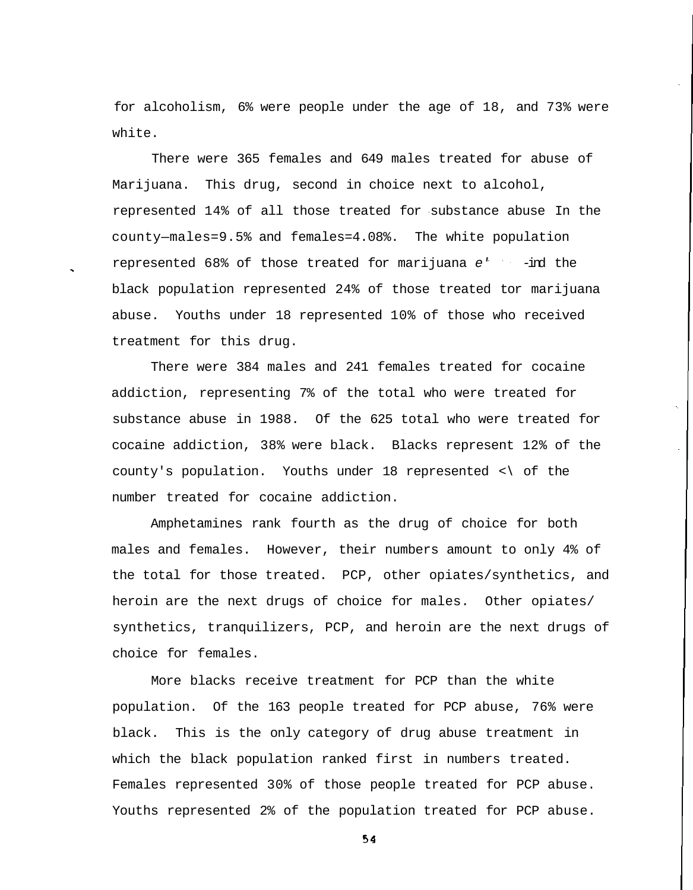for alcoholism, 6% were people under the age of 18, and 73% were white.

There were 365 females and 649 males treated for abuse of Marijuana. This drug, second in choice next to alcohol, represented 14% of all those treated for substance abuse In the county—males=9.5% and females=4.08%. The white population represented 68% of those treated for marijuana e' -ind the black population represented 24% of those treated tor marijuana abuse. Youths under 18 represented 10% of those who received treatment for this drug.

There were 384 males and 241 females treated for cocaine addiction, representing 7% of the total who were treated for substance abuse in 1988. Of the 625 total who were treated for cocaine addiction, 38% were black. Blacks represent 12% of the county's population. Youths under 18 represented <\ of the number treated for cocaine addiction.

Amphetamines rank fourth as the drug of choice for both males and females. However, their numbers amount to only 4% of the total for those treated. PCP, other opiates/synthetics, and heroin are the next drugs of choice for males. Other opiates/ synthetics, tranquilizers, PCP, and heroin are the next drugs of choice for females.

More blacks receive treatment for PCP than the white population. Of the 163 people treated for PCP abuse, 76% were black. This is the only category of drug abuse treatment in which the black population ranked first in numbers treated. Females represented 30% of those people treated for PCP abuse. Youths represented 2% of the population treated for PCP abuse.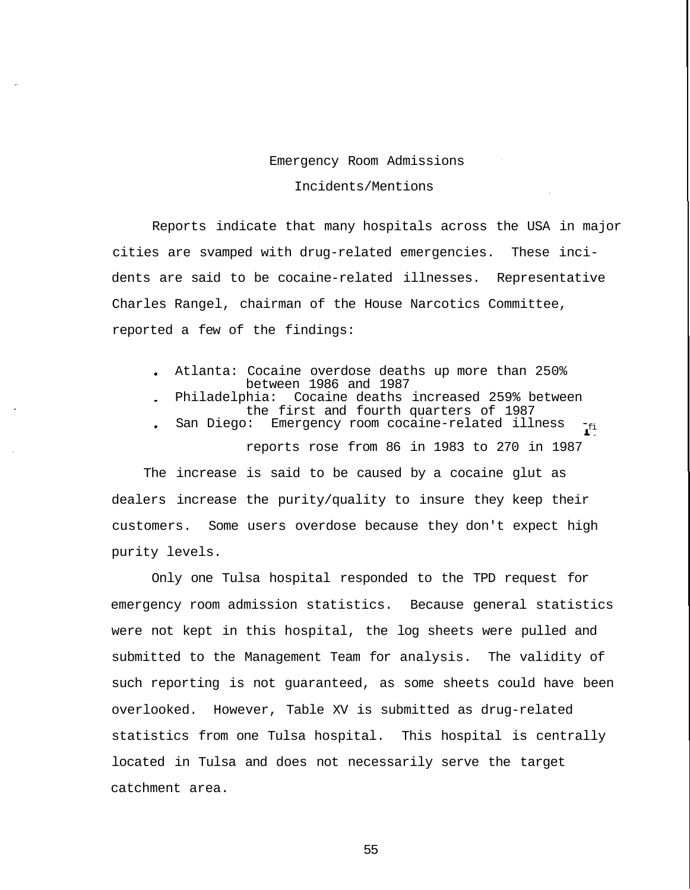#### Emergency Room Admissions

Incidents/Mentions

Reports indicate that many hospitals across the USA in major cities are svamped with drug-related emergencies. These incidents are said to be cocaine-related illnesses. Representative Charles Rangel, chairman of the House Narcotics Committee, reported a few of the findings:

- Atlanta: Cocaine overdose deaths up more than 250% between 1986 and 1987
- Philadelphia: Cocaine deaths increased 259% between the first and fourth quarters of 1987 San Diego: Emergency room cocaine-related illness <sub>Tfi</sub>
	- reports rose from 86 in 1983 to 270 in 1987

The increase is said to be caused by a cocaine glut as dealers increase the purity/quality to insure they keep their customers. Some users overdose because they don't expect high purity levels.

Only one Tulsa hospital responded to the TPD request for emergency room admission statistics. Because general statistics were not kept in this hospital, the log sheets were pulled and submitted to the Management Team for analysis. The validity of such reporting is not guaranteed, as some sheets could have been overlooked. However, Table XV is submitted as drug-related statistics from one Tulsa hospital. This hospital is centrally located in Tulsa and does not necessarily serve the target catchment area.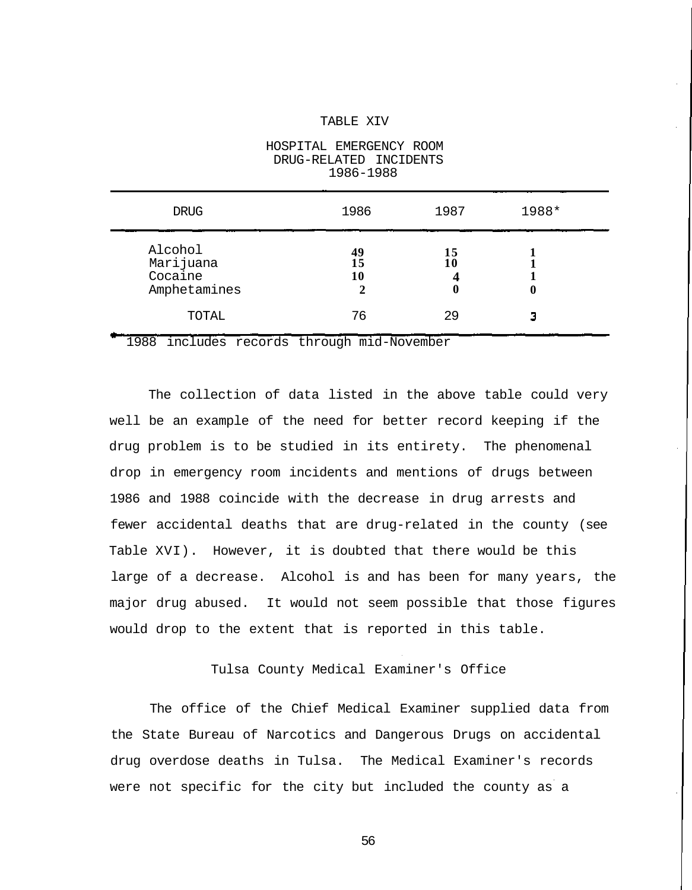#### TABLE XIV

| <b>DRUG</b>                                     | 1986                | 1987          | 1988* |  |
|-------------------------------------------------|---------------------|---------------|-------|--|
| Alcohol<br>Marijuana<br>Cocaine<br>Amphetamines | 49<br>15<br>10<br>∍ | 15<br>10<br>0 |       |  |
| TOTAL                                           | 76                  | 29            |       |  |

HOSPITAL EMERGENCY ROOM DRUG-RELATED INCIDENTS 1986-1988

1988 includes records through mid-November

The collection of data listed in the above table could very well be an example of the need for better record keeping if the drug problem is to be studied in its entirety. The phenomenal drop in emergency room incidents and mentions of drugs between 1986 and 1988 coincide with the decrease in drug arrests and fewer accidental deaths that are drug-related in the county (see Table XVI). However, it is doubted that there would be this large of a decrease. Alcohol is and has been for many years, the major drug abused. It would not seem possible that those figures would drop to the extent that is reported in this table.

Tulsa County Medical Examiner's Office

The office of the Chief Medical Examiner supplied data from the State Bureau of Narcotics and Dangerous Drugs on accidental drug overdose deaths in Tulsa. The Medical Examiner's records were not specific for the city but included the county as a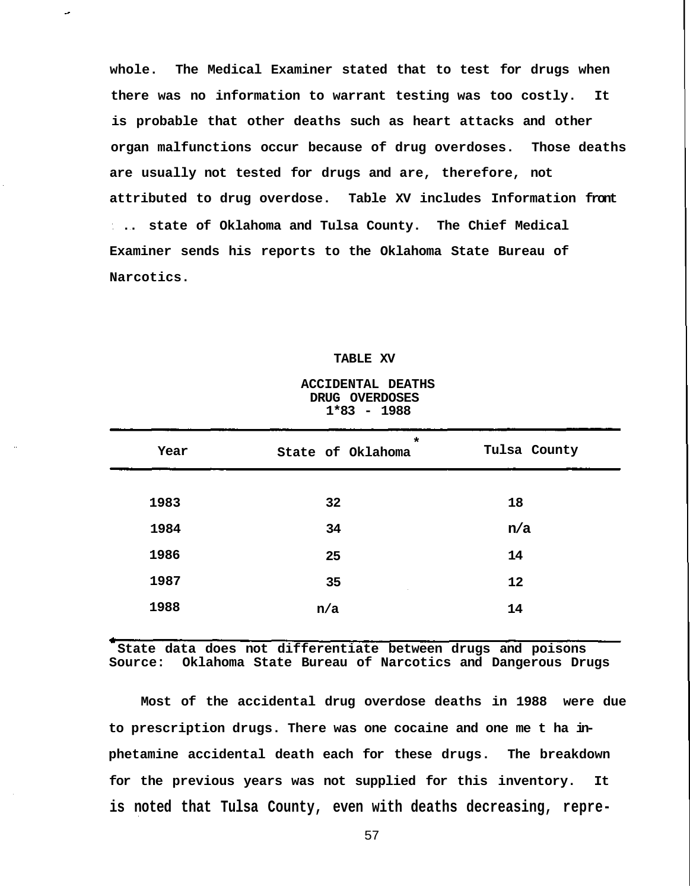**whole. The Medical Examiner stated that to test for drugs when there was no information to warrant testing was too costly. It is probable that other deaths such as heart attacks and other organ malfunctions occur because of drug overdoses. Those deaths are usually not tested for drugs and are, therefore, not attributed to drug overdose. Table XV includes Information front .. state of Oklahoma and Tulsa County. The Chief Medical Examiner sends his reports to the Oklahoma State Bureau of Narcotics.**

#### **TABLE XV**

#### **ACCIDENTAL DEATHS DRUG OVERDOSES 1\*83 - 1988**

| Year | $\star$<br>State of Oklahoma | Tulsa County |
|------|------------------------------|--------------|
|      |                              |              |
| 1983 | 32                           | 18           |
| 1984 | 34                           | n/a          |
| 1986 | 25                           | 14           |
| 1987 | 35<br>÷.                     | 12           |
| 1988 | n/a                          | 14           |

**State data does not differentiate between drugs and poisons Source: Oklahoma State Bureau of Narcotics and Dangerous Drugs**

**Most of the accidental drug overdose deaths in 1988 were due to prescription drugs. There was one cocaine and one me t ha inphetamine accidental death each for these drugs. The breakdown for the previous years was not supplied for this inventory. It is noted that Tulsa County, even with deaths decreasing, repre-**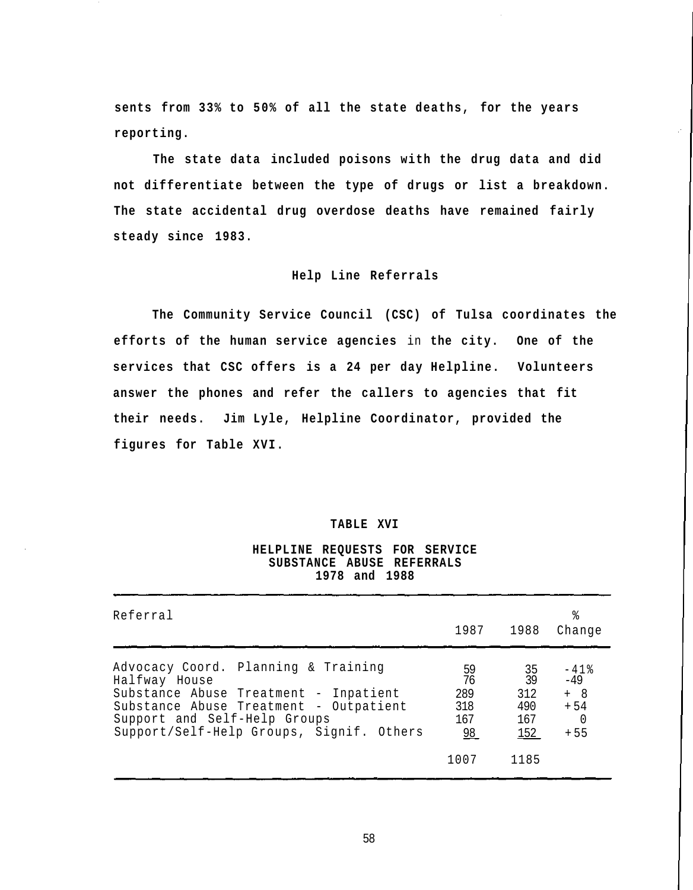**sents from 33% to 50% of all the state deaths, for the years reporting.**

**The state data included poisons with the drug data and did not differentiate between the type of drugs or list a breakdown. The state accidental drug overdose deaths have remained fairly steady since 1983.**

# **Help Line Referrals**

**The Community Service Council (CSC) of Tulsa coordinates the efforts of the human service agencies** in **the city. One of the services that CSC offers is a 24 per day Helpline. Volunteers answer the phones and refer the callers to agencies that fit their needs. Jim Lyle, Helpline Coordinator, provided the figures for Table XVI.**

#### **TABLE XVI**

# **HELPLINE REQUESTS FOR SERVICE SUBSTANCE ABUSE REFERRALS 1978 and 1988**

| Referral                                                                                                                                                                                                            |                                             | 1987 1988                                           | °<br>Change                                          |
|---------------------------------------------------------------------------------------------------------------------------------------------------------------------------------------------------------------------|---------------------------------------------|-----------------------------------------------------|------------------------------------------------------|
| Advocacy Coord. Planning & Training<br>Halfway House<br>Substance Abuse Treatment - Inpatient<br>Substance Abuse Treatment - Outpatient<br>Support and Self-Help Groups<br>Support/Self-Help Groups, Signif. Others | 59<br>76<br>289<br>318<br>167<br>98<br>1007 | $\frac{35}{39}$<br>312<br>490<br>167<br>152<br>1185 | $-41$ $8$<br>$-49$<br>$+ 8$<br>$+54$<br>- 0<br>$+55$ |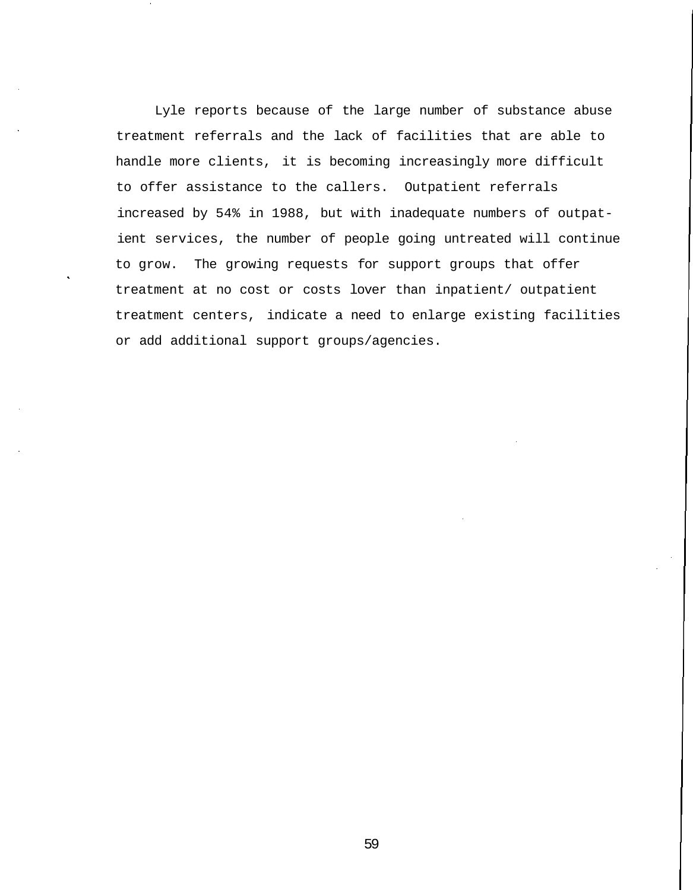Lyle reports because of the large number of substance abuse treatment referrals and the lack of facilities that are able to handle more clients, it is becoming increasingly more difficult to offer assistance to the callers. Outpatient referrals increased by 54% in 1988, but with inadequate numbers of outpatient services, the number of people going untreated will continue to grow. The growing requests for support groups that offer treatment at no cost or costs lover than inpatient/ outpatient treatment centers, indicate a need to enlarge existing facilities or add additional support groups/agencies.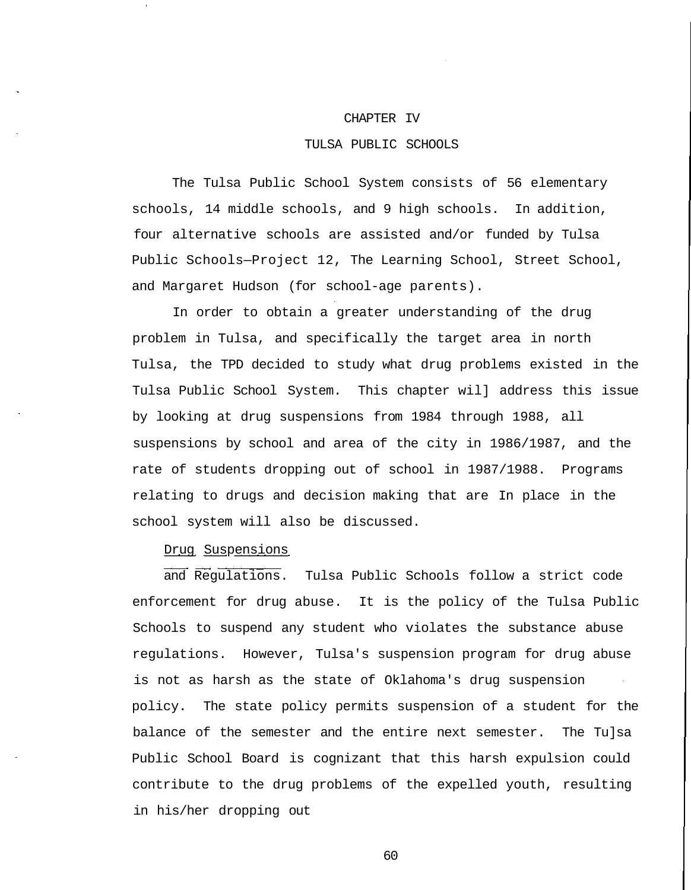#### CHAPTER IV

# TULSA PUBLIC SCHOOLS

The Tulsa Public School System consists of 56 elementary schools, 14 middle schools, and 9 high schools. In addition, four alternative schools are assisted and/or funded by Tulsa Public Schools—Project 12, The Learning School, Street School, and Margaret Hudson (for school-age parents).

In order to obtain a greater understanding of the drug problem in Tulsa, and specifically the target area in north Tulsa, the TPD decided to study what drug problems existed in the Tulsa Public School System. This chapter wil] address this issue by looking at drug suspensions from 1984 through 1988, all suspensions by school and area of the city in 1986/1987, and the rate of students dropping out of school in 1987/1988. Programs relating to drugs and decision making that are In place in the school system will also be discussed.

Drug Suspensions

and Regulations. Tulsa Public Schools follow a strict code enforcement for drug abuse. It is the policy of the Tulsa Public Schools to suspend any student who violates the substance abuse regulations. However, Tulsa's suspension program for drug abuse is not as harsh as the state of Oklahoma's drug suspension policy. The state policy permits suspension of a student for the balance of the semester and the entire next semester. The Tu]sa Public School Board is cognizant that this harsh expulsion could contribute to the drug problems of the expelled youth, resulting in his/her dropping out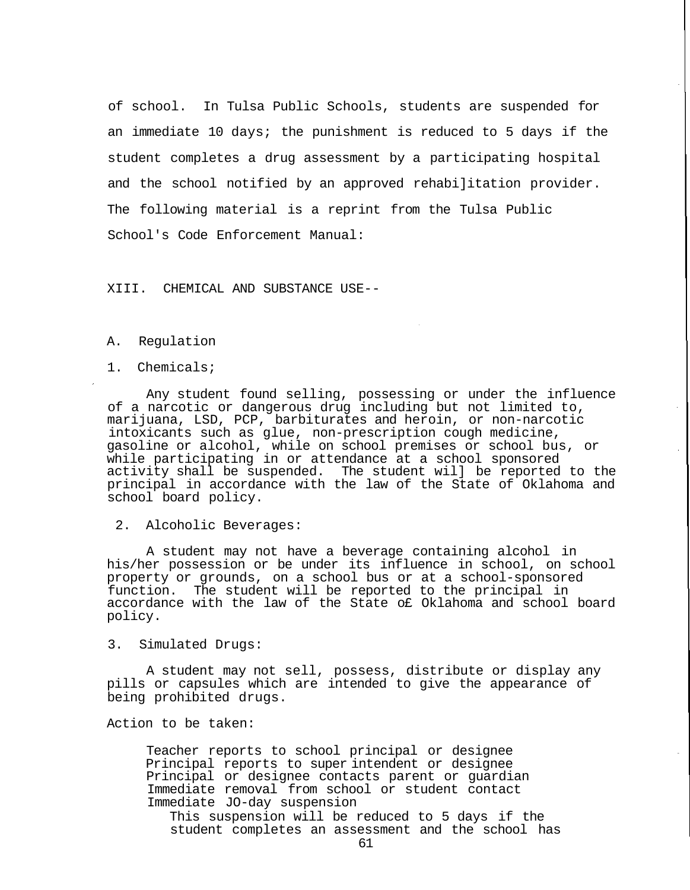of school. In Tulsa Public Schools, students are suspended for an immediate 10 days; the punishment is reduced to 5 days if the student completes a drug assessment by a participating hospital and the school notified by an approved rehabi]itation provider. The following material is a reprint from the Tulsa Public School's Code Enforcement Manual:

XIII. CHEMICAL AND SUBSTANCE USE--

#### A. Regulation

1. Chemicals;

Any student found selling, possessing or under the influence of a narcotic or dangerous drug including but not limited to, marijuana, LSD, PCP, barbiturates and heroin, or non-narcotic intoxicants such as glue, non-prescription cough medicine, gasoline or alcohol, while on school premises or school bus, or while participating in or attendance at a school sponsored activity shall be suspended. The student wil] be reported to the principal in accordance with the law of the State of Oklahoma and school board policy.

2. Alcoholic Beverages:

A student may not have a beverage containing alcohol in his/her possession or be under its influence in school, on school property or grounds, on a school bus or at a school-sponsored function. The student will be reported to the principal in accordance with the law of the State o£ Oklahoma and school board policy.

3. Simulated Drugs:

A student may not sell, possess, distribute or display any pills or capsules which are intended to give the appearance of being prohibited drugs.

Action to be taken:

Teacher reports to school principal or designee Principal reports to super intendent or designee Principal or designee contacts parent or guardian Immediate removal from school or student contact Immediate JO-day suspension

This suspension will be reduced to 5 days if the student completes an assessment and the school has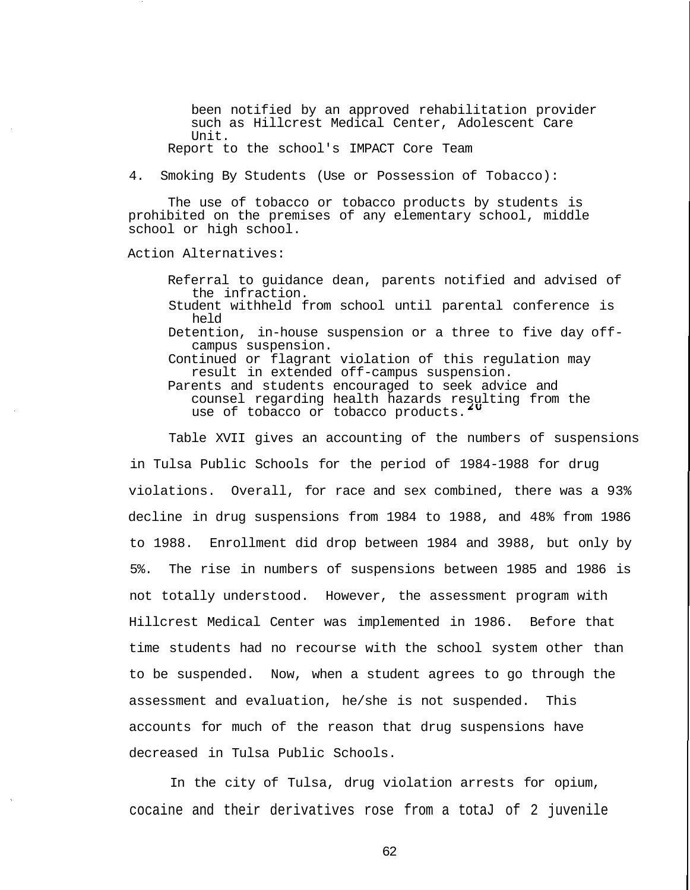been notified by an approved rehabilitation provider such as Hillcrest Medical Center, Adolescent Care Unit. Report to the school's IMPACT Core Team

4. Smoking By Students (Use or Possession of Tobacco):

The use of tobacco or tobacco products by students is prohibited on the premises of any elementary school, middle school or high school.

Action Alternatives:

Referral to guidance dean, parents notified and advised of the infraction. Student withheld from school until parental conference is held Detention, in-house suspension or a three to five day offcampus suspension. Continued or flagrant violation of this regulation may result in extended off-campus suspension. Parents and students encouraged to seek advice and counsel regarding health hazards resulting from the use of tobacco or tobacco products.

Table XVII gives an accounting of the numbers of suspensions in Tulsa Public Schools for the period of 1984-1988 for drug violations. Overall, for race and sex combined, there was a 93% decline in drug suspensions from 1984 to 1988, and 48% from 1986 to 1988. Enrollment did drop between 1984 and 3988, but only by 5%. The rise in numbers of suspensions between 1985 and 1986 is not totally understood. However, the assessment program with Hillcrest Medical Center was implemented in 1986. Before that time students had no recourse with the school system other than to be suspended. Now, when a student agrees to go through the assessment and evaluation, he/she is not suspended. This accounts for much of the reason that drug suspensions have decreased in Tulsa Public Schools.

In the city of Tulsa, drug violation arrests for opium, cocaine and their derivatives rose from a totaJ of 2 juvenile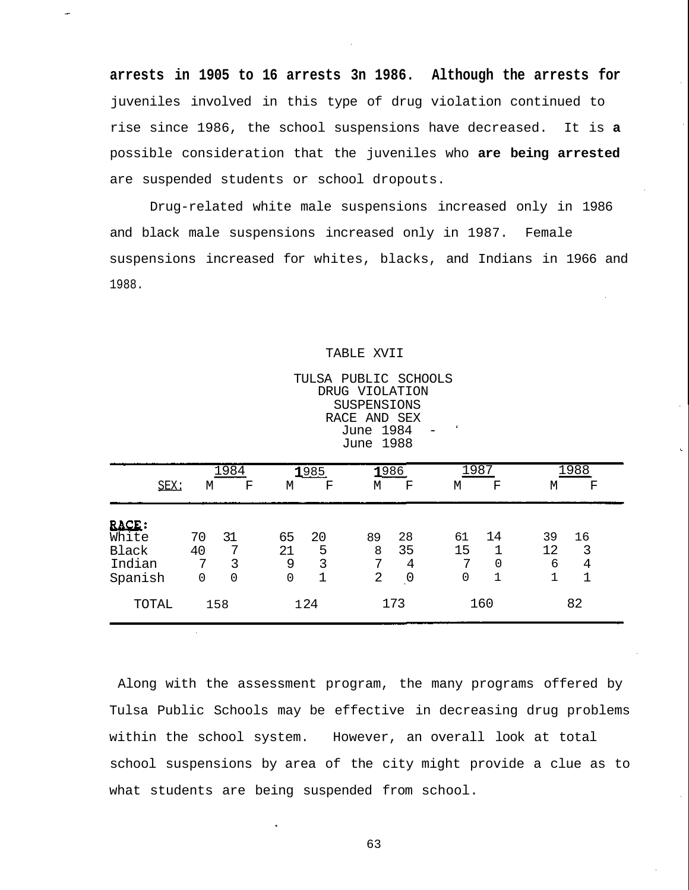**arrests in 1905 to 16 arrests 3n 1986. Although the arrests for** juveniles involved in this type of drug violation continued to rise since 1986, the school suspensions have decreased. It is **a** possible consideration that the juveniles who **are being arrested** are suspended students or school dropouts.

Drug-related white male suspensions increased only in 1986 and black male suspensions increased only in 1987. Female suspensions increased for whites, blacks, and Indians in 1966 and 1988.

TABLE XVII

| TULSA PUBLIC SCHOOLS |  |
|----------------------|--|
| DRUG VIOLATION       |  |
| SUSPENSIONS          |  |
| RACE AND SEX         |  |
| June 1984            |  |
| June 1988            |  |

| SEX:                                                | М                  | 1984<br>F         | М                  | 1985<br>F    | 1986<br>М         | F                            | 1987<br>М          | F            | М                  | 1988<br>F         |
|-----------------------------------------------------|--------------------|-------------------|--------------------|--------------|-------------------|------------------------------|--------------------|--------------|--------------------|-------------------|
| <b>RACE:</b><br>White<br>Black<br>Indian<br>Spanish | 70<br>40<br>7<br>0 | 31<br>7<br>3<br>0 | 65<br>21<br>9<br>0 | 20<br>5<br>3 | 89<br>8<br>7<br>2 | 28<br>35<br>4<br>$\mathbf 0$ | 61<br>15<br>7<br>0 | 14<br>0<br>1 | 39<br>12<br>6<br>1 | 16<br>3<br>4<br>1 |
| TOTAL                                               |                    | 158               |                    | 124          |                   | 173                          |                    | 160          |                    | 82                |

Along with the assessment program, the many programs offered by Tulsa Public Schools may be effective in decreasing drug problems within the school system. However, an overall look at total school suspensions by area of the city might provide a clue as to what students are being suspended from school.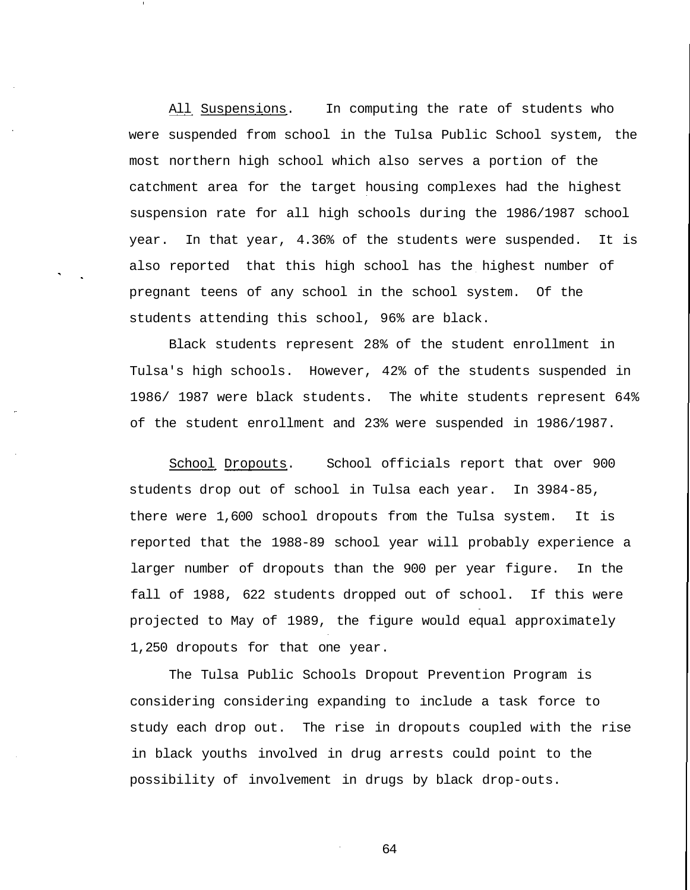All Suspensions. In computing the rate of students who were suspended from school in the Tulsa Public School system, the most northern high school which also serves a portion of the catchment area for the target housing complexes had the highest suspension rate for all high schools during the 1986/1987 school year. In that year, 4.36% of the students were suspended. It is also reported that this high school has the highest number of pregnant teens of any school in the school system. Of the students attending this school, 96% are black.

Black students represent 28% of the student enrollment in Tulsa's high schools. However, 42% of the students suspended in 1986/ 1987 were black students. The white students represent 64% of the student enrollment and 23% were suspended in 1986/1987.

School Dropouts. School officials report that over 900 students drop out of school in Tulsa each year. In 3984-85, there were 1,600 school dropouts from the Tulsa system. It is reported that the 1988-89 school year will probably experience a larger number of dropouts than the 900 per year figure. In the fall of 1988, 622 students dropped out of school. If this were projected to May of 1989, the figure would equal approximately 1,250 dropouts for that one year.

The Tulsa Public Schools Dropout Prevention Program is considering considering expanding to include a task force to study each drop out. The rise in dropouts coupled with the rise in black youths involved in drug arrests could point to the possibility of involvement in drugs by black drop-outs.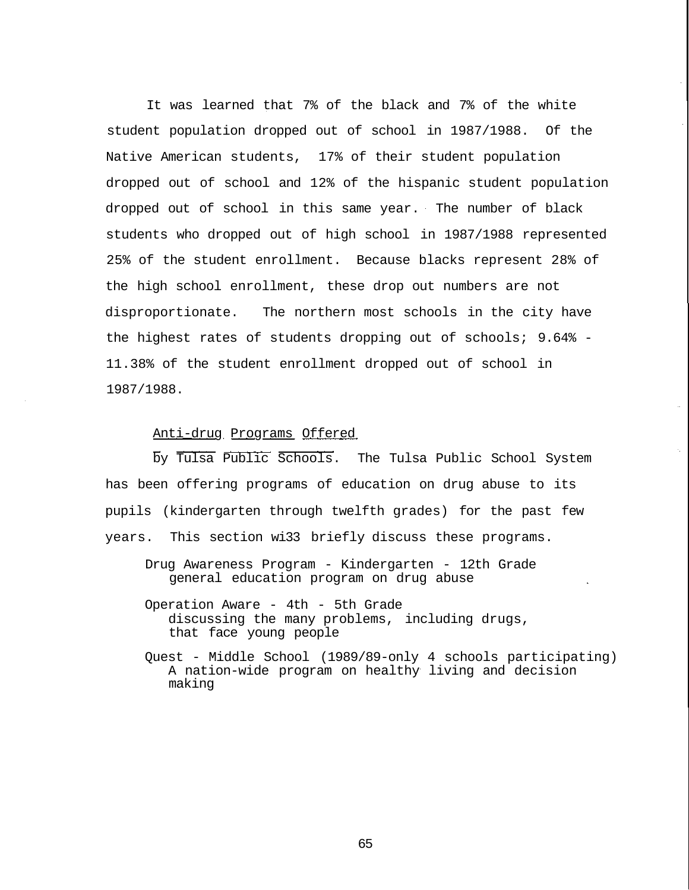It was learned that 7% of the black and 7% of the white student population dropped out of school in 1987/1988. Of the Native American students, 17% of their student population dropped out of school and 12% of the hispanic student population dropped out of school in this same year. The number of black students who dropped out of high school in 1987/1988 represented 25% of the student enrollment. Because blacks represent 28% of the high school enrollment, these drop out numbers are not disproportionate. The northern most schools in the city have the highest rates of students dropping out of schools; 9.64% - 11.38% of the student enrollment dropped out of school in 1987/1988.

## Anti-drug Programs Offered

by Tulsa Public Schools. The Tulsa Public School System has been offering programs of education on drug abuse to its pupils (kindergarten through twelfth grades) for the past few years. This section wi33 briefly discuss these programs.

Drug Awareness Program - Kindergarten - 12th Grade general education program on drug abuse

Operation Aware - 4th - 5th Grade discussing the many problems, including drugs, that face young people

Quest - Middle School (1989/89-only 4 schools participating) A nation-wide program on healthy living and decision making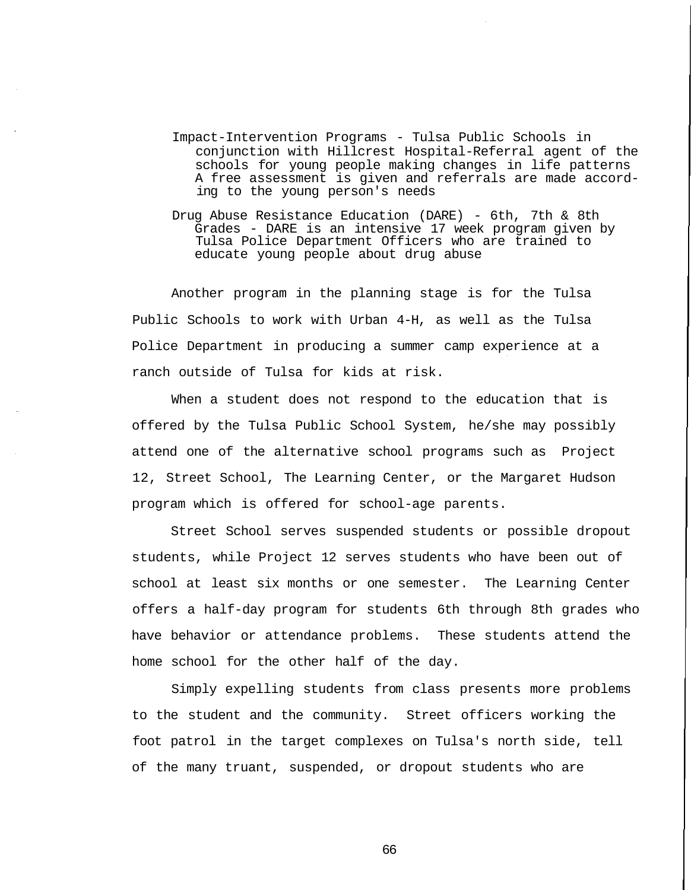- Impact-Intervention Programs Tulsa Public Schools in conjunction with Hillcrest Hospital-Referral agent of the schools for young people making changes in life patterns A free assessment is given and referrals are made according to the young person's needs
- Drug Abuse Resistance Education (DARE) 6th, 7th & 8th Grades - DARE is an intensive 17 week program given by Tulsa Police Department Officers who are trained to educate young people about drug abuse

Another program in the planning stage is for the Tulsa Public Schools to work with Urban 4-H, as well as the Tulsa Police Department in producing a summer camp experience at a ranch outside of Tulsa for kids at risk.

When a student does not respond to the education that is offered by the Tulsa Public School System, he/she may possibly attend one of the alternative school programs such as Project 12, Street School, The Learning Center, or the Margaret Hudson program which is offered for school-age parents.

Street School serves suspended students or possible dropout students, while Project 12 serves students who have been out of school at least six months or one semester. The Learning Center offers a half-day program for students 6th through 8th grades who have behavior or attendance problems. These students attend the home school for the other half of the day.

Simply expelling students from class presents more problems to the student and the community. Street officers working the foot patrol in the target complexes on Tulsa's north side, tell of the many truant, suspended, or dropout students who are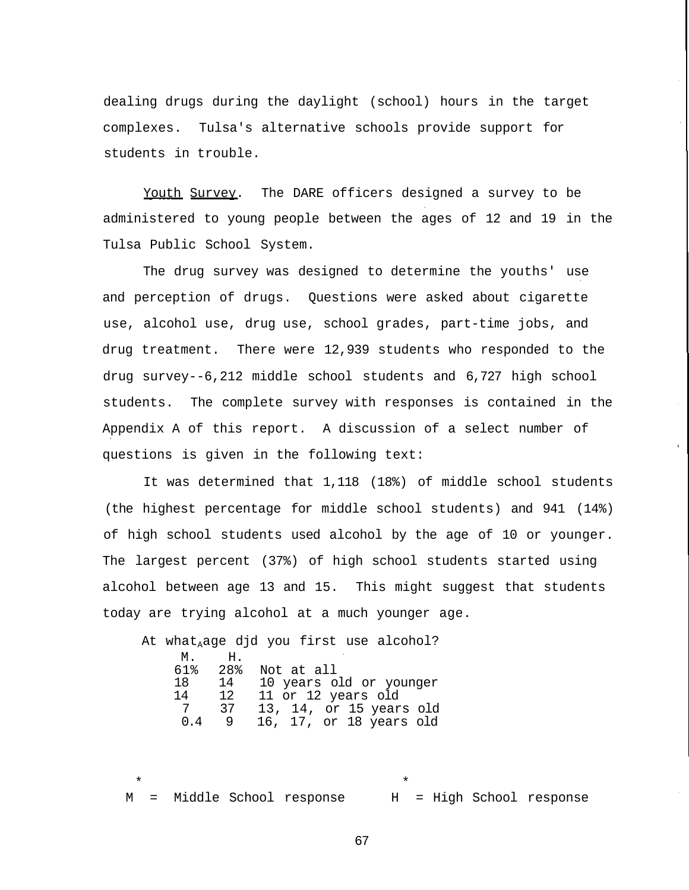dealing drugs during the daylight (school) hours in the target complexes. Tulsa's alternative schools provide support for students in trouble.

Youth Survey. The DARE officers designed a survey to be administered to young people between the ages of 12 and 19 in the Tulsa Public School System.

The drug survey was designed to determine the youths' use and perception of drugs. Questions were asked about cigarette use, alcohol use, drug use, school grades, part-time jobs, and drug treatment. There were 12,939 students who responded to the drug survey--6,212 middle school students and 6,727 high school students. The complete survey with responses is contained in the Appendix A of this report. A discussion of a select number of questions is given in the following text:

It was determined that 1,118 (18%) of middle school students (the highest percentage for middle school students) and 941 (14%) of high school students used alcohol by the age of 10 or younger. The largest percent (37%) of high school students started using alcohol between age 13 and 15. This might suggest that students today are trying alcohol at a much younger age.

At what $_A$ age djd you first use alcohol? M. H.<br>61% 28% 61% 28% Not at all 18 14 10 years old or younger<br>14 12 11 or 12 years old 11 or 12 years old 7 37 13, 14, or 15 years old 0.4 9 16, 17, or 18 years old

 $\star$  \* M = Middle School response H = High School response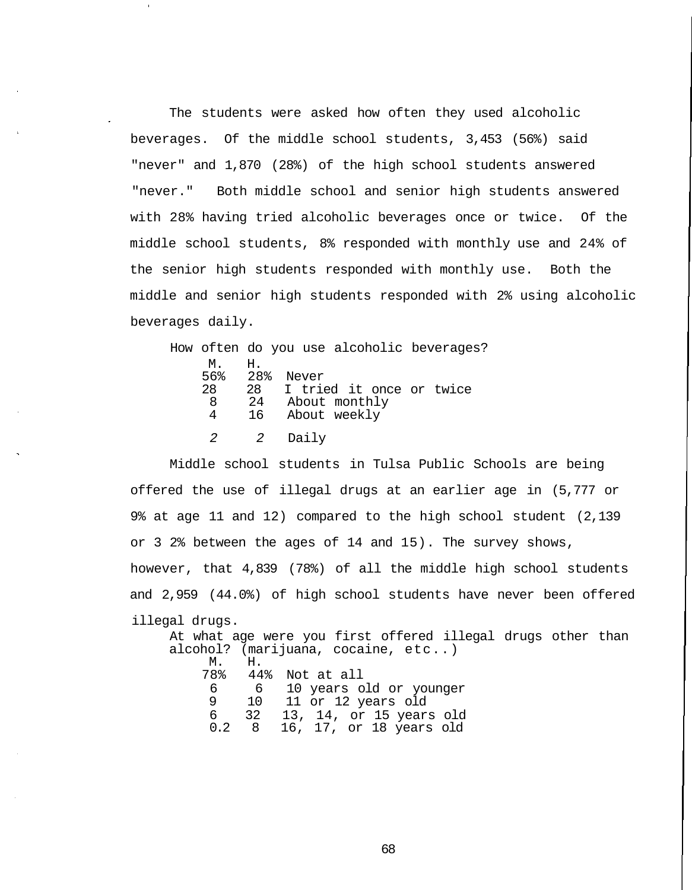The students were asked how often they used alcoholic beverages. Of the middle school students, 3,453 (56%) said "never" and 1,870 (28%) of the high school students answered "never." Both middle school and senior high students answered with 28% having tried alcoholic beverages once or twice. Of the middle school students, 8% responded with monthly use and 24% of the senior high students responded with monthly use. Both the middle and senior high students responded with 2% using alcoholic beverages daily.

|               |    | How often do you use alcoholic beverages? |
|---------------|----|-------------------------------------------|
| M.            | Η. |                                           |
|               |    | 56% 28% Never                             |
| 28            |    | 28 I tried it once or twice               |
| 8             |    | 24 About monthly                          |
| 4             | 16 | About weekly                              |
| $\mathcal{Z}$ | 2  | Daily                                     |

Middle school students in Tulsa Public Schools are being offered the use of illegal drugs at an earlier age in (5,777 or 9% at age 11 and 12) compared to the high school student (2,139 or 3 2% between the ages of 14 and 15). The survey shows, however, that 4,839 (78%) of all the middle high school students and 2,959 (44.0%) of high school students have never been offered illegal drugs. At what age were you first offered illegal drugs other than alcohol? (marijuana, cocaine, etc..) M. H.<br>78% 44 44% Not at all 6 6 10 years old or younger 9 10 11 or 12 years old 6 32 13, 14, or 15 years old 0.2 8 16, 17, or 18 years old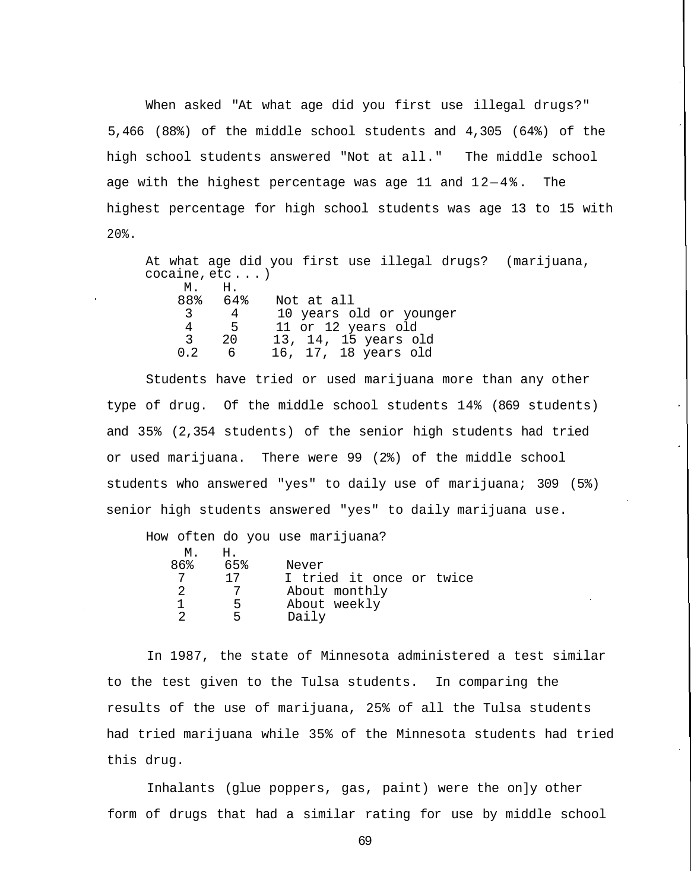When asked "At what age did you first use illegal drugs?" 5,466 (88%) of the middle school students and 4,305 (64%) of the high school students answered "Not at all." The middle school age with the highest percentage was age  $11$  and  $12-4\%$ . The highest percentage for high school students was age 13 to 15 with 20%.

At what age did you first use illegal drugs? (marijuana, cocaine, etc . . . ) M. H.<br>88% 64% Not at all 3 4 10 years old or younger 4 5 11 or 12 years old 3 20 13, 14, 15 years old 0.2 6 16, 17, 18 years old

Students have tried or used marijuana more than any other type of drug. Of the middle school students 14% (869 students) and 35% (2,354 students) of the senior high students had tried or used marijuana. There were 99 (2%) of the middle school students who answered "yes" to daily use of marijuana; 309 (5%) senior high students answered "yes" to daily marijuana use.

How often do you use marijuana? M. H.<br>86% 65% Never 7 17 I tried it once or twice<br>2 37 About monthly 2 7 About monthly<br>1 5 About weekly 1 5 About weekly<br>2 5 Daily Daily

In 1987, the state of Minnesota administered a test similar to the test given to the Tulsa students. In comparing the results of the use of marijuana, 25% of all the Tulsa students had tried marijuana while 35% of the Minnesota students had tried this drug.

Inhalants (glue poppers, gas, paint) were the on]y other form of drugs that had a similar rating for use by middle school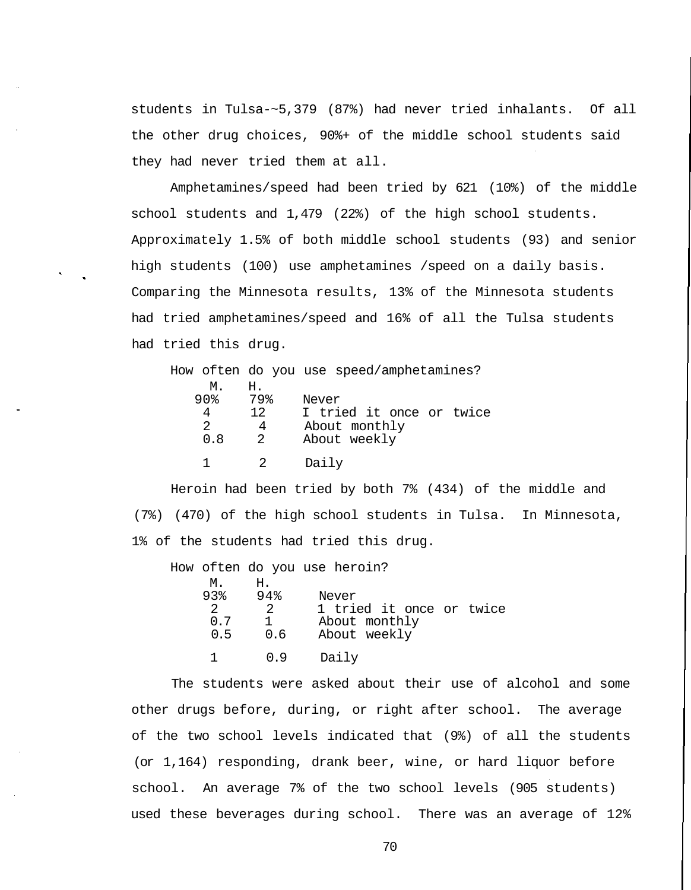students in Tulsa-~5,379 (87%) had never tried inhalants. Of all the other drug choices, 90%+ of the middle school students said they had never tried them at all.

Amphetamines/speed had been tried by 621 (10%) of the middle school students and 1,479 (22%) of the high school students. Approximately 1.5% of both middle school students (93) and senior high students (100) use amphetamines /speed on a daily basis. Comparing the Minnesota results, 13% of the Minnesota students had tried amphetamines/speed and 16% of all the Tulsa students had tried this drug.

|                     |                      | How often do you use speed/amphetamines?           |
|---------------------|----------------------|----------------------------------------------------|
| М.<br>90%<br>4<br>2 | Н.<br>79%<br>12<br>4 | Never<br>I tried it once or twice<br>About monthly |
| 0.8                 | $2^{1}$              | About weekly                                       |
|                     |                      | Daily                                              |

Heroin had been tried by both 7% (434) of the middle and (7%) (470) of the high school students in Tulsa. In Minnesota, 1% of the students had tried this drug.

How often do you use heroin?

| М.            | Н.  |                          |
|---------------|-----|--------------------------|
| 93%           | 94% | Never                    |
| $\mathcal{L}$ |     | 1 tried it once or twice |
| 0. 7          |     | About monthly            |
| 0.5           | 0.6 | About weekly             |
|               | n 9 | Daily                    |

The students were asked about their use of alcohol and some other drugs before, during, or right after school. The average of the two school levels indicated that (9%) of all the students (or 1,164) responding, drank beer, wine, or hard liquor before school. An average 7% of the two school levels (905 students) used these beverages during school. There was an average of 12%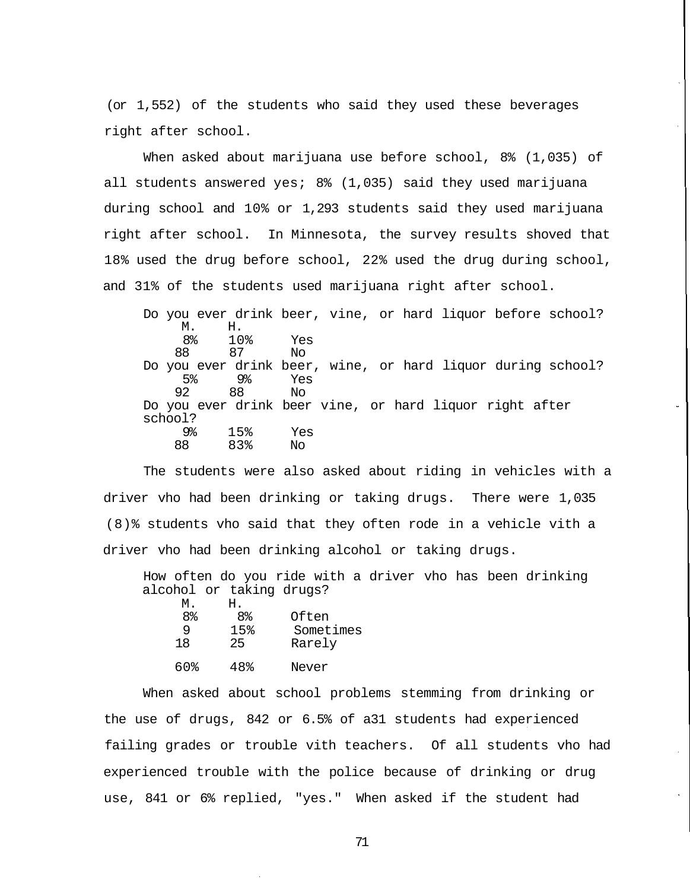(or 1,552) of the students who said they used these beverages right after school.

When asked about marijuana use before school, 8% (1,035) of all students answered yes; 8% (1,035) said they used marijuana during school and 10% or 1,293 students said they used marijuana right after school. In Minnesota, the survey results shoved that 18% used the drug before school, 22% used the drug during school, and 31% of the students used marijuana right after school.

Do you ever drink beer, vine, or hard liquor before school?  $H.$ 8% 10% Yes 87 No Do you ever drink beer, wine, or hard liquor during school? 5% 9% Yes 88 No Do you ever drink beer vine, or hard liquor right after school?<br>% 9% 15% Yes 83%

The students were also asked about riding in vehicles with a driver vho had been drinking or taking drugs. There were 1,035 (8)% students vho said that they often rode in a vehicle vith a driver vho had been drinking alcohol or taking drugs.

How often do you ride with a driver vho has been drinking alcohol or taking drugs?  $H$ 

| .   | .   |           |
|-----|-----|-----------|
| 8%  | 8%  | Often     |
|     | 15% | Sometimes |
| 18  | 25  | Rarely    |
| 60% | 48% | Never     |

When asked about school problems stemming from drinking or the use of drugs, 842 or 6.5% of a31 students had experienced failing grades or trouble vith teachers. Of all students vho had experienced trouble with the police because of drinking or drug use, 841 or 6% replied, "yes." When asked if the student had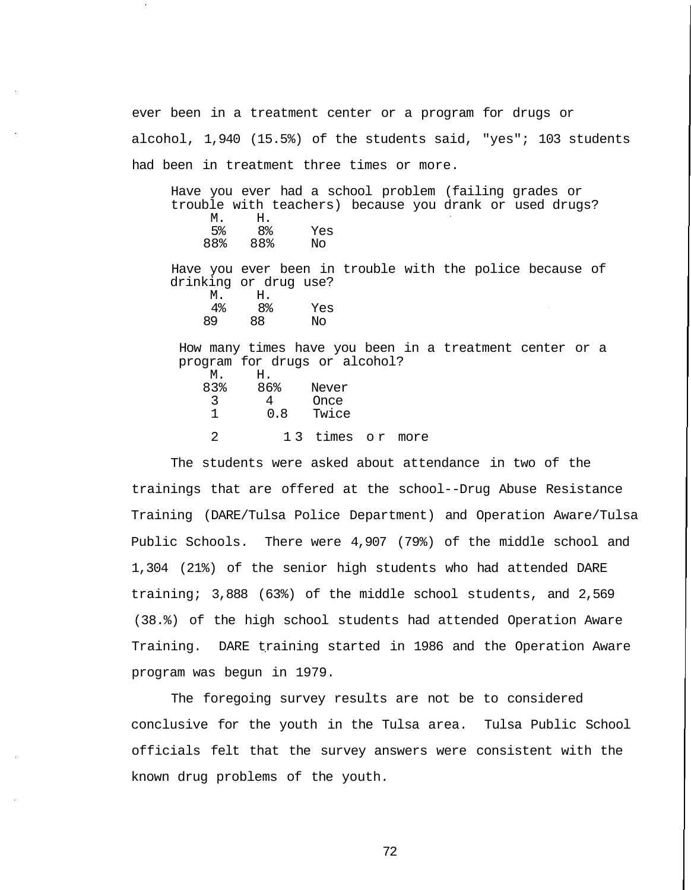ever been in a treatment center or a program for drugs or alcohol, 1,940 (15.5%) of the students said, "yes"; 103 students had been in treatment three times or more.

Have you ever had a school problem (failing grades or trouble with teachers) because you drank or used drugs? M. H.<br>5% 8% 5% 8% Yes<br>88% 88% No 88% 88% No Have you ever been in trouble with the police because of drinking or drug use? M. H.<br>4% 8% 4% 8% Yes<br>89 88 No 89 88 No

How many times have you been in a treatment center or a program for drugs or alcohol?

| М.  | н.   |                  |  |
|-----|------|------------------|--|
| 83% | 86%  | Never            |  |
| 2   |      | Once             |  |
|     | 0. R | Twice            |  |
|     |      |                  |  |
|     |      | 13 times or more |  |

The students were asked about attendance in two of the trainings that are offered at the school--Drug Abuse Resistance Training (DARE/Tulsa Police Department) and Operation Aware/Tulsa Public Schools. There were 4,907 (79%) of the middle school and 1,304 (21%) of the senior high students who had attended DARE training; 3,888 (63%) of the middle school students, and 2,569 (38.%) of the high school students had attended Operation Aware Training. DARE training started in 1986 and the Operation Aware program was begun in 1979.

The foregoing survey results are not be to considered conclusive for the youth in the Tulsa area. Tulsa Public School officials felt that the survey answers were consistent with the known drug problems of the youth.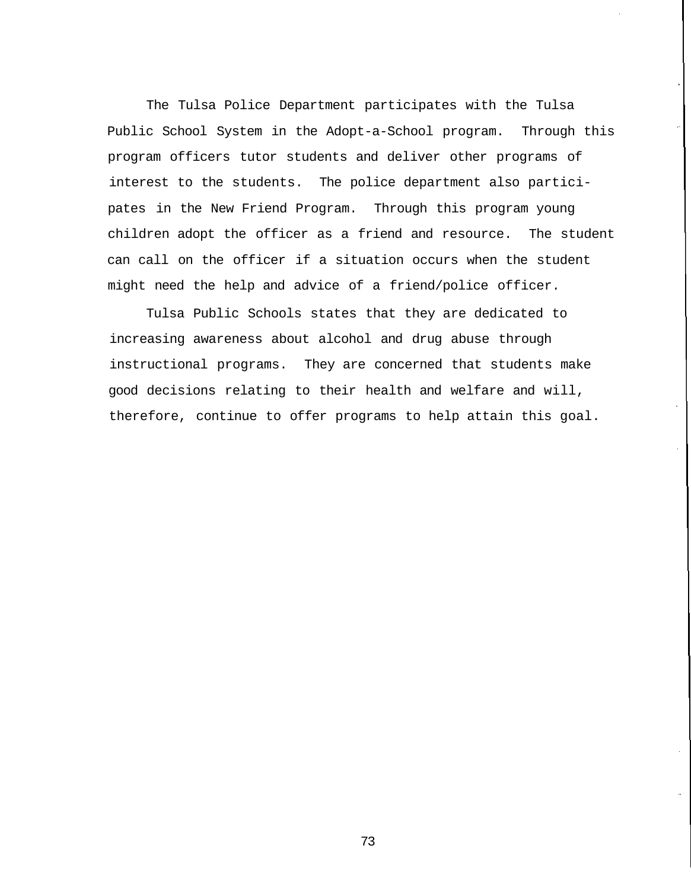The Tulsa Police Department participates with the Tulsa Public School System in the Adopt-a-School program. Through this program officers tutor students and deliver other programs of interest to the students. The police department also participates in the New Friend Program. Through this program young children adopt the officer as a friend and resource. The student can call on the officer if a situation occurs when the student might need the help and advice of a friend/police officer.

Tulsa Public Schools states that they are dedicated to increasing awareness about alcohol and drug abuse through instructional programs. They are concerned that students make good decisions relating to their health and welfare and will, therefore, continue to offer programs to help attain this goal.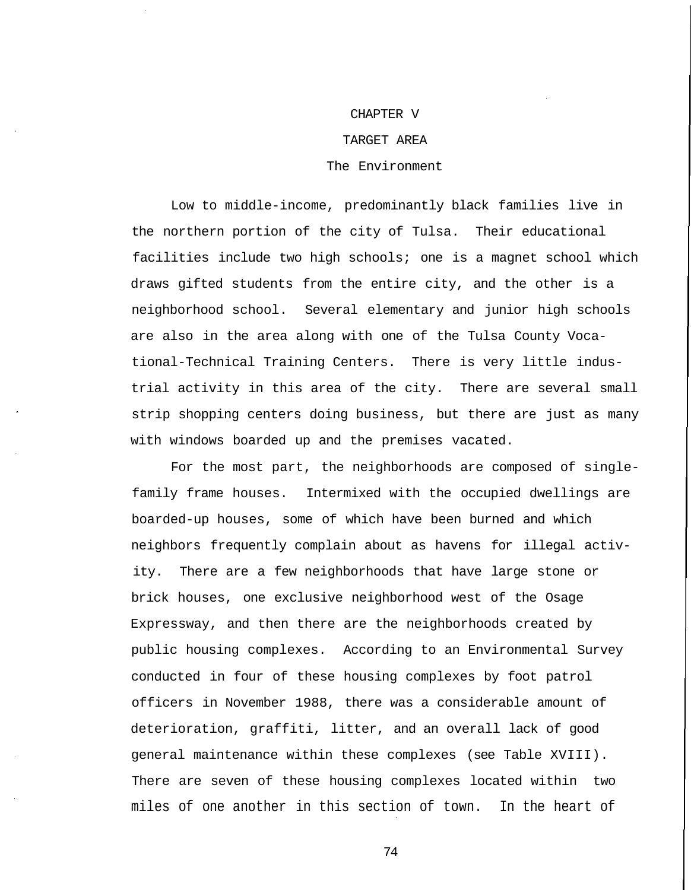# CHAPTER V TARGET AREA The Environment

Low to middle-income, predominantly black families live in the northern portion of the city of Tulsa. Their educational facilities include two high schools; one is a magnet school which draws gifted students from the entire city, and the other is a neighborhood school. Several elementary and junior high schools are also in the area along with one of the Tulsa County Vocational-Technical Training Centers. There is very little industrial activity in this area of the city. There are several small strip shopping centers doing business, but there are just as many with windows boarded up and the premises vacated.

For the most part, the neighborhoods are composed of singlefamily frame houses. Intermixed with the occupied dwellings are boarded-up houses, some of which have been burned and which neighbors frequently complain about as havens for illegal activity. There are a few neighborhoods that have large stone or brick houses, one exclusive neighborhood west of the Osage Expressway, and then there are the neighborhoods created by public housing complexes. According to an Environmental Survey conducted in four of these housing complexes by foot patrol officers in November 1988, there was a considerable amount of deterioration, graffiti, litter, and an overall lack of good general maintenance within these complexes (see Table XVIII). There are seven of these housing complexes located within two miles of one another in this section of town. In the heart of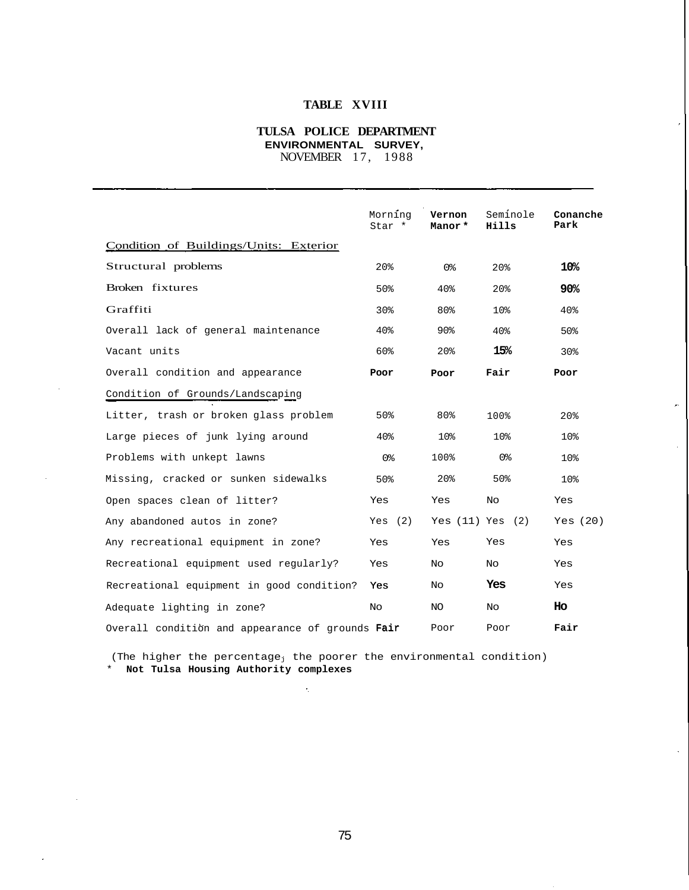# **TABLE XVIII**

# **TULSA POLICE DEPARTMENT ENVIRONMENTAL SURVEY,** NOVEMBER 17, 1988

|                                                  | Morning         | Vernon          | Seminole             | Conanche        |
|--------------------------------------------------|-----------------|-----------------|----------------------|-----------------|
|                                                  | Star *          | Manor *         | Hills                | Park            |
| Condition of Buildings/Units: Exterior           |                 |                 |                      |                 |
| Structural problems                              | 20%             | 0%              | 20 <sub>8</sub>      | 10%             |
| Broken fixtures                                  | 50 <sup>8</sup> | 40 <sup>8</sup> | 20 <sup>8</sup>      | 90 <sub>8</sub> |
| Graffiti                                         | 30 <sup>g</sup> | 80%             | 10 <sup>8</sup>      | 40%             |
| Overall lack of general maintenance              | $40\%$          | $90\%$          | 40 <sup>8</sup>      | 50%             |
| Vacant units                                     | 60%             | 20 <sup>8</sup> | 15%                  | 30%             |
| Overall condition and appearance                 | Poor            | Poor            | Fair                 | Poor            |
| Condition of Grounds/Landscaping                 |                 |                 |                      |                 |
| Litter, trash or broken glass problem            | 50%             | 80%             | 100%                 | 20%             |
| Large pieces of junk lying around                | 40%             | 10 <sup>8</sup> | 10%                  | 10%             |
| Problems with unkept lawns                       | <b>0%</b>       | 100%            | 0%                   | 10%             |
| Missing, cracked or sunken sidewalks             | 50 <sup>8</sup> | 20 <sub>8</sub> | 50%                  | 10%             |
| Open spaces clean of litter?                     | Yes             | Yes             | No.                  | Yes             |
| Any abandoned autos in zone?                     | Yes (2)         |                 | Yes $(11)$ Yes $(2)$ | Yes(20)         |
| Any recreational equipment in zone?              | Yes             | Yes             | Yes                  | Yes             |
| Recreational equipment used reqularly?           | Yes             | No.             | No.                  | Yes             |
| Recreational equipment in good condition?        | Yes             | No              | Yes                  | Yes             |
| Adequate lighting in zone?                       | No              | NO.             | No.                  | Ho              |
| Overall condition and appearance of grounds Fair |                 | Poor            | Poor                 | Fair            |

y.

 $\bar{\mathcal{A}}$ 

(The higher the percentagej the poorer the environmental condition) \* **Not Tulsa Housing Authority complexes**

 $\lambda_{\rm c}$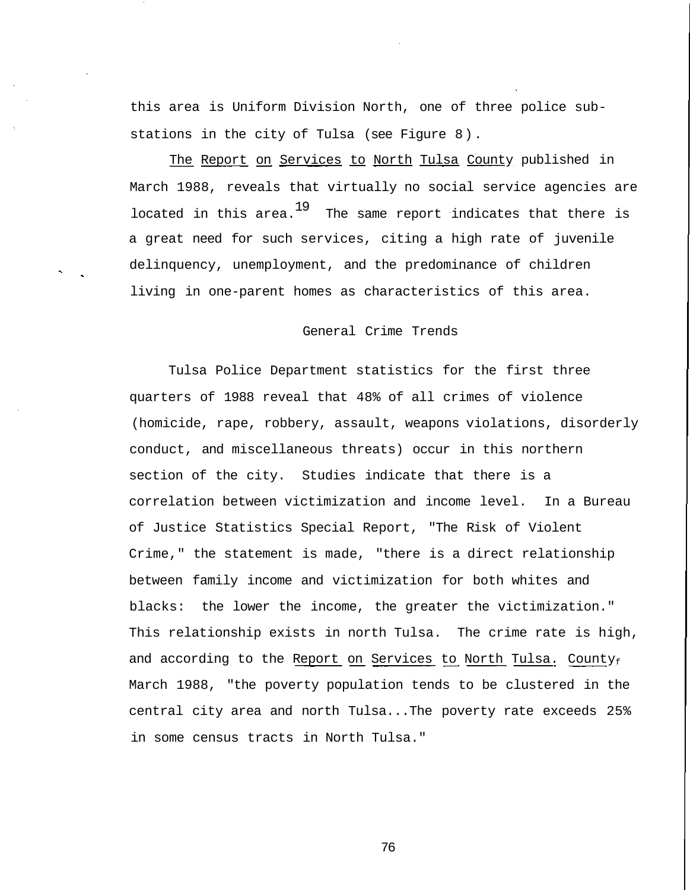this area is Uniform Division North, one of three police substations in the city of Tulsa (see Figure 8).

The Report on Services to North Tulsa County published in March 1988, reveals that virtually no social service agencies are located in this area. $^{19}$  The same report indicates that there is a great need for such services, citing a high rate of juvenile delinquency, unemployment, and the predominance of children living in one-parent homes as characteristics of this area.

# General Crime Trends

Tulsa Police Department statistics for the first three quarters of 1988 reveal that 48% of all crimes of violence (homicide, rape, robbery, assault, weapons violations, disorderly conduct, and miscellaneous threats) occur in this northern section of the city. Studies indicate that there is a correlation between victimization and income level. In a Bureau of Justice Statistics Special Report, "The Risk of Violent Crime," the statement is made, "there is a direct relationship between family income and victimization for both whites and blacks: the lower the income, the greater the victimization." This relationship exists in north Tulsa. The crime rate is high, and according to the Report on Services to North Tulsa. Countyf March 1988, "the poverty population tends to be clustered in the central city area and north Tulsa...The poverty rate exceeds 25% in some census tracts in North Tulsa."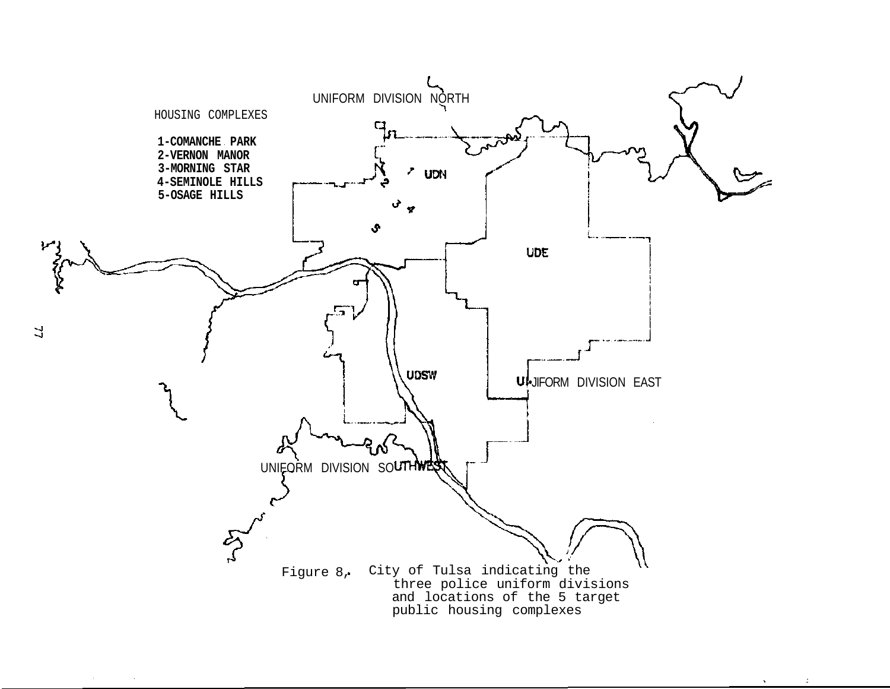

 $\sim$ 

 $\sim 10^7$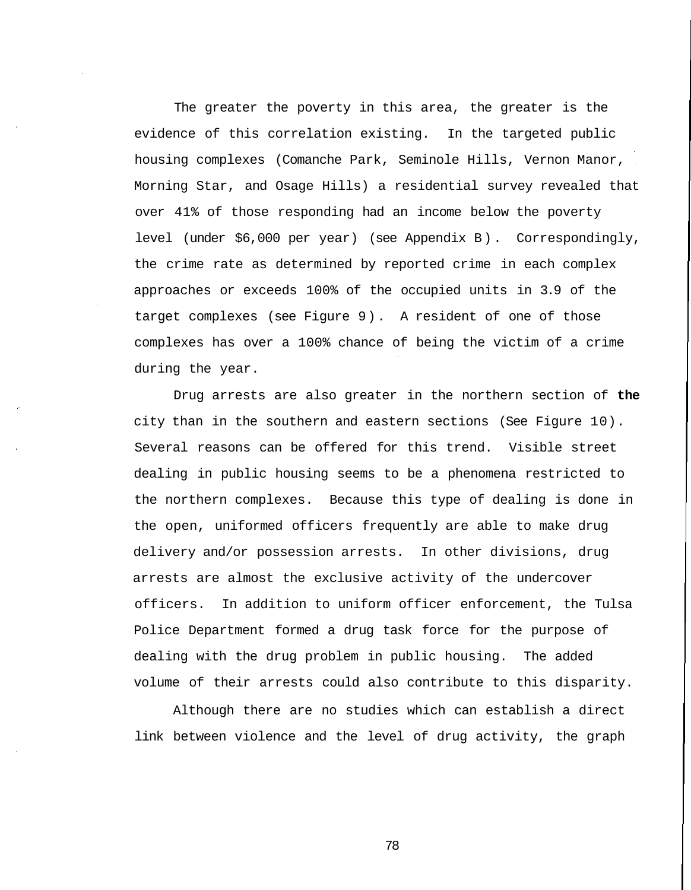The greater the poverty in this area, the greater is the evidence of this correlation existing. In the targeted public housing complexes (Comanche Park, Seminole Hills, Vernon Manor, Morning Star, and Osage Hills) a residential survey revealed that over 41% of those responding had an income below the poverty level (under \$6,000 per year) (see Appendix B). Correspondingly, the crime rate as determined by reported crime in each complex approaches or exceeds 100% of the occupied units in 3.9 of the target complexes (see Figure 9). A resident of one of those complexes has over a 100% chance of being the victim of a crime during the year.

Drug arrests are also greater in the northern section of **the** city than in the southern and eastern sections (See Figure 10). Several reasons can be offered for this trend. Visible street dealing in public housing seems to be a phenomena restricted to the northern complexes. Because this type of dealing is done in the open, uniformed officers frequently are able to make drug delivery and/or possession arrests. In other divisions, drug arrests are almost the exclusive activity of the undercover officers. In addition to uniform officer enforcement, the Tulsa Police Department formed a drug task force for the purpose of dealing with the drug problem in public housing. The added volume of their arrests could also contribute to this disparity.

Although there are no studies which can establish a direct link between violence and the level of drug activity, the graph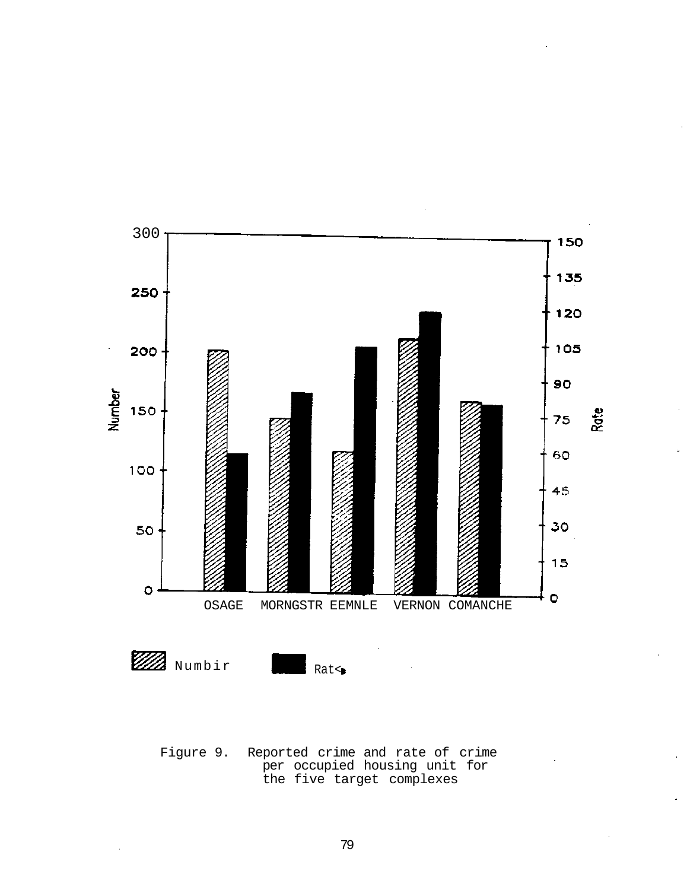

Figure 9. Reported crime and rate of crime per occupied housing unit for the five target complexes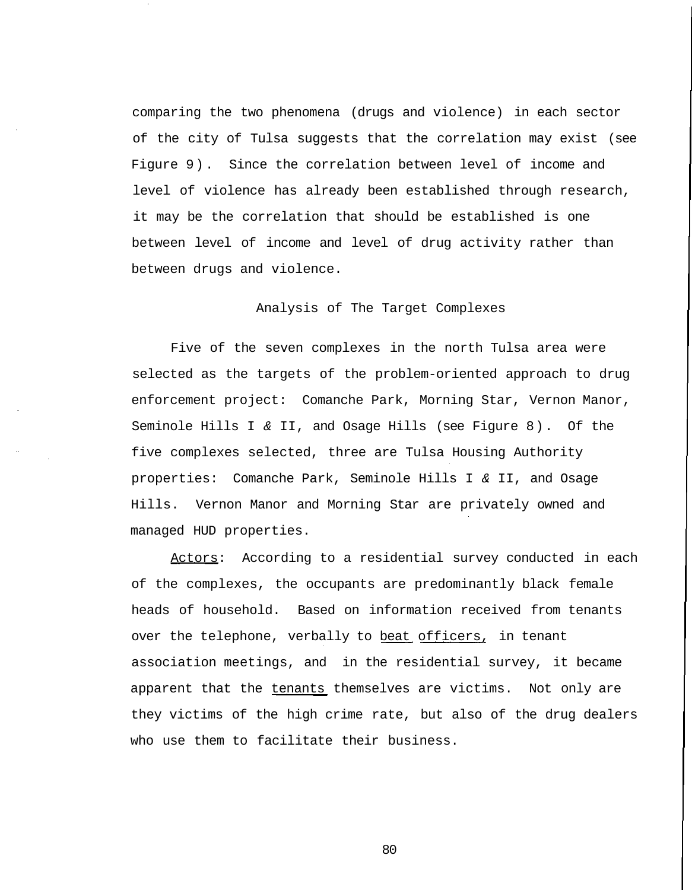comparing the two phenomena (drugs and violence) in each sector of the city of Tulsa suggests that the correlation may exist (see Figure 9). Since the correlation between level of income and level of violence has already been established through research, it may be the correlation that should be established is one between level of income and level of drug activity rather than between drugs and violence.

## Analysis of The Target Complexes

Five of the seven complexes in the north Tulsa area were selected as the targets of the problem-oriented approach to drug enforcement project: Comanche Park, Morning Star, Vernon Manor, Seminole Hills I & II, and Osage Hills (see Figure 8). Of the five complexes selected, three are Tulsa Housing Authority properties: Comanche Park, Seminole Hills I & II, and Osage Hills. Vernon Manor and Morning Star are privately owned and managed HUD properties.

Actors: According to a residential survey conducted in each of the complexes, the occupants are predominantly black female heads of household. Based on information received from tenants over the telephone, verbally to beat officers, in tenant association meetings, and in the residential survey, it became apparent that the tenants themselves are victims. Not only are they victims of the high crime rate, but also of the drug dealers who use them to facilitate their business.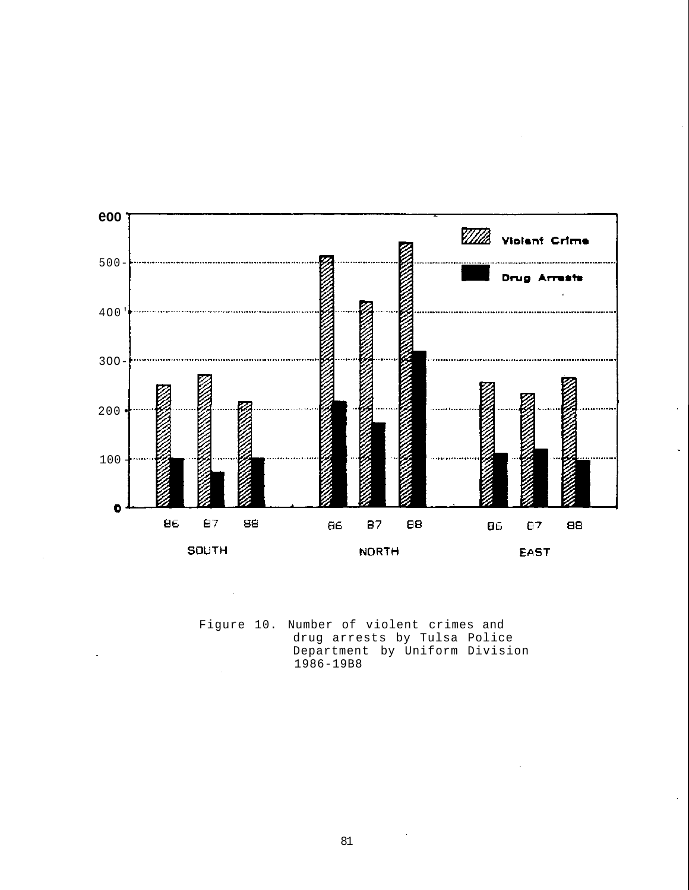

Figure 10. Number of violent crimes and drug arrests by Tulsa Police Department by Uniform Division 1986-19B8

÷.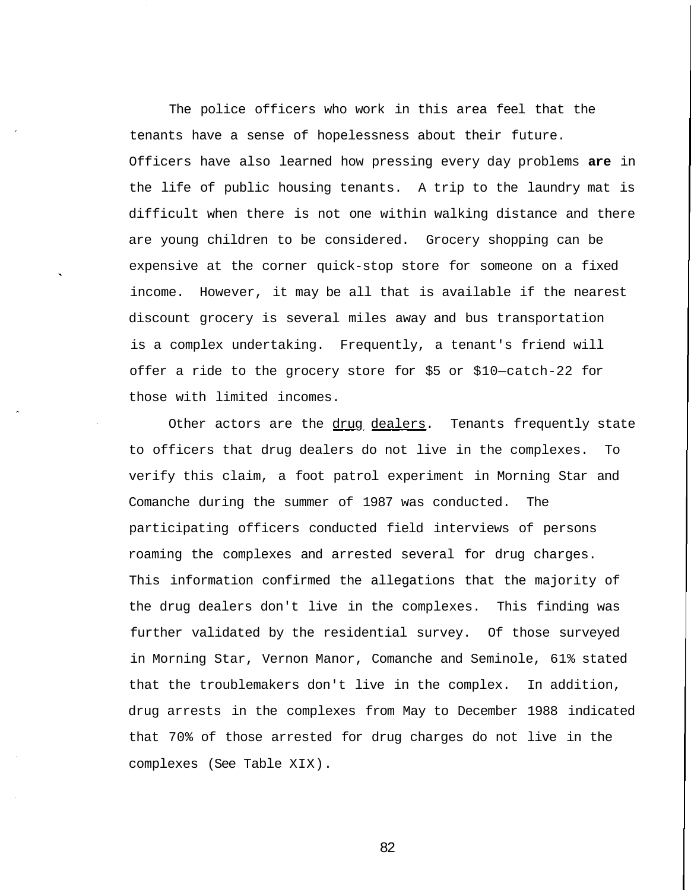The police officers who work in this area feel that the tenants have a sense of hopelessness about their future. Officers have also learned how pressing every day problems **are** in the life of public housing tenants. A trip to the laundry mat is difficult when there is not one within walking distance and there are young children to be considered. Grocery shopping can be expensive at the corner quick-stop store for someone on a fixed income. However, it may be all that is available if the nearest discount grocery is several miles away and bus transportation is a complex undertaking. Frequently, a tenant's friend will offer a ride to the grocery store for \$5 or \$10—catch-22 for those with limited incomes.

Other actors are the drug dealers. Tenants frequently state to officers that drug dealers do not live in the complexes. To verify this claim, a foot patrol experiment in Morning Star and Comanche during the summer of 1987 was conducted. The participating officers conducted field interviews of persons roaming the complexes and arrested several for drug charges. This information confirmed the allegations that the majority of the drug dealers don't live in the complexes. This finding was further validated by the residential survey. Of those surveyed in Morning Star, Vernon Manor, Comanche and Seminole, 61% stated that the troublemakers don't live in the complex. In addition, drug arrests in the complexes from May to December 1988 indicated that 70% of those arrested for drug charges do not live in the complexes (See Table XIX).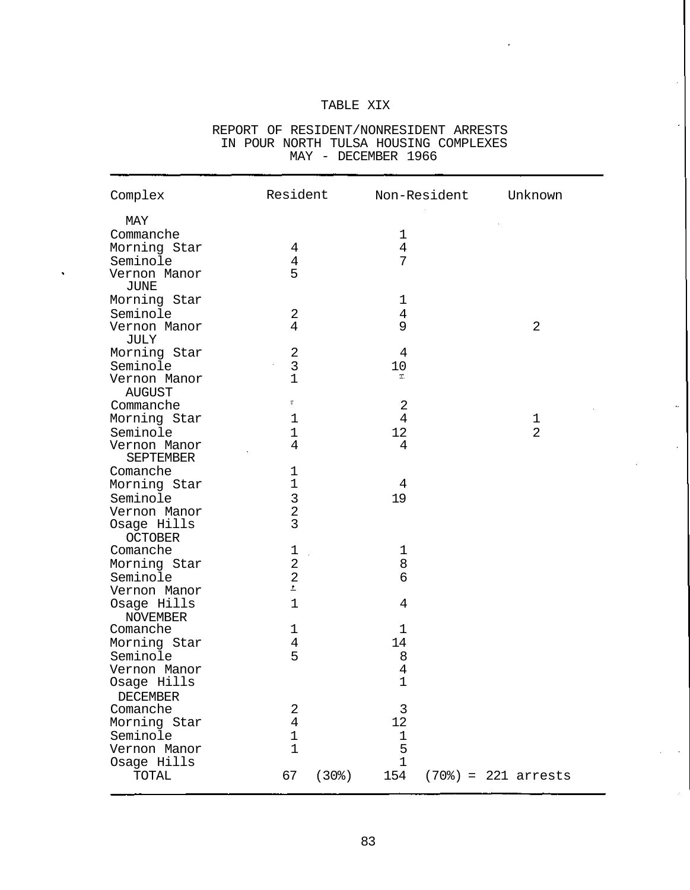# TABLE XIX

| Complex                          | Resident                                   |                           | Non-Resident Unknown  |
|----------------------------------|--------------------------------------------|---------------------------|-----------------------|
| MAY                              |                                            |                           |                       |
| Commanche                        |                                            | 1                         |                       |
| Morning Star                     | 4                                          | 4                         |                       |
| Seminole                         | $\overline{4}$                             | 7                         |                       |
| Vernon Manor<br><b>JUNE</b>      | 5                                          |                           |                       |
| Morning Star                     |                                            | $\mathbf 1$               |                       |
| Seminole                         | 2                                          | $\,4$                     |                       |
| Vernon Manor<br>JULY             | 4                                          | 9                         | 2                     |
| Morning Star                     | 2                                          | 4                         |                       |
| Seminole                         | 3                                          | 10                        |                       |
| Vernon Manor<br><b>AUGUST</b>    | $\mathbf{1}$                               | Ĩ.                        |                       |
| Commanche                        | $\overrightarrow{\varepsilon}$             | $\overline{2}$            |                       |
| Morning Star                     | $\mathbf 1$                                | 4                         | $\mathbf 1$           |
| Seminole                         | $\mathbf 1$                                | 12                        | $\overline{2}$        |
| Vernon Manor<br><b>SEPTEMBER</b> | $\overline{4}$                             | 4                         |                       |
| Comanche                         | 1                                          |                           |                       |
| Morning Star                     | $\mathbf 1$                                | 4                         |                       |
| Seminole                         |                                            | 19                        |                       |
| Vernon Manor                     | $\begin{array}{c} 3 \\ 2 \\ 3 \end{array}$ |                           |                       |
| Osage Hills<br><b>OCTOBER</b>    |                                            |                           |                       |
| Comanche                         | $\mathbf 1$                                | 1                         |                       |
| Morning Star                     | $\sqrt{2}$                                 | 8                         |                       |
| Seminole                         | $\overline{2}$                             | 6                         |                       |
| Vernon Manor                     | $\hat{\mathbf{r}}$                         |                           |                       |
| Osage Hills                      | $\mathbf 1$                                | 4                         |                       |
| <b>NOVEMBER</b>                  |                                            |                           |                       |
| Comanche                         | 1                                          | $\mathbf 1$               |                       |
| Morning Star                     | $\overline{4}$                             | 14                        |                       |
| Seminole                         | 5                                          | 8                         |                       |
| Vernon Manor                     |                                            | 4                         |                       |
| Osage Hills                      |                                            | $\mathbf 1$               |                       |
| <b>DECEMBER</b>                  |                                            |                           |                       |
| Comanche                         | 2                                          | 3                         |                       |
| Morning Star                     | $\overline{4}$                             | 12                        |                       |
| Seminole                         | $\mathbf 1$                                | $\mathbf 1$               |                       |
| Vernon Manor                     | $\mathbf 1$                                | 5                         |                       |
| Osage Hills                      |                                            | $\mathbf{1}$              |                       |
| TOTAL                            | 67                                         | (30 <sup>8</sup> )<br>154 | $(70%) = 221$ arrests |

l,

# REPORT OF RESIDENT/NONRESIDENT ARRESTS IN POUR NORTH TULSA HOUSING COMPLEXES MAY - DECEMBER 1966

 $\ddot{\phantom{0}}$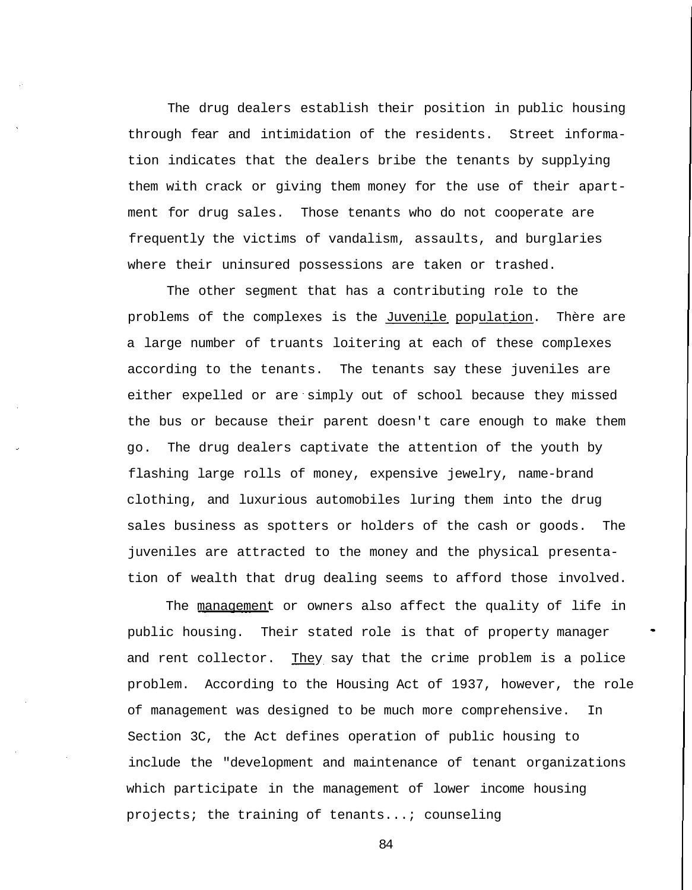The drug dealers establish their position in public housing through fear and intimidation of the residents. Street information indicates that the dealers bribe the tenants by supplying them with crack or giving them money for the use of their apartment for drug sales. Those tenants who do not cooperate are frequently the victims of vandalism, assaults, and burglaries where their uninsured possessions are taken or trashed.

The other segment that has a contributing role to the problems of the complexes is the Juvenile population. There are a large number of truants loitering at each of these complexes according to the tenants. The tenants say these juveniles are either expelled or are simply out of school because they missed the bus or because their parent doesn't care enough to make them go. The drug dealers captivate the attention of the youth by flashing large rolls of money, expensive jewelry, name-brand clothing, and luxurious automobiles luring them into the drug sales business as spotters or holders of the cash or goods. The juveniles are attracted to the money and the physical presentation of wealth that drug dealing seems to afford those involved.

The management or owners also affect the quality of life in public housing. Their stated role is that of property manager and rent collector. They say that the crime problem is a police problem. According to the Housing Act of 1937, however, the role of management was designed to be much more comprehensive. In Section 3C, the Act defines operation of public housing to include the "development and maintenance of tenant organizations which participate in the management of lower income housing projects; the training of tenants...; counseling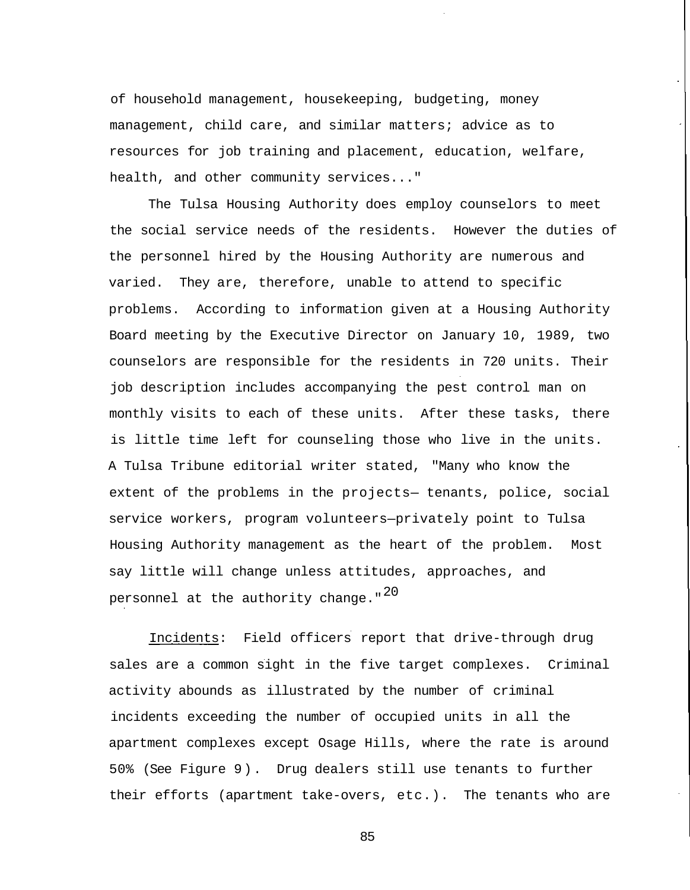of household management, housekeeping, budgeting, money management, child care, and similar matters; advice as to resources for job training and placement, education, welfare, health, and other community services..."

The Tulsa Housing Authority does employ counselors to meet the social service needs of the residents. However the duties of the personnel hired by the Housing Authority are numerous and varied. They are, therefore, unable to attend to specific problems. According to information given at a Housing Authority Board meeting by the Executive Director on January 10, 1989, two counselors are responsible for the residents in 720 units. Their job description includes accompanying the pest control man on monthly visits to each of these units. After these tasks, there is little time left for counseling those who live in the units. A Tulsa Tribune editorial writer stated, "Many who know the extent of the problems in the projects— tenants, police, social service workers, program volunteers—privately point to Tulsa Housing Authority management as the heart of the problem. Most say little will change unless attitudes, approaches, and personnel at the authority change."<sup>20</sup>

Incidents: Field officers report that drive-through drug sales are a common sight in the five target complexes. Criminal activity abounds as illustrated by the number of criminal incidents exceeding the number of occupied units in all the apartment complexes except Osage Hills, where the rate is around 50% (See Figure 9). Drug dealers still use tenants to further their efforts (apartment take-overs, etc.). The tenants who are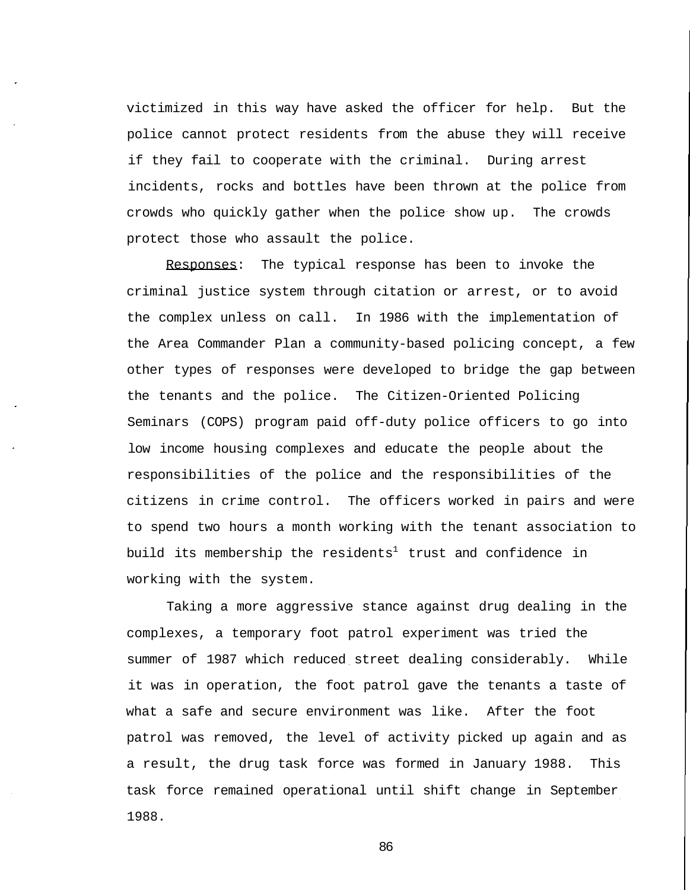victimized in this way have asked the officer for help. But the police cannot protect residents from the abuse they will receive if they fail to cooperate with the criminal. During arrest incidents, rocks and bottles have been thrown at the police from crowds who quickly gather when the police show up. The crowds protect those who assault the police.

Responses: The typical response has been to invoke the criminal justice system through citation or arrest, or to avoid the complex unless on call. In 1986 with the implementation of the Area Commander Plan a community-based policing concept, a few other types of responses were developed to bridge the gap between the tenants and the police. The Citizen-Oriented Policing Seminars (COPS) program paid off-duty police officers to go into low income housing complexes and educate the people about the responsibilities of the police and the responsibilities of the citizens in crime control. The officers worked in pairs and were to spend two hours a month working with the tenant association to build its membership the residents<sup>1</sup> trust and confidence in working with the system.

Taking a more aggressive stance against drug dealing in the complexes, a temporary foot patrol experiment was tried the summer of 1987 which reduced street dealing considerably. While it was in operation, the foot patrol gave the tenants a taste of what a safe and secure environment was like. After the foot patrol was removed, the level of activity picked up again and as a result, the drug task force was formed in January 1988. This task force remained operational until shift change in September 1988.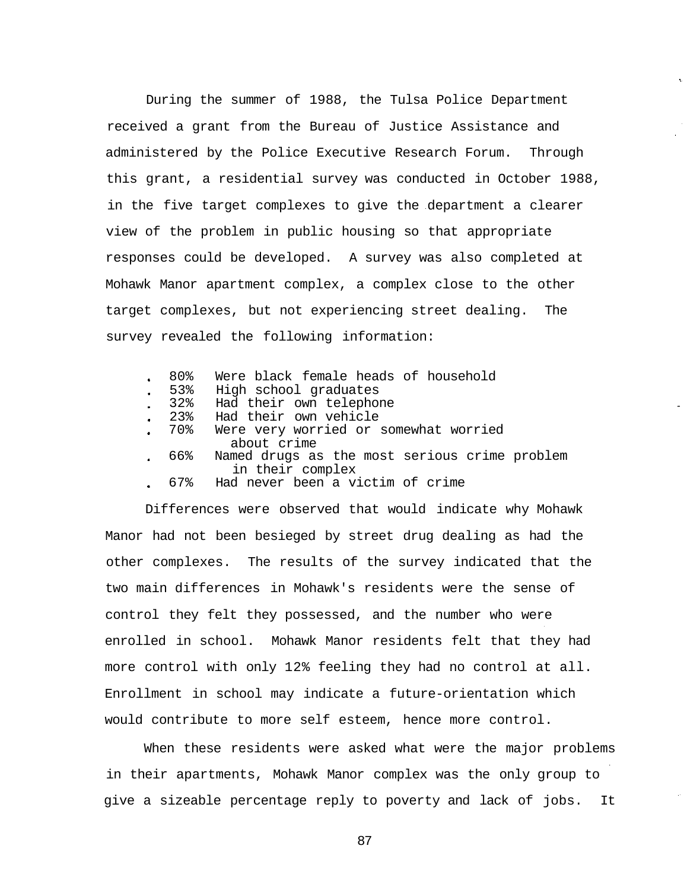During the summer of 1988, the Tulsa Police Department received a grant from the Bureau of Justice Assistance and administered by the Police Executive Research Forum. Through this grant, a residential survey was conducted in October 1988, in the five target complexes to give the department a clearer view of the problem in public housing so that appropriate responses could be developed. A survey was also completed at Mohawk Manor apartment complex, a complex close to the other target complexes, but not experiencing street dealing. The survey revealed the following information:

- 80% Were black female heads of household
- 53% High school graduates<br>32% Had their own telephol
- 32% Had their own telephone
- Had their own vehicle
- 70% Were very worried or somewhat worried
- about crime
- 66% Named drugs as the most serious crime problem in their complex
- 67% Had never been a victim of crime

Differences were observed that would indicate why Mohawk Manor had not been besieged by street drug dealing as had the other complexes. The results of the survey indicated that the two main differences in Mohawk's residents were the sense of control they felt they possessed, and the number who were enrolled in school. Mohawk Manor residents felt that they had more control with only 12% feeling they had no control at all. Enrollment in school may indicate a future-orientation which would contribute to more self esteem, hence more control.

When these residents were asked what were the major problems in their apartments, Mohawk Manor complex was the only group to give a sizeable percentage reply to poverty and lack of jobs. It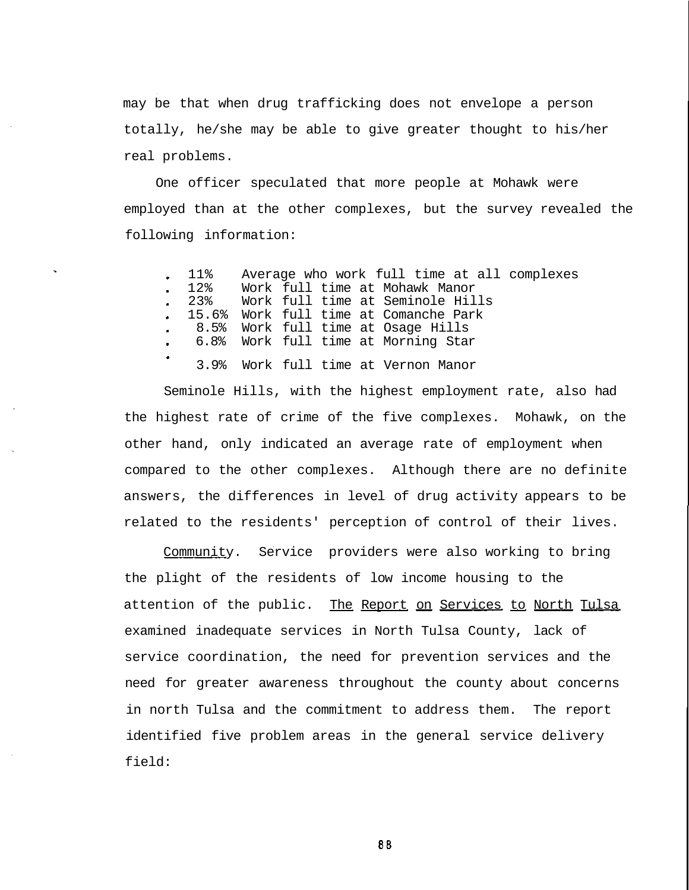may be that when drug trafficking does not envelope a person totally, he/she may be able to give greater thought to his/her real problems.

One officer speculated that more people at Mohawk were employed than at the other complexes, but the survey revealed the following information:

|           | $. 11$ % | Average who work full time at all complexes |
|-----------|----------|---------------------------------------------|
|           | $. 12$ % | Work full time at Mohawk Manor              |
|           |          | . 23% Work full time at Seminole Hills      |
|           |          | . 15.6% Work full time at Comanche Park     |
|           |          | . 8.5% Work full time at Osage Hills        |
|           |          | . 6.8% Work full time at Morning Star       |
| $\bullet$ |          | 3.9% Work full time at Vernon Manor         |

Seminole Hills, with the highest employment rate, also had the highest rate of crime of the five complexes. Mohawk, on the other hand, only indicated an average rate of employment when compared to the other complexes. Although there are no definite answers, the differences in level of drug activity appears to be related to the residents' perception of control of their lives.

Community. Service providers were also working to bring the plight of the residents of low income housing to the attention of the public. The Report on Services to North Tulsa examined inadequate services in North Tulsa County, lack of service coordination, the need for prevention services and the need for greater awareness throughout the county about concerns in north Tulsa and the commitment to address them. The report identified five problem areas in the general service delivery field: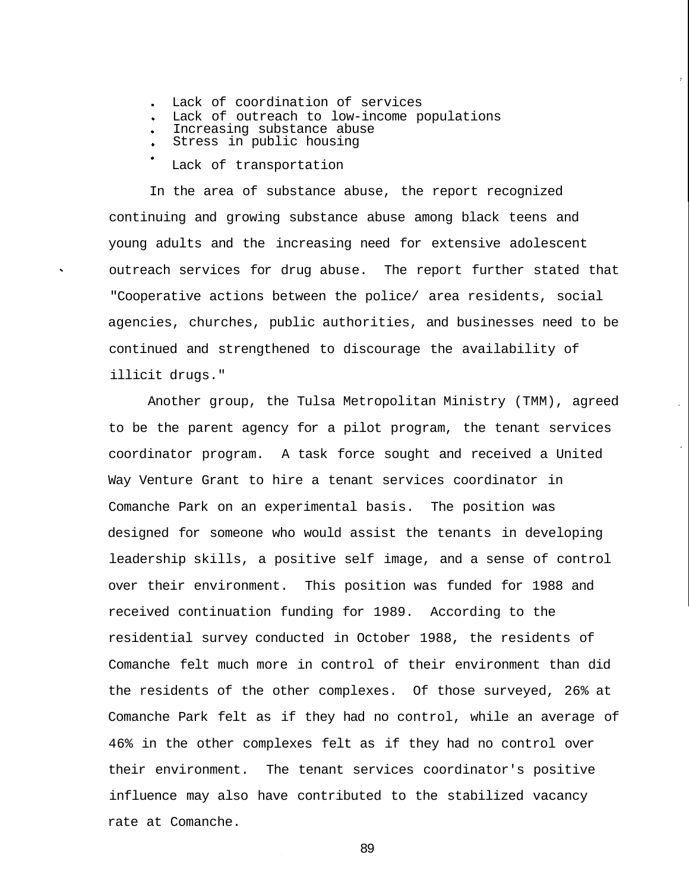- Lack of coordination of services
- Lack of outreach to low-income populations
- Increasing substance abuse
- Stress in public housing
- Lack of transportation

In the area of substance abuse, the report recognized continuing and growing substance abuse among black teens and young adults and the increasing need for extensive adolescent outreach services for drug abuse. The report further stated that "Cooperative actions between the police/ area residents, social agencies, churches, public authorities, and businesses need to be continued and strengthened to discourage the availability of illicit drugs."

Another group, the Tulsa Metropolitan Ministry (TMM), agreed to be the parent agency for a pilot program, the tenant services coordinator program. A task force sought and received a United Way Venture Grant to hire a tenant services coordinator in Comanche Park on an experimental basis. The position was designed for someone who would assist the tenants in developing leadership skills, a positive self image, and a sense of control over their environment. This position was funded for 1988 and received continuation funding for 1989. According to the residential survey conducted in October 1988, the residents of Comanche felt much more in control of their environment than did the residents of the other complexes. Of those surveyed, 26% at Comanche Park felt as if they had no control, while an average of 46% in the other complexes felt as if they had no control over their environment. The tenant services coordinator's positive influence may also have contributed to the stabilized vacancy rate at Comanche.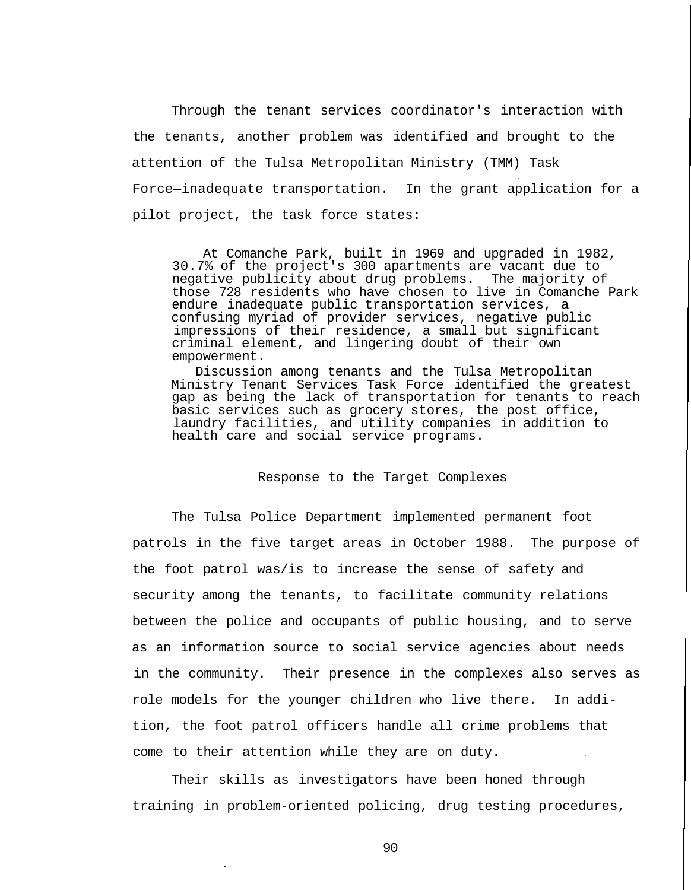Through the tenant services coordinator's interaction with the tenants, another problem was identified and brought to the attention of the Tulsa Metropolitan Ministry (TMM) Task Force—inadequate transportation. In the grant application for a pilot project, the task force states:

At Comanche Park, built in 1969 and upgraded in 1982, 30.7% of the project's 300 apartments are vacant due to negative publicity about drug problems. The majority of those 728 residents who have chosen to live in Comanche Park endure inadequate public transportation services, a confusing myriad of provider services, negative public impressions of their residence, a small but significant criminal element, and lingering doubt of their own empowerment.

Discussion among tenants and the Tulsa Metropolitan Ministry Tenant Services Task Force identified the greatest gap as being the lack of transportation for tenants to reach basic services such as grocery stores, the post office, laundry facilities, and utility companies in addition to health care and social service programs.

#### Response to the Target Complexes

The Tulsa Police Department implemented permanent foot patrols in the five target areas in October 1988. The purpose of the foot patrol was/is to increase the sense of safety and security among the tenants, to facilitate community relations between the police and occupants of public housing, and to serve as an information source to social service agencies about needs in the community. Their presence in the complexes also serves as role models for the younger children who live there. In addition, the foot patrol officers handle all crime problems that come to their attention while they are on duty.

Their skills as investigators have been honed through training in problem-oriented policing, drug testing procedures,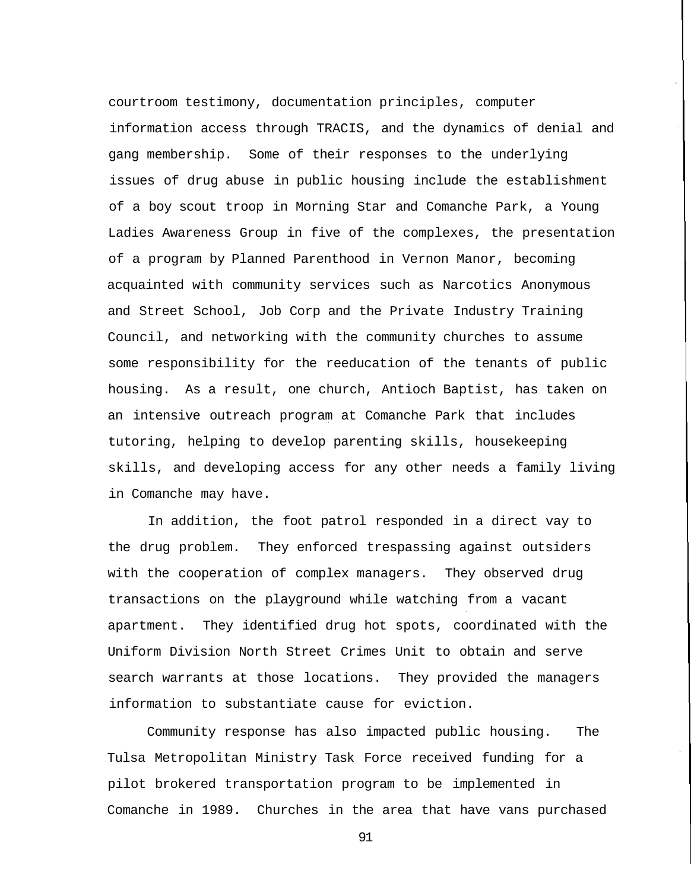courtroom testimony, documentation principles, computer information access through TRACIS, and the dynamics of denial and gang membership. Some of their responses to the underlying issues of drug abuse in public housing include the establishment of a boy scout troop in Morning Star and Comanche Park, a Young Ladies Awareness Group in five of the complexes, the presentation of a program by Planned Parenthood in Vernon Manor, becoming acquainted with community services such as Narcotics Anonymous and Street School, Job Corp and the Private Industry Training Council, and networking with the community churches to assume some responsibility for the reeducation of the tenants of public housing. As a result, one church, Antioch Baptist, has taken on an intensive outreach program at Comanche Park that includes tutoring, helping to develop parenting skills, housekeeping skills, and developing access for any other needs a family living in Comanche may have.

In addition, the foot patrol responded in a direct vay to the drug problem. They enforced trespassing against outsiders with the cooperation of complex managers. They observed drug transactions on the playground while watching from a vacant apartment. They identified drug hot spots, coordinated with the Uniform Division North Street Crimes Unit to obtain and serve search warrants at those locations. They provided the managers information to substantiate cause for eviction.

Community response has also impacted public housing. The Tulsa Metropolitan Ministry Task Force received funding for a pilot brokered transportation program to be implemented in Comanche in 1989. Churches in the area that have vans purchased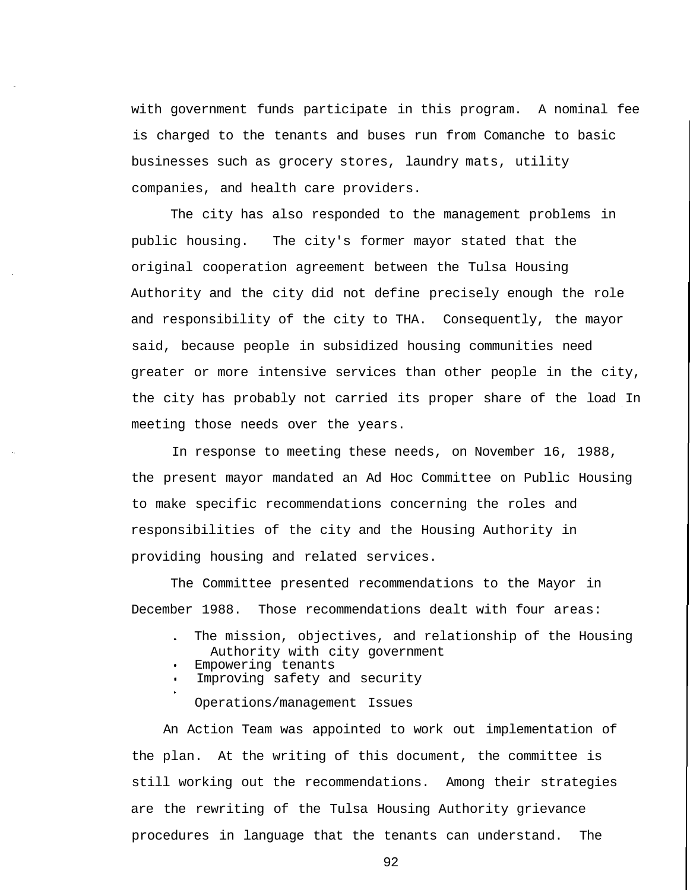with government funds participate in this program. A nominal fee is charged to the tenants and buses run from Comanche to basic businesses such as grocery stores, laundry mats, utility companies, and health care providers.

The city has also responded to the management problems in public housing. The city's former mayor stated that the original cooperation agreement between the Tulsa Housing Authority and the city did not define precisely enough the role and responsibility of the city to THA. Consequently, the mayor said, because people in subsidized housing communities need greater or more intensive services than other people in the city, the city has probably not carried its proper share of the load In meeting those needs over the years.

In response to meeting these needs, on November 16, 1988, the present mayor mandated an Ad Hoc Committee on Public Housing to make specific recommendations concerning the roles and responsibilities of the city and the Housing Authority in providing housing and related services.

The Committee presented recommendations to the Mayor in December 1988. Those recommendations dealt with four areas:

- The mission, objectives, and relationship of the Housing Authority with city government
- Empowering tenants
- Improving safety and security
- Operations/management Issues

An Action Team was appointed to work out implementation of the plan. At the writing of this document, the committee is still working out the recommendations. Among their strategies are the rewriting of the Tulsa Housing Authority grievance procedures in language that the tenants can understand. The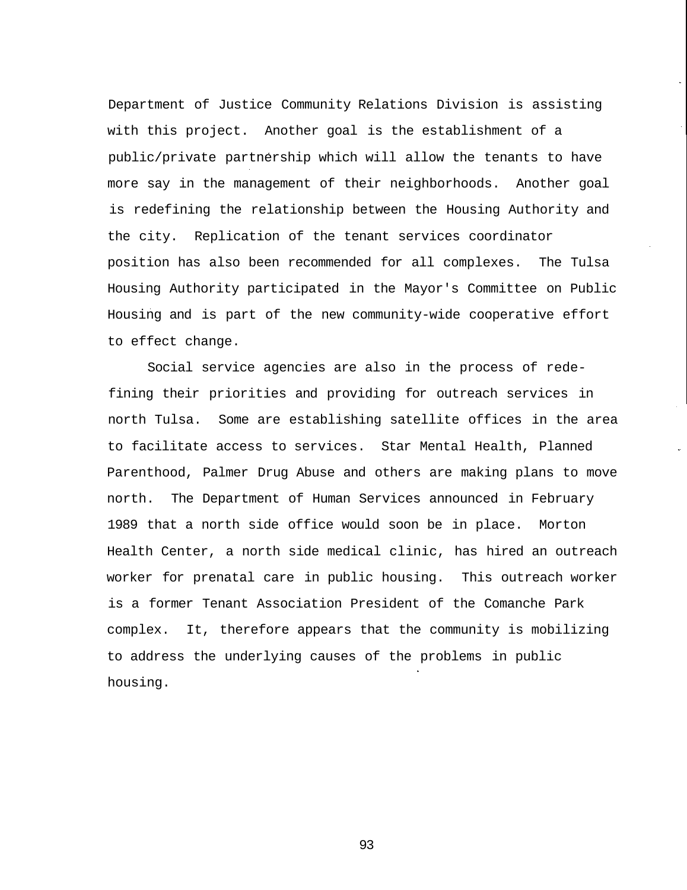Department of Justice Community Relations Division is assisting with this project. Another goal is the establishment of a public/private partnership which will allow the tenants to have more say in the management of their neighborhoods. Another goal is redefining the relationship between the Housing Authority and the city. Replication of the tenant services coordinator position has also been recommended for all complexes. The Tulsa Housing Authority participated in the Mayor's Committee on Public Housing and is part of the new community-wide cooperative effort to effect change.

Social service agencies are also in the process of redefining their priorities and providing for outreach services in north Tulsa. Some are establishing satellite offices in the area to facilitate access to services. Star Mental Health, Planned Parenthood, Palmer Drug Abuse and others are making plans to move north. The Department of Human Services announced in February 1989 that a north side office would soon be in place. Morton Health Center, a north side medical clinic, has hired an outreach worker for prenatal care in public housing. This outreach worker is a former Tenant Association President of the Comanche Park complex. It, therefore appears that the community is mobilizing to address the underlying causes of the problems in public housing.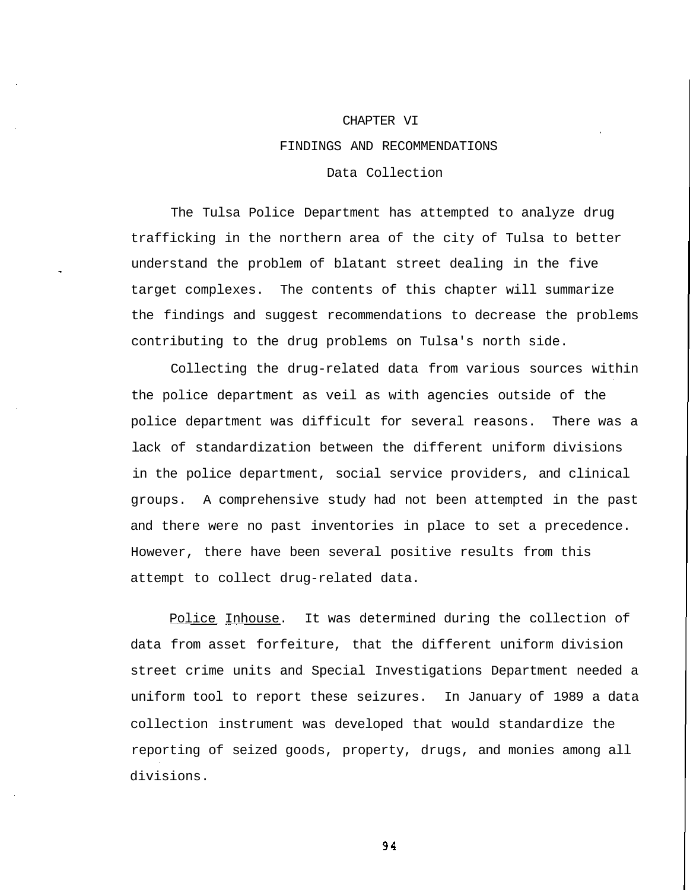#### CHAPTER VI

#### FINDINGS AND RECOMMENDATIONS

# Data Collection

The Tulsa Police Department has attempted to analyze drug trafficking in the northern area of the city of Tulsa to better understand the problem of blatant street dealing in the five target complexes. The contents of this chapter will summarize the findings and suggest recommendations to decrease the problems contributing to the drug problems on Tulsa's north side.

Collecting the drug-related data from various sources within the police department as veil as with agencies outside of the police department was difficult for several reasons. There was a lack of standardization between the different uniform divisions in the police department, social service providers, and clinical groups. A comprehensive study had not been attempted in the past and there were no past inventories in place to set a precedence. However, there have been several positive results from this attempt to collect drug-related data.

Police Inhouse. It was determined during the collection of data from asset forfeiture, that the different uniform division street crime units and Special Investigations Department needed a uniform tool to report these seizures. In January of 1989 a data collection instrument was developed that would standardize the reporting of seized goods, property, drugs, and monies among all divisions.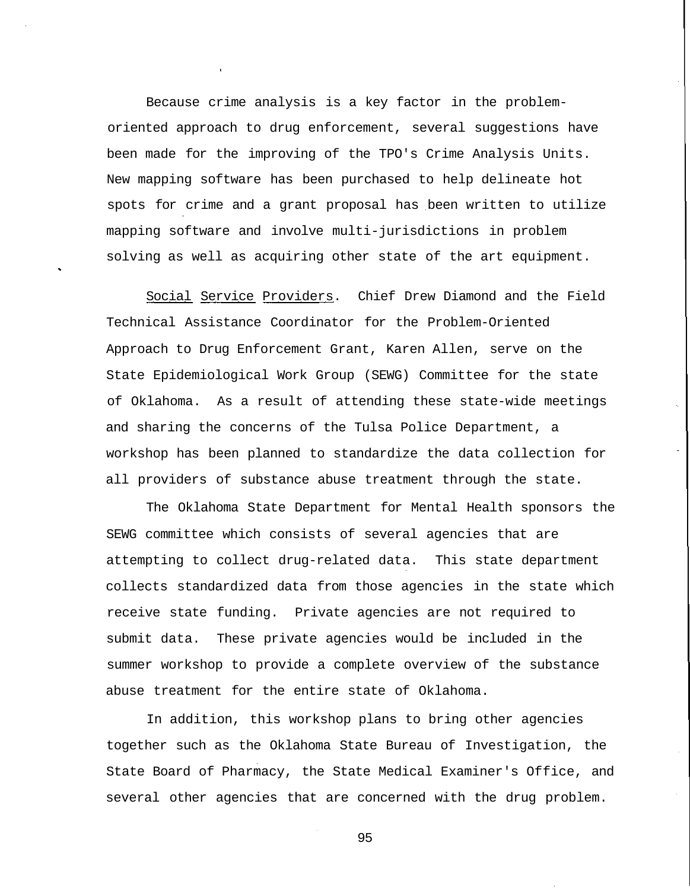Because crime analysis is a key factor in the problemoriented approach to drug enforcement, several suggestions have been made for the improving of the TPO's Crime Analysis Units. New mapping software has been purchased to help delineate hot spots for crime and a grant proposal has been written to utilize mapping software and involve multi-jurisdictions in problem solving as well as acquiring other state of the art equipment.

Social Service Providers. Chief Drew Diamond and the Field Technical Assistance Coordinator for the Problem-Oriented Approach to Drug Enforcement Grant, Karen Allen, serve on the State Epidemiological Work Group (SEWG) Committee for the state of Oklahoma. As a result of attending these state-wide meetings and sharing the concerns of the Tulsa Police Department, a workshop has been planned to standardize the data collection for all providers of substance abuse treatment through the state.

The Oklahoma State Department for Mental Health sponsors the SEWG committee which consists of several agencies that are attempting to collect drug-related data. This state department collects standardized data from those agencies in the state which receive state funding. Private agencies are not required to submit data. These private agencies would be included in the summer workshop to provide a complete overview of the substance abuse treatment for the entire state of Oklahoma.

In addition, this workshop plans to bring other agencies together such as the Oklahoma State Bureau of Investigation, the State Board of Pharmacy, the State Medical Examiner's Office, and several other agencies that are concerned with the drug problem.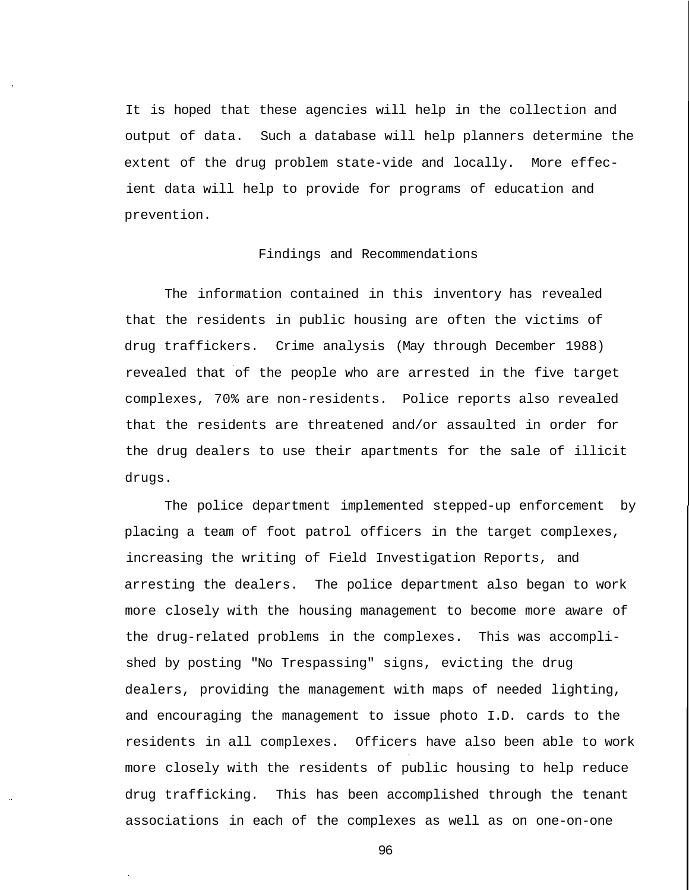It is hoped that these agencies will help in the collection and output of data. Such a database will help planners determine the extent of the drug problem state-vide and locally. More effecient data will help to provide for programs of education and prevention.

# Findings and Recommendations

The information contained in this inventory has revealed that the residents in public housing are often the victims of drug traffickers. Crime analysis (May through December 1988) revealed that of the people who are arrested in the five target complexes, 70% are non-residents. Police reports also revealed that the residents are threatened and/or assaulted in order for the drug dealers to use their apartments for the sale of illicit drugs.

The police department implemented stepped-up enforcement by placing a team of foot patrol officers in the target complexes, increasing the writing of Field Investigation Reports, and arresting the dealers. The police department also began to work more closely with the housing management to become more aware of the drug-related problems in the complexes. This was accomplished by posting "No Trespassing" signs, evicting the drug dealers, providing the management with maps of needed lighting, and encouraging the management to issue photo I.D. cards to the residents in all complexes. Officers have also been able to work more closely with the residents of public housing to help reduce drug trafficking. This has been accomplished through the tenant associations in each of the complexes as well as on one-on-one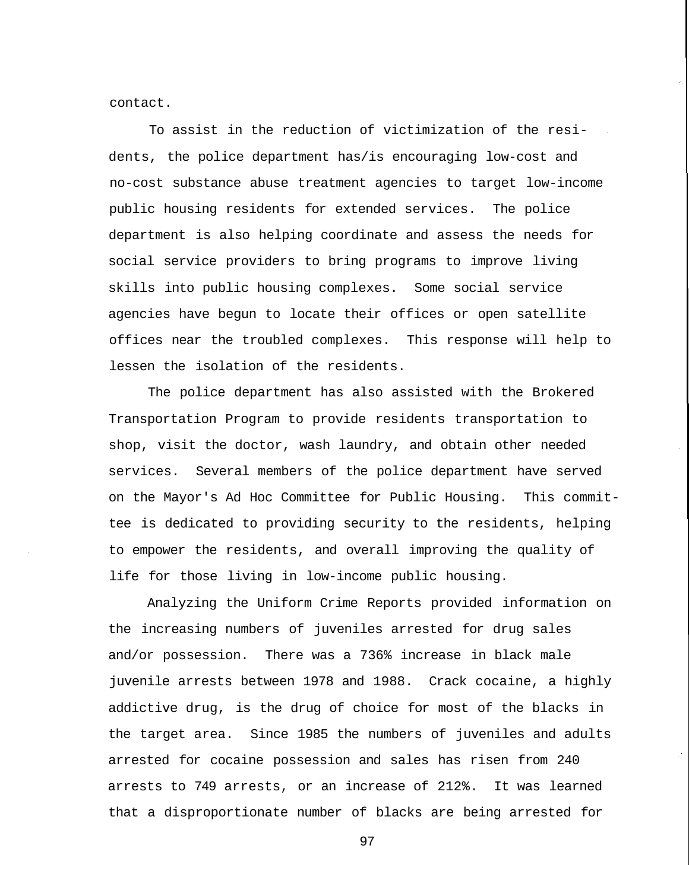contact.

To assist in the reduction of victimization of the residents, the police department has/is encouraging low-cost and no-cost substance abuse treatment agencies to target low-income public housing residents for extended services. The police department is also helping coordinate and assess the needs for social service providers to bring programs to improve living skills into public housing complexes. Some social service agencies have begun to locate their offices or open satellite offices near the troubled complexes. This response will help to lessen the isolation of the residents.

The police department has also assisted with the Brokered Transportation Program to provide residents transportation to shop, visit the doctor, wash laundry, and obtain other needed services. Several members of the police department have served on the Mayor's Ad Hoc Committee for Public Housing. This committee is dedicated to providing security to the residents, helping to empower the residents, and overall improving the quality of life for those living in low-income public housing.

Analyzing the Uniform Crime Reports provided information on the increasing numbers of juveniles arrested for drug sales and/or possession. There was a 736% increase in black male juvenile arrests between 1978 and 1988. Crack cocaine, a highly addictive drug, is the drug of choice for most of the blacks in the target area. Since 1985 the numbers of juveniles and adults arrested for cocaine possession and sales has risen from 240 arrests to 749 arrests, or an increase of 212%. It was learned that a disproportionate number of blacks are being arrested for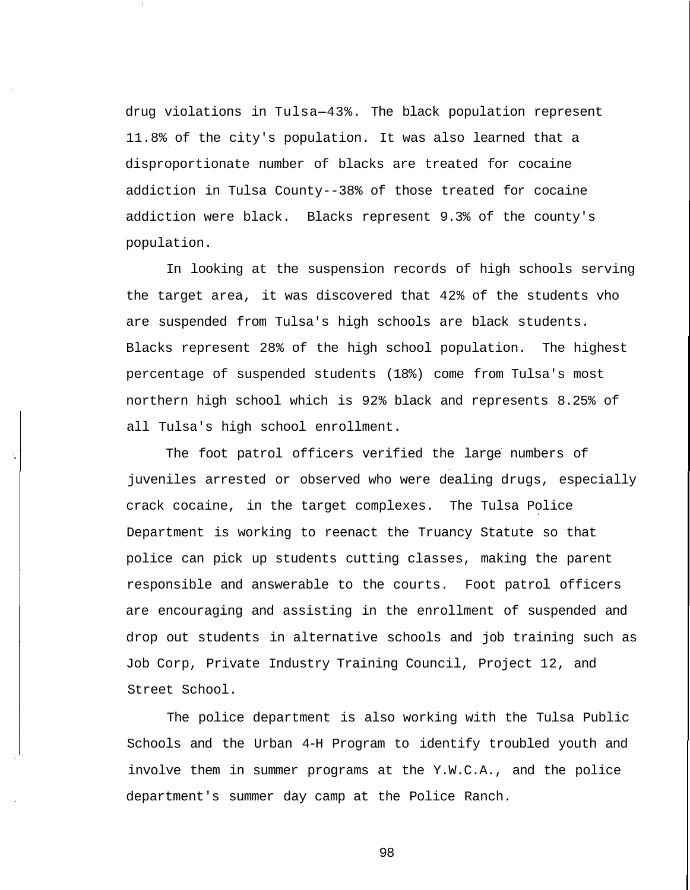drug violations in Tulsa—43%. The black population represent 11.8% of the city's population. It was also learned that a disproportionate number of blacks are treated for cocaine addiction in Tulsa County--38% of those treated for cocaine addiction were black. Blacks represent 9.3% of the county's population.

In looking at the suspension records of high schools serving the target area, it was discovered that 42% of the students vho are suspended from Tulsa's high schools are black students. Blacks represent 28% of the high school population. The highest percentage of suspended students (18%) come from Tulsa's most northern high school which is 92% black and represents 8.25% of all Tulsa's high school enrollment.

The foot patrol officers verified the large numbers of juveniles arrested or observed who were dealing drugs, especially crack cocaine, in the target complexes. The Tulsa Police Department is working to reenact the Truancy Statute so that police can pick up students cutting classes, making the parent responsible and answerable to the courts. Foot patrol officers are encouraging and assisting in the enrollment of suspended and drop out students in alternative schools and job training such as Job Corp, Private Industry Training Council, Project 12, and Street School.

The police department is also working with the Tulsa Public Schools and the Urban 4-H Program to identify troubled youth and involve them in summer programs at the Y.W.C.A., and the police department's summer day camp at the Police Ranch.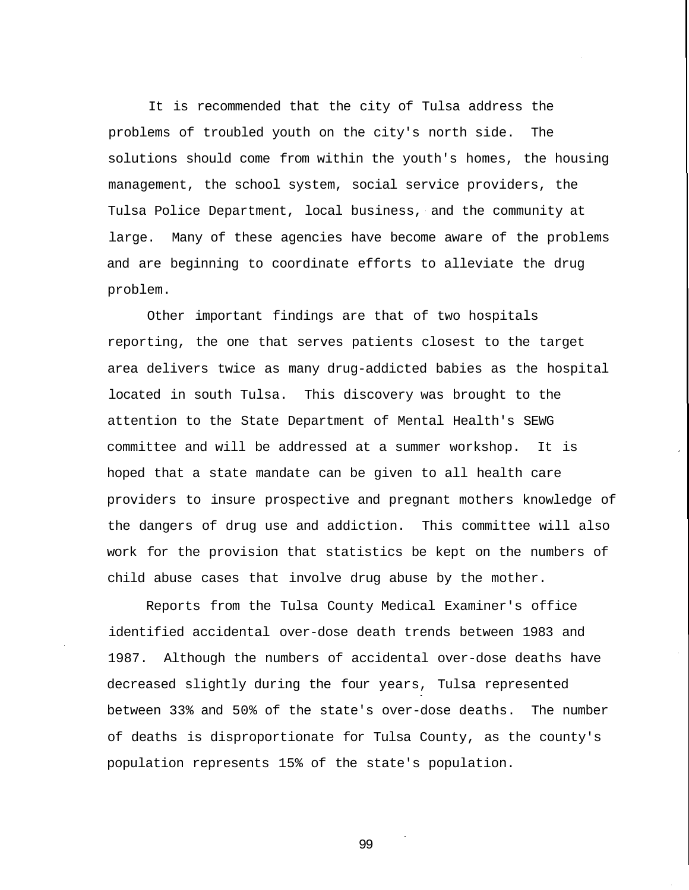It is recommended that the city of Tulsa address the problems of troubled youth on the city's north side. The solutions should come from within the youth's homes, the housing management, the school system, social service providers, the Tulsa Police Department, local business, and the community at large. Many of these agencies have become aware of the problems and are beginning to coordinate efforts to alleviate the drug problem.

Other important findings are that of two hospitals reporting, the one that serves patients closest to the target area delivers twice as many drug-addicted babies as the hospital located in south Tulsa. This discovery was brought to the attention to the State Department of Mental Health's SEWG committee and will be addressed at a summer workshop. It is hoped that a state mandate can be given to all health care providers to insure prospective and pregnant mothers knowledge of the dangers of drug use and addiction. This committee will also work for the provision that statistics be kept on the numbers of child abuse cases that involve drug abuse by the mother.

Reports from the Tulsa County Medical Examiner's office identified accidental over-dose death trends between 1983 and 1987. Although the numbers of accidental over-dose deaths have decreased slightly during the four years, Tulsa represented between 33% and 50% of the state's over-dose deaths. The number of deaths is disproportionate for Tulsa County, as the county's population represents 15% of the state's population.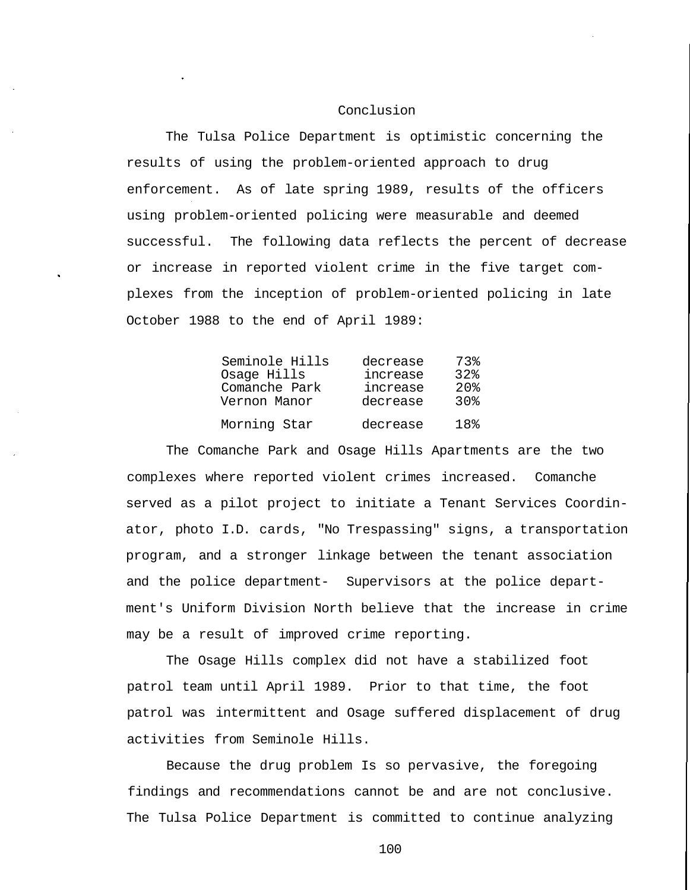## Conclusion

The Tulsa Police Department is optimistic concerning the results of using the problem-oriented approach to drug enforcement. As of late spring 1989, results of the officers using problem-oriented policing were measurable and deemed successful. The following data reflects the percent of decrease or increase in reported violent crime in the five target complexes from the inception of problem-oriented policing in late October 1988 to the end of April 1989:

| Seminole Hills | decrease | 73%                |
|----------------|----------|--------------------|
| Osage Hills    | increase | 32                 |
| Comanche Park  | increase | $20$ $\frac{1}{6}$ |
| Vernon Manor   | decrease | 30%                |
| Morning Star   | decrease | 18 <sup>°</sup>    |

The Comanche Park and Osage Hills Apartments are the two complexes where reported violent crimes increased. Comanche served as a pilot project to initiate a Tenant Services Coordinator, photo I.D. cards, "No Trespassing" signs, a transportation program, and a stronger linkage between the tenant association and the police department- Supervisors at the police department's Uniform Division North believe that the increase in crime may be a result of improved crime reporting.

The Osage Hills complex did not have a stabilized foot patrol team until April 1989. Prior to that time, the foot patrol was intermittent and Osage suffered displacement of drug activities from Seminole Hills.

Because the drug problem Is so pervasive, the foregoing findings and recommendations cannot be and are not conclusive. The Tulsa Police Department is committed to continue analyzing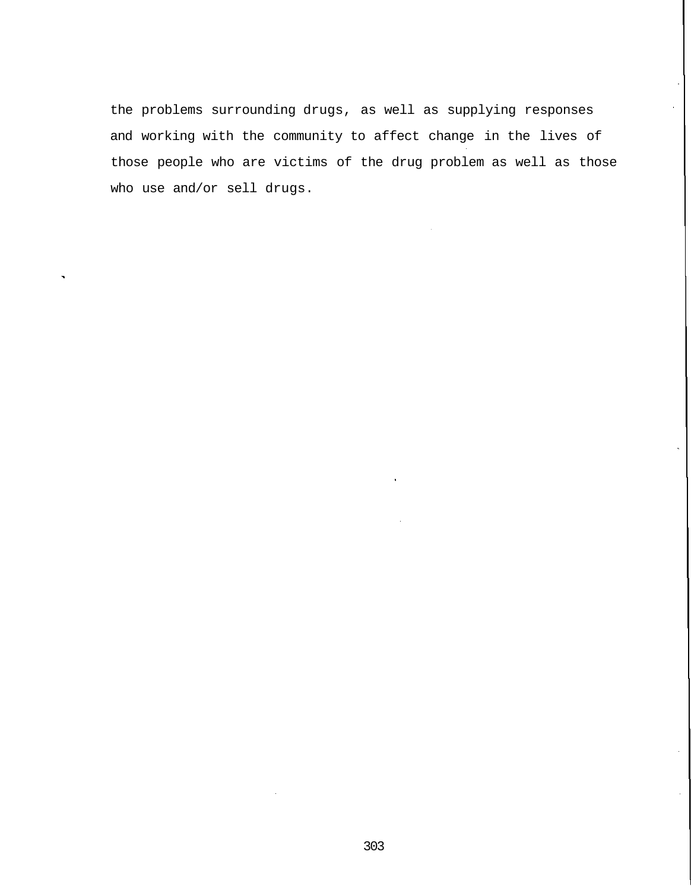the problems surrounding drugs, as well as supplying responses and working with the community to affect change in the lives of those people who are victims of the drug problem as well as those who use and/or sell drugs.

 $\mathcal{L}^{\pm}$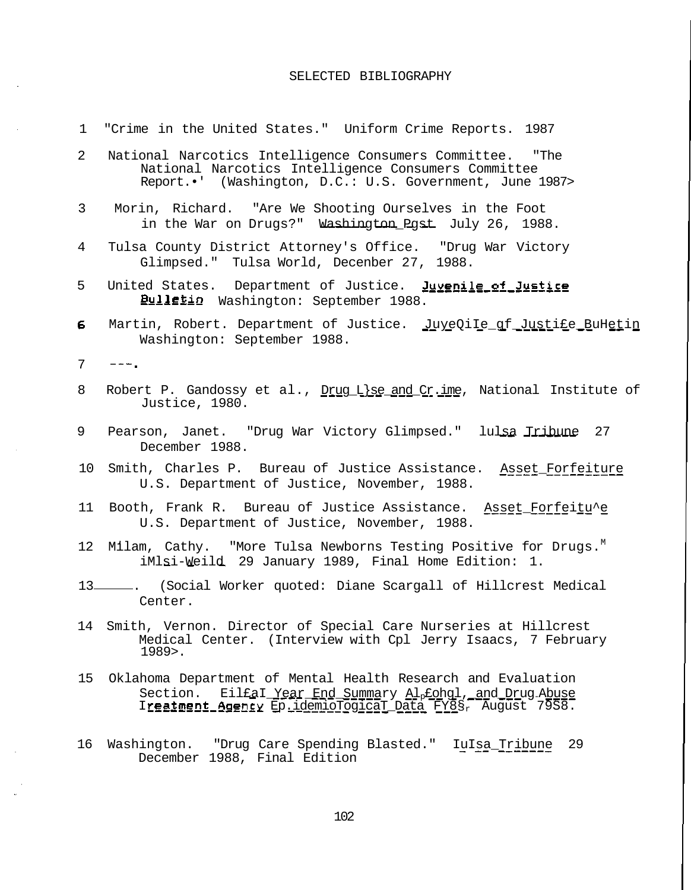## SELECTED BIBLIOGRAPHY

l.

 $\sim$ 

| 1  | "Crime in the United States." Uniform Crime Reports. 1987                                                                                                                                          |
|----|----------------------------------------------------------------------------------------------------------------------------------------------------------------------------------------------------|
| 2  | National Narcotics Intelligence Consumers Committee. "The<br>National Narcotics Intelligence Consumers Committee<br>Report' (Washington, D.C.: U.S. Government, June 1987>                         |
| 3  | Morin, Richard. "Are We Shooting Ourselves in the Foot<br>in the War on Drugs?" Washington Pgst July 26, 1988.                                                                                     |
| 4  | Tulsa County District Attorney's Office. "Drug War Victory<br>Glimpsed." Tulsa World, Decenber 27, 1988.                                                                                           |
| 5  | United States. Department of Justice. Juvenile_of_Justice<br><b>Bulletin</b> Washington: September 1988.                                                                                           |
| 6. | Martin, Robert. Department of Justice. JuyeQile_gf_Justife_BuHetin<br>Washington: September 1988.                                                                                                  |
| 7  | ----                                                                                                                                                                                               |
| 8  | Robert P. Gandossy et al., Drug Lise and Cr.ime, National Institute of<br>Justice, 1980.                                                                                                           |
| 9  | Pearson, Janet. "Drug War Victory Glimpsed." lulsa Tribune 27<br>December 1988.                                                                                                                    |
| 10 | Smith, Charles P. Bureau of Justice Assistance. Asset Forfeiture<br>U.S. Department of Justice, November, 1988.                                                                                    |
| 11 | Booth, Frank R. Bureau of Justice Assistance. Asset Forfeitu'e<br>U.S. Department of Justice, November, 1988.                                                                                      |
| 12 | Milam, Cathy. "More Tulsa Newborns Testing Positive for Drugs."<br>iMlsi-Weild 29 January 1989, Final Home Edition: 1.                                                                             |
|    | 13 _____. (Social Worker quoted: Diane Scargall of Hillcrest Medical<br>Center.                                                                                                                    |
|    | 14 Smith, Vernon. Director of Special Care Nurseries at Hillcrest<br>Medical Center. (Interview with Cpl Jerry Isaacs, 7 February<br>$1989$ .                                                      |
| 15 | Oklahoma Department of Mental Health Research and Evaluation<br>Section.<br>Eilfal Year End Summary Al, fohgl, and Drug Abuse<br>I <b>reaimeni_Agenty</b> Ep.idemioTogicaT Data FY8S, August 79S8. |
| 16 | Washington. "Drug Care Spending Blasted." IuIsa_Tribune<br>29<br>December 1988, Final Edition                                                                                                      |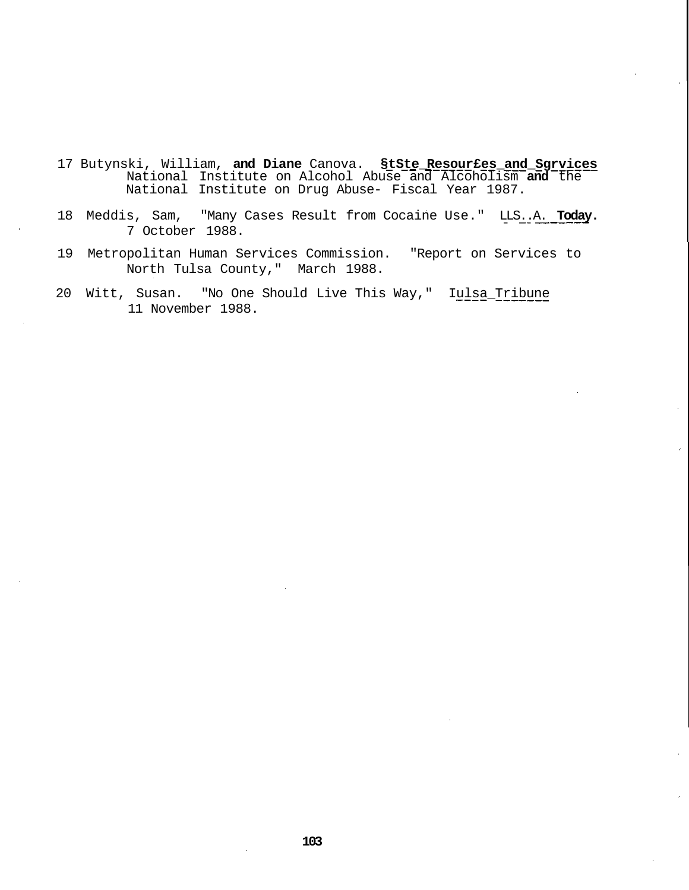- 17 Butynski, William, **and Diane** Canova. **§tSte\_Resour£es\_and\_Sgrvices** National Institute on Alcohol Abuse and Alcoholism **and** the National Institute on Drug Abuse- Fiscal Year 1987.
- 18 Meddis, Sam, "Many Cases Result from Cocaine Use." LLS..A. **Today.** 7 October 1988.
- 19 Metropolitan Human Services Commission. "Report on Services to North Tulsa County," March 1988.
- 20 Witt, Susan. "No One Should Live This Way," Iulsa Tribune 11 November 1988.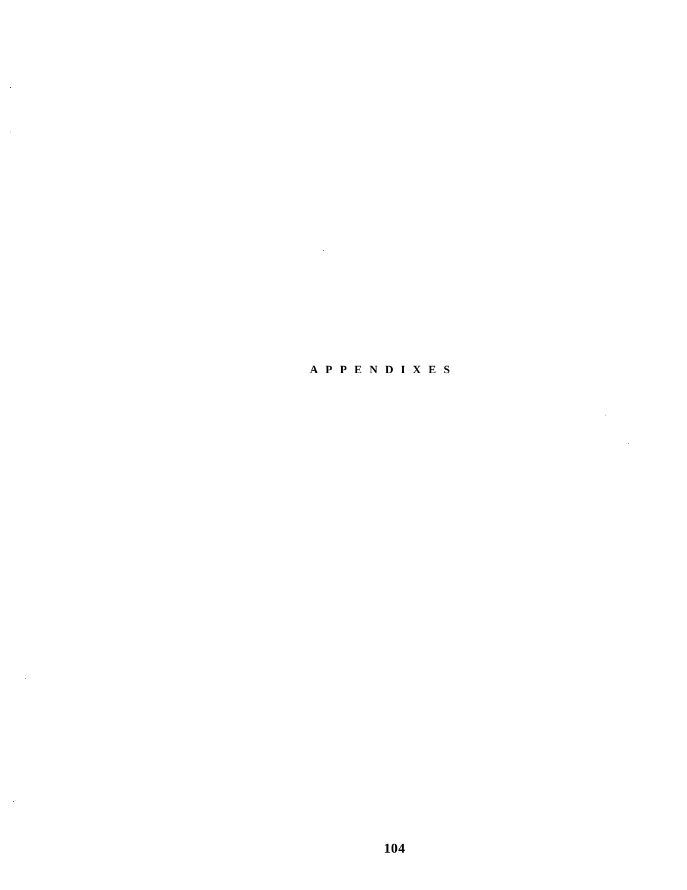**APPENDIXE S**

 $\sim$ 

 $\ddot{\phantom{0}}$ 

 $\sim 10^7$ 

 $\sim$ 

 $\bar{z}$ 

 $\sim 10$ 

 $\overline{\phantom{a}}$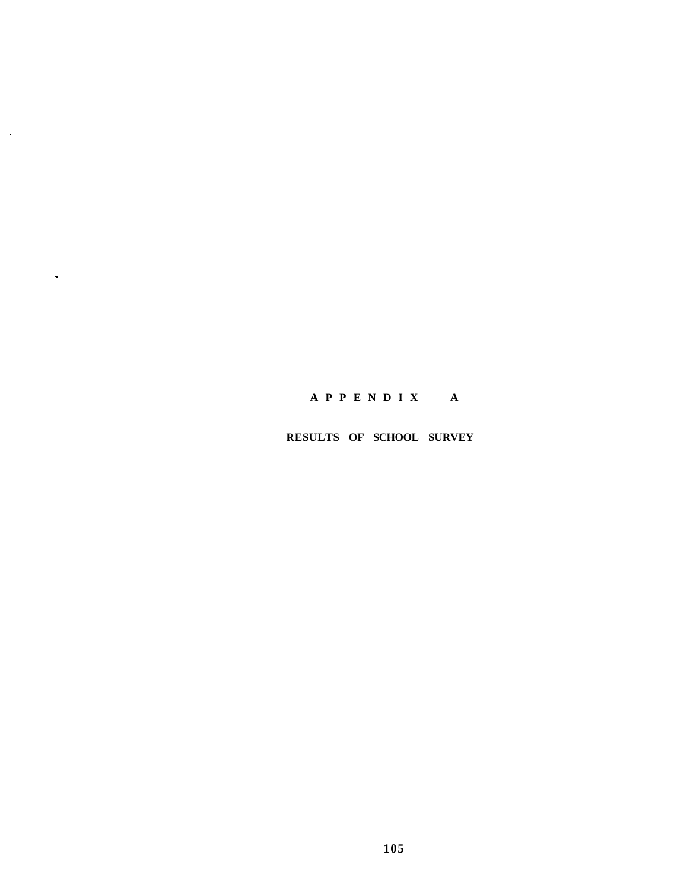# **APPENDI X A**

 $\mathcal{L}_{\rm{max}}$  ,  $\mathcal{L}_{\rm{max}}$ 

 $\sim 1$  .

 $\sim$   $\sim$ 

 $\sim$ 

 $\sim$ 

 $\sim$ 

 $\hat{\mathbf{z}}$ 

# **RESULTS OF SCHOOL SURVEY**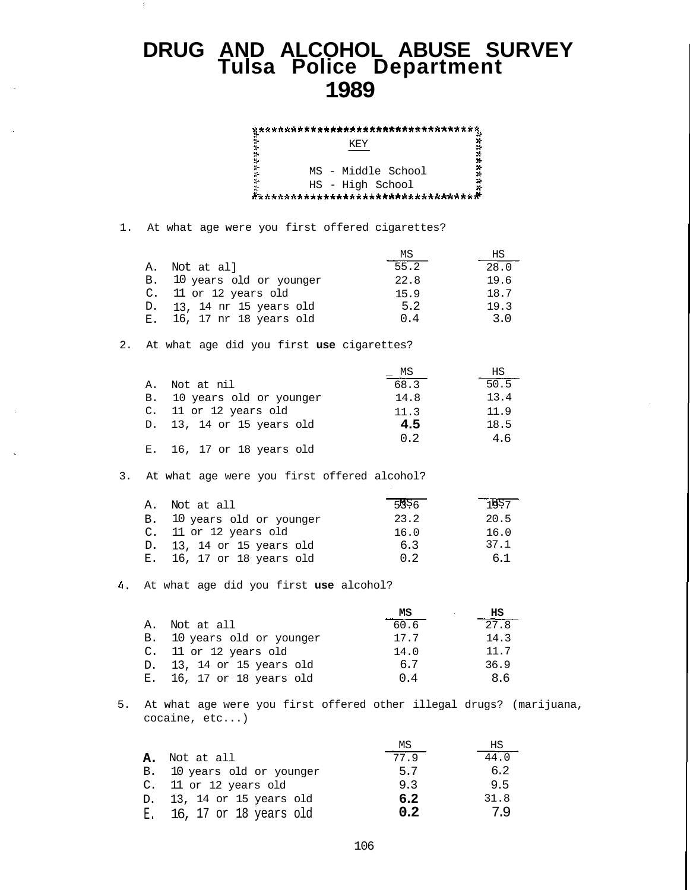# **DRUG AND ALCOHOL ABUSE SURVEY Tulsa Police Department 1989**

KEY MS - Middle School HS - High School

1. At what age were you first offered cigarettes?

|                            | ΜS   | НS   |
|----------------------------|------|------|
| A. Not at all              | 55.2 | 28.0 |
| B. 10 years old or younger | 22.8 | 19.6 |
| C. 11 or 12 years old      | 15.9 | 18.7 |
| D. 13, 14 nr 15 years old  | 5.2  | 19.3 |
| E. 16, 17 nr 18 years old  | 0.4  | 3 O  |

#### 2. At what age did you first **use** cigarettes?

|    |                           | MS   | НS   |
|----|---------------------------|------|------|
| А. | Not at nil                | 68.3 | 50.5 |
| B. | 10 years old or younger   | 14.8 | 13.4 |
|    | C. 11 or 12 years old     | 11.3 | 11.9 |
|    | D. 13, 14 or 15 years old | 4.5  | 18.5 |
|    |                           | 0.2  | 4.6  |
|    | E. 16, 17 or 18 years old |      |      |

## 3. At what age were you first offered alcohol?

| Α. | Not at all                 | 5MS6 | 1957 |
|----|----------------------------|------|------|
|    | B. 10 years old or younger | 23.2 | 20.5 |
|    | C. 11 or 12 years old      | 16.0 | 16.0 |
|    | D. 13, 14 or 15 years old  | 6.3  | 37.1 |
|    | E. 16, 17 or 18 years old  | 0.2  | 6.1  |

## At what age did you first **use** alcohol?

|    |                            | MS   | нs   |
|----|----------------------------|------|------|
| Α. | Not at all                 | 60.6 | 27.8 |
|    | B. 10 years old or younger | 17.7 | 14.3 |
|    | C. 11 or 12 years old      | 14.0 | 11.7 |
|    | D. 13, 14 or 15 years old  | 6.7  | 36.9 |
|    | E. 16, 17 or 18 years old  | 0.4  | 8.6  |

5. At what age were you first offered other illegal drugs? (marijuana, cocaine, etc...)

|    |                            | ΜS               | НS   |
|----|----------------------------|------------------|------|
| А. | Not at all                 | 77.9             | 44.0 |
|    | B. 10 years old or younger | 5.7              | 6.2  |
|    | C. 11 or 12 years old      | 9.3              | 9.5  |
|    | D. 13, 14 or 15 years old  | 6.2              | 31.8 |
| Е. | 16, 17 or 18 years old     | 0.2 <sub>1</sub> | 79   |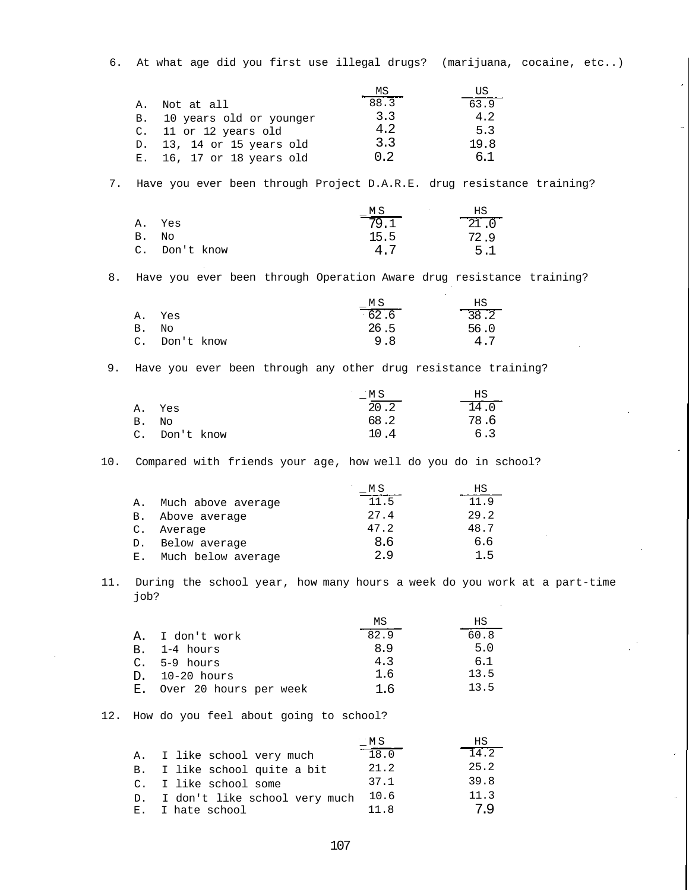88.3 3.3 4.2 3.3 0.2 63.9 4.2 5.3 19.8 6.1 79. 1 15. 4. 5 7 21 .0 72 .9 5 .1 6. At what age did you first use illegal drugs? (marijuana, cocaine, etc..) MS US A. Not at all B. 10 years old or younger C. 11 or 12 years old D. 13, 14 or 15 years old E. 16, 17 or 18 years old 7. Have you ever been through Project D.A.R.E. drug resistance training?  $\underline{\hspace{1cm}}$  M S  $\underline{\hspace{1cm}}$  HS A. Yes B. No C. Don't know 8. Have you ever been through Operation Aware drug resistance training?  $-M S$  HS A. Yes B. No C. Don't know 9. Have you ever been through any other drug resistance training?  $-M S$  HS A. Yes B. No C. Don't know 10. Compared with friends your age, how well do you do in school?  $-M S$  HS A. Much above average B. Above average C. Average D. Below average E. Much below average 11. During the school year, how many hours a week do you work at a part-time job? MS HS 62 .6 26 .5 9 .8 38 .2 56 .0 4 .7 20 .2 68 .2 10 .4 14 .0 78 .6 6 .3 11.5 27.4 47.2 8.6 2.9  $\frac{11.9}{11.9}$ 29.2 48.7 6.6 1.5 A. I don't work B. 1-4 hours C. 5-9 hours D. 10-20 hours E. Over 20 hours per week 82.9 8.9 4.3 1.6 1.6 60.8 5.0 6.1 13.5 13.5 12. How do you feel about going to school?  $M S$  HS A. I like school very much B. I like school quite a bit C. I like school some D. I don't like school very much 10.6 18.0 21.2 37.1 14.2 25.2 39.8 11.3

107

11.8

7.9

 $\mathcal{L}$ 

E. I hate school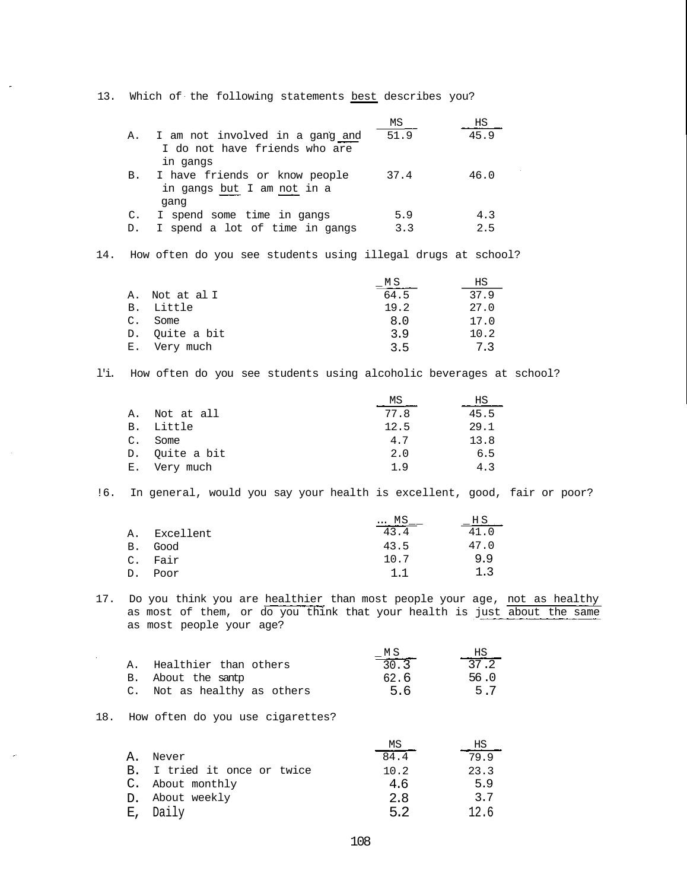13. Which of the following statements best describes you?

|    |                                 | ΜS   | НS   |
|----|---------------------------------|------|------|
| Α. | I am not involved in a gang and | 51.9 | 45.9 |
|    | I do not have friends who are   |      |      |
|    | in gangs                        |      |      |
| В. | I have friends or know people   | 37.4 | 46.0 |
|    | in gangs but I am not in a      |      |      |
|    | qanq                            |      |      |
| C. | I spend some time in gangs      | 5.9  | 4.3  |
|    | I spend a lot of time in gangs  | २ २  | 2.5  |

14. How often do you see students using illegal drugs at school?

|             |                |      | НS   |
|-------------|----------------|------|------|
| А.          | Not at al I    | 64.5 | 37.9 |
|             | B. Little      | 19.2 | 27.0 |
| C.          | Some           | 8.0  | 17.0 |
|             | D. Quite a bit | 3.9  | 10.2 |
| $E_{\perp}$ | Very much      | २ म  | 73   |

l'i. How often do you see students using alcoholic beverages at school?

|                |                | MS   | НS   |
|----------------|----------------|------|------|
| Α.             | Not at all     | 77.8 | 45.5 |
|                | B. Little      | 12.5 | 29.1 |
| $\mathsf{C}$ . | Some           | 4.7  | 13.8 |
|                | D. Ouite a bit | 2.0  | 6.5  |
|                | E. Very much   | 19   | 4.3  |

!6. In general, would you say your health is excellent, good, fair or poor?

|    |           | MS_  | НS   |
|----|-----------|------|------|
| Α. | Excellent | 43.4 | 41.0 |
| B. | Good      | 43.5 | 47.0 |
|    | C. Fair   | 10.7 | 9.9  |
| D. | Poor      | 1.1  | 1.3  |

17. Do you think you are healthier than most people your age, not as healthy as most of them, or do you think that your health is just about the same as most people your age?

|    |                             | $=$ <u>MS</u> | ΗS   |
|----|-----------------------------|---------------|------|
| Α. | Healthier than others       | 30.3          | 37.2 |
|    | B. About the santp          | 62.6          | 56.0 |
|    | C. Not as healthy as others | 5.6           | 57   |

18. How often do you use cigarettes?

 $\mathcal{L}^{\text{max}}$ 

|    |                             | MS   | НS   |
|----|-----------------------------|------|------|
| A. | Never                       | 84.4 | 79.9 |
|    | B. I tried it once or twice | 10.2 | 23.3 |
|    | C. About monthly            | 4.6  | 5.9  |
|    | D. About weekly             | 2.8  | 3.7  |
|    | E, Daily                    | 52   | 12.6 |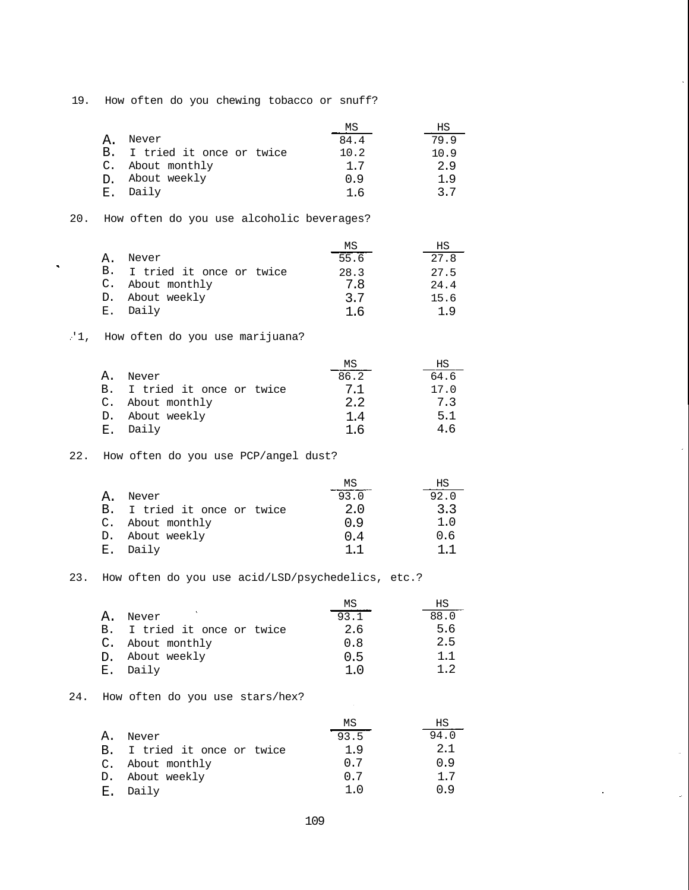19. How often do you chewing tobacco or snuff?

|             |                             | ΜS   | НS   |
|-------------|-----------------------------|------|------|
| A.          | Never                       | 84.4 | 79.9 |
|             | B. I tried it once or twice | 10.2 | 10.9 |
|             | C. About monthly            | 1.7  | 2.9  |
| $D_{\perp}$ | About weekly                | 0.9  | 1.9  |
| E.,         | Daily                       | 1.6  | 37   |

20. How often do you use alcoholic beverages?

|    |                             | ΜS   | НS   |
|----|-----------------------------|------|------|
| A. | Never                       | 55.6 | 27.8 |
|    | B. I tried it once or twice | 28.3 | 27.5 |
|    | C. About monthly            | 7.8  | 24.4 |
|    | D. About weekly             | 3.7  | 15.6 |
|    | E. Daily                    | 1 6  | 1 9  |

# '1, How often do you use marijuana?

 $\tilde{\phantom{a}}$ 

|    |                             | ΜS   | НS   |
|----|-----------------------------|------|------|
| Α. | Never                       | 86.2 | 64.6 |
|    | B. I tried it once or twice | 7.1  | 17.0 |
|    | C. About monthly            | 2.2  | 7.3  |
|    | D. About weekly             | 1.4  | 5.1  |
|    | F. Daily                    | 16   | 4.6  |

22. How often do you use PCP/angel dust?

|   |                             | ΜS   | НS   |
|---|-----------------------------|------|------|
| A | Never                       | 93.0 | 92.0 |
|   | B. I tried it once or twice | 2.0  | 3.3  |
|   | C. About monthly            | 0.9  | 1.0  |
|   | D. About weekly             | 0.4  | 0.6  |
|   | E. Daily                    | 11   | 11   |

23. How often do you use acid/LSD/psychedelics, etc.?

|    |                             | ΜS   | НS             |
|----|-----------------------------|------|----------------|
| Α. | Never                       | 93.1 | 88.0           |
|    | B. I tried it once or twice | 2.6  | 5.6            |
|    | C. About monthly            | 0.8  | 2.5            |
|    | D. About weekly             | 0.5  | 1.1            |
| Е. | Dailv                       | 1 ∩  | 1 <sub>2</sub> |

#### 24. How often do you use stars/hex?

|                           |                             | МS   | НS   |
|---------------------------|-----------------------------|------|------|
| Α.                        | Never                       | 93.5 | 94.0 |
|                           | B. I tried it once or twice | 1.9  | 2.1  |
|                           | C. About monthly            | 0.7  | 0.9  |
|                           | D. About weekly             | 0.7  | 1.7  |
| $\mathbf{F}_{\mathbf{r}}$ | Daily                       |      | 0.9  |

 $\bar{t}_i$ 

 $\sim$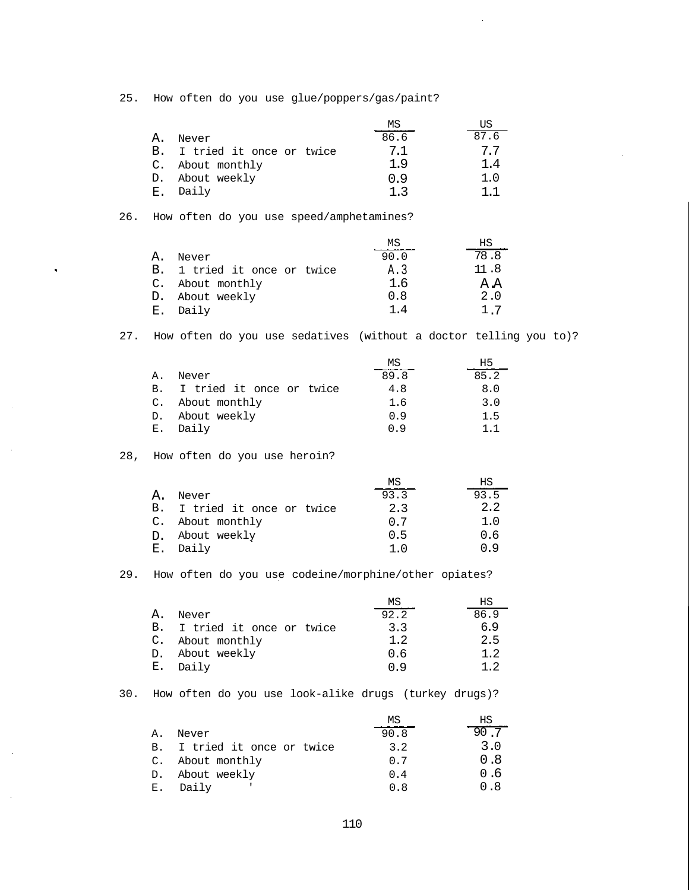25. How often do you use glue/poppers/gas/paint?

|     |                             | ΜS   | US   |
|-----|-----------------------------|------|------|
| Α.  | Never                       | 86.6 | 87.6 |
|     | B. I tried it once or twice | 7.1  | 77   |
|     | C. About monthly            | 1.9  | 1.4  |
|     | D. About weekly             | 0.9  | 1.0  |
| E., | Daily                       | า ว  |      |

26. How often do you use speed/amphetamines?

|    |                             | МS   | HS.  |
|----|-----------------------------|------|------|
| Α. | Never                       | 90.0 | 78.8 |
|    | B. 1 tried it once or twice | A.3  | 11.8 |
|    | C. About monthly            | 1.6  | A.A  |
|    | D. About weekly             | 0.8  | 2.0  |
| Е. | Daily                       | 1.4  | 17   |

27. How often do you use sedatives (without a doctor telling you to)?

|    |                             | ΜS   |      |
|----|-----------------------------|------|------|
| Α. | Never                       | 89.8 | 85.2 |
|    | B. I tried it once or twice | 4.8  | 8.0  |
|    | C. About monthly            | 1.6  | 3.0  |
|    | D. About weekly             | 0.9  | 1.5  |
| Е. | Daily                       | n 9  | 11   |

<sup>28,</sup> How often do you use heroin?

Ñ

|                |                             | ΜS   | НS   |
|----------------|-----------------------------|------|------|
|                | Never                       | 93.3 | 93.5 |
|                | B. I tried it once or twice | 2.3  | 2.2  |
|                | C. About monthly            | 0.7  | 1.0  |
| D.             | About weekly                | 0.5  | 0.6  |
| $\mathbf{E}$ . | Daily                       |      | n g  |

29. How often do you use codeine/morphine/other opiates?

|    |                             | ΜS   | НS             |
|----|-----------------------------|------|----------------|
| A. | Never                       | 92.2 | 86.9           |
|    | B. I tried it once or twice | 3.3  | 6.9            |
|    | C. About monthly            | 1.2  | 2.5            |
|    | D. About weekly             | 0.6  | 1.2.           |
| Е. | Daily                       | n g  | 1 <sub>2</sub> |

30. How often do you use look-alike drugs (turkey drugs)?

|                |                             | ΜS   | ΗS    |
|----------------|-----------------------------|------|-------|
| Α.             | Never                       | 90.8 | 90 .7 |
|                | B. I tried it once or twice | 3.2  | 3.0   |
|                | C. About monthly            | 0.7  | 0.8   |
|                | D. About weekly             | 0.4  | 0.6   |
| $\mathbf{E}$ . | Daily                       | 0.8  | 0.8   |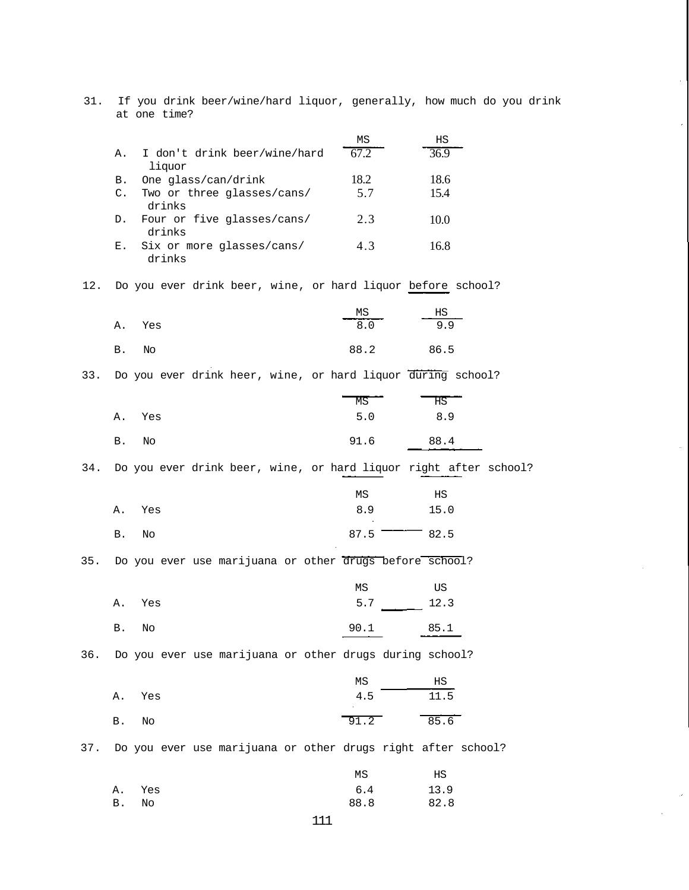31. If you drink beer/wine/hard liquor, generally, how much do you drink at one time?

|    |                              | ΜS   | НS   |
|----|------------------------------|------|------|
| Α. | I don't drink beer/wine/hard | 67.2 | 369  |
|    | liquor                       |      |      |
| В. | One glass/can/drink          | 18.2 | 18.6 |
| C. | Two or three glasses/cans/   | 5.7  | 15.4 |
|    | drinks                       |      |      |
| D. | Four or five glasses/cans/   | 2.3  | 10.0 |
|    | drinks                       |      |      |
| Е. | Six or more glasses/cans/    | 43   | 16 8 |
|    | drinks                       |      |      |

12. Do you ever drink beer, wine, or hard liquor before school?

| Α. | Yes | MS<br>8.0 | $_{\rm HS}$<br>9.9 |
|----|-----|-----------|--------------------|
| B. | No  | 88.2      | 86.5               |

33. Do you ever drink heer, wine, or hard liquor during school?

|     |    |     |  | MS                                                               | HS   |  |
|-----|----|-----|--|------------------------------------------------------------------|------|--|
|     | Α. | Yes |  | 5.0                                                              | 8.9  |  |
|     | B. | No  |  | 91.6                                                             | 88.4 |  |
| 34. |    |     |  | Do you ever drink beer, wine, or hard liquor right after school? |      |  |
|     |    |     |  | MS                                                               | НS   |  |
|     | Α. | Yes |  | 8.9                                                              | 15.0 |  |
|     | В. | No  |  | 87.5                                                             | 82.5 |  |

 $\ddot{\phantom{a}}$ 

35. Do you ever use marijuana or other drugs before school?

|       |        | ΜS        | US           |
|-------|--------|-----------|--------------|
|       | A. Yes |           | $5.7$ $12.3$ |
| B. No |        | 90.1 85.1 |              |

36. Do you ever use marijuana or other drugs during school?

|    |     | MS               | ΗS   |
|----|-----|------------------|------|
| Α. | Yes | 4.5<br>. .       | 11.5 |
| B. | No  | $\frac{1}{91.2}$ | 85.6 |

37. Do you ever use marijuana or other drugs right after school?

|        | ΜS   | ΗS   |
|--------|------|------|
| A. Yes | 6.4  | 13.9 |
| B. No  | 88.8 | 82.8 |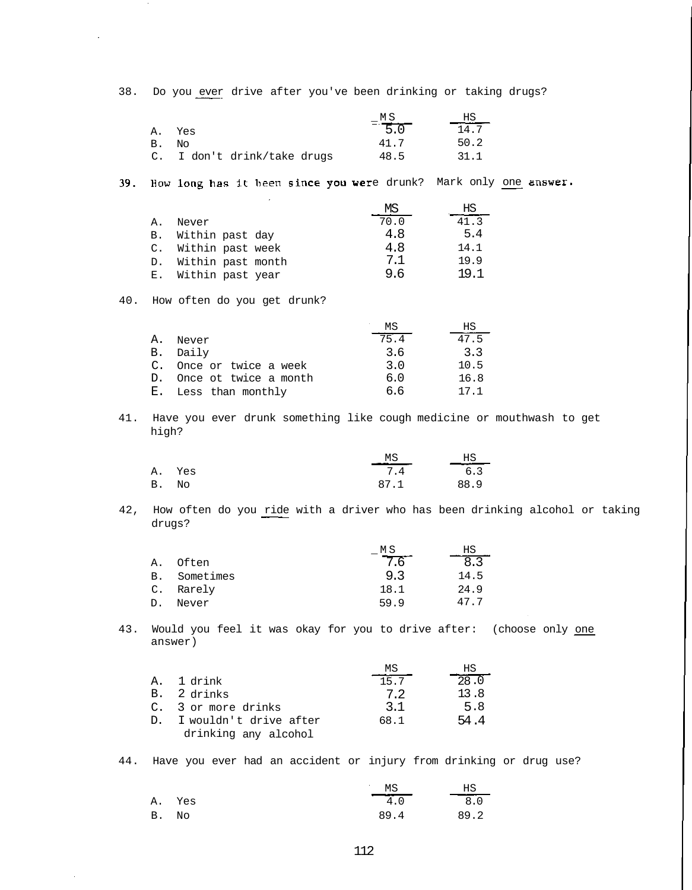| 38. |                | Do you ever drive after you've been drinking or taking drugs?                  |                                     |                          |  |
|-----|----------------|--------------------------------------------------------------------------------|-------------------------------------|--------------------------|--|
|     |                |                                                                                |                                     |                          |  |
|     | Α.             | Yes                                                                            | $=\frac{MS}{5.0}$ HS                |                          |  |
|     | Β.             | No                                                                             | 41.7                                | 50.2                     |  |
|     | $\mathsf{C}$ . | I don't drink/take drugs                                                       | 48.5                                | 31.1                     |  |
| 39. |                | How long has it been since you were drunk? Mark only one answer.               |                                     |                          |  |
|     |                |                                                                                |                                     |                          |  |
|     | Α.             | Never                                                                          | $\frac{\text{MS}}{70.0}$            | $\frac{\text{HS}}{41.3}$ |  |
|     | в.             | Within past day                                                                | 4.8                                 | 5.4                      |  |
|     | $\mathsf{C}$ . | Within past week                                                               | 4.8                                 | 14.1                     |  |
|     | D.             | Within past month                                                              | 7.1                                 | 19.9                     |  |
|     | Ε.             | Within past year                                                               | 9.6                                 | 19.1                     |  |
| 40. |                | How often do you get drunk?                                                    |                                     |                          |  |
|     |                |                                                                                | MS                                  | $_{\rm HS}$              |  |
|     | Α.             | Never                                                                          | 75.4                                | $\frac{1}{47.5}$         |  |
|     | B.             | Daily                                                                          | 3.6                                 | 3.3                      |  |
|     |                | C. Once or twice a week                                                        | 3.0                                 | 10.5                     |  |
|     |                | D. Once ot twice a month                                                       | 6.0                                 | 16.8                     |  |
|     |                | E. Less than monthly                                                           | 6.6                                 | 17.1                     |  |
| 41. | high?          | Have you ever drunk something like cough medicine or mouthwash to get          |                                     |                          |  |
|     |                |                                                                                | $\frac{MS}{7.4}$ $\frac{HS}{6.3}$   |                          |  |
|     | Α.             | Yes                                                                            |                                     |                          |  |
|     | В.             | No                                                                             | 87.1                                | 88.9                     |  |
| 42, | drugs?         | How often do you ride with a driver who has been drinking alcohol or taking    |                                     |                          |  |
|     |                |                                                                                | $-\frac{MS}{7.6}$ $-\frac{HS}{8.3}$ |                          |  |
|     | Α.             | Often                                                                          |                                     |                          |  |
|     | В.             | Sometimes                                                                      | 9.3                                 | 14.5                     |  |
|     | $\mathtt{C}$ . | Rarely                                                                         | 18.1                                | 24.9                     |  |
|     | D.             | Never                                                                          | 59.9                                | 47.7                     |  |
| 43. |                | Would you feel it was okay for you to drive after: (choose only one<br>answer) |                                     |                          |  |
|     |                |                                                                                | ΜS                                  | ΗS                       |  |
|     | Α.             | 1 drink                                                                        | 15.7                                | 28.0                     |  |
|     | B.             | 2 drinks                                                                       | 7.2                                 | 13.8                     |  |
|     | $\mathsf{C}$ . | 3 or more drinks                                                               | 3.1                                 | 5.8                      |  |
|     | D.             | I wouldn't drive after                                                         | 68.1                                | 54.4                     |  |
|     |                | drinking any alcohol                                                           |                                     |                          |  |
| 44. |                | Have you ever had an accident or injury from drinking or drug use?             |                                     |                          |  |
|     |                |                                                                                |                                     |                          |  |

l,

 $\bar{\gamma}$ 

|        | ΜS   | ΗS   |
|--------|------|------|
| A. Yes | 4.0  | 8.0  |
| B. No  | 89.4 | 89.2 |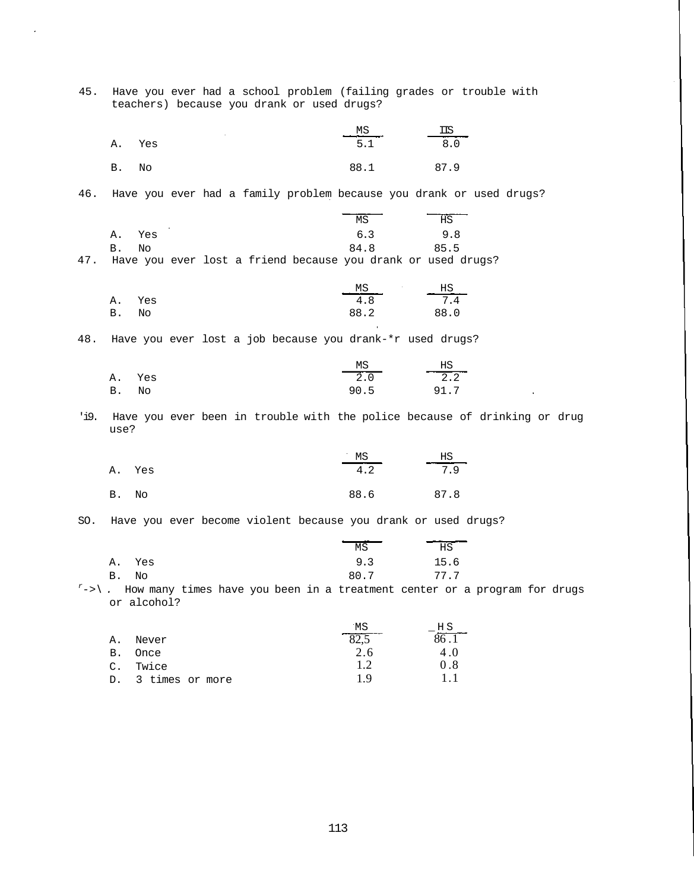45. Have you ever had a school problem (failing grades or trouble with teachers) because you drank or used drugs?

|           |     | MS   | ПS   |
|-----------|-----|------|------|
| Α.        | Yes | 5.1  | 8.0  |
| <b>B.</b> | No  | 88.1 | 87.9 |

46. Have you ever had a family problem because you drank or used drugs?

|           |     |     |             | ΜS   | ---------<br>HS |
|-----------|-----|-----|-------------|------|-----------------|
| Α.        | Yes |     |             | 6.3  | 9.8             |
| <b>B.</b> | No  |     |             | 84.8 | 85.5            |
|           |     | - - | $ -$<br>- - |      |                 |

47. Have you ever lost a friend because you drank or used drugs?

|        | MS   | $\overline{HS}$ |
|--------|------|-----------------|
| A. Yes | 4.8  | 7.4             |
| B. No  | 88.2 | 88.0            |

48. Have you ever lost a job because you drank-\*r used drugs?

|        | MS   | HS   |
|--------|------|------|
| A. Yes | 2.0  | 2.2  |
| B. No  | 90.5 | 91.7 |

'i9. Have you ever been in trouble with the police because of drinking or drug use?

|            |     | MS   | $\overline{HS}$ |
|------------|-----|------|-----------------|
| Α.         | Yes | 4.2  | 7.9             |
| <b>B</b> . | No  | 88.6 | 87.8            |

SO. Have you ever become violent because you drank or used drugs?

|       |        | ____<br>ΜS | HS   |
|-------|--------|------------|------|
|       | A. Yes | 9.3        | 15.6 |
| B. No |        | 80.7       | 77.7 |

 $r \rightarrow$  . How many times have you been in a treatment center or a program for drugs or alcohol?

|    |                    | 'MS  | НS   |
|----|--------------------|------|------|
| Α. | Never              | ت…∠ن | 86.1 |
| В. | Once               | 2.6  | 4.0  |
|    | C. Twice           | 12   | 0.8  |
|    | D. 3 times or more | 1 Q  |      |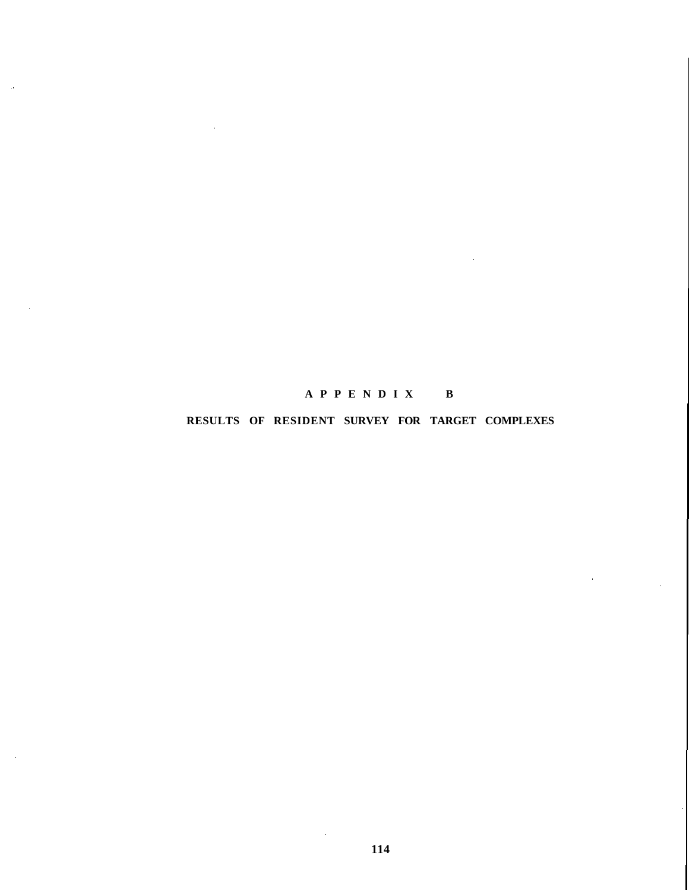# **APPENDI X B**

# **RESULTS OF RESIDENT SURVEY FOR TARGET COMPLEXES**

 $\mathbf{r}$ 

 $\bar{z}$ 

 $\sim$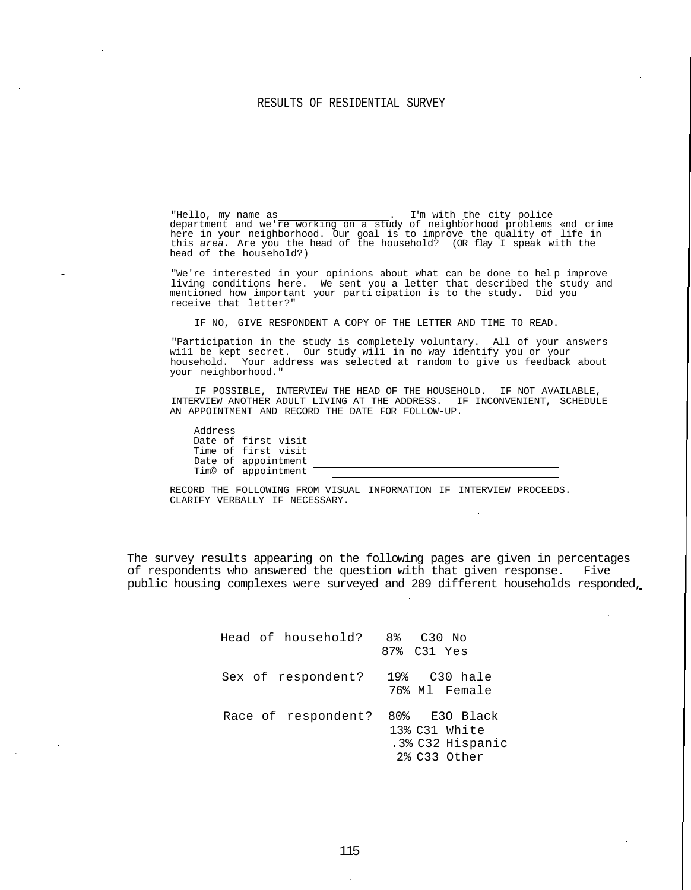#### RESULTS OF RESIDENTIAL SURVEY

"Hello, my name as \_\_\_\_\_\_\_\_\_\_\_\_\_\_\_\_\_\_. I'm with the city police department and we're working on a study of neighborhood problems «nd crime here in your neighborhood. Our goal is to improve the quality of life in this area. Are you the head of the household? (OR flay I speak with the head of the household?)

"We're interested in your opinions about what can be done to hel p improve living conditions here. We sent you a letter that described the study and mentioned how important your parti cipation is to the study. Did you receive that letter?"

IF NO, GIVE RESPONDENT A COPY OF THE LETTER AND TIME TO READ.

"Participation in the study is completely voluntary. All of your answers wi11 be kept secret. Our study wil1 in no way identify you or your household. Your address was selected at random to give us feedback about your neighborhood."

IF POSSIBLE, INTERVIEW THE HEAD OF THE HOUSEHOLD. IF NOT AVAILABLE, INTERVIEW ANOTHER ADULT LIVING AT THE ADDRESS. IF INCONVENIENT, SCHEDULE AN APPOINTMENT AND RECORD THE DATE FOR FOLLOW-UP.

| Address |                     |  |  |  |
|---------|---------------------|--|--|--|
|         | Date of first visit |  |  |  |
|         | Time of first visit |  |  |  |
|         | Date of appointment |  |  |  |
|         | Tim© of appointment |  |  |  |

RECORD THE FOLLOWING FROM VISUAL INFORMATION IF INTERVIEW PROCEEDS. CLARIFY VERBALLY IF NECESSARY.

The survey results appearing on the following pages are given in percentages of respondents who answered the question with that given response. Five public housing complexes were surveyed and 289 different households responded,

| Head of household?  | 8%<br>C30 No                                                       |
|---------------------|--------------------------------------------------------------------|
|                     | 87% C31 Yes                                                        |
| Sex of respondent?  | 19% C30 hale<br>76% Ml Female                                      |
| Race of respondent? | 80% E30 Black<br>13% C31 White<br>.3% C32 Hispanic<br>2% C33 Other |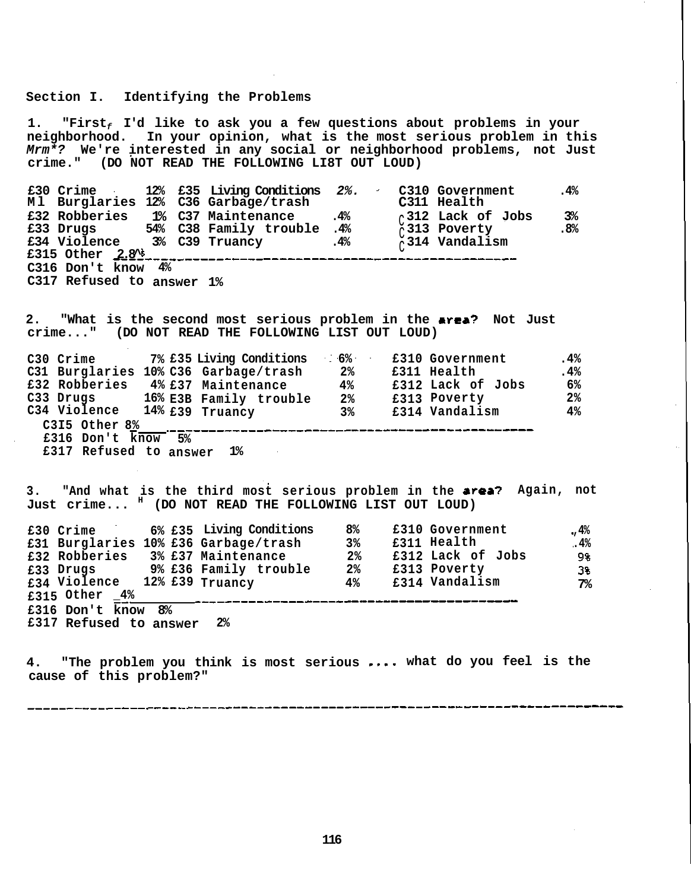### **Section I. Identifying the Problems**

**1. "Firstf I'd like to ask you a few questions about problems in your neighborhood. In your opinion, what is the most serious problem in this Mrm\*? We're interested in any social or neighborhood problems, not Just crime." (DO NOT READ THE FOLLOWING LI8T OUT LOUD)**

**£30 M l £32 £33 £34 £315 Crime Burglaries Robberies Drugs Violence Other 2.8^ 12% 12% 1% 54% 3% £35 C36 C37 C38 C39 Living Conditions Garbage/trash Maintenance Family trouble Truancy 2%. .4% .4% .4% C C** c:  $\mathop{\mathsf{C}}$  :  $\mathop{\mathsf{C}}$  . **310 311 312 313 314 Government Health Lack of Jobs Poverty Vandalism .4% 3% .8% C316 Don't know 4% C317 Refused to answer 1%**

2. "What is the second most serious problem in the **area?** Not Just **crime..." (DO NOT READ THE FOLLOWING LIST OUT LOUD)**

| C30 Crime       |     | 7% £35 Living Conditions             | $-6.6$ | £310 Government   | .4%            |
|-----------------|-----|--------------------------------------|--------|-------------------|----------------|
|                 |     | C31 Burglaries 10% C36 Garbage/trash | $2\%$  | £311 Health       | .4%            |
|                 |     | £32 Robberies 4% £37 Maintenance     | 4%     | £312 Lack of Jobs | 6%             |
| C33 Drugs       |     | 16% E3B Family trouble               | $2\,$  | £313 Poverty      | 2 <sup>°</sup> |
| C34 Violence    |     | 14% £39 Truancy                      | $3\,$  | £314 Vandalism    | 4%             |
| C3I5 Other 8%   |     |                                      |        |                   |                |
| £316 Don't know | .5% |                                      |        |                   |                |

**£317 Refused to answer 1%**

3. "And what is the third most serious problem in the **area?** Again, not **Just crime... <sup>H</sup> (DO NOT READ THE FOLLOWING LIST OUT LOUD)**

|                              |  | £30 Crime 6% £35 Living Conditions   | 8%    | £310 Government   | .,4%           |
|------------------------------|--|--------------------------------------|-------|-------------------|----------------|
|                              |  | £31 Burglaries 10% £36 Garbage/trash | $3\,$ | £311 Health       | .4%            |
|                              |  | £32 Robberies 3% £37 Maintenance     | $2\%$ | £312 Lack of Jobs | ୨୫             |
|                              |  | £33 Drugs 9% £36 Family trouble      | $2\%$ | £313 Poverty      | 3%             |
| £34 Violence 12% £39 Truancy |  |                                      | 4%    | £314 Vandalism    | 7 <sup>°</sup> |
| £315 Other $4%$              |  |                                      |       |                   |                |
| £316 Don't know 8%           |  |                                      |       |                   |                |
| £317 Refused to answer       |  | 2%                                   |       |                   |                |

**4. "The problem you think is most serious what do you feel is the cause of this problem?"**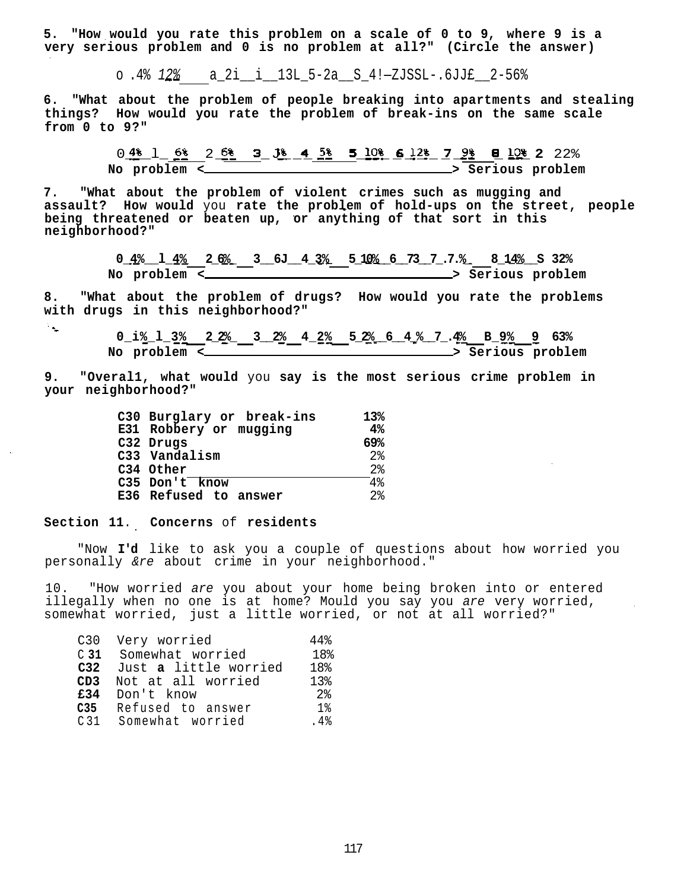**5. "How would you rate this problem on a scale of 0 to 9, where 9 is a very serious problem and 0 is no problem at all?" (Circle the answer)**

o .4% 12% a\_2i\_\_i\_\_13L\_5-2a\_\_S\_4!—ZJSSL-.6JJ£\_\_2-56%

**6. "What about the problem of people breaking into apartments and stealing things? How would you rate the problem of break-ins on the same scale from 0 to 9?"**

> $0.48$   $1 - 68$   $2.68$  **3**  $18$   $4.58$  **5**  $108$  **6**  $128$  **7**  $28$  **8 108** 2 22% No problem <**All and the serious problem** serious problem

**7. "What about the problem of violent crimes such as mugging and assault? How would** you **rate the problem of hold-ups on the street, people being threatened or beaten up, or anything of that sort in this neighborhood?"**

> **0\_4%\_\_l\_4% 2\_6%\_ 3\_\_6J\_\_4\_3% 5\_10%\_\_6\_\_73\_\_7\_.7.%\_ 8\_14%\_\_S 32%** No problem <  $\overline{\phantom{a}}$  Serious problem

**8. "What about the problem of drugs? How would you rate the problems with drugs in this neighborhood?"**  $\mathcal{L}_{\mathbf{q}}$ 

 $0_1$ <sup>2</sup> $\underline{8}$   $1_2$   $\underline{3}$   $\underline{8}$   $2_2$   $\underline{8}$   $3_2$   $2_2$   $4_2$   $2_2$   $5_2$   $2_2$   $6_4$   $2_4$   $7.4$   $4_2$   $\underline{8}$   $\underline{9}$   $\underline{9}$   $63$ No problem < **Serious No problem** < Serious problem < Serious problem

**9. "Overal1, what would** you **say is the most serious crime problem in your neighborhood?"**

| C30 Burglary or break-ins | 13% |
|---------------------------|-----|
| E31 Robbery or mugging    | 4%  |
| C32 Drugs                 | 69% |
| C33 Vandalism             | 2.8 |
| C34 Other                 | 2.8 |
| C35 Don't know            | 4%  |
| E36 Refused to answer     | 2.8 |

**Section 11**. **Concerns** of **residents**

"Now **I'd** like to ask you a couple of questions about how worried you personally &re about crime in your neighborhood."

10. "How worried are you about your home being broken into or entered illegally when no one is at home? Mould you say you are very worried, somewhat worried, just a little worried, or not at all worried?"

 $\sim$   $\sim$ 

| C30             | Very worried          | 44%             |
|-----------------|-----------------------|-----------------|
| C <sub>31</sub> | Somewhat worried      | 18%             |
| C <sub>32</sub> | Just a little worried | 18 <sup>8</sup> |
| CD3             | Not at all worried    | 1.3%            |
| £34             | Don't know            | 2.8             |
| C35             | Refused to answer     | 1 %             |
| C <sub>31</sub> | Somewhat worried      | .4%             |
|                 |                       |                 |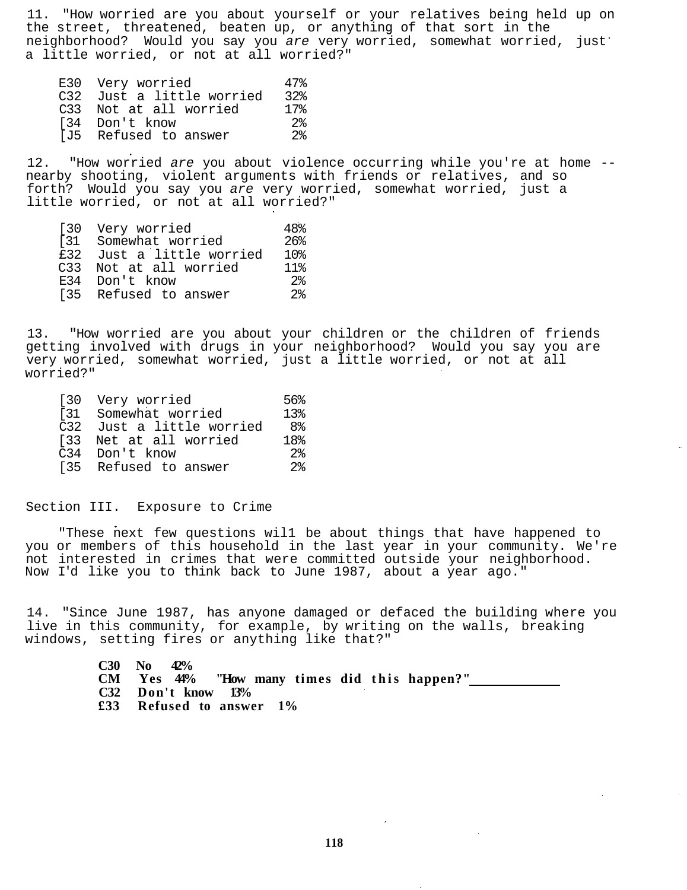11. "How worried are you about yourself or your relatives being held up on the street, threatened, beaten up, or anything of that sort in the neighborhood? Would you say you are very worried, somewhat worried, just a little worried, or not at all worried?"

| E30 Very worried          | 47%    |
|---------------------------|--------|
| C32 Just a little worried | $32$ . |
| C33 Not at all worried    | 17%    |
| [34 Don't know            | 2.8    |
| [J5 Refused to answer     | 2.8    |

12. "How worried are you about violence occurring while you're at home - nearby shooting, violent arguments with friends or relatives, and so forth? Would you say you are very worried, somewhat worried, just a little worried, or not at all worried?"

| [30 Very worried          | 48%             |
|---------------------------|-----------------|
| [31 Somewhat worried      | $26$ .          |
| £32 Just a little worried | 10%             |
| C33 Not at all worried    | 11 <sub>8</sub> |
| E34 Don't know            | 2.8             |
| [35 Refused to answer     | 2.8             |

13. "How worried are you about your children or the children of friends getting involved with drugs in your neighborhood? Would you say you are very worried, somewhat worried, just a little worried, or not at all worried?"

| 13.8 |
|------|
| ୍ଧ   |
| 18%  |
| 2.8  |
| 2.8  |
|      |

Section III. Exposure to Crime

"These next few questions wil1 be about things that have happened to you or members of this household in the last year in your community. We're not interested in crimes that were committed outside your neighborhood. Now I'd like you to think back to June 1987, about a year ago."

14. "Since June 1987, has anyone damaged or defaced the building where you live in this community, for example, by writing on the walls, breaking windows, setting fires or anything like that?"

> **C30 No 42% CM Yes 44% "How many time s did this happen?" C32 Don't know 13% £33 Refused to answer 1%**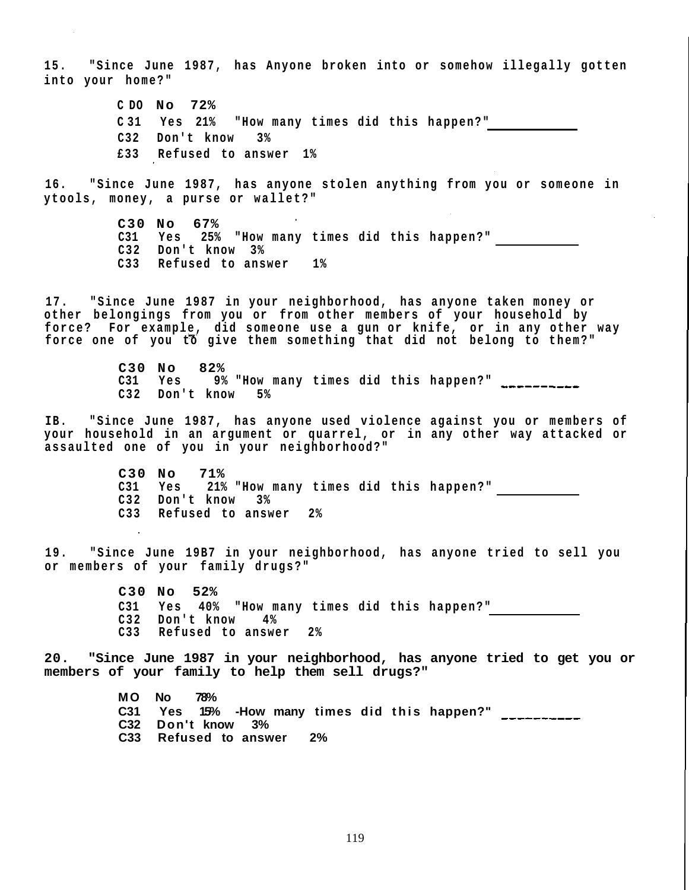**1 5. "Since June 1987, has Anyone broken into or somehow illegally gotten into your home?"**

> **C DO No 72% C 31 Yes 21% "How many times did this happen?" C32 Don't know 3% £ 33 Refused to answer 1%**

**16. "Since June 1987, has anyone stolen anything from you or someone in ytools, money, a purse or wallet?"**

> **C30 No 67% C31 Yes 25% "How many times did this happen?" C 32 Don't know 3% C 33 Refused to answer 1%**

**1 7. "Since June 1987 in your neighborhood, has anyone taken money or other belongings from you or from other members of your household by force? For example, did someone use a gun or knife, or in any other way** force one of you to give them something that did not belong to them?"

> **C30 No 82% C31 Yes 9% "How many times did this happen?" C 32 Don't know 5%**

**I B. "Since June 1987, has anyone used violence against you or members of your household in an argument or quarrel, or in any other way attacked or assaulted one of you in your neighborhood?"**

> **C30 No 71% C31 Yes 21% "How many times did this happen?" C 32 Don't know 3% C 33 Refused to answer 2%**

**1 9. "Since June 19B7 in your neighborhood, has anyone tried to sell you or members of your family drugs?"**

> **C30 No 52% C31 Yes 40% "How many times did this happen?" C 32 Don't know 4% C33 Refused to answer 2%**

**20. "Since June 1987 in your neighborhood, has anyone tried to get you or members of your family to help them sell drugs?"**

> **M O No 78%** C31 Yes 15% - How many times did this happen?" \_\_\_\_\_\_\_\_\_\_ **C32 Don't know 3% C33 Refused to answer 2%**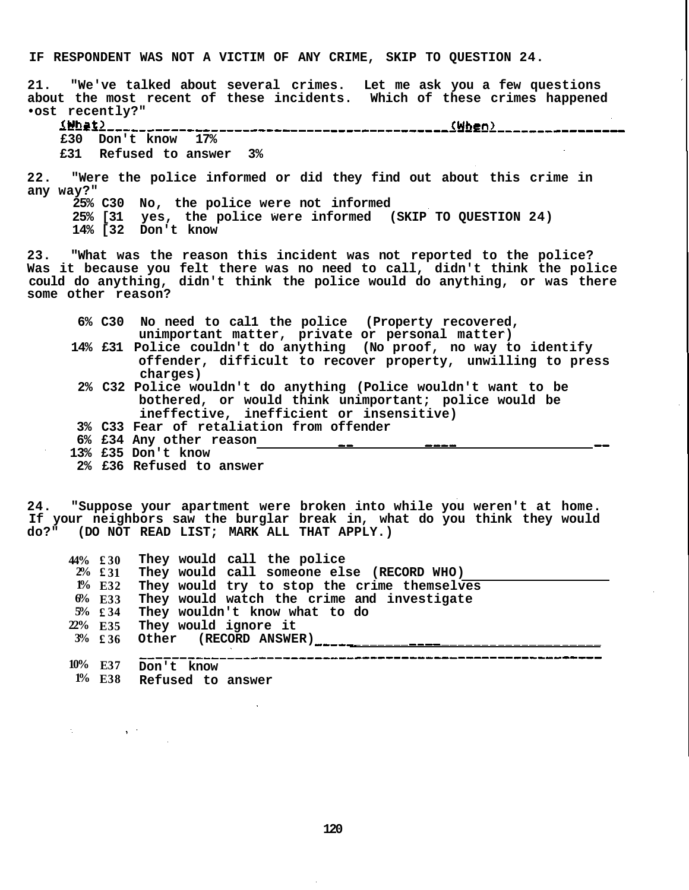**IF RESPONDENT WAS NOT A VICTIM OF ANY CRIME, SKIP TO QUESTION 24.**

**21. "We've talked about several crimes. Let me ask you a few questions about the most recent of these incidents. Which of these crimes happened •ost recently?" £30 Don't know 17% £31 Refused to answer 3% 22. "Were the police informed or did they find out about this crime in any way?" 25% C30 No, the police were not informed 25% [31 yes, the police were informed (SKIP TO QUESTION 24) 14% [32 Don't know 23. "What was the reason this incident was not reported to the police? Was it because you felt there was no need to call, didn't think the police could do anything, didn't think the police would do anything, or was there some other reason? 6% C30 No need to cal1 the police (Property recovered, unimportant matter, private or personal matter) 14% £31 Police couldn't do anything (No proof, no way to identify offender, difficult to recover property, unwilling to press charges) 2% C32 Police wouldn't do anything (Police wouldn't want to be bothered, or would think unimportant; police would be ineffective, inefficient or insensitive) 3% C33 Fear of retaliation from offender 6% £34 Any other reason 13% £35 Don't know 2% £36 Refused to answer 24. "Suppose your apartment were broken into while you weren't at home. If your neighbors saw the burglar break in, what do you think they would do?" (DO NOT READ LIST; MARK ALL THAT APPLY.) They would call the police 44% £ 30 They would call someone else (RECORD WHO) 2% £ 31 They would try to stop the crime themselves 1% E 32 They would watch the crime and investigate 6% E 33 5% 34 They wouldn't know what to do £ They would ignore it 22% E 35 Other (RECORD ANSWER) 3% £ 36 Don't know 10% E 37**

**1% E 38 Refused to answer**

 $\mathcal{O}(\mathcal{O}(\log n))$  . As  $\mathcal{O}(\mathcal{O})$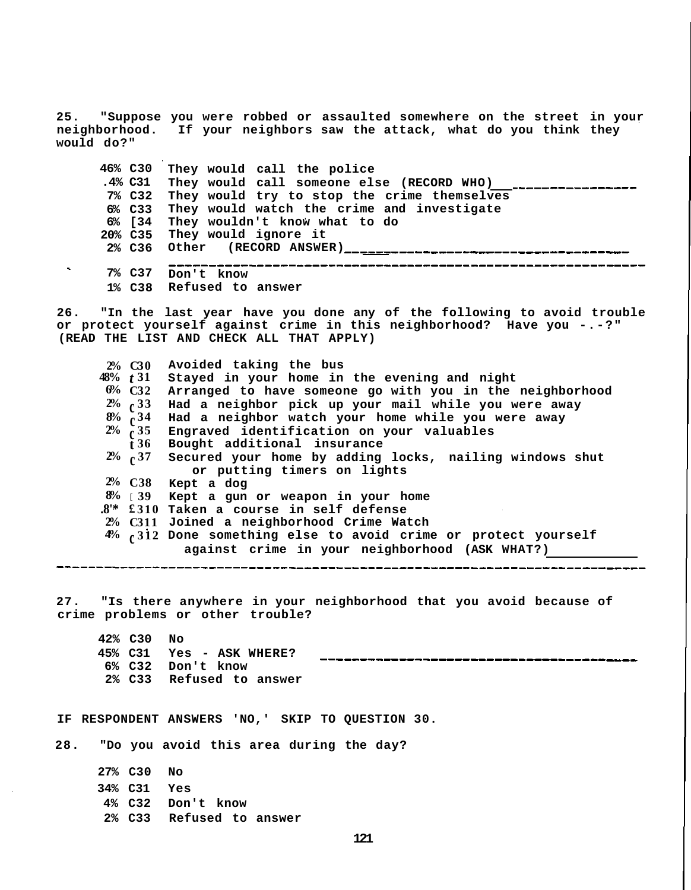**25. "Suppose you were robbed or assaulted somewhere on the street in your neighborhood. If your neighbors saw the attack, what do you think they would do?"**

**46% C30 They would call the police .4% C31 They would call someone else (RECORD WHO) 7% C32 They would try to stop the crime themselves 6% C33 They would watch the crime and investigate 6% [34 They wouldn't know what to do 20% C35 They would ignore it 2% C36 Other (RECORD ANSWER) 7% C37 Don't know 1% C38 Refused to answer**

**26. "In the last year have you done any of the following to avoid trouble or protect yourself against crime in this neighborhood? Have you -.-?" (READ THE LIST AND CHECK ALL THAT APPLY)**

**Avoided taking the bus 2% C 30 Stayed in your home in the evening and night 48%** *t* **31 Arranged to have someone go with you in the neighborhood Had a neighbor pick up your mail while you were away Had a neighbor watch your home while you were away 8% c 34 Engraved identification on your valuables 2% c 35 Bought additional insurance Secured your home by adding locks, nailing windows shut or putting timers on lights Kept a dog 2% C38 Kept a gun or weapon in your home 8%** [ **39 Taken a course in self defense .8'\* £ 310**  $2\%$  C311 Joined a neighborhood Crime Watch **Done something else to avoid crime or protect yourself 4% c 312 against crime in your neighborhood (ASK WHAT?) 6% 2% 2% c 37 C c t 36 32 33**

**27. "Is there anywhere in your neighborhood that you avoid because of crime problems or other trouble?**

**42% C30 No 45% C31 Yes - ASK WHERE? 6% C32 Don't know 2% C33 Refused to answer**

**IF RESPONDENT ANSWERS 'NO,' SKIP TO QUESTION 30.**

**28. "Do you avoid this area during the day?**

**27% C30 No 34% C31 Yes 4% C32 Don't know 2% C33 Refused to answer**

 $\mathbf{v}_\mathrm{c}$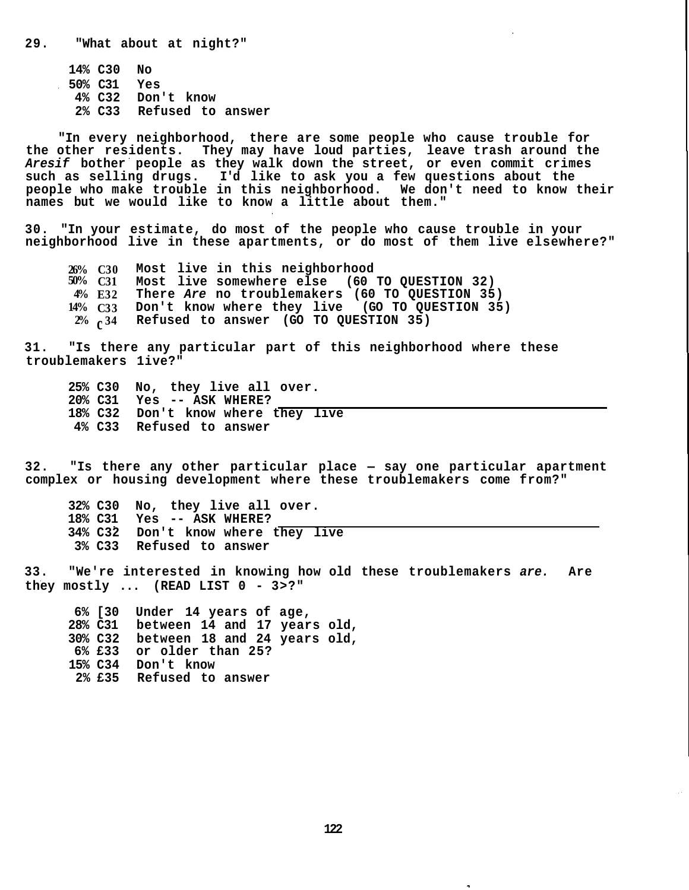**29. "What about at night?"**

**14% C30 No 50% C31 Yes 4% C32 Don't know 2% C33 Refused to answer**

**"In every neighborhood, there are some people who cause trouble for the other residents. They may have loud parties, leave trash around the Aresif bother people as they walk down the street, or even commit crimes such as selling drugs. I'd like to ask you a few questions about the people who make trouble in this neighborhood. We don't need to know their names but we would like to know a little about them."**

**30. "In your estimate, do most of the people who cause trouble in your neighborhood live in these apartments, or do most of them live elsewhere?"**

**26% C 30 50% C 31 4% E 32 There Are no troublemakers (60 TO QUESTION 35) 14% C 33 Don't know where they live (GO TO QUESTION 35) 2% c 34 Refused to answer (GO TO QUESTION 35) Most live in this neighborhood Most live somewhere else (60 TO QUESTION 32)**

**31. "Is there any particular part of this neighborhood where these troublemakers 1ive?"**

**25% C30 No, they live all over. 20% C31 Yes -- ASK WHERE? 18% C32 Don't know where they live 4% C33 Refused to answer**

**32. "Is there any other particular place — say one particular apartment complex or housing development where these troublemakers come from?"**

**32% C30 No, they live all over. 18% C31 Yes -- ASK WHERE? 34% C32 Don't know where they live 3% C33 Refused to answer**

**33. "We're interested in knowing how old these troublemakers are. Are they mostly ... (READ LIST 0 - 3>?"**

**6% [30 Under 14 years of age, 28% C31 between 14 and 17 years old, 30% C32 between 18 and 24 years old, 6% £33 or older than 25? 15% C34 Don't know 2% £35 Refused to answer**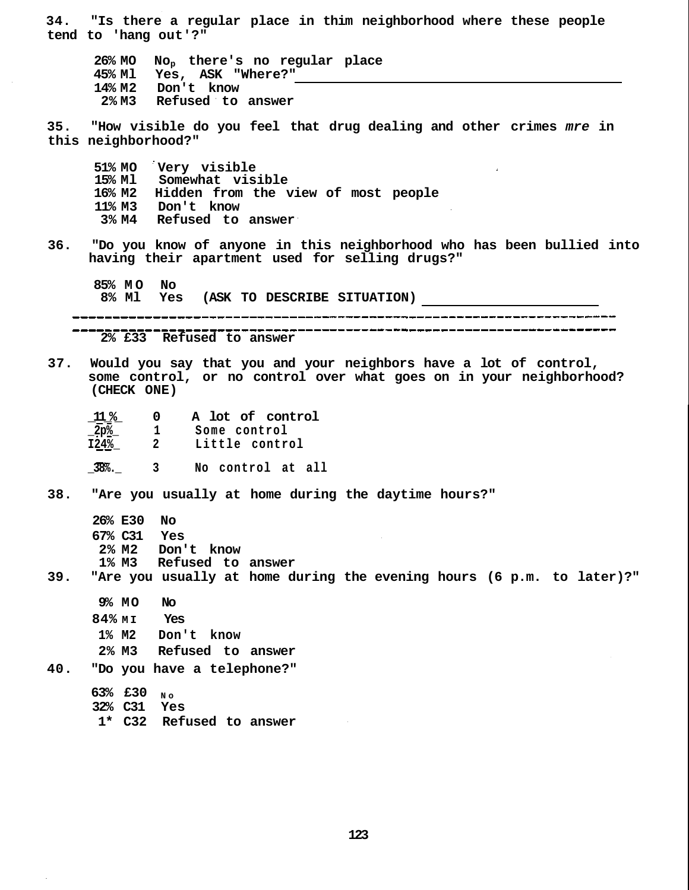**34. "Is there a regular place in thim neighborhood where these people tend to 'hang out'?" 26% MO Nop there's no regular place** Yes, ASK "Where?" **14% M2 Don't know** Refused to answer **35. "How visible do you feel that drug dealing and other crimes mre in this neighborhood?" 51% MO Very visible 15% Ml Somewhat visible 16% M2 Hidden from the view of most people 11% M3 Don't know 3% M4 Refused to answer 36. "Do you know of anyone in this neighborhood who has been bullied into having their apartment used for selling drugs?" 85% M O No 8% Ml Yes (ASK TO DESCRIBE SITUATION) 2% £33 Refused to answer 37. Would you say that you and your neighbors have a lot of control, some control, or no control over what goes on in your neighborhood? (CHECK ONE) \_11\_%\_ 0 A lot of control \_2p%\_ 1 Some control I24%\_ 2 Little control \_38%.\_ 3 No control at all 38. "Are you usually at home during the daytime hours?" 26% E30 No 67% C31 Yes 2% M2 Don't know 1% M3 Refused to answer 39. "Are you usually at home during the evening hours (6 p.m. to later)?" 9% MO No 84% M I Yes 1% M2 Don't know 2% M3 Refused to answer 40. "Do you have a telephone?" 63% £30<sup>N</sup> <sup>o</sup> 32% C31 Yes**

**1\* C32 Refused to answer**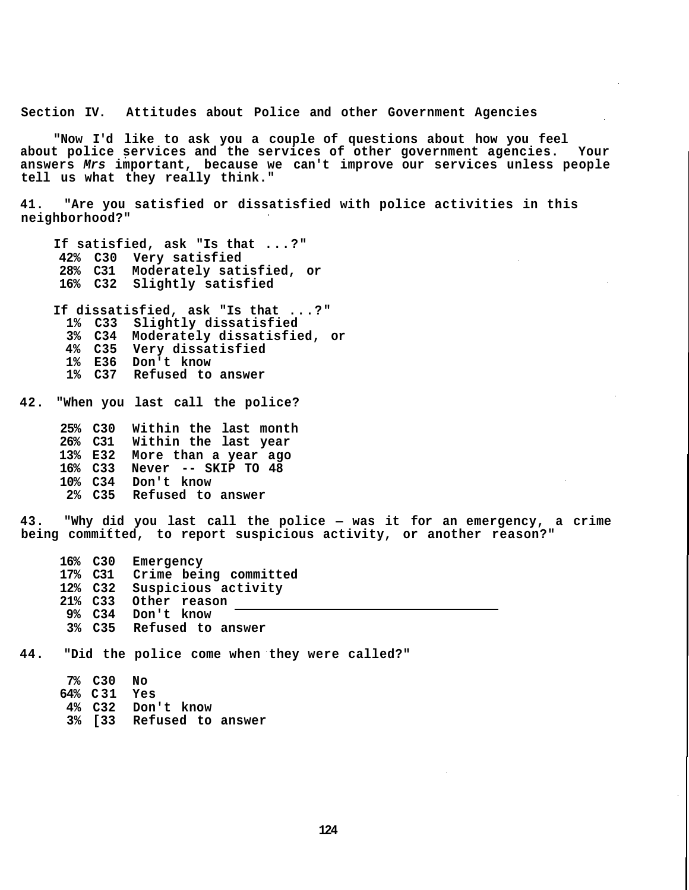**Section IV. Attitudes about Police and other Government Agencies**

**"Now I'd like to ask you a couple of questions about how you feel about police services and the services of other government agencies. Your answers Mrs important, because we can't improve our services unless people tell us what they really think."**

**41. "Are you satisfied or dissatisfied with police activities in this neighborhood?"**

**If satisfied, ask "Is that ...?" 42% C30 Very satisfied 28% C31 Moderately satisfied, or 16% C32 Slightly satisfied**

**If dissatisfied, ask "Is that ...?" 1% C33 Slightly dissatisfied 3% C34 Moderately dissatisfied, or 4% C35 Very dissatisfied 1% E36 Don't know 1% C37 Refused to answer**

**42. "When you last call the police?**

**25% C30 Within the last month 26% C31 Within the last year 13% E32 More than a year ago 16% C33 Never -- SKIP TO 48 10% C34 Don't know 2% C35 Refused to answer**

**43. "Why did you last call the police — was it for an emergency, a crime being committed, to report suspicious activity, or another reason?"**

**16% C30 Emergency 17% C31 Crime being committed 12% C32 Suspicious activity 21% C33 Other reason 9% C34 Don't know 3% C35 Refused to answer**

**44. "Did the police come when they were called?"**

**7% C30 No 64% C 31 Yes 4% C32 Don't know 3% [33 Refused to answer**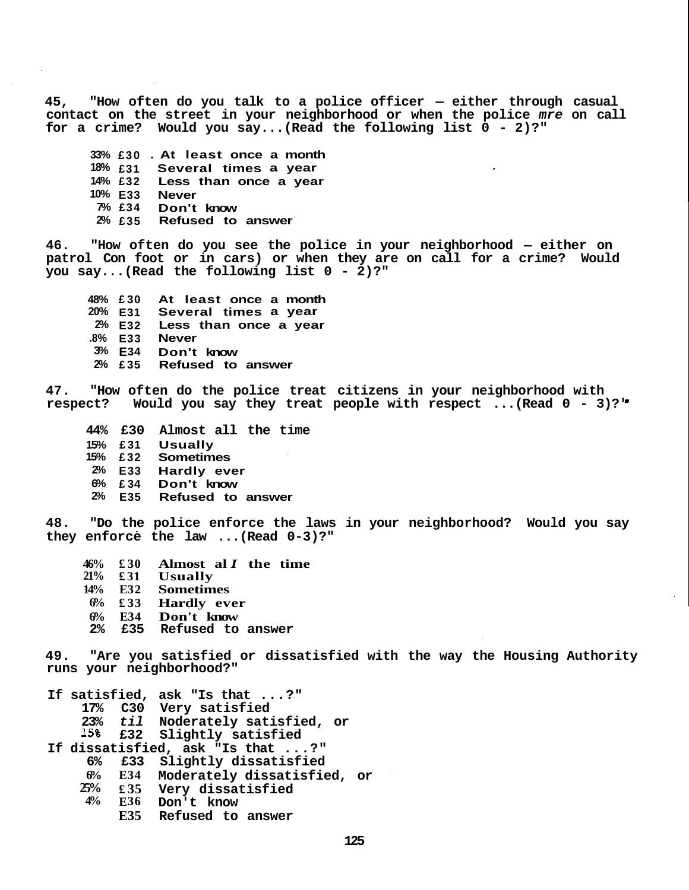**45, "How often do you talk to a police officer — either through casual contact on the street in your neighborhood or when the police mre on call for a crime? Would you say...(Read the following list 0 - 2)?"**

**33% £30 . At least once a month 18% £31 14% £32 Less than once a year 10% E33 Never 7% £34 Don't know 2% £35 Refused to answer Several times a year**

**46. "How often do you see the police in your neighborhood — either on patrol Con foot or in cars) or when they are on call for a crime? Would you say...(Read the following list 0 - 2)?"**

**48% £ 30 At least once a month 20% E 31 2% E 32 Less than once a year .8% E 33 3% E 34 Don't know 2% £ 35 Refused to answer Several times a year Never**

**47. "How often do the police treat citizens in your neighborhood with respect? Would you say they treat people with respect ...(Read 0 - 3)?'**

**44% £30 Almost all the time 15% £ 31 Usually 15% £ 32 Sometimes 2% E 33 Hardly ever 6% £ 34 Don't know 2% E 35 Refused to answer**

**48. "Do the police enforce the laws in your neighborhood? Would you say they enforce the law ...(Read 0-3)?"**

**46% £ 30 Almost al** *I* **the time 21% £ 31 Usually 14% E 32 Sometimes 6% £ 33 Hardly ever 6% E 34 Don't know 2% £35 Refused to answer**

**49. "Are you satisfied or dissatisfied with the way the Housing Authority runs your neighborhood?"**

- **If satisfied, ask "Is that ...?"**
	- **17% C30 Very satisfied**
	- **23% til Noderately satisfied, or**
	- **£32 Slightly satisfied**

**If dissatisfied, ask "Is that ...?"**

**6% £33 Slightly dissatisfied**

- **Moderately dissatisfied, or E 34 6%**
- **Very dissatisfied £ 35 25%**
- **Don't know E 36 4%**

**Refused to answer E 35**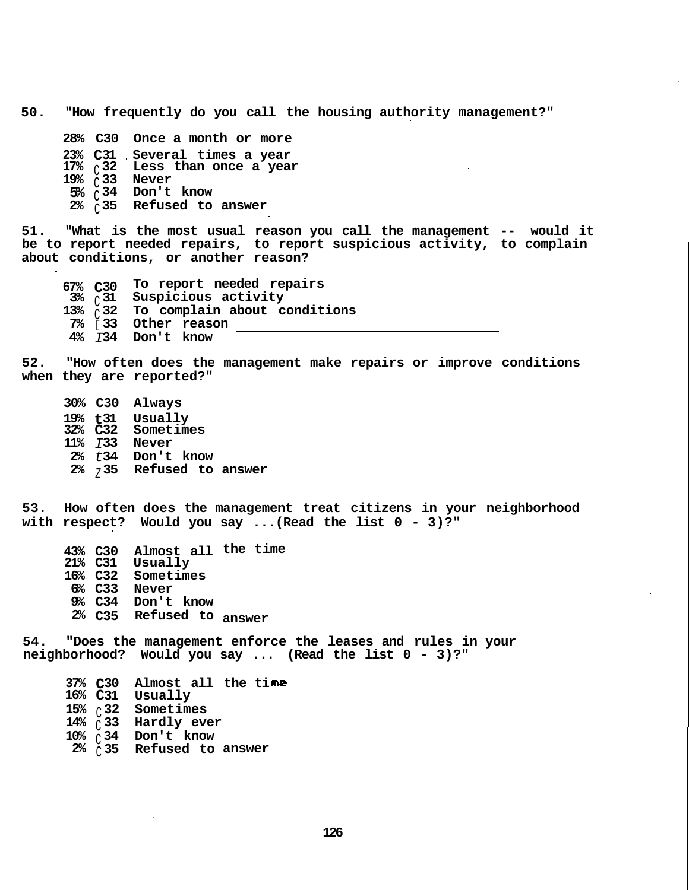**50. "How frequently do you call the housing authority management?"**

**28% C30 Once a month or more 23% C 31 Several times a year 17%** c **32 19%** c **33 5%** c **34 2%** c **35 Less than once a year Never Don't know Refused to answer**

**51. "What is the most usual reason you call the management -- would it be to report needed repairs, to report suspicious activity, to complain about conditions, or another reason?**

**To report needed repairs 67% C 30 Suspicious activity** 13% c<sup>31</sup> suspicious accivity<br>13% c<sup>32</sup> To complain about conditions **Other reason 7%** [ **33 Don't know 4%** I **34 3% 31** c **32**

**52. "How often does the management make repairs or improve conditions when they are reported?"**

**30% C30 Always 19% t 31 32% C 32 11%** I **33 Never 2%** t **34 Don't know 2%** z **35 Refused to answer Usually Sometimes**

**53. How often does the management treat citizens in your neighborhood with respect? Would you say ...(Read the list 0 - 3)?"**

**43% the time C30 Almost all 21% C31 16% C32 6% C33 Never 9% C34 Don't know 2% C35 Refused to answer Usually Sometimes**

**54. "Does the management enforce the leases and rules in your neighborhood? Would you say ... (Read the list 0 - 3)?"**

**37% C 30 Almost all the ti 16% C 31 15% 32 Sometimes 14%** c **10%** c **34 Don't know 2%** c **35 Refused to answer** c **33 Hardly ever Usually**